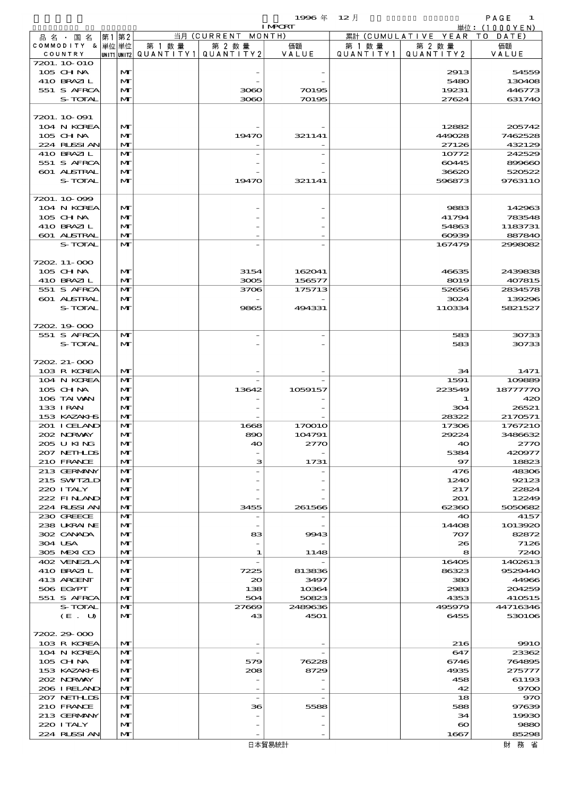|  |                               |                   |                        |                    | 1996 $#$         | $12$ 月    |                               | PAGE<br>1                                      |
|--|-------------------------------|-------------------|------------------------|--------------------|------------------|-----------|-------------------------------|------------------------------------------------|
|  |                               | 第1 第2             |                        | 当月 (CURRENT MONTH) | <b>I MPORT</b>   |           | 累計 (CUMULATIVE YEAR           | $\dot{\mathbb{H}}$ 位: (1000YEN)<br>DATE<br>T O |
|  | 品 名 ・ 国 名<br>COMMODITY & 単位単位 |                   | 第 1 数量                 | 第 2 数量             | 価額               | 第 1 数 量   | 第 2 数 量                       | 価額                                             |
|  | COUNTRY                       |                   | UNIT1 UNIT2 QUANTITY 1 | QUANTITY2          | VALUE            | QUANTITY1 | QUANTITY2                     | VALUE                                          |
|  | 7201. 10 010<br>$105$ CHNA    | M                 |                        |                    |                  |           | 2913                          | 54559                                          |
|  | 410 BRAZIL                    | M                 |                        |                    |                  |           | 5480                          | 130408                                         |
|  | 551 S AFRCA                   | M                 |                        | 3080               | 70195            |           | 19231                         | 446773                                         |
|  | S-TOTAL                       | $\mathbf{M}$      |                        | 3080               | 70195            |           | 27624                         | 631740                                         |
|  | 7201.10.091                   |                   |                        |                    |                  |           |                               |                                                |
|  | 104 N KOREA                   | M                 |                        |                    |                  |           | 12882                         | 205742                                         |
|  | 105 CH NA                     | M                 |                        | 19470              | 321141           |           | 449028                        | 7462528                                        |
|  | 224 RUSSI AN<br>410 BRAZIL    | $\mathbf{M}$<br>M |                        |                    |                  |           | 27126<br>10772                | 432129<br>242529                               |
|  | 551 S AFRCA                   | M                 |                        |                    |                  |           | 60445                         | 899660                                         |
|  | 601 ALSTRAL                   | M                 |                        |                    |                  |           | 36620                         | 520522                                         |
|  | S-TOTAL                       | M                 |                        | 19470              | 321141           |           | 596873                        | 9763110                                        |
|  | 7201.10.099                   |                   |                        |                    |                  |           |                               |                                                |
|  | 104 N KOREA                   | M                 |                        |                    |                  |           | 9883                          | 142963                                         |
|  | 105 CHNA                      | M                 |                        |                    |                  |           | 41794                         | 783548                                         |
|  | 410 BRAZIL                    | M                 |                        |                    |                  |           | 54863                         | 1183731                                        |
|  | 601 ALSTRAL<br>S-TOTAL        | M<br>$\mathbf{M}$ |                        |                    |                  |           | $\alpha$<br>167479            | 887840<br>2998082                              |
|  |                               |                   |                        |                    |                  |           |                               |                                                |
|  | 7202. 11-000                  |                   |                        |                    |                  |           |                               |                                                |
|  | 105 CH NA                     | M                 |                        | 3154               | 162041           |           | 46635                         | 2439838                                        |
|  | 410 BRAZIL<br>551 S AFRCA     | M<br>$\mathbf{M}$ |                        | 3005<br>3706       | 156577<br>175713 |           | 8019<br>52656                 | 407815<br>2834578                              |
|  | 601 ALSTRAL                   | M                 |                        |                    |                  |           | 3024                          | 139296                                         |
|  | S-TOTAL                       | M                 |                        | 9865               | 494331           |           | 110334                        | 5821527                                        |
|  |                               |                   |                        |                    |                  |           |                               |                                                |
|  | 7202 19000<br>551 S AFRCA     | M                 |                        |                    |                  |           | 583                           | 30733                                          |
|  | S-TOTAL                       | M                 |                        |                    |                  |           | 583                           | 30733                                          |
|  |                               |                   |                        |                    |                  |           |                               |                                                |
|  | 7202 21-000                   |                   |                        |                    |                  |           |                               |                                                |
|  | 103 R KOREA<br>104 N KOREA    | $\mathbf{M}$<br>M |                        |                    |                  |           | 34<br>1591                    | 1471<br>109889                                 |
|  | $105$ CHNA                    | M                 |                        | 13642              | 1059157          |           | 223549                        | 18777770                                       |
|  | 106 TAI VAN                   | M                 |                        |                    |                  |           | 1                             | 420                                            |
|  | 133 I RAN                     | M                 |                        |                    |                  |           | 304                           | 26521                                          |
|  | 153 KAZAKI S<br>201 I CELAND  | M<br>M            |                        | 1668               | 170010           |           | 28322<br>17306                | 2170571<br>1767210                             |
|  | 202 NORWAY                    | $\mathbf{M}$      |                        | 890                | 104791           |           | 29224                         | 3486632                                        |
|  | 205 U KING                    | $\mathbf{M}$      |                        | 40                 | 2770             |           | 40                            | 2770                                           |
|  | 207 NETHLIS<br>210 FRANCE     | M<br>M            |                        | з                  |                  |           | 5384<br>97                    | 420977<br>18823                                |
|  | 213 GERMANY                   | M                 |                        |                    | 1731             |           | 476                           | 48306                                          |
|  | 215 SWIZLD                    | M                 |                        |                    |                  |           | 1240                          | 92123                                          |
|  | 220 I TALY                    | M                 |                        |                    |                  |           | 217                           | 22824                                          |
|  | 222 FINAND<br>224 RLSSIAN     | M<br>M            |                        | 3455               | 261566           |           | 201<br>62360                  | 12249<br>5050682                               |
|  | 230 GREECE                    | M                 |                        |                    |                  |           | 40                            | 4157                                           |
|  | 238 UKRAINE                   | M                 |                        |                    |                  |           | 14408                         | 1013920                                        |
|  | 302 CANADA                    | M                 |                        | 83                 | 9943             |           | 707                           | 82872                                          |
|  | 304 USA<br>305 MEXICO         | M<br>M            |                        | 1                  | 1148             |           | 26<br>8                       | 7126<br>7240                                   |
|  | 402 VENEZIA                   | M                 |                        |                    |                  |           | 16405                         | 1402613                                        |
|  | 410 BRAZIL                    | M                 |                        | 7225               | 813836           |           | 86323                         | 9529440                                        |
|  | 413 ARGENT                    | M                 |                        | 20                 | 3497             |           | 380                           | 44966                                          |
|  | 506 EGYPT<br>551 S AFRCA      | M<br>M            |                        | 138<br>504         | 10364<br>50823   |           | 2983<br>4353                  | 204259<br>410515                               |
|  | S-TOTAL                       | M                 |                        | 27669              | 2489636          |           | 495979                        | 44716346                                       |
|  | (E. U)                        | $\mathbf{M}$      |                        | 43                 | 4501             |           | 6455                          | 530106                                         |
|  |                               |                   |                        |                    |                  |           |                               |                                                |
|  | 7202.29-000<br>103 R KOREA    | M                 |                        |                    |                  |           | 216                           | <b>9910</b>                                    |
|  | 104 N KOREA                   | M                 |                        |                    |                  |           | 647                           | 23362                                          |
|  | $105$ CHNA                    | M                 |                        | 579                | 76228            |           | 6746                          | 764895                                         |
|  | 153 KAZAKI S                  | M                 |                        | 208                | 8729             |           | 4935                          | 275777                                         |
|  | 202 NORWAY<br>206 I RELAND    | M<br>M            |                        |                    |                  |           | 458<br>42                     | 61193<br>9700                                  |
|  | 207 NETHLIS                   | M                 |                        |                    |                  |           | 18                            | 970                                            |
|  | 210 FRANCE                    | M                 |                        | 36                 | 5588             |           | 588                           | 97639                                          |
|  | 213 GERMANY<br>220 I TALY     | M                 |                        |                    |                  |           | 34                            | 19930<br>9880                                  |
|  | 224 RUSSI AN                  | M<br>M            |                        |                    |                  |           | $\boldsymbol{\infty}$<br>1667 | 85298                                          |
|  |                               |                   |                        |                    |                  |           |                               |                                                |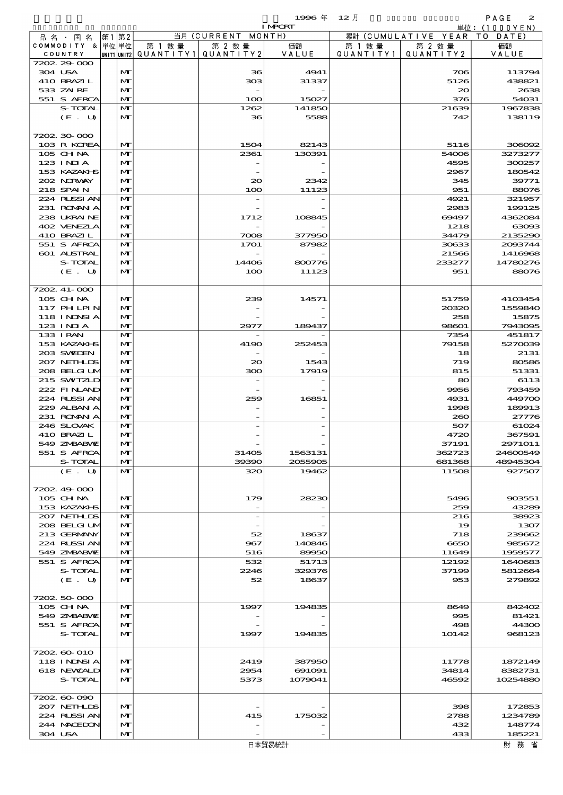|                             |      |                   |                          |                    | 1996年            | $12$ 月    |                      | PAGE<br>$\boldsymbol{z}$  |
|-----------------------------|------|-------------------|--------------------------|--------------------|------------------|-----------|----------------------|---------------------------|
|                             | 第1第2 |                   |                          | 当月 (CURRENT MONTH) | <b>I MPORT</b>   |           | 累計 (CUMULATIVE YEAR) | 単位: (1000YEN)<br>TO DATE) |
| 品名 国名<br>COMMODITY & 単位単位   |      |                   | 第 1 数 量                  | 第 2 数量             | 価額               | 第 1 数 量   | 第 2 数量               | 価額                        |
| COUNTRY                     |      |                   | unit1 unit2  Q∪ANT   TY1 | QUANTITY2          | VALUE            | QUANTITY1 | QUANTITY 2           | VALUE                     |
| 7202.29-000                 |      |                   |                          |                    |                  |           |                      |                           |
| 304 USA<br>410 BRAZIL       |      | M<br>$\mathbf{M}$ |                          | 36<br>303          | 4941<br>31337    |           | 706<br>5126          | 113794<br>438821          |
| 533 ZAIRE                   |      | M                 |                          |                    |                  |           | 20                   | 2638                      |
| 551 S AFRCA                 |      | M                 |                          | 100                | 15027            |           | 376                  | 54031                     |
| S-TOTAL                     |      | M                 |                          | 1262               | 141850           |           | 21639                | 1967838                   |
| (E. U)                      |      | M                 |                          | 36                 | 5588             |           | 742                  | 138119                    |
| 7202.30.000                 |      |                   |                          |                    |                  |           |                      |                           |
| 103 R KOREA                 |      | M                 |                          | 1504               | 82143            |           | 5116                 | 306092                    |
| 105 CH NA                   |      | M                 |                          | 2361               | 130391           |           | 54006                | 3273277                   |
| 123 INIA                    |      | $\mathbf{M}$      |                          |                    |                  |           | 4595                 | 300257                    |
| 153 KAZAKI S<br>202 NRWAY   |      | M<br>M            |                          | $\infty$           | 2342             |           | 2967<br>345          | 180542<br>39771           |
| 218 SPAIN                   |      | $\mathbf{M}$      |                          | 100                | 11123            |           | 951                  | 88076                     |
| 224 RUSSIAN                 |      | M                 |                          |                    |                  |           | 4921                 | 321957                    |
| 231 ROMAN A                 |      | M                 |                          |                    |                  |           | 2983                 | 199125                    |
| 238 UKRAINE<br>402 VENEZIA  |      | M<br>M            |                          | 1712               | 108845           |           | 69497<br>1218        | 4362084<br>63093          |
| 410 BRAZIL                  |      | M                 |                          | 7008               | 377950           |           | 34479                | 2135290                   |
| 551 S AFRCA                 |      | M                 |                          | 1701               | 87982            |           | 30633                | 2003744                   |
| 601 ALSTRAL                 |      | M                 |                          |                    |                  |           | 21566                | 1416968                   |
| S-TOTAL                     |      | M                 |                          | 14406              | 800776           |           | 233277               | 14780276                  |
| (E. U)                      |      | $\mathbf{M}$      |                          | 100                | 11123            |           | 951                  | 88076                     |
| 7202.41-000                 |      |                   |                          |                    |                  |           |                      |                           |
| 105 CH NA                   |      | M                 |                          | 239                | 14571            |           | 51759                | 4103454                   |
| 117 PHLPIN                  |      | M                 |                          |                    |                  |           | 20320                | 1559840                   |
| <b>118 INNSIA</b>           |      | M<br>$\mathbf{M}$ |                          |                    |                  |           | 258                  | 15875                     |
| 123 INIA<br>133 I RAN       |      | M                 |                          | 2977               | 189437           |           | 98601<br>7354        | 7943095<br>451817         |
| 153 KAZAKI S                |      | $\mathbf{M}$      |                          | 4190               | 252453           |           | 79158                | 5270039                   |
| 203 SWIDEN                  |      | $\mathbf{M}$      |                          |                    |                  |           | 18                   | 2131                      |
| 207 NETHLIS                 |      | M                 |                          | 20                 | 1543             |           | 719                  | 80586                     |
| 208 BELGI UM<br>215 SWIZLD  |      | $\mathbf{M}$<br>M |                          | 300                | 17919            |           | 815<br>80            | 51331<br>6113             |
| 222 FINAND                  |      | M                 |                          |                    |                  |           | 9956                 | 793459                    |
| 224 RUSSIAN                 |      | M                 |                          | 259                | 16851            |           | 4931                 | 449700                    |
| 229 ALBAN A                 |      | M                 |                          |                    |                  |           | 1998                 | 189913                    |
| 231 ROMANIA<br>246 SLOVAK   |      | M<br>M            |                          |                    |                  |           | 260<br>507           | 27776<br>61024            |
| 410 BRAZI L                 |      | $\mathbf{M}$      |                          |                    |                  |           | 4720                 | 367591                    |
| 549 ZMBABWE                 |      | M                 |                          |                    |                  |           | 37191                | 2971011                   |
| 551 S AFRCA                 |      | M                 |                          | 31405              | 1563131          |           | 362723               | 24600549                  |
| S-TOTAL                     |      | M                 |                          | 39390              | 2055905          |           | 681368               | 48945304                  |
| (E. U)                      |      | $\mathbf{M}$      |                          | 320                | 19462            |           | 11508                | 927507                    |
| 7202.49-000                 |      |                   |                          |                    |                  |           |                      |                           |
| $105$ CHNA                  |      | M                 |                          | 179                | 28230            |           | 5496                 | 903551                    |
| 153 KAZAKI S                |      | M                 |                          |                    |                  |           | 259                  | 43289                     |
| 207 NETHLIS<br>208 BELGI UM |      | M<br>M            |                          |                    |                  |           | 216<br>19            | 38923<br>1307             |
| 213 GERMANY                 |      | M                 |                          | 52                 | 18637            |           | 718                  | 239662                    |
| 224 RUSSI AN                |      | M                 |                          | 967                | 140846           |           | 6650                 | 985672                    |
| 549 ZNBABVE                 |      | M                 |                          | 516                | 89950            |           | 11649                | 1959577                   |
| 551 S AFRCA<br>S-TOTAL      |      | M<br>M            |                          | 532<br>2246        | 51713<br>329376  |           | 12192<br>37199       | 1640683<br>5812664        |
| (E. U)                      |      | $\mathbf{M}$      |                          | 52                 | 18637            |           | 953                  | 279892                    |
|                             |      |                   |                          |                    |                  |           |                      |                           |
| 7202.50.000                 |      |                   |                          |                    |                  |           |                      |                           |
| 105 CHNA                    |      | M                 |                          | 1997               | 194835           |           | 8649                 | 842402                    |
| 549 ZNBABVIZ<br>551 S AFRCA |      | $\mathbf{M}$<br>M |                          |                    |                  |           | 995<br>498           | 81421<br>44300            |
| S-TOTAL                     |      | M                 |                          | 1997               | 194835           |           | 10142                | 968123                    |
|                             |      |                   |                          |                    |                  |           |                      |                           |
| 7202.60-010                 |      |                   |                          |                    |                  |           |                      |                           |
| 118 I NDSI A<br>618 NEWALD  |      | $\mathbf{M}$<br>M |                          | 2419<br>2954       | 387950<br>691091 |           | 11778<br>34814       | 1872149<br>8382731        |
| S-TOTAL                     |      | M                 |                          | 5373               | 1079041          |           | 46592                | 10254880                  |
|                             |      |                   |                          |                    |                  |           |                      |                           |
| 7202.60-090                 |      |                   |                          |                    |                  |           |                      |                           |
| 207 NETHLIS                 |      | M                 |                          |                    |                  |           | 398                  | 172853                    |
| 224 RUSSIAN<br>244 MACHON   |      | M<br>M            |                          | 415                | 175032           |           | 2788<br>432          | 1234789<br>148774         |
| 304 USA                     |      | M                 |                          |                    |                  |           | 433                  | 185221                    |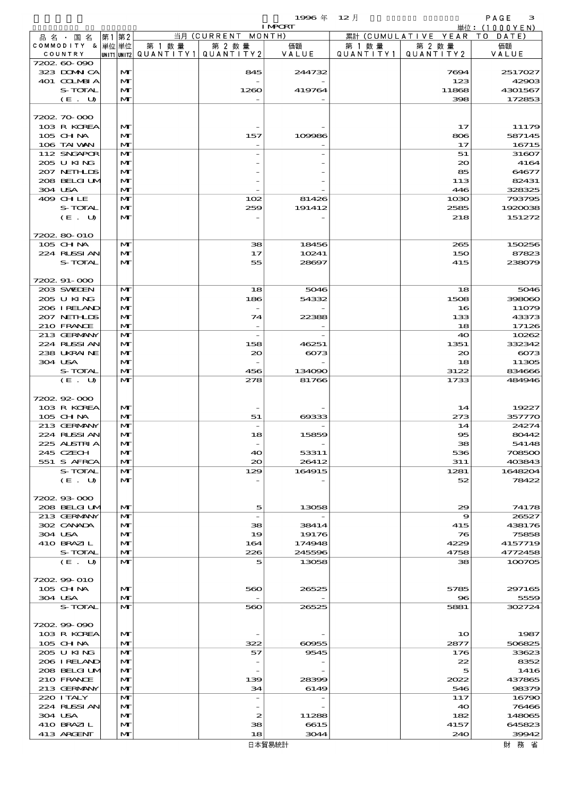$1996 \nless 12 \nless 12$ 

|                              |      |                   |        |                                                  | <b>I MPCRT</b>  |                      |                              | 単位: (1000YEN)     |
|------------------------------|------|-------------------|--------|--------------------------------------------------|-----------------|----------------------|------------------------------|-------------------|
| 品名・国名                        | 第1第2 |                   |        | 当月 (CURRENT MONTH)                               |                 |                      | 累計 (CUMULATIVE YEAR TO DATE) |                   |
| COMMODITY & 単位単位<br>COUNTRY  |      |                   | 第 1 数量 | 第 2 数量<br> UNIT1 UNIT2  QUANT   TY1  QUANT   TY2 | 価額<br>VALUE     | 第 1 数 量<br>QUANTITY1 | 第 2 数量<br>QUANTITY 2         | 価額<br>VALUE       |
| 7202 60 090                  |      |                   |        |                                                  |                 |                      |                              |                   |
| 323 DOMN CA                  |      | $\mathbf{M}$      |        | 845                                              | 244732          |                      | 7694                         | 2517027           |
| 401 COLMBIA                  |      | M                 |        |                                                  |                 |                      | 123                          | 42903             |
| S-TOTAL                      |      | M                 |        | 1260                                             | 419764          |                      | 11868                        | 4301567           |
| (E. U)                       |      | $\mathbf{M}$      |        |                                                  |                 |                      | 398                          | 172853            |
| 7202 70 000                  |      |                   |        |                                                  |                 |                      |                              |                   |
| 103 R KOREA                  |      | M                 |        |                                                  |                 |                      | 17                           | 11179             |
| 105 CHNA                     |      | M                 |        | 157                                              | 109986          |                      | 806                          | 587145            |
| 106 TAI VAN<br>112 SNGAPOR   |      | $\mathbf{M}$<br>M |        |                                                  |                 |                      | 17<br>51                     | 16715<br>31607    |
| 205 U KING                   |      | M                 |        |                                                  |                 |                      | $_{\infty}$                  | 4164              |
| 207 NETHLIS                  |      | M                 |        |                                                  |                 |                      | 85                           | 64677             |
| 208 BELGI UM                 |      | $\mathbf{M}$      |        |                                                  |                 |                      | 113                          | 82431             |
| 304 USA                      |      | M                 |        |                                                  |                 |                      | 446                          | 328325            |
| 409 CHLE<br>S-TOTAL          |      | M<br>M            |        | 102<br>259                                       | 81426<br>191412 |                      | 1030<br>2585                 | 793795<br>1920038 |
| (E. U)                       |      | M                 |        |                                                  |                 |                      | 218                          | 151272            |
|                              |      |                   |        |                                                  |                 |                      |                              |                   |
| 7202 80 010                  |      |                   |        |                                                  |                 |                      |                              |                   |
| 105 CHNA                     |      | M                 |        | 38                                               | 18456<br>10241  |                      | 265                          | 150256            |
| 224 RUSSI AN<br>S-TOTAL      |      | M<br>$\mathbf{M}$ |        | 17<br>55                                         | 28697           |                      | 150<br>415                   | 87823<br>238079   |
|                              |      |                   |        |                                                  |                 |                      |                              |                   |
| 7202 91-000                  |      |                   |        |                                                  |                 |                      |                              |                   |
| 203 SWIDEN                   |      | M                 |        | 18                                               | 5046            |                      | 18                           | 5046              |
| 205 U KING                   |      | M                 |        | 186<br>$\overline{\phantom{a}}$                  | 54332           |                      | 1508                         | 398060            |
| 206 IRELAND<br>207 NETHLIS   |      | M<br>$\mathbf{M}$ |        | 74                                               | 22388           |                      | 16<br>133                    | 11079<br>43373    |
| 210 FRANCE                   |      | $\mathbf{M}$      |        |                                                  |                 |                      | 18                           | 17126             |
| 213 GERMANY                  |      | $\mathbf{M}$      |        | $\overline{\phantom{a}}$                         |                 |                      | 40                           | 10262             |
| 224 RLSSIAN                  |      | M                 |        | 158                                              | 46251           |                      | 1351                         | 332342            |
| 238 UKRAINE<br>304 USA       |      | M<br>$\mathbf{M}$ |        | $\infty$                                         | 6073            |                      | 20<br>18                     | 6073<br>11305     |
| S-TOTAL                      |      | $\mathbf{M}$      |        | 456                                              | 134090          |                      | 3122                         | 834666            |
| (E. U)                       |      | $\mathbf{M}$      |        | 278                                              | 81766           |                      | 1733                         | 484946            |
|                              |      |                   |        |                                                  |                 |                      |                              |                   |
| 7202.92-000                  |      |                   |        |                                                  |                 |                      |                              |                   |
| 103 R KOREA<br>105 CHNA      |      | M<br>M            |        | 51                                               | 69333           |                      | 14<br>273                    | 19227<br>357770   |
| 213 GERMANY                  |      | M                 |        | $\overline{\phantom{a}}$                         |                 |                      | 14                           | 24274             |
| 224 RLSSIAN                  |      | M                 |        | 18                                               | 15859           |                      | $\infty$                     | 80442             |
| 225 ALSTRIA                  |      | $\mathbf{M}$      |        |                                                  |                 |                      | 38                           | 54148             |
| 245 CZECH                    |      | M                 |        | 40                                               | 53311           |                      | 536                          | 708500            |
| 551 S AFRCA<br>S-TOTAL       |      | M<br>M            |        | $\infty$<br>129                                  | 26412<br>164915 |                      | 311<br>1281                  | 403843<br>1648204 |
| (E. U)                       |      | M                 |        |                                                  |                 |                      | 52                           | 78422             |
|                              |      |                   |        |                                                  |                 |                      |                              |                   |
| 7202.93-000                  |      |                   |        |                                                  |                 |                      |                              |                   |
| 208 BELGILM                  |      | M                 |        | 5                                                | 13058           |                      | 29                           | 74178             |
| 213 GERMANY<br>302 CANADA    |      | M<br>M            |        | $\overline{\phantom{a}}$<br>38                   | 38414           |                      | 9<br>415                     | 26527<br>438176   |
| 304 USA                      |      | M                 |        | 19                                               | 19176           |                      | 76                           | 75858             |
| 410 BRAZIL                   |      | M                 |        | 164                                              | 174948          |                      | 4229                         | 4157719           |
| S-TOTAL                      |      | M                 |        | 226                                              | 245596          |                      | 4758                         | 4772458           |
| (E. U)                       |      | $\mathbf{M}$      |        | $\overline{\mathbf{5}}$                          | 13058           |                      | 38                           | 100705            |
| 7202.99-010                  |      |                   |        |                                                  |                 |                      |                              |                   |
| 105 CH NA                    |      | M                 |        | 560                                              | 26525           |                      | 5785                         | 297165            |
| 304 USA                      |      | $\mathbf{M}$      |        |                                                  |                 |                      | $\bf{8}$                     | 5559              |
| S-TOTAL                      |      | $\mathbf{M}$      |        | 560                                              | 26525           |                      | 5881                         | 302724            |
| 7202.99-090                  |      |                   |        |                                                  |                 |                      |                              |                   |
| 103 R KOREA                  |      | M                 |        |                                                  |                 |                      | 1 <sub>O</sub>               | 1987              |
| 105 CH NA                    |      | M                 |        | 322                                              | 60955           |                      | 2877                         | 506825            |
| 205 U KING                   |      | M                 |        | 57                                               | 9545            |                      | 176                          | 33623             |
| 206 I RELAND<br>208 BELGI UM |      | M<br>M            |        | $\overline{\phantom{a}}$                         |                 |                      | 22<br>5                      | 8352<br>1416      |
| 210 FRANCE                   |      | M                 |        | 139                                              | 28399           |                      | 2022                         | 437865            |
| 213 GERMANY                  |      | M                 |        | 34                                               | 6149            |                      | 546                          | 98379             |
| 220 I TALY                   |      | M                 |        | $\overline{\phantom{a}}$                         |                 |                      | 117                          | 16790             |
| 224 RUSSIAN<br>304 USA       |      | M<br>M            |        | 2                                                | 11288           |                      | 40<br>182                    | 76466<br>148065   |
| 410 BRAZIL                   |      | M                 |        | 38                                               | 6615            |                      | 4157                         | 645823            |
| 413 ARCENT                   |      | M                 |        | 18                                               | 3044            |                      | 240                          | 39942             |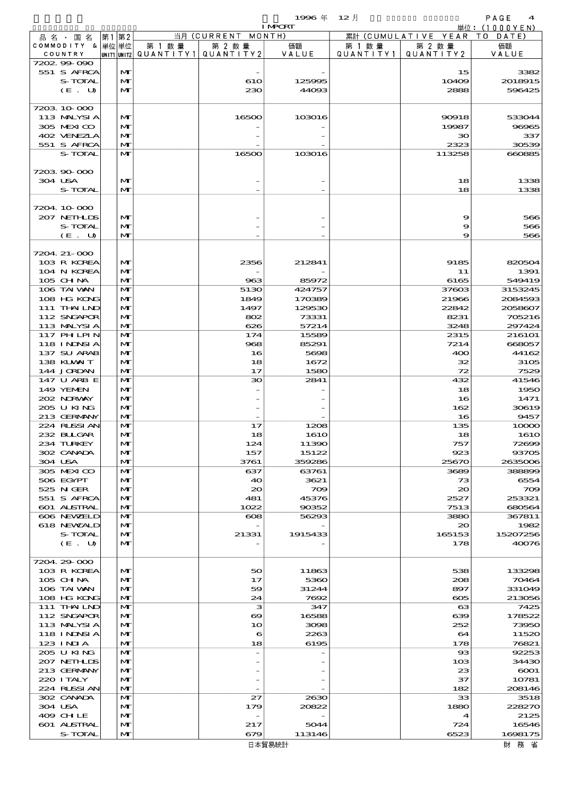|         |                                  |       |                              |                       |                                 | 1996 $#$                 | $12$ 月    |                              | PAGE<br>4                                      |
|---------|----------------------------------|-------|------------------------------|-----------------------|---------------------------------|--------------------------|-----------|------------------------------|------------------------------------------------|
|         |                                  |       |                              |                       | 当月(CURRENT                      | <b>I MPCRT</b><br>MONTH) |           | 累計 (CUMULATIVE YEAR          | $\dot{\mathbb{H}}$ 位: (1000YEN)<br>T O<br>DATE |
|         | 品名・国名<br>COMMODITY & 単位単位        | 第1 第2 |                              | 第 1 数量                | 第 2 数量                          | 価額                       | 第 1 数 量   | 第 2 数量                       | 価額                                             |
| COUNTRY |                                  |       |                              | UNIT1 UNIT2 QUANTITY1 | QUANTITY 2                      | VALUE                    | QUANTITY1 | QUANTITY 2                   | VALUE                                          |
|         | 7202.99-090                      |       |                              |                       |                                 |                          |           |                              |                                                |
|         | 551 S AFRCA                      |       | M                            |                       |                                 |                          |           | 15                           | 3382                                           |
|         | S-TOTAL<br>(E. U)                |       | M<br>M                       |                       | 610<br>230                      | 125995<br>44093          |           | 10409<br>2888                | 2018915<br>596425                              |
|         |                                  |       |                              |                       |                                 |                          |           |                              |                                                |
|         | 7203 10 000                      |       |                              |                       |                                 |                          |           |                              |                                                |
|         | 113 MALYSIA                      |       | $\mathbf{M}$                 |                       | 16500                           | 103016                   |           | 90918                        | 533044                                         |
|         | 305 MEXICO                       |       | M                            |                       |                                 |                          |           | 19987                        | 96965                                          |
|         | 402 VENEZLA<br>551 S AFRCA       |       | $\mathbf{M}$<br>M            |                       |                                 |                          |           | 30<br>2323                   | 337<br>30539                                   |
|         | S-TOTAL                          |       | $\mathbf{M}$                 |                       | 16500                           | 103016                   |           | 113258                       | 660885                                         |
|         |                                  |       |                              |                       |                                 |                          |           |                              |                                                |
|         | 720390000                        |       |                              |                       |                                 |                          |           |                              |                                                |
| 304 USA |                                  |       | M                            |                       |                                 |                          |           | 18                           | 1338                                           |
|         | S-TOTAL                          |       | $\mathbf{M}$                 |                       |                                 |                          |           | 18                           | 1338                                           |
|         | 7204 10 000                      |       |                              |                       |                                 |                          |           |                              |                                                |
|         | 207 NETHLIS                      |       | $\mathbf{M}$                 |                       |                                 |                          |           | 9                            | 566                                            |
|         | S-TOTAL                          |       | M                            |                       |                                 |                          |           | 9                            | 566                                            |
|         | (E. U)                           |       | M                            |                       |                                 |                          |           | 9                            | 566                                            |
|         |                                  |       |                              |                       |                                 |                          |           |                              |                                                |
|         | 7204. 21-000                     |       |                              |                       |                                 |                          |           |                              |                                                |
|         | 103 R KOREA<br>104 N KOREA       |       | M<br>M                       |                       | 2356                            | 212841                   |           | 9185<br>11                   | 820504<br>1391                                 |
|         | 105 CH NA                        |       | M                            |                       | 963                             | 85972                    |           | 6165                         | 549419                                         |
|         | 106 TAI VAN                      |       | M                            |                       | 5130                            | 424757                   |           | 37603                        | 3153245                                        |
|         | 108 HG KONG                      |       | M                            |                       | 1849                            | 170389                   |           | 21966                        | 2084593                                        |
|         | 111 THAILND                      |       | M                            |                       | 1497                            | 129530                   |           | 22842                        | 2058607                                        |
|         | 112 SNGAPOR                      |       | $\mathbf{M}$                 |                       | 802                             | 73331                    |           | 8231                         | 705216                                         |
|         | 113 MALYSIA                      |       | M                            |                       | 626                             | 57214                    |           | 3248                         | 297424                                         |
|         | 117 PH LPIN<br><b>118 INDSIA</b> |       | M<br>$\mathbf{M}$            |                       | 174<br>968                      | 15589<br>85291           |           | 2315<br>7214                 | 216101<br>668057                               |
|         | 137 SU ARAB                      |       | $\mathbf{M}$                 |                       | 16                              | 5698                     |           | 400                          | 44162                                          |
|         | 138 KUWAIT                       |       | $\mathbf{M}$                 |                       | 18                              | 1672                     |           | 32                           | 3105                                           |
|         | 144 JORDAN                       |       | M                            |                       | 17                              | 1580                     |           | 72                           | 7529                                           |
|         | 147 U ARB E                      |       | M                            |                       | 30                              | 2841                     |           | 432                          | 41546                                          |
|         | 149 YEMEN                        |       | $\mathbf{M}$                 |                       |                                 |                          |           | 18                           | 1950                                           |
|         | 202 NORWAY<br>205 U KING         |       | $\mathbf{M}$<br>$\mathbf{M}$ |                       |                                 |                          |           | 16<br>162                    | 1471<br>30619                                  |
|         | 213 GERMANY                      |       | M                            |                       |                                 |                          |           | 16                           | 9457                                           |
|         | 224 RUSSI AN                     |       | M                            |                       | 17                              | 1208                     |           | 135                          | 10000                                          |
|         | 232 BULGAR                       |       | $\mathbf{M}$                 |                       | 18                              | <b>1610</b>              |           | 18                           | <b>1610</b>                                    |
|         | 234 TURKEY                       |       | M                            |                       | 124                             | 11390                    |           | 757                          | 72699                                          |
|         | 302 CANADA                       |       | M                            |                       | 157                             | 15122                    |           | 923                          | 93705                                          |
| 304 USA | 305 MEXICO                       |       | M<br>M                       |                       | 3761<br>637                     | 359286<br>63761          |           | 25670<br>3689                | 2635006<br>388899                              |
|         | 506 EGYPT                        |       | M                            |                       | 40                              | 3621                     |           | 73                           | 6554                                           |
|         | 525 N GER                        |       | M                            |                       | $\infty$                        | 709                      |           | $\infty$                     | $\infty$                                       |
|         | 551 S AFRCA                      |       | M                            |                       | 481                             | 45376                    |           | 2527                         | 253321                                         |
|         | 601 ALSTRAL                      |       | $\mathbf{M}$                 |                       | 1022                            | 90352                    |           | 7513                         | 680564                                         |
|         | 606 NEWELD                       |       | M                            |                       | $\boldsymbol{\alpha}$           | 56293                    |           | 3880                         | 367811                                         |
|         | 618 NEWZALD<br>S-TOTAL           |       | M<br>M                       |                       | 21331                           | 1915433                  |           | 20<br>165153                 | 1982<br>15207256                               |
|         | (E. U)                           |       | M                            |                       |                                 |                          |           | 178                          | 40076                                          |
|         |                                  |       |                              |                       |                                 |                          |           |                              |                                                |
|         | 7204.29-000                      |       |                              |                       |                                 |                          |           |                              |                                                |
|         | 103 R KOREA<br>105 CH NA         |       | M<br>M                       |                       | 50<br>17                        | 11863<br>5360            |           | 538<br>208                   | 133298<br>70464                                |
|         | 106 TAI VAN                      |       | M                            |                       | 59                              | 31244                    |           | 897                          | 331049                                         |
|         | 108 HG KONG                      |       | $\mathbf{M}$                 |                       | 24                              | 7692                     |           | $\infty$                     | 213056                                         |
|         | 111 THAILND                      |       | M                            |                       | з                               | 347                      |           | $\boldsymbol{\alpha}$        | 7425                                           |
|         | 112 SNGAPOR                      |       | M                            |                       | ဓာ                              | 16588                    |           | 639                          | 178522                                         |
|         | 113 MALYSIA                      |       | M                            |                       | 10                              | 3098                     |           | 252                          | 73950                                          |
|         | 118 INNSI A<br>$123$ INIA        |       | M<br>$\mathbf{M}$            |                       | 6<br>18                         | 2263                     |           | 64                           | 11520<br>76821                                 |
|         | 205 U KING                       |       | M                            |                       | $\overline{a}$                  | 6195                     |           | 178<br>$_{\rm ss}$           | 92253                                          |
|         | 207 NETHLIS                      |       | M                            |                       |                                 |                          |           | 103                          | 34430                                          |
|         | 213 GERMANY                      |       | M                            |                       |                                 |                          |           | 23                           | $\epsilon$ 0001                                |
|         | 220 I TALY                       |       | M                            |                       |                                 |                          |           | 37                           | 10781                                          |
|         | 224 RLSSI AN                     |       | $\mathbf{M}$                 |                       |                                 |                          |           | 182                          | 208146                                         |
|         | 302 CANADA                       |       | M                            |                       | 27                              | 2630                     |           | 33                           | 3518                                           |
| 304 USA | 409 CHLE                         |       | M<br>M                       |                       | 179<br>$\overline{\phantom{a}}$ | 20822                    |           | 1880<br>$\blacktriangleleft$ | 228270<br>2125                                 |
|         | 601 ALSTRAL                      |       | M                            |                       | 217                             | 5044                     |           | 724                          | 16546                                          |
|         | S-TOTAL                          |       | M                            |                       | 679                             | 113146                   |           | 6523                         | 1698175                                        |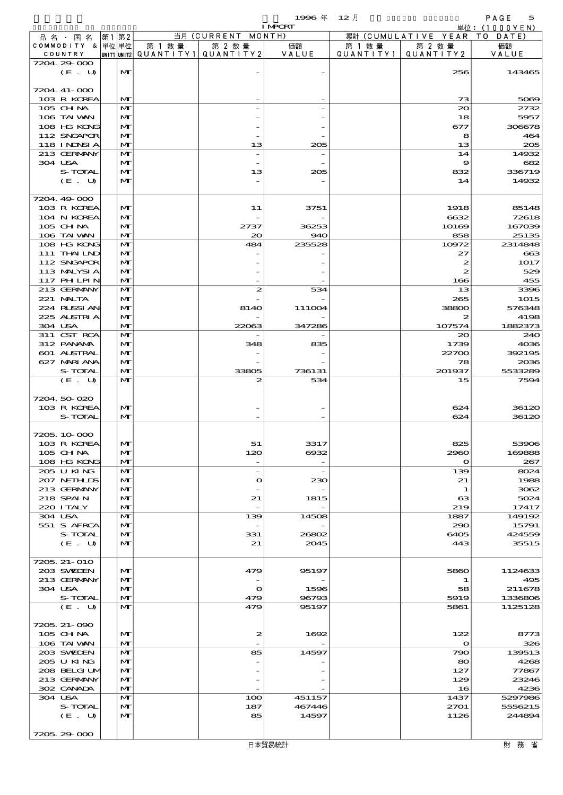$1996 \# 12$   $\frac{1}{2}$   $1 \text{ NRT}$   $\frac{1}{2}$   $\frac{1}{2}$   $\frac{1}{2}$   $\frac{1}{2}$   $\frac{1}{2}$   $\frac{1}{2}$   $\frac{1}{2}$   $\frac{1}{2}$   $\frac{1}{2}$   $\frac{1}{2}$   $\frac{1}{2}$   $\frac{1}{2}$   $\frac{1}{2}$   $\frac{1}{2}$   $\frac{1}{2}$   $\frac{1}{2}$   $\frac{1}{2}$   $\frac{1}{2}$   $\frac{1}{2}$ 

|                             |    |                              |                                                  |                                | <b>I MPORT</b> |                      |                              | 単位: (1000YEN)   |
|-----------------------------|----|------------------------------|--------------------------------------------------|--------------------------------|----------------|----------------------|------------------------------|-----------------|
| 品名・国名                       | 第1 | 第2                           |                                                  | 当月 (CURRENT MONTH)             |                |                      | 累計 (CUMULATIVE YEAR TO DATE) |                 |
| COMMODITY & 単位単位<br>COUNTRY |    |                              | 第 1 数量<br> UNIT1 UNIT2  QUANT I TY1  QUANT I TY2 | 第 2 数量                         | 価額<br>VALUE    | 第 1 数 量<br>QUANTITY1 | 第 2 数量<br>QUANTITY 2         | 価額<br>VALUE     |
| 7204 29 000                 |    |                              |                                                  |                                |                |                      |                              |                 |
| $(E_U U)$                   |    | $\mathbf{M}$                 |                                                  |                                |                |                      | 256                          | 143465          |
|                             |    |                              |                                                  |                                |                |                      |                              |                 |
| 7204 41-000<br>103 R KOREA  |    | $\mathbf{M}$                 |                                                  |                                |                |                      | 73                           | 5069            |
| 105 CH NA                   |    | $\mathbf{M}$                 |                                                  |                                |                |                      | $\infty$                     | 2732            |
| 106 TAI VAN                 |    | M                            |                                                  |                                |                |                      | 18                           | 5957            |
| 108 HG KONG                 |    | $\mathbf{M}$                 |                                                  |                                |                |                      | 677                          | 306678          |
| 112 SNGAPOR                 |    | M                            |                                                  |                                |                |                      | 8                            | 464             |
| 118 INNSI A<br>213 GERMANY  |    | $\mathbf{M}$<br>M            |                                                  | 13                             | 205            |                      | 13<br>14                     | 205<br>14932    |
| 304 USA                     |    | M                            |                                                  |                                |                |                      | 9                            | 682             |
| S-TOTAL                     |    | $\mathbf{M}$                 |                                                  | 13                             | 205            |                      | 832                          | 336719          |
| (E. U)                      |    | $\mathbf{M}$                 |                                                  |                                |                |                      | 14                           | 14932           |
|                             |    |                              |                                                  |                                |                |                      |                              |                 |
| 7204 49 000<br>103 R KOREA  |    | $\mathbf{M}$                 |                                                  | 11                             | 3751           |                      | 1918                         | 85148           |
| 104 N KOREA                 |    | $\mathbf{M}$                 |                                                  |                                |                |                      | 6632                         | 72618           |
| 105 CHNA                    |    | $\mathbf{M}$                 |                                                  | 2737                           | 36253          |                      | 10169                        | 167039          |
| 106 TAI VAN                 |    | $\mathbf{M}$                 |                                                  | $\infty$                       | 940            |                      | 858                          | 25135           |
| 108 HG KONG                 |    | $\mathbf{M}$                 |                                                  | 484                            | 235528         |                      | 10972                        | 2314848         |
| 111 THAILND                 |    | $\mathbf{M}$                 |                                                  |                                |                |                      | 27                           | 663             |
| 112 SNGAPOR<br>113 MALYSIA  |    | $\mathbf{M}$<br>M            |                                                  |                                |                |                      | 2<br>$\boldsymbol{z}$        | 1017<br>529     |
| 117 PHLPIN                  |    | $\mathbf{M}$                 |                                                  |                                |                |                      | 166                          | 455             |
| 213 GERMANY                 |    | M                            |                                                  | 2                              | 534            |                      | 13                           | 3396            |
| 221 MALTA                   |    | $\mathbf{M}$                 |                                                  |                                |                |                      | 265                          | 1015            |
| 224 RLSSIAN                 |    | $\mathbf{M}$                 |                                                  | 8140                           | 111004         |                      | 38800                        | 576348          |
| 225 ALSTRIA                 |    | M                            |                                                  |                                |                |                      | 2                            | 4198            |
| 304 USA<br>311 CST RCA      |    | $\mathbf{M}$<br>$\mathbf{M}$ |                                                  | 22063                          | 347286         |                      | 107574<br>$\infty$           | 1882373<br>240  |
| 312 PANAMA                  |    | $\mathbf{M}$                 |                                                  | 348                            | 835            |                      | 1739                         | 4036            |
| 601 ALSTRAL                 |    | $\mathbf{M}$                 |                                                  |                                |                |                      | 22700                        | 392195          |
| 627 MARIANA                 |    | M                            |                                                  |                                |                |                      | 78                           | 2036            |
| S-TOTAL                     |    | $\mathbf{M}$                 |                                                  | 33805                          | 736131         |                      | 201937                       | 5533289         |
| (E. U)                      |    | $\mathbf{M}$                 |                                                  | 2                              | 534            |                      | 15                           | 7594            |
| 7204 50 020                 |    |                              |                                                  |                                |                |                      |                              |                 |
| 103 R KOREA                 |    | $\mathbf{M}$                 |                                                  |                                |                |                      | 624                          | 36120           |
| S-TOTAL                     |    | $\mathbf{M}$                 |                                                  |                                |                |                      | 624                          | 36120           |
|                             |    |                              |                                                  |                                |                |                      |                              |                 |
| 7205.10.000                 |    |                              |                                                  |                                |                |                      |                              |                 |
| 103 R KOREA<br>105 CHNA     |    | $\mathbf{M}$<br>M            |                                                  | 51<br>120                      | 3317<br>6932   |                      | 825<br>2960                  | 53906<br>169888 |
| 108 HG KONG                 |    | $\mathbf{M}$                 |                                                  |                                |                |                      | $\mathbf o$                  | 267             |
| 205 U KING                  |    | $\mathbf{M}$                 |                                                  | $\overline{\phantom{a}}$       |                |                      | 139                          | 8024            |
| 207 NETHLIDS                |    | $\mathbf{M}$                 |                                                  | $\bullet$                      | 230            |                      | 21                           | 1988            |
| 213 GERMANY                 |    | $\mathbf{M}$                 |                                                  |                                |                |                      | 1                            | 3062            |
| 218 SPAIN<br>220 I TALY     |    | $\mathbf{M}$<br>$\mathbf{M}$ |                                                  | 21<br>$\overline{\phantom{a}}$ | 1815           |                      | $_{\rm cs}$<br>219           | 5024<br>17417   |
| 304 USA                     |    | $\mathbf{M}$                 |                                                  | 139                            | 14508          |                      | 1887                         | 149192          |
| 551 S AFRCA                 |    | $\mathbf{M}$                 |                                                  |                                |                |                      | 290                          | 15791           |
| S-TOTAL                     |    | $\mathbf{M}$                 |                                                  | 331                            | 26802          |                      | 6405                         | 424559          |
| (E. U)                      |    | $\mathbf{M}$                 |                                                  | 21                             | 2045           |                      | 443                          | 35515           |
|                             |    |                              |                                                  |                                |                |                      |                              |                 |
| 7205, 21-010<br>203 SWIEN   |    | $\mathbf{M}$                 |                                                  | 479                            | 95197          |                      | 5860                         | 1124633         |
| 213 GERMANY                 |    | $\mathbf{M}$                 |                                                  |                                |                |                      | 1                            | 495             |
| 304 USA                     |    | M                            |                                                  | $\mathbf o$                    | 1596           |                      | 58                           | 211678          |
| S-TOTAL                     |    | $\mathbf{M}$                 |                                                  | 479                            | 96793          |                      | 5919                         | 1336806         |
| (E. U)                      |    | $\mathbf{M}$                 |                                                  | 479                            | 95197          |                      | 5861                         | 1125128         |
|                             |    |                              |                                                  |                                |                |                      |                              |                 |
| 7205, 21-090<br>$105$ CHNA  |    | $\mathbf{M}$                 |                                                  | 2                              | 1692           |                      | 122                          | 8773            |
| 106 TAI VAN                 |    | $\mathbf{M}$                 |                                                  |                                |                |                      | $\bullet$                    | 326             |
| 203 SWIDEN                  |    | $\mathbf{M}$                 |                                                  | 85                             | 14597          |                      | 790                          | 139513          |
| 205 U KING                  |    | $\mathbf{M}$                 |                                                  |                                |                |                      | 80                           | 4268            |
| 208 BELGI UM                |    | $\mathbf{M}$                 |                                                  |                                |                |                      | 127                          | 77867           |
| 213 GERMANY<br>302 CANADA   |    | $\mathbf{M}$<br>$\mathbf{M}$ |                                                  |                                |                |                      | 129<br>16                    | 23246<br>4236   |
| 304 USA                     |    | $\mathbf{M}$                 |                                                  | 100                            | 451157         |                      | 1437                         | 5297986         |
| S-TOTAL                     |    | $\mathbf{M}$                 |                                                  | 187                            | 467446         |                      | 2701                         | 5556215         |
| (E. U)                      |    | $\mathbf{M}$                 |                                                  | 85                             | 14597          |                      | 1126                         | 244894          |
|                             |    |                              |                                                  |                                |                |                      |                              |                 |
| 7205 29 000                 |    |                              |                                                  |                                |                |                      |                              |                 |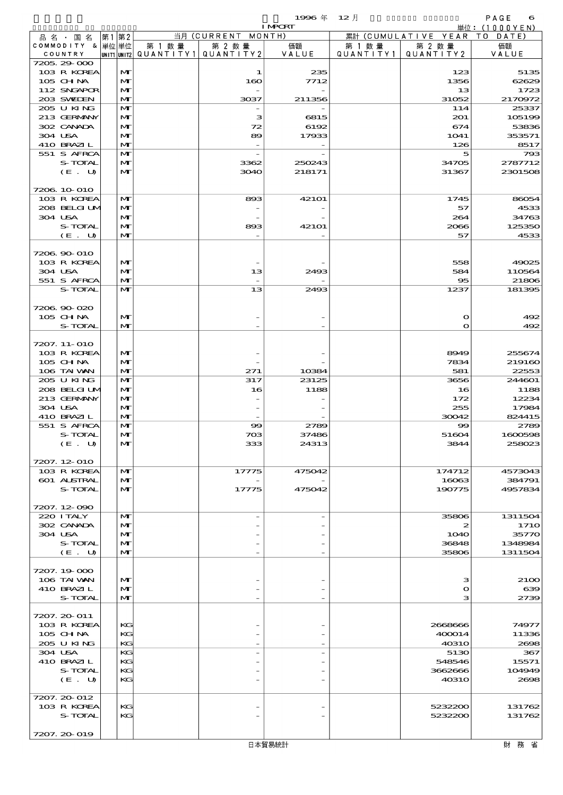$1996 \# 12$   $\frac{1}{2}$   $1 \text{ NRT}$   $\frac{1}{2}$   $\frac{1}{2}$   $\frac{1}{2}$   $\frac{1}{2}$   $\frac{1}{2}$   $\frac{1}{2}$   $\frac{1}{2}$   $\frac{1}{2}$   $\frac{1}{2}$   $\frac{1}{2}$   $\frac{1}{2}$   $\frac{1}{2}$   $\frac{1}{2}$   $\frac{1}{2}$   $\frac{1}{2}$   $\frac{1}{2}$   $\frac{1}{2}$   $\frac{1}{2}$   $\frac{1}{2}$ 

|                    |              |                                       |                    | <b>I MPORT</b>    |           |                              | 単位: (1000YEN) |
|--------------------|--------------|---------------------------------------|--------------------|-------------------|-----------|------------------------------|---------------|
| 品名・国名              | 第1第2         |                                       | 当月 (CURRENT MONTH) |                   |           | 累計 (CUMULATIVE YEAR TO DATE) |               |
| COMMODITY & 単位単位   |              | 第 1 数量                                | 第 2 数量             | 価額                | 第 1 数 量   | 第 2 数量                       | 価額            |
| COUNTRY            |              | UNIT1 UNIT2  QUANT   TY1  QUANT   TY2 |                    | VALUE             | QUANTITY1 | QUANTITY 2                   | VALUE         |
| 7205.29-000        |              |                                       |                    |                   |           |                              |               |
| 103 R KOREA        | $\mathbf{M}$ |                                       | 1                  | 235               |           | 123                          | 5135          |
| 105 CHNA           | $\mathbf{M}$ |                                       | 160                | 7712              |           | 1356                         | 62629         |
| 112 SNGAPOR        | $\mathbf{M}$ |                                       |                    |                   |           | 13                           | 1723          |
| 203 SWIEN          | $\mathbf{M}$ |                                       | 3037               | 211356            |           | 31052                        | 2170972       |
| 205 U KING         | $\mathbf{M}$ |                                       |                    |                   |           | 114                          | 25337         |
| 213 GERMANY        | $\mathbf{M}$ |                                       | з                  | 6815              |           | 201                          | 105199        |
| 302 CANADA         | $\mathbf{M}$ |                                       | 72                 | 6192              |           | 674                          | 53836         |
| 304 USA            | M            |                                       | 89                 | 17933             |           | 1041                         | 353571        |
| 410 BRAZIL         | $\mathbf{M}$ |                                       |                    |                   |           | 126                          | 8517          |
| 551 S AFRCA        | $\mathbf{M}$ |                                       |                    |                   |           | 5                            | 793           |
| S-TOTAL            | $\mathbf{M}$ |                                       | 3362               | 250243            |           | 34705                        | 2787712       |
| (E. U)             | $\mathbf{M}$ |                                       | 3040               | 218171            |           | 31367                        | 2301508       |
|                    |              |                                       |                    |                   |           |                              |               |
| 7206.10.010        |              |                                       |                    |                   |           |                              |               |
| 103 R KOREA        | M            |                                       | 893                | 421 <sub>O1</sub> |           | 1745                         | 86054         |
| 208 BELGI UM       | $\mathbf{M}$ |                                       |                    |                   |           | 57                           | 4533          |
| 304 USA            | $\mathbf{M}$ |                                       |                    |                   |           | 264                          | 34763         |
| S-TOTAL            | M            |                                       | 893                | 421 <sub>O1</sub> |           | 2066                         | 125350        |
| (E. U)             | $\mathbf{M}$ |                                       |                    |                   |           | 57                           | 4533          |
|                    |              |                                       |                    |                   |           |                              |               |
| 7206.90-010        |              |                                       |                    |                   |           |                              |               |
| 103 R KOREA        | $\mathbf{M}$ |                                       |                    |                   |           | 558                          | 49025         |
| 304 USA            | M            |                                       | 13                 | 2493              |           | 584                          | 110564        |
| 551 S AFRCA        | $\mathbf{M}$ |                                       |                    |                   |           | 95                           | 21806         |
| S-TOTAL            | $\mathbf{M}$ |                                       | 13                 | 2493              |           | 1237                         | 181395        |
|                    |              |                                       |                    |                   |           |                              |               |
| 7206.90-020        |              |                                       |                    |                   |           |                              |               |
| 105 CH NA          | $\mathbf{M}$ |                                       |                    |                   |           | $\mathbf o$                  | 492           |
| S-TOTAL            | $\mathbf{M}$ |                                       |                    |                   |           | $\Omega$                     | 492           |
|                    |              |                                       |                    |                   |           |                              |               |
| 7207. 11- 010      |              |                                       |                    |                   |           |                              |               |
| 103 R KOREA        | $\mathbf{M}$ |                                       |                    |                   |           | 8949                         | 255674        |
| $105$ CHNA         | M            |                                       |                    |                   |           | 7834                         | 219160        |
| 106 TAI VAN        | $\mathbf{M}$ |                                       | 271                | 10384             |           | 581                          | 22553         |
| 205 U KING         | $\mathbf{M}$ |                                       | 317                | 23125             |           | 3656                         | 244601        |
| 208 BELGI UM       | $\mathbf{M}$ |                                       | 16                 | 1188              |           | 16                           | 1188          |
| 213 GERMANY        | $\mathbf{M}$ |                                       |                    |                   |           | 172                          | 12234         |
| 304 USA            | M            |                                       |                    |                   |           | 255                          | 17984         |
| 410 BRAZIL         | $\mathbf{M}$ |                                       |                    |                   |           | 30042                        | 824415        |
| 551 S AFRCA        | $\mathbf{M}$ |                                       | $\infty$           | 2789              |           | $\infty$                     | 2789          |
| S-TOTAL            | $\mathbf{M}$ |                                       | 703                | 37486             |           | 51604                        | 1600598       |
| (E. U)             | $\mathbf{M}$ |                                       | 333                | 24313             |           | 3844                         | 258023        |
|                    |              |                                       |                    |                   |           |                              |               |
| 7207.12-010        |              |                                       |                    |                   |           |                              |               |
| 103 R KOREA        | $\mathbf{M}$ |                                       | 17775              | 475042            |           | 174712                       | 4573043       |
| <b>601 ALSTRAL</b> | $\mathbf{M}$ |                                       |                    |                   |           | 16063                        | 384791        |
| S-TOTAL            | $\mathbf{M}$ |                                       | 17775              | 475042            |           | 190775                       | 4957834       |
|                    |              |                                       |                    |                   |           |                              |               |
| 7207.12-090        |              |                                       |                    |                   |           |                              |               |
| 220 I TALY         | $\mathbf{M}$ |                                       |                    |                   |           | 35806                        | 1311504       |
| 302 CANADA         | $\mathbf{M}$ |                                       |                    |                   |           | 2                            | <b>1710</b>   |
| 304 USA            | $\mathbf{M}$ |                                       |                    |                   |           | <b>1O4O</b>                  | 35770         |
| S-TOTAL            | M            |                                       |                    |                   |           | 36848                        | 1348984       |
| (E. U)             | $\mathbf{M}$ |                                       |                    |                   |           | 35806                        | 1311504       |
|                    |              |                                       |                    |                   |           |                              |               |
| 7207.19-000        |              |                                       |                    |                   |           |                              |               |
| 106 TAI VAN        | $\mathbf{M}$ |                                       |                    |                   |           | з                            | 2100          |
| 410 BRAZIL         | M            |                                       |                    |                   |           | $\mathbf o$                  | 639           |
| S-TOTAL            | $\mathbf{M}$ |                                       |                    |                   |           | з                            | 2739          |
|                    |              |                                       |                    |                   |           |                              |               |
| 7207. 20-011       |              |                                       |                    |                   |           |                              |               |
| 103 R KOREA        | KG           |                                       |                    |                   |           | 2668666                      | 74977         |
| $105$ CHNA         | KG           |                                       |                    |                   |           | 400014                       | 11336         |
| 205 U KING         | KG           |                                       |                    |                   |           | <b>40310</b>                 | 2698          |
| 304 USA            | KG           |                                       |                    |                   |           | 5130                         | 367           |
| 410 BRAZIL         | KG           |                                       |                    |                   |           | 548546                       | 15571         |
| S-TOTAL            | KG           |                                       |                    |                   |           | 3662666                      | 104949        |
| (E. U)             | КC           |                                       |                    |                   |           | 40310                        | 2698          |
|                    |              |                                       |                    |                   |           |                              |               |
| 7207. 20-012       |              |                                       |                    |                   |           |                              |               |
| 103 R KOREA        | KG           |                                       |                    |                   |           | 5232200                      | 131762        |
| S-TOTAL            | KG           |                                       |                    |                   |           | 5232200                      | 131762        |
|                    |              |                                       |                    |                   |           |                              |               |
| 7207. 20-019       |              |                                       |                    |                   |           |                              |               |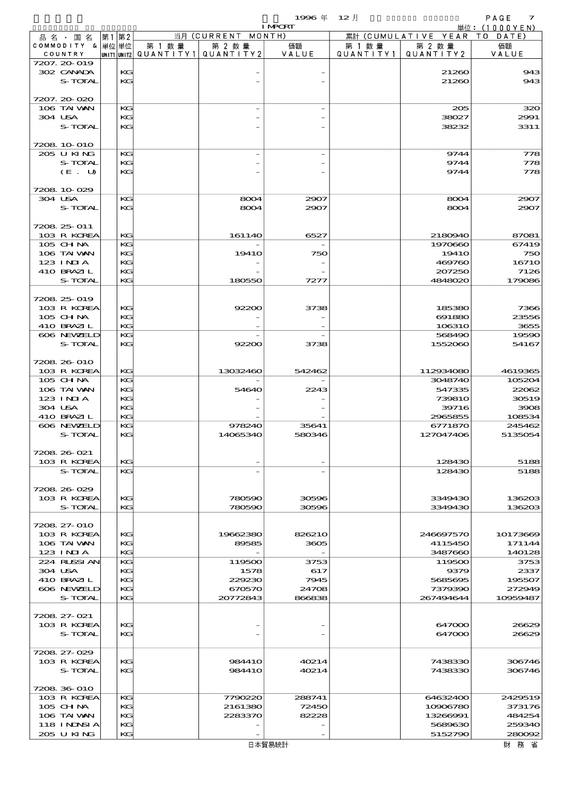$1996 \nleftrightarrow \n12 \nparallel$  PAGE 7

|                             |       |          |        |                                                     | <b>I MPORT</b> |                     |                              | 単位: $(1000YEN)$    |
|-----------------------------|-------|----------|--------|-----------------------------------------------------|----------------|---------------------|------------------------------|--------------------|
| 品 名 ・ 国 名                   | 第1 第2 |          |        | 当月 (CURRENT MONTH)                                  |                |                     | 累計 (CUMULATIVE YEAR TO DATE) |                    |
| COMMODITY & 単位単位<br>COUNTRY |       |          | 第 1 数量 | 第 2 数量<br> UNIT1  UNIT2   QUANT I TY1   QUANT I TY2 | 価額<br>VALUE    | 第 1 数量<br>QUANTITY1 | 第 2 数量<br>QUANTITY 2         | 価額<br>VALUE        |
| 7207. 20-019                |       |          |        |                                                     |                |                     |                              |                    |
| 302 CANADA                  |       | KG       |        |                                                     |                |                     | 21260                        | 943                |
| S-TOTAL                     |       | KG       |        |                                                     |                |                     | 21260                        | 943                |
|                             |       |          |        |                                                     |                |                     |                              |                    |
| 7207.20-020<br>106 TAI VAN  |       |          |        |                                                     |                |                     |                              | 320                |
| 304 USA                     |       | KG<br>KG |        |                                                     |                |                     | 205<br>38027                 | 2991               |
| S-TOTAL                     |       | KG       |        |                                                     |                |                     | 38232                        | 3311               |
|                             |       |          |        |                                                     |                |                     |                              |                    |
| 7208 10 010                 |       |          |        |                                                     |                |                     |                              |                    |
| 205 U KING                  |       | KG       |        |                                                     |                |                     | 9744                         | 778                |
| S-TOTAL<br>(E. U)           |       | KG<br>KG |        |                                                     |                |                     | 9744<br>9744                 | 778<br>778         |
|                             |       |          |        |                                                     |                |                     |                              |                    |
| 7208 10 029                 |       |          |        |                                                     |                |                     |                              |                    |
| 304 USA                     |       | KG       |        | 8004                                                | 2907           |                     | 8004                         | 2907               |
| S-TOTAL                     |       | KG       |        | 8004                                                | 2907           |                     | 8004                         | 2907               |
|                             |       |          |        |                                                     |                |                     |                              |                    |
| 7208 25 011<br>103 R KOREA  |       | KG       |        | 161140                                              | 6527           |                     | 2180940                      | 87081              |
| $105$ CHNA                  |       | KG       |        |                                                     |                |                     | 1970660                      | 67419              |
| 106 TAI VAN                 |       | KG       |        | <b>19410</b>                                        | 750            |                     | <b>19410</b>                 | 750                |
| 123 INIA                    |       | KG       |        |                                                     |                |                     | 469760                       | 16710              |
| 410 BRAZIL                  |       | KG       |        |                                                     |                |                     | 207250                       | 7126               |
| S-TOTAL                     |       | KG       |        | 180550                                              | 7277           |                     | 4848020                      | 179086             |
| 7208 25 019                 |       |          |        |                                                     |                |                     |                              |                    |
| 103 R KOREA                 |       | KG       |        | 92200                                               | 3738           |                     | 185380                       | 7366               |
| 105 CHNA                    |       | KG       |        |                                                     |                |                     | 691880                       | 23556              |
| 410 BRAZIL                  |       | KG       |        |                                                     |                |                     | 106310                       | 3655               |
| 606 NEWELD                  |       | KG       |        |                                                     |                |                     | 568490                       | 19590              |
| S-TOTAL                     |       | KG       |        | 92200                                               | 3738           |                     | 1552060                      | 54167              |
| 7208 26 010                 |       |          |        |                                                     |                |                     |                              |                    |
| 103 R KOREA                 |       | KG       |        | 13032460                                            | 542462         |                     | 112934080                    | 4619365            |
| 105 CHNA                    |       | KG       |        |                                                     |                |                     | 3048740                      | 105204             |
| 106 TAI VAN                 |       | KG       |        | 54640                                               | 2243           |                     | 547335                       | 22062              |
| 123 INIA                    |       | KG       |        |                                                     |                |                     | <b>739810</b>                | 30519              |
| 304 USA                     |       | KG       |        |                                                     |                |                     | 39716                        | 3908               |
| 410 BRAZIL<br>606 NEWELD    |       | KG<br>KG |        | 978240                                              | 35641          |                     | 2965855<br>6771870           | 108534<br>245462   |
| S-TOTAL                     |       | KG       |        | 14065340                                            | 580346         |                     | 127047406                    | 5135054            |
|                             |       |          |        |                                                     |                |                     |                              |                    |
| 7208 26 021                 |       |          |        |                                                     |                |                     |                              |                    |
| 103 R KOREA                 |       | KC       |        |                                                     |                |                     | 128430                       | 5188               |
| S-TOTAL                     |       | KG       |        |                                                     |                |                     | 128430                       | 5188               |
| 7208 26 029                 |       |          |        |                                                     |                |                     |                              |                    |
| 103 R KOREA                 |       | KG       |        | 780590                                              | 30596          |                     | 3349430                      | 136203             |
| S-TOTAL                     |       | KG       |        | 780590                                              | 30596          |                     | 3349430                      | 136203             |
|                             |       |          |        |                                                     |                |                     |                              |                    |
| 7208 27-010                 |       |          |        |                                                     |                |                     |                              |                    |
| 103 R KOREA<br>106 TAI WAN  |       | KG<br>KG |        | 19662380<br>89585                                   | 826210<br>3605 |                     | 246697570<br>4115450         | 10173669<br>171144 |
| $123$ $1$ NIA               |       | KG       |        |                                                     |                |                     | 3487660                      | 140128             |
| 224 RUSSI AN                |       | KG       |        | 119500                                              | 3753           |                     | 119500                       | 3753               |
| 304 USA                     |       | KG       |        | 1578                                                | 617            |                     | 9379                         | 2337               |
| 410 BRAZIL                  |       | KG       |        | 229230                                              | 7945           |                     | 5685695                      | 195507             |
| 606 NEWELD                  |       | KG       |        | 670570                                              | 24708          |                     | 7379390                      | 272949             |
| S-TOTAL                     |       | KG       |        | 20772843                                            | 866838         |                     | 267494644                    | 10959487           |
| 7208 27-021                 |       |          |        |                                                     |                |                     |                              |                    |
| 103 R KOREA                 |       | KC       |        |                                                     |                |                     | 647000                       | 26629              |
| S-TOTAL                     |       | KG       |        |                                                     |                |                     | 647000                       | 26629              |
|                             |       |          |        |                                                     |                |                     |                              |                    |
| 7208 27-029                 |       |          |        |                                                     |                |                     |                              |                    |
| 103 R KOREA                 |       | KG       |        | 984410                                              | 40214          |                     | 7438330                      | 306746             |
| S-TOTAL                     |       | KG       |        | 984410                                              | 40214          |                     | 7438330                      | 306746             |
| 7208 36 010                 |       |          |        |                                                     |                |                     |                              |                    |
| 103 R KOREA                 |       | KG       |        | 7790220                                             | 288741         |                     | 64632400                     | 2429519            |
| $105$ CHNA                  |       | KG       |        | 2161380                                             | 72450          |                     | 10906780                     | 373176             |
| 106 TAI VAN                 |       | KG       |        | 2283370                                             | 82228          |                     | 13266991                     | 484254             |
| 118 I NINSI A<br>205 U KING |       | KG       |        |                                                     |                |                     | 5689630                      | 259340             |
|                             |       | KC       |        |                                                     |                |                     | 5152790                      | 280092             |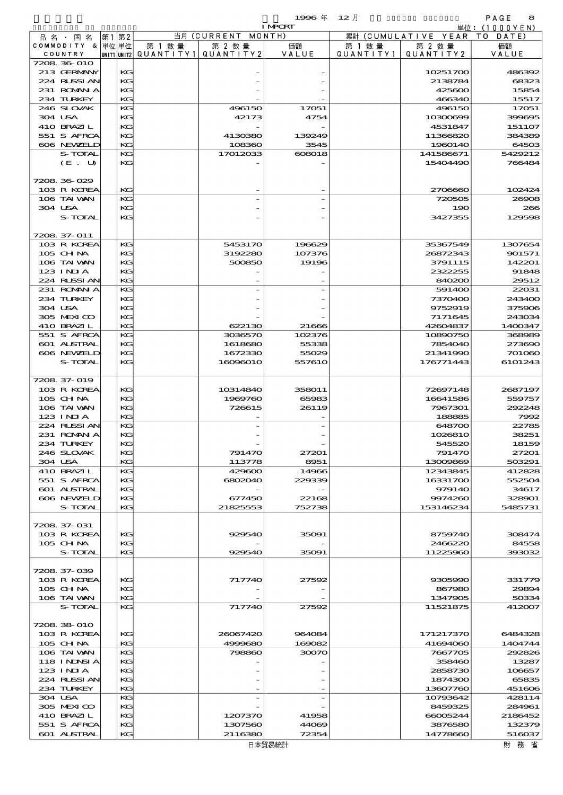$1996 \nless 12 \nless 12 \nless 12$ 

| .       | ___      |
|---------|----------|
| ₽<br>יי |          |
| $100 +$ | $\sim$ / |

|                            |          |                                       |                    | <b>I MPCRT</b> |           |                              | 単位: (1000YEN)     |
|----------------------------|----------|---------------------------------------|--------------------|----------------|-----------|------------------------------|-------------------|
| 品名・国名                      | 第1第2     |                                       | 当月 (CURRENT MONTH) |                |           | 累計 (CUMULATIVE YEAR TO DATE) |                   |
| COMMODITY & 単位単位           |          | 第 1 数量                                | 第 2 数量             | 価額             | 第 1 数 量   | 第 2 数量                       | 価額                |
| COUNTRY                    |          | UNIT1 UNIT2  QUANT   TY1  QUANT   TY2 |                    | VALUE          | QUANTITY1 | QUANTITY 2                   | VALUE             |
| 7208 36 010                |          |                                       |                    |                |           |                              |                   |
| 213 GERMANY                | KG       |                                       |                    |                |           | 10251700                     | 486392            |
| 224 RUSSI AN               | KG       |                                       |                    |                |           | 2138784                      | 68323             |
| 231 ROMAN A                | KG       |                                       |                    |                |           | 425600                       | 15854             |
| 234 TURKEY                 | KG       |                                       |                    |                |           | 466340                       | 15517             |
| 246 SLOVAK                 | KС       |                                       | 496150             | 17051          |           | 496150                       | 17051             |
| 304 USA                    | KG       |                                       | 42173              | 4754           |           | 10300699                     | 399695            |
| 410 BRAZIL<br>551 S AFRCA  | KG       |                                       |                    |                |           | 4531847                      | 151107<br>384389  |
| 606 NEWELD                 | KG<br>KG |                                       | 4130380<br>108360  | 139249<br>3545 |           | 11366820<br>1960140          | 64503             |
| S-TOTAL                    | KG       |                                       |                    |                |           |                              |                   |
| (E. U)                     | KG       |                                       | 17012033           | 608018         |           | 141586671<br>15404490        | 5429212<br>766484 |
|                            |          |                                       |                    |                |           |                              |                   |
| 7208 36 029                |          |                                       |                    |                |           |                              |                   |
| 103 R KOREA                | KG       |                                       |                    |                |           | 2706660                      | 102424            |
| 106 TAI VAN                | KG       |                                       |                    |                |           | 720505                       | 20008             |
| 304 USA                    | KG       |                                       |                    |                |           | 190                          | 266               |
| S-TOTAL                    | KG       |                                       |                    |                |           | 3427355                      | 129598            |
|                            |          |                                       |                    |                |           |                              |                   |
| 7208 37-011                |          |                                       |                    |                |           |                              |                   |
| 103 R KOREA                | KG       |                                       | 5453170            | 196629         |           | 35367549                     | 1307654           |
| 105 CH NA                  | KG       |                                       | 3192280            | 107376         |           | 26872343                     | 901571            |
| 106 TAI VAN                | KG       |                                       | 500850             | 19196          |           | 3791115                      | 142201            |
| $123$ INJA                 | KG       |                                       |                    |                |           | 2322255                      | 91848             |
| 224 RUSSIAN                | KG       |                                       |                    |                |           | 840200                       | 29512             |
| 231 ROMANIA                | KG       |                                       |                    |                |           | 591400                       | 22031             |
| 234 TURKEY                 | KG       |                                       |                    |                |           | 7370400                      | 243400            |
| 304 USA                    | KG       |                                       |                    |                |           | 9752919                      | 375906            |
| 305 MEXICO                 | KG       |                                       |                    |                |           | 7171645                      | 243034            |
| 410 BRAZIL                 | KG       |                                       | 622130             | 21666          |           | 42604837                     | 1400347           |
| 551 S AFRCA                | KG       |                                       | 3036570            | 102376         |           | 10890750                     | 368989            |
| 601 ALSTRAL                | KG       |                                       | 1618680            | 55338          |           | 7854040                      | 273690            |
| 606 NEWELD                 | KG       |                                       | 1672330            | 55029          |           | 21341990                     | 701060            |
| S-TOTAL                    | KG       |                                       | 16096010           | 557610         |           | 176771443                    | 6101243           |
|                            |          |                                       |                    |                |           |                              |                   |
| 7208 37-019                |          |                                       |                    |                |           |                              |                   |
| 103 R KOREA                | KG       |                                       | 10314840           | 358011         |           | 72697148                     | 2687197           |
| 105 CHNA                   | KG       |                                       | 1969760            | 65983          |           | 16641586                     | 559757            |
| 106 TAI VAN                | KG       |                                       | 726615             | 26119          |           | 7967301                      | 292248            |
| $123$ INJA                 | KG       |                                       |                    |                |           | 188885                       | 7992              |
| 224 RUSSI AN               | KG       |                                       |                    |                |           | 648700                       | 22785             |
| 231 ROMANIA                | KG       |                                       |                    |                |           | 1026810                      | 38251             |
| 234 TURKEY                 | KG       |                                       |                    |                |           | 545520                       | 18159             |
| 246 SLOVAK                 | KG       |                                       | 791470             | 27201          |           | 791470                       | 27201             |
| 304 USA                    | KG       |                                       | 113778             | 8951           |           | 13009869                     | 503291            |
| 410 BRAZIL                 | KG       |                                       | 429600             | 14966          |           | 12343845                     | 412828            |
| 551 S AFRCA                | KG       |                                       | 6802040            | 229339         |           | 16331700                     | 552504            |
| <b>601 ALSTRAL</b>         | KG       |                                       |                    |                |           | 979140                       | 34617             |
| 606 NEWELD                 | KG       |                                       | 677450             | 22168          |           | 9974260                      | 328901            |
| S-TOTAL                    | KG       |                                       | 21825553           | 752738         |           | 153146234                    | 5485731           |
|                            |          |                                       |                    |                |           |                              |                   |
| 7208 37-031                |          |                                       |                    |                |           |                              |                   |
| 103 R KOREA                | KG       |                                       | 929540             | 35091          |           | 8759740                      | 308474            |
| 105 CH NA                  | KG       |                                       |                    |                |           | 2466220                      | 84558             |
| S-TOTAL                    | KG       |                                       | 929540             | 35091          |           | 11225960                     | 393032            |
|                            |          |                                       |                    |                |           |                              |                   |
| 7208 37-039<br>103 R KOREA | KG       |                                       | 717740             | 27592          |           | 9305990                      | 331779            |
| 105 CH NA                  | KG       |                                       |                    |                |           | 867980                       | 29894             |
| 106 TAI VAN                | KG       |                                       |                    |                |           | 1347905                      | 50334             |
| S-TOTAL                    | KG       |                                       | 717740             | 27592          |           | 11521875                     | 412007            |
|                            |          |                                       |                    |                |           |                              |                   |
| 7208 38 010                |          |                                       |                    |                |           |                              |                   |
| 103 R KOREA                | КG       |                                       | 26067420           | 964084         |           | 171217370                    | 6484328           |
| $105$ CHNA                 | KG       |                                       | 4999680            | 169082         |           | 41694060                     | 1404744           |
| 106 TAI VAN                | КG       |                                       | 798860             | 30070          |           | 7667705                      | 292826            |
| 118 I NJNSI A              | KG       |                                       |                    |                |           | 358460                       | 13287             |
| 123 INIA                   | KC       |                                       |                    |                |           | 2858730                      | 106657            |
| 224 RUSSI AN               | KG       |                                       |                    |                |           | 1874300                      | 65835             |
| 234 TURKEY                 | KG       |                                       |                    |                |           | 13607760                     | 451606            |
| 304 USA                    | КG       |                                       |                    |                |           | 10793642                     | 428114            |
| 305 MEXICO                 | KG       |                                       |                    |                |           | 8459325                      | 284961            |
| 410 BRAZIL                 | KC       |                                       | 1207370            | 41958          |           | 66005244                     | 2186452           |
| 551 S AFRCA                | КG       |                                       | 1307560            | 44069          |           | 3876580                      | 132379            |
| 601 ALSTRAL                | KG       |                                       | 2116380            | 72354          |           | 14778660                     | 516037            |
|                            |          |                                       |                    | 日 木留 見 紘 計     |           |                              | 时 数 少             |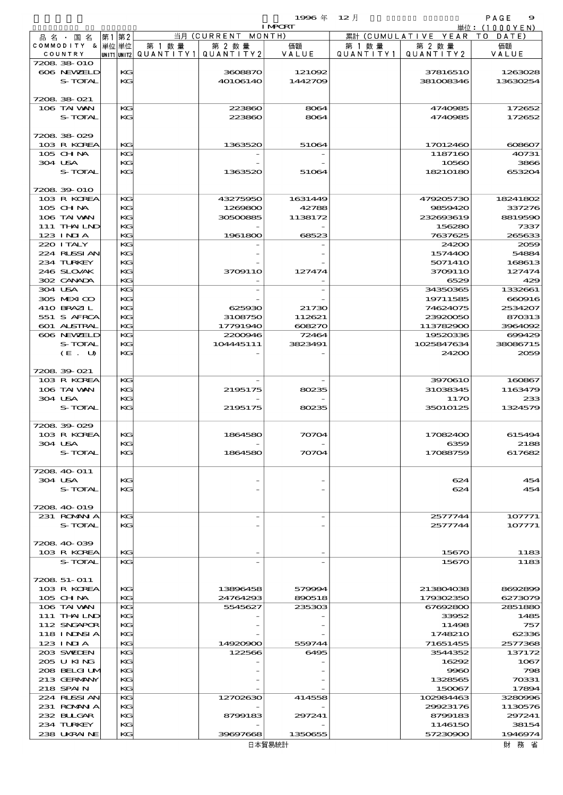|                            |               |                          |                     | 1996年<br><b>I MPORT</b> | - 12月     |                              | PAGE<br>$\Theta$  |
|----------------------------|---------------|--------------------------|---------------------|-------------------------|-----------|------------------------------|-------------------|
|                            | 第1第2          |                          | 当月 (CURRENT         | MONTH)                  |           | 累計 (CUMULATIVE YEAR TO DATE) | 単位: (1000YEN)     |
| 品名・国名<br>COMMODITY & 単位単位  |               | 第 1 数 量                  | 第 2 数量              | 価額                      | 第 1 数 量   | 第 2 数量                       | 価額                |
| COUNTRY                    |               | UNIT1 UNIT2  Q∪ANT   TY1 | QUANTITY2           | VALUE                   | QUANTITY1 | QUANTITY2                    | VALUE             |
| 7208 38 010                |               |                          |                     |                         |           |                              |                   |
| 606 NEWELD                 | KG            |                          | 3608870             | 121092                  |           | 37816510                     | 1263028           |
| S-TOTAL                    | KG            |                          | 40106140            | 1442709                 |           | 381008346                    | 13630254          |
|                            |               |                          |                     |                         |           |                              |                   |
| 7208 38 021                |               |                          |                     |                         |           |                              |                   |
| 106 TAI VAN                | KG            |                          | 223860              | 8064                    |           | 4740985                      | 172652            |
| S-TOTAL                    | KG            |                          | 223860              | 8064                    |           | 4740985                      | 172652            |
|                            |               |                          |                     |                         |           |                              |                   |
| 720838029                  |               |                          |                     |                         |           |                              |                   |
| 103 R KOREA                | $K$ $G$<br>KG |                          | 1363520             | 51064                   |           | 17012460                     | $\alpha$ 8007     |
| 105 CHNA<br>304 USA        | KG            |                          |                     |                         |           | 1187160<br>10560             | 40731<br>3866     |
| S-TOTAL                    | KG            |                          | 1363520             | 51064                   |           | 18210180                     | 653204            |
|                            |               |                          |                     |                         |           |                              |                   |
| 7208 39 010                |               |                          |                     |                         |           |                              |                   |
| 103 R KOREA                | KG            |                          | 43275950            | 1631449                 |           | 479205730                    | 18241802          |
| $105$ CHNA                 | KG            |                          | 1269800             | 42788                   |           | 9859420                      | 337276            |
| 106 TAI VAN                | KG            |                          | 30500885            | 1138172                 |           | 232693619                    | 8819590           |
| 111 THAILND                | КG            |                          |                     |                         |           | 156280                       | 7337              |
| $123$ INIA                 | KG            |                          | 1961800             | 68523                   |           | 7637625                      | 265633            |
| 220 I TALY                 | KG            |                          |                     |                         |           | 24200                        | 2056              |
| 224 RUSSI AN               | KG            |                          |                     |                         |           | 1574400                      | 54884             |
| 234 TURKEY                 | KG            |                          |                     |                         |           | 5071410                      | 168613            |
| 246 SLOVAK                 | KG            |                          | 3709110             | 127474                  |           | 3709110                      | 127474            |
| 302 CANADA                 | KG.           |                          |                     |                         |           | 6529                         | 425               |
| 304 USA                    | KG            |                          |                     |                         |           | 34350365                     | 1332661           |
| 305 MEXICO                 | $K$ $G$       |                          |                     |                         |           | 19711585                     | 660916            |
| 410 BRAZIL                 | KG            |                          | 625930              | 21730                   |           | 74624075                     | 2534207           |
| 551 S AFRCA<br>601 ALSTRAL | КG<br>KG      |                          | 3108750<br>17791940 | 112621<br>608270        |           | 23920050<br>113782900        | 870313<br>3964092 |
| 606 NEWELD                 | KG            |                          | 2200946             | 72464                   |           | 19520336                     | 699425            |
| S-TOTAL                    | KG            |                          | 104445111           | 3823491                 |           | 1025847634                   | 38086715          |
| (E. U)                     | KG            |                          |                     |                         |           | 24200                        | 2059              |
|                            |               |                          |                     |                         |           |                              |                   |
| 7208 39 021                |               |                          |                     |                         |           |                              |                   |
| 103 R KOREA                | KG            |                          |                     |                         |           | 3970610                      | 160867            |
| 106 TAI WAN                | KG            |                          | 2195175             | aks                     |           | 31038345                     | 1163479           |
| 304 USA                    | КG            |                          |                     |                         |           | 117O                         | 233               |
| S-TOTAL                    | КG            |                          | 2195175             | 80235                   |           | 35010125                     | 1324579           |
|                            |               |                          |                     |                         |           |                              |                   |
| 7208.39-029                |               |                          |                     |                         |           |                              |                   |
| 103 R KOREA                | KG            |                          | 1864580             | 70704                   |           | 17082400                     | 615494            |
| 304 USA                    | KG            |                          |                     |                         |           | 6359                         | 2188              |
| S-TOTAL                    | KG            |                          | 1864580             | 70704                   |           | 17088759                     | 617682            |
|                            |               |                          |                     |                         |           |                              |                   |
| 7208 40 011<br>304 USA     | KG            |                          |                     |                         |           | 624                          | 45<               |
| S-TOTAL                    | KG            |                          |                     |                         |           | 624                          | 45<               |
|                            |               |                          |                     |                         |           |                              |                   |
| 7208 40 019                |               |                          |                     |                         |           |                              |                   |
| 231 ROMANIA                | KG            |                          |                     |                         |           | 2577744                      | 107771            |
| S-TOTAL                    | KG            |                          |                     |                         |           | 2577744                      | 107771            |
|                            |               |                          |                     |                         |           |                              |                   |
| 7208 40 039                |               |                          |                     |                         |           |                              |                   |
| 103 R KOREA                | KG            |                          |                     |                         |           | 15670                        | 1185              |
| S-TOTAL                    | KG            |                          |                     |                         |           | 15670                        | 1185              |
|                            |               |                          |                     |                         |           |                              |                   |
|                            |               |                          |                     |                         |           |                              |                   |

| S-TOTAL      | $K$ $G$ |          |         | 15670     | 1183      |
|--------------|---------|----------|---------|-----------|-----------|
|              |         |          |         |           |           |
| 7208 51-011  |         |          |         |           |           |
| 103 R KOREA  | KG      | 13896458 | 579994  | 213804038 | 8692896   |
| $105$ CHNA   | KG      | 24764293 | 890518  | 179302350 | 6273079   |
| 106 TAI WAN  | KG.     | 5545627  | 235303  | 67692800  | 2851880   |
| 111 THAILND  | $K$ $G$ |          |         | 33952     | 1485      |
| 112 SNGAPOR  | $K$ $G$ |          |         | 11498     | 757       |
| 118 INNSIA   | KG      |          |         | 1748210   | 62336     |
| $123$ INIA   | KG      | 14920900 | 559744  | 71651455  | 2577368   |
| 203 SWEDEN   | KG.     | 122566   | 6495    | 3544352   | 137172    |
| 205 U KING   | KG      |          |         | 16292     | 1067      |
| 208 BELGI UM | KG      |          |         | 9960      | 796       |
| 213 GERMANY  | KG      |          |         | 1328565   | 70331     |
| 218 SPAIN    | KG      |          |         | 150067    | 17894     |
| 224 RUSSI AN | KG      | 12702630 | 414558  | 102984463 | 3280996   |
| 231 ROMAN A  | KG      |          |         | 29923176  | 1130576   |
| 232 BLIGAR   | KG      | 8799183  | 297241  | 8799183   | 297241    |
| 234 TURKEY   | KG      |          |         | 1146150   | 38154     |
| 238 UKRAINE  | KG      | 39697668 | 1350655 | 57230900  | 1946974   |
|              |         |          | 口卡契目结扎  |           | 日十 子女 / 少 |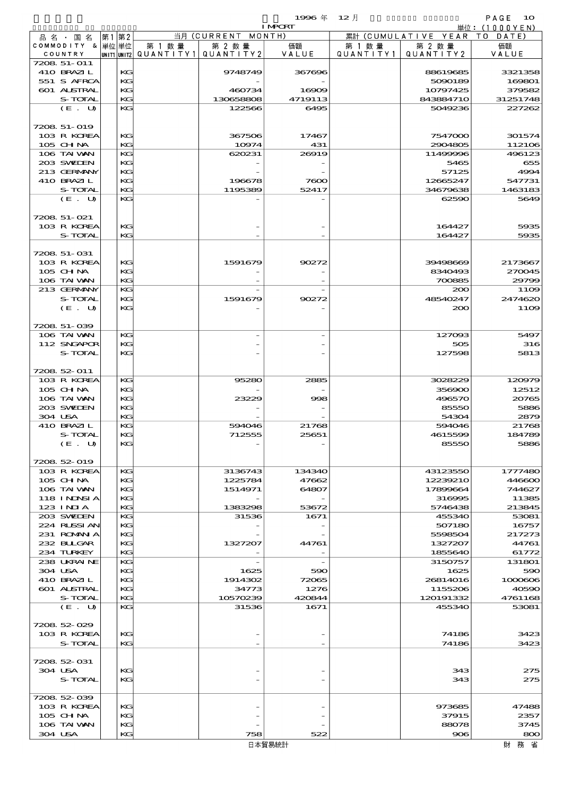$1996 \# 12 \nparallel$  PAGE 10

|         |                           |      |          |        |                                       | <b>I MPORT</b> |        |                              | <u> 単位: (1000YEN)</u> |
|---------|---------------------------|------|----------|--------|---------------------------------------|----------------|--------|------------------------------|-----------------------|
|         | 品名・国名                     | 第1第2 |          |        | 当月 (CURRENT MONTH)                    |                |        | 累計 (CUMULATIVE YEAR TO DATE) |                       |
|         | COMMODITY & 単位単位          |      |          | 第 1 数量 | 第 2 数量                                | 価額             | 第 1 数量 | 第 2 数量                       | 価額                    |
|         | COUNTRY                   |      |          |        | unit1 unit2  Q∪ANT   TY1  Q∪ANT   TY2 | VALUE          |        | QUANTITY1   QUANTITY2        | VALUE                 |
|         | 7208 51-011<br>410 BRAZIL |      | KG       |        | 9748749                               | 367696         |        | 88619685                     | 3321358               |
|         | 551 S AFRCA               |      | KG       |        |                                       |                |        | 5090189                      | 169801                |
|         | 601 ALSTRAL               |      | KG       |        | 460734                                | 16909          |        | 10797425                     | 379582                |
|         | S-TOTAL                   |      | KG       |        | 130658808                             | 4719113        |        | 843884710                    | 31251748              |
|         | (E. U)                    |      | KG       |        | 122566                                | 6495           |        | 5049236                      | 227262                |
|         |                           |      |          |        |                                       |                |        |                              |                       |
|         | 7208 51-019               |      |          |        |                                       |                |        |                              |                       |
|         | 103 R KOREA               |      | KG       |        | 367506                                | 17467          |        | 7547000                      | 301574                |
|         | $105$ CHNA                |      | KG       |        | 10974                                 | 431            |        | 2904805                      | 112106                |
|         | 106 TAI VAN<br>203 SWIEN  |      | KG<br>KG |        | 620231                                | 26919          |        | 11499996<br>5465             | 496123<br>655         |
|         | 213 GERMANY               |      | KG       |        |                                       |                |        | 57125                        | 4994                  |
|         | 410 BRAZIL                |      | KG       |        | 196678                                | 7600           |        | 12665247                     | 547731                |
|         | S-TOTAL                   |      | KG       |        | 1195389                               | 52417          |        | 34679638                     | 1463183               |
|         | (E. U)                    |      | KG       |        |                                       |                |        | 62590                        | 5649                  |
|         |                           |      |          |        |                                       |                |        |                              |                       |
|         | 7208 51-021               |      |          |        |                                       |                |        |                              |                       |
|         | 103 R KOREA               |      | KG       |        |                                       |                |        | 164427                       | 5935                  |
|         | S-TOTAL                   |      | KG       |        |                                       |                |        | 164427                       | 5935                  |
|         | 7208 51-031               |      |          |        |                                       |                |        |                              |                       |
|         | 103 R KOREA               |      | KG       |        | 1591679                               | 90272          |        | 39498669                     | 2173667               |
|         | $105$ CHNA                |      | KG       |        |                                       |                |        | 8340493                      | 270045                |
|         | 106 TAI VAN               |      | KG       |        |                                       |                |        | 700885                       | 29799                 |
|         | 213 GERMANY               |      | KG       |        |                                       |                |        | 200                          | 1109                  |
|         | S-TOTAL                   |      | KG       |        | 1591679                               | 90272          |        | 48540247                     | 2474620               |
|         | (E. U)                    |      | KG       |        |                                       |                |        | 200                          | 11O <sub>2</sub>      |
|         |                           |      |          |        |                                       |                |        |                              |                       |
|         | 7208.51-039               |      |          |        |                                       |                |        |                              |                       |
|         | 106 TAI VAN               |      | KG       |        |                                       |                |        | 127093                       | 5497                  |
|         | 112 SNGAPOR<br>S-TOTAL    |      | KG<br>KG |        |                                       |                |        | 505                          | 316                   |
|         |                           |      |          |        |                                       |                |        | 127598                       | 5813                  |
|         | 7208 52 011               |      |          |        |                                       |                |        |                              |                       |
|         | 103 R KOREA               |      | KG       |        | 95280                                 | 2885           |        | 3028229                      | 120979                |
|         | $105$ CHNA                |      | KG       |        |                                       |                |        | 356900                       | 12512                 |
|         | 106 TAI VAN               |      | KG       |        | 23229                                 | 998            |        | 496570                       | 20765                 |
|         | 203 SWIEN                 |      | KG       |        |                                       |                |        | 85550                        | 5886                  |
| 304 USA |                           |      | KG       |        |                                       |                |        | 54304                        | 2879                  |
|         | 410 BRAZIL                |      | KG       |        | 594046                                | 21768          |        | 594046                       | 21768                 |
|         | S-TOTAL                   |      | KG<br>KG |        | 712555                                | 25651          |        | 4615599<br>85550             | 184789<br>5886        |
|         | (E. U)                    |      |          |        |                                       |                |        |                              |                       |
|         | 7208 52 019               |      |          |        |                                       |                |        |                              |                       |
|         | 103 R KOREA               |      | KG       |        | 3136743                               | 134340         |        | 43123550                     | 1777480               |
|         | $105$ CHNA                |      | KG       |        | 1225784                               | 47662          |        | 12239210                     | 446600                |
|         | 106 TAI VAN               |      | KG       |        | 1514971                               | 64807          |        | 17899664                     | 744627                |
|         | <b>118 INDSIA</b>         |      | KG       |        |                                       |                |        | 316995                       | 11385                 |
|         | $123$ INIA                |      | KG       |        | 1383298                               | 53672          |        | 5746438                      | 213845                |
|         | 203 SWIDEN                |      | KG       |        | 31536                                 | 1671           |        | 455340                       | 53081                 |
|         | 224 RUSSIAN<br>231 ROMNA  |      | KG       |        |                                       |                |        | 507180                       | 16757                 |
|         | 232 BLLGAR                |      | KG<br>KG |        | 1327207                               | 44761          |        | 5598504<br>1327207           | 217273<br>44761       |
|         | 234 TURKEY                |      | KG       |        |                                       |                |        | 1855640                      | 61772                 |
|         | 238 UKRAINE               |      | KG       |        |                                       |                |        | 3150757                      | 131801                |
| 304 USA |                           |      | KG       |        | 1625                                  | 590            |        | 1625                         | 590                   |
|         | 410 BRAZIL                |      | KG       |        | 1914302                               | 72065          |        | 26814016                     | 1000606               |
|         | <b>601 ALSTRAL</b>        |      | KG       |        | 34773                                 | 1276           |        | 1155206                      | 40590                 |
|         | S-TOTAL                   |      | KG       |        | 10570239                              | 420844         |        | 120191332                    | 4761168               |
|         | (E. U)                    |      | KG       |        | 31536                                 | 1671           |        | 455340                       | 53081                 |
|         | 7208 52 029               |      |          |        |                                       |                |        |                              |                       |
|         | 103 R KOREA               |      | КG       |        |                                       |                |        | 74186                        | 3423                  |
|         | S-TOTAL                   |      | KG       |        |                                       |                |        | 74186                        | 3423                  |
|         |                           |      |          |        |                                       |                |        |                              |                       |
|         | 7208 52 031               |      |          |        |                                       |                |        |                              |                       |
| 304 USA |                           |      | КG       |        |                                       |                |        | 343                          | 275                   |
|         | S-TOTAL                   |      | KG.      |        |                                       |                |        | 343                          | 275                   |
|         |                           |      |          |        |                                       |                |        |                              |                       |
|         | 7208.52-039               |      |          |        |                                       |                |        |                              |                       |
|         | 103 R KOREA               |      | KG       |        |                                       |                |        | 973685                       | 47488                 |
|         | $105$ CHNA<br>106 TAI WAN |      | KG<br>KG |        |                                       |                |        | 37915<br>88078               | 2357<br>3745          |
| 304 USA |                           |      | KG       |        | 758                                   | 522            |        | 906                          | 800                   |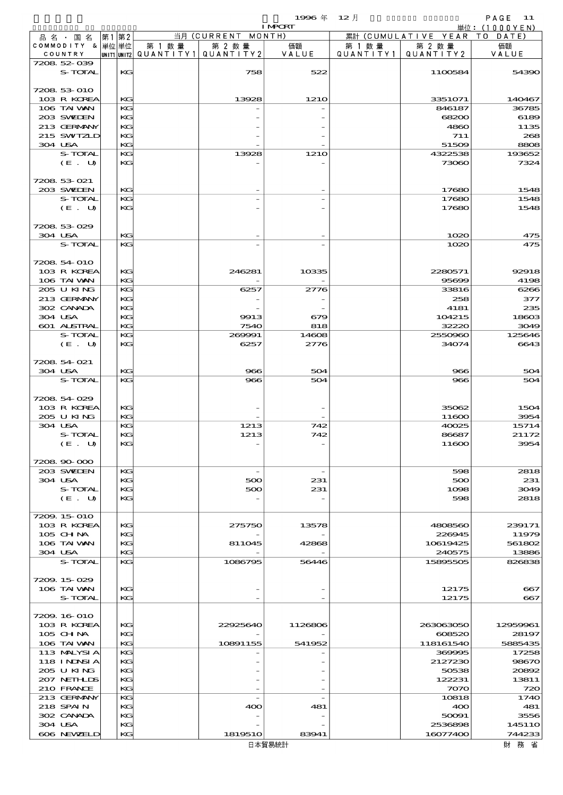品別国別表 輸 入 1996 12 確定 (Fixed Annual) 11

|                             |       |          |        |                                                  | <b>I MPORT</b>           |                      |                              | 単位: $(1000YEN)$  |
|-----------------------------|-------|----------|--------|--------------------------------------------------|--------------------------|----------------------|------------------------------|------------------|
| 品 名 ・ 国 名                   | 第1 第2 |          |        | 当月 (CURRENT MONTH)                               |                          |                      | 累計 (CUMULATIVE YEAR TO DATE) |                  |
| COMMODITY & 単位単位<br>COUNTRY |       |          | 第 1 数量 | 第 2 数量<br> UNIT1 UNIT2  QUANT I TY1  QUANT I TY2 | 価額<br>VALUE              | 第 1 数 量<br>QUANTITY1 | 第 2 数量<br>QUANTITY 2         | 価額<br>VALUE      |
| 7208 52 039                 |       |          |        |                                                  |                          |                      |                              |                  |
| S-TOTAL                     |       | KG       |        | 758                                              | 522                      |                      | 1100584                      | 54390            |
|                             |       |          |        |                                                  |                          |                      |                              |                  |
| 7208 53 010                 |       |          |        |                                                  |                          |                      |                              |                  |
| 103 R KOREA<br>106 TAI VAN  |       | KG<br>KG |        | 13928                                            | 1210                     |                      | 3351071<br>846187            | 140467<br>36785  |
| 203 SWIEN                   |       | KG       |        |                                                  |                          |                      | 68200                        | 6189             |
| 213 GERMANY                 |       | KG       |        |                                                  |                          |                      | 4860                         | 1135             |
| 215 SWIZLD                  |       | KG       |        |                                                  |                          |                      | 711                          | 268              |
| 304 USA                     |       | KG       |        |                                                  |                          |                      | 51509                        | 8808             |
| S-TOTAL<br>(E. U)           |       | KG<br>KG |        | 13928                                            | 1210                     |                      | 4322538<br>73060             | 193652<br>7324   |
|                             |       |          |        |                                                  |                          |                      |                              |                  |
| 7208 53 021                 |       |          |        |                                                  |                          |                      |                              |                  |
| 203 SVELEN                  |       | KG       |        |                                                  |                          |                      | 17680                        | 1548             |
| S-TOTAL                     |       | KG       |        |                                                  |                          |                      | 17680                        | 1548             |
| (E. U)                      |       | KG       |        |                                                  |                          |                      | 17680                        | 1548             |
| 7208 53 029                 |       |          |        |                                                  |                          |                      |                              |                  |
| 304 USA                     |       | KG       |        |                                                  |                          |                      | 1020                         | 475              |
| S-TOTAL                     |       | KG       |        |                                                  |                          |                      | 1020                         | 475              |
|                             |       |          |        |                                                  |                          |                      |                              |                  |
| 7208 54 010                 |       |          |        |                                                  |                          |                      |                              |                  |
| 103 R KOREA<br>106 TAI VAN  |       | KG<br>KG |        | 246281                                           | 10335                    |                      | 2280571<br>95699             | 92918            |
| 205 U KING                  |       | KG       |        | 6257                                             | 2776                     |                      | 33816                        | 4198<br>6266     |
| 213 GERMANY                 |       | KG       |        |                                                  |                          |                      | 258                          | 377              |
| 302 CANADA                  |       | KG       |        |                                                  |                          |                      | 4181                         | 235              |
| 304 USA                     |       | KG       |        | 9913                                             | 679                      |                      | 104215                       | 18603            |
| 601 ALSTRAL                 |       | KG       |        | 7540                                             | 818                      |                      | 32220                        | 3049             |
| S-TOTAL<br>(E. U)           |       | KG<br>KG |        | 269991<br>6257                                   | 14608<br>2776            |                      | 2550960<br>34074             | 125646<br>6643   |
|                             |       |          |        |                                                  |                          |                      |                              |                  |
| 7208 54 021                 |       |          |        |                                                  |                          |                      |                              |                  |
| 304 USA                     |       | KG       |        | 966                                              | 504                      |                      | 966                          | 504              |
| S-TOTAL                     |       | KG       |        | 966                                              | 504                      |                      | 966                          | 504              |
| 7208 54 029                 |       |          |        |                                                  |                          |                      |                              |                  |
| 103 R KOREA                 |       | KC       |        |                                                  |                          |                      | 35062                        | 1504             |
| 205 U KING                  |       | KG       |        |                                                  |                          |                      | 11600                        | 3954             |
| 304 USA                     |       | KG       |        | 1213                                             | 742                      |                      | 40025                        | 15714            |
| S-TOTAL                     |       | KG       |        | 1213                                             | 742                      |                      | 86687                        | 21172            |
| (E. U)                      |       | KG       |        |                                                  |                          |                      | 11600                        | 3954             |
| 7208 90 000                 |       |          |        |                                                  |                          |                      |                              |                  |
| 203 SWIDEN                  |       | KG       |        | $\overline{\phantom{a}}$                         | $\overline{\phantom{a}}$ |                      | 598                          | 2818             |
| 304 USA                     |       | KC       |        | 500                                              | 231                      |                      | 500                          | 231              |
| S-TOTAL                     |       | KG       |        | 500                                              | 231                      |                      | 1098                         | 3049             |
| (E. U)                      |       | KG       |        |                                                  |                          |                      | 598                          | 2818             |
| 7209.15-010                 |       |          |        |                                                  |                          |                      |                              |                  |
| 103 R KOREA                 |       | KG       |        | 275750                                           | 13578                    |                      | 4808560                      | 239171           |
| 105 CH NA                   |       | KC       |        |                                                  |                          |                      | 226945                       | 11979            |
| 106 TAI WAN                 |       | KG       |        | 811045                                           | 42868                    |                      | 10619425                     | 561802           |
| 304 USA<br>S-TOTAL          |       | KG<br>KG |        | 1086795                                          | 56446                    |                      | 240575<br>15895505           | 13886<br>826838  |
|                             |       |          |        |                                                  |                          |                      |                              |                  |
| 7209.15029                  |       |          |        |                                                  |                          |                      |                              |                  |
| 106 TAI WAN                 |       | KG       |        |                                                  |                          |                      | 12175                        | 667              |
| S-TOTAL                     |       | KG       |        |                                                  |                          |                      | 12175                        | 667              |
| 7209.16-010                 |       |          |        |                                                  |                          |                      |                              |                  |
| 103 R KOREA                 |       | KC       |        | 22925640                                         | 1126806                  |                      | 263063050                    | 12959961         |
| 105 CH NA                   |       | KG       |        |                                                  |                          |                      | 608520                       | 28197            |
| 106 TAI VAN                 |       | KG       |        | 10891155                                         | 541952                   |                      | 118161540                    | 5885435          |
| 113 MALYSIA                 |       | KG       |        |                                                  |                          |                      | 369995                       | 17258            |
| 118 I NDSI A                |       | KG       |        |                                                  |                          |                      | 2127230                      | 98670            |
| 205 U KING<br>207 NETHLIS   |       | KC<br>KG |        |                                                  |                          |                      | 50538<br>122231              | 20892<br>13811   |
| 210 FRANCE                  |       | KG       |        |                                                  |                          |                      | 7070                         | 720              |
| 213 GERMANY                 |       | KG       |        |                                                  |                          |                      | 10818                        | 1740             |
| 218 SPAIN                   |       | KG       |        | 400                                              | 481                      |                      | 400                          | 481              |
| 302 CANADA                  |       | KG       |        |                                                  |                          |                      | 50091                        | 3556             |
| 304 USA<br>606 NEWELD       |       | KG<br>KG |        | 1819510                                          | 83941                    |                      | 2536898<br>16077400          | 14511O<br>744233 |
|                             |       |          |        |                                                  |                          |                      |                              |                  |

日本貿易統計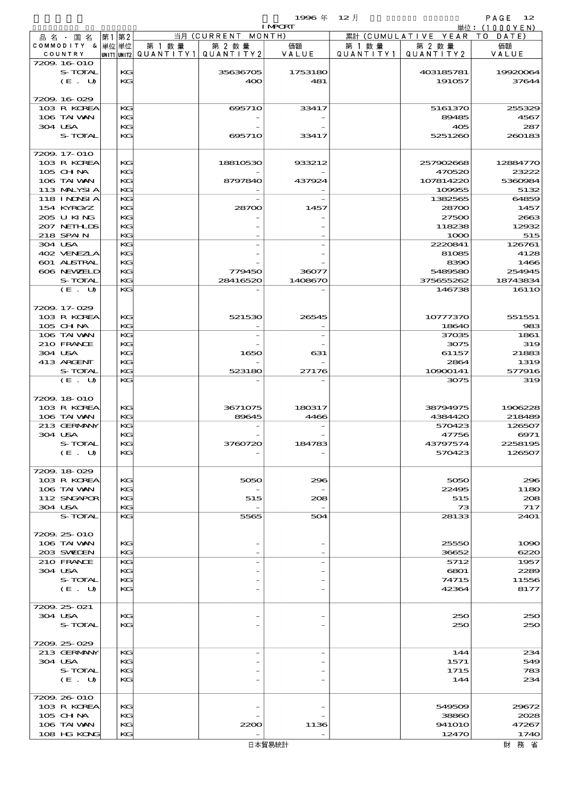$1996 \nleftrightarrow 12 \nparallel$  PAGE 12

|                            |           |        |                                       | <b>I MPORT</b> |           |                              | 単位: (1000YEN)  |
|----------------------------|-----------|--------|---------------------------------------|----------------|-----------|------------------------------|----------------|
| 品 名 ・ 国 名                  | 第1第2      |        | 当月 (CURRENT MONTH)                    |                |           | 累計 (CUMULATIVE YEAR TO DATE) |                |
| COMMODITY & 単位単位           |           | 第 1 数量 | 第 2 数量                                | 価額             | 第 1 数量    | 第 2 数量                       | 価額             |
| COUNTRY                    |           |        | unit1 unit2  QUANT   TY1  QUANT   TY2 | VALUE          | QUANTITY1 | QUANTITY 2                   | VALUE          |
| 7209.16-010<br>S-TOTAL     | KG        |        | 35636705                              | 1753180        |           | 403185781                    | 19920064       |
| (E. U)                     | KG        |        | 400                                   | 481            |           | 191057                       | 37644          |
|                            |           |        |                                       |                |           |                              |                |
| 7209.16.029                |           |        |                                       |                |           |                              |                |
| 103 R KOREA                | KG        |        | 695710                                | 33417          |           | 5161370                      | 255329         |
| 106 TAI WAN                | KG        |        |                                       |                |           | 89485                        | 4567           |
| 304 USA                    | KG        |        |                                       |                |           | 405                          | 287            |
| S-TOTAL                    | KG        |        | 695710                                | 33417          |           | 5251260                      | 260183         |
|                            |           |        |                                       |                |           |                              |                |
| 7209. 17-010               |           |        |                                       |                |           |                              |                |
| 103 R KOREA                | KG        |        | 18810530                              | 933212         |           | 257902668                    | 12884770       |
| 105 CH NA                  | KG        |        |                                       |                |           | 470520                       | 23222          |
| 106 TAI VAN                | KG        |        | 8797840                               | 437924         |           | 107814220                    | 5360984        |
| 113 MALYSIA                | KG        |        |                                       |                |           | 109955                       | 5132           |
| 118 I NJNSI A              | KG        |        |                                       |                |           | 1382565                      | 64859          |
| 154 KYRGYZ                 | КG        |        | 28700                                 | 1457           |           | 28700                        | 1457           |
| 205 U KING                 | KG        |        |                                       |                |           | 27500                        | 2663           |
| 207 NEIHLIS                | KG        |        |                                       |                |           | 118238                       | 12932          |
| 218 SPAIN                  | KG        |        |                                       |                |           | 1000                         | 515            |
| 304 USA                    | KG<br>KG  |        |                                       |                |           | 2220841                      | 126761<br>4128 |
| 402 VENEZIA<br>601 ALSTRAL | KG        |        |                                       |                |           | 81085<br>8390                | 1466           |
| 606 NEWELD                 | KG        |        | 779450                                | 36077          |           | 5489580                      | 254945         |
| S-TOTAL                    | KG        |        | 28416520                              | 1408670        |           | 375655262                    | 18743834       |
| (E. U)                     | KG        |        |                                       |                |           | 146738                       | <b>16110</b>   |
|                            |           |        |                                       |                |           |                              |                |
| 7209.17-029                |           |        |                                       |                |           |                              |                |
| 103 R KOREA                | KG        |        | 521530                                | 26545          |           | 10777370                     | 551551         |
| $105$ CHNA                 | KG        |        |                                       |                |           | 18640                        | 983            |
| 106 TAI VAN                | KG        |        |                                       |                |           | 37035                        | 1861           |
| 210 FRANCE                 | KG        |        |                                       |                |           | 3075                         | 319            |
| 304 USA                    | KG        |        | 1650                                  | 631            |           | 61157                        | 21883          |
| 413 ARCENT                 | KG        |        |                                       |                |           | 2864                         | 1319           |
| S-TOTAL                    | KG        |        | 523180                                | 27176          |           | 10900141                     | 577916         |
| (E. U)                     | KG        |        |                                       |                |           | 3075                         | 319            |
|                            |           |        |                                       |                |           |                              |                |
| 7209.18-010                |           |        |                                       |                |           |                              |                |
| 103 R KOREA                | KG        |        | 3671075                               | 180317         |           | 38794975                     | 1906228        |
| 106 TAI VAN                | KG        |        | 89645                                 | 4466           |           | 4384420                      | 218489         |
| 213 GERMANY                | KG        |        |                                       |                |           | 570423                       | 126507         |
| 304 USA                    | KG<br>KG- |        |                                       |                |           | 47756                        | 6971           |
| S-TOTAL                    | KG        |        | 3760720                               | 18478          |           | 43797574<br>570423           | 2258195        |
| $(E_U U)$                  |           |        |                                       |                |           |                              | 126507         |
| 7209.18-029                |           |        |                                       |                |           |                              |                |
| 103 R KOREA                | KG        |        | 5050                                  | 296            |           | 5050                         | 296            |
| 106 TAI VAN                | KG        |        |                                       |                |           | 22495                        | 1180           |
| 112 SNGAPOR                | KG        |        | 515                                   | 208            |           | 515                          | 208            |
| 304 USA                    | KG        |        |                                       |                |           | 73                           | 717            |
| S-TOTAL                    | KG        |        | 5565                                  | 504            |           | 28133                        | <b>2401</b>    |
|                            |           |        |                                       |                |           |                              |                |
| 7209.25-010                |           |        |                                       |                |           |                              |                |
| 106 TAI VAN                | KG        |        |                                       |                |           | 25550                        | 1090           |
| 203 SWIEN                  | KG        |        |                                       |                |           | 36652                        | 6220           |
| 210 FRANCE                 | KG        |        |                                       |                |           | 5712                         | 1957           |
| 304 USA                    | KG        |        |                                       |                |           | 6801                         | 2289           |
| S-TOTAL                    | KG        |        |                                       |                |           | 74715                        | 11556          |
| (E. U)                     | KG        |        |                                       |                |           | 42364                        | 8177           |
|                            |           |        |                                       |                |           |                              |                |
| 7209.25 021                |           |        |                                       |                |           |                              |                |
| 304 USA<br>S-TOTAL         | KG        |        |                                       |                |           | 250                          | 250            |
|                            | KG        |        |                                       |                |           | 250                          | 250            |
| 7209.25029                 |           |        |                                       |                |           |                              |                |
| 213 GERMANY                | KG        |        | $\overline{\phantom{a}}$              |                |           | 144                          | 234            |
| 304 USA                    | KG        |        |                                       |                |           | 1571                         | 549            |
| S-TOTAL                    | KG        |        |                                       |                |           | 1715                         | 783            |
| (E. U)                     | KG        |        |                                       |                |           | 144                          | 234            |
|                            |           |        |                                       |                |           |                              |                |
| 7209.26-010                |           |        |                                       |                |           |                              |                |
| 103 R KOREA                | KG        |        |                                       |                |           | 549509                       | 29672          |
| 105 CH NA                  | KG        |        |                                       |                |           | 38860                        | 2028           |
| 106 TAI VAN                | KG        |        | 2200                                  | 1136           |           | <b>941010</b>                | 47267          |
| 108 HG KONG                | KG        |        |                                       |                |           | 12470                        | 1740           |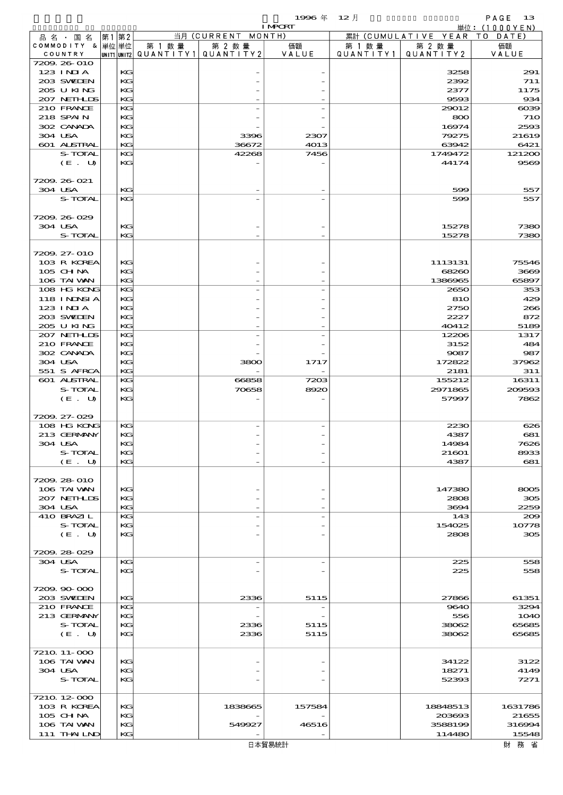$1996 \nleftrightarrow \n\begin{array}{ccc}\n12 & 12\n\end{array}$ 

|                           |          |                          |                    | <b>I MPORT</b> |           |                              | 単位: (1000YEN)        |
|---------------------------|----------|--------------------------|--------------------|----------------|-----------|------------------------------|----------------------|
| 品名・国名                     | 第1 第2    |                          | 当月 (CURRENT MONTH) |                |           | 累計 (CUMULATIVE YEAR TO DATE) |                      |
| COMMODITY & 単位単位          |          | 第 1 数 量                  | 第 2 数量             | 価額             | 第 1 数 量   | 第 2 数量                       | 価額                   |
| COUNTRY                   |          | UNIT1 UNIT2  Q∪ANT   TY1 | QUANTITY2          | VALUE          | QUANTITY1 | QUANTITY 2                   | VALUE                |
| 7209.26-010               |          |                          |                    |                |           |                              |                      |
| 123 INIA                  | KG       |                          |                    |                |           | 3258                         | 291                  |
| 203 SWIDEN                | KG       |                          |                    |                |           | 2392                         | 711                  |
| 205 U KING                | KG       |                          |                    |                |           | 2377                         | 1175                 |
| 207 NETHLIS               | KG       |                          |                    |                |           | 9593                         | 934                  |
| 210 FRANCE<br>218 SPAIN   | KG<br>KG |                          |                    |                |           | 29012<br>800                 | $\cos$<br><b>710</b> |
| 302 CANADA                | KG       |                          |                    |                |           | 16974                        | 2593                 |
| 304 USA                   | KG       |                          | 3396               | 2307           |           | 79275                        | 21619                |
| 601 ALSTRAL               | KG       |                          | 36672              | 4013           |           | 63942                        | 6421                 |
| S-TOTAL                   | KG       |                          | 42268              | 7456           |           | 1749472                      | 121200               |
| (E. U)                    | KG       |                          |                    |                |           | 44174                        | 9569                 |
|                           |          |                          |                    |                |           |                              |                      |
| 7209.26-021               |          |                          |                    |                |           |                              |                      |
| 304 USA                   | KG       |                          |                    |                |           | 599                          | 557                  |
| S-TOTAL                   | KG       |                          |                    |                |           | 599                          | 557                  |
|                           |          |                          |                    |                |           |                              |                      |
| 7209.26.029               |          |                          |                    |                |           |                              |                      |
| 304 USA                   | KG       |                          |                    |                |           | 15278                        | 7380                 |
| S-TOTAL                   | KG       |                          |                    |                |           | 15278                        | 7380                 |
|                           |          |                          |                    |                |           |                              |                      |
| 7209. 27-010              |          |                          |                    |                |           |                              |                      |
| 103 R KOREA               | KG       |                          |                    |                |           | 1113131                      | 75546                |
| 105 CHNA                  | KG       |                          |                    |                |           | 68260                        | 3669                 |
| 106 TAI VAN               | KG       |                          |                    |                |           | 1386965                      | 65897                |
| 108 HG KONG               | KG       |                          |                    |                |           | 2650                         | 353                  |
| 118 I NJNSI A             | KG       |                          |                    |                |           | 810                          | 429                  |
| $123$ INIA                | KG       |                          |                    |                |           | 2750                         | 266                  |
| 203 SWIDEN                | KG       |                          |                    |                |           | 2227                         | 872                  |
| 205 U KING                | KG       |                          |                    |                |           | 40412                        | 5189                 |
| 207 NETHLIS<br>210 FRANCE | KG<br>KG |                          |                    |                |           | 12206<br>3152                | 1317<br>484          |
| 302 CANADA                | KG       |                          |                    |                |           | 9087                         | 987                  |
| 304 USA                   | KG       |                          | 3800               | 1717           |           | 172822                       | 37962                |
| 551 S AFRCA               | KG       |                          |                    |                |           | 2181                         | 311                  |
| 601 ALSTRAL               | KG       |                          | 66858              | 7203           |           | 155212                       | 16311                |
| S-TOTAL                   | KG       |                          | 70658              | 8920           |           | 2971865                      | 209593               |
| (E. U)                    | KG       |                          |                    |                |           | 57997                        | 7862                 |
|                           |          |                          |                    |                |           |                              |                      |
| 7209. 27-029              |          |                          |                    |                |           |                              |                      |
| 108 HG KONG               | KG       |                          |                    |                |           | 2230                         | 626                  |
| 213 GERMANY               | KG       |                          |                    |                |           | 4387                         | 681                  |
| 304 USA                   | KG       |                          |                    |                |           | 14984                        | 7626                 |
| S-TOTAL                   | KG       |                          |                    |                |           | 21601                        | 8933                 |
| (E. U)                    | КG       |                          |                    |                |           | 4387                         | 681                  |
|                           |          |                          |                    |                |           |                              |                      |
| 7209.28-010               |          |                          |                    |                |           |                              |                      |
| 106 TAI VAN               | KG       |                          |                    |                |           | 147380                       | 8005                 |
| 207 NETHLIS               | KG       |                          |                    |                |           | 2808                         | 305                  |
| 304 USA                   | KG       |                          |                    |                |           | 3694                         | 2259                 |
| 410 BRAZIL                | KG       |                          |                    |                |           | 143                          | 200                  |
| S-TOTAL<br>(E. U)         | KG<br>KG |                          |                    |                |           | 154025<br>2808               | 10778<br>305         |
|                           |          |                          |                    |                |           |                              |                      |
| 7209.28-029               |          |                          |                    |                |           |                              |                      |
| 304 USA                   | KG       |                          |                    |                |           | 225                          | 558                  |
| S-TOTAL                   | KG       |                          |                    |                |           | 225                          | 558                  |
|                           |          |                          |                    |                |           |                              |                      |
| 7209.90-000               |          |                          |                    |                |           |                              |                      |
| 203 SWIDEN                | KG       |                          | 2336               | 5115           |           | 27866                        | 61351                |
| 210 FRANCE                | KG       |                          |                    |                |           | 9640                         | 3294                 |
| 213 GERMANY               | KG       |                          |                    |                |           | 556                          | 1O4O                 |
| S-TOTAL                   | KG       |                          | 2336               | 5115           |           | 38062                        | 65685                |
| (E. U)                    | KG       |                          | 2336               | 5115           |           | 38062                        | 65685                |
|                           |          |                          |                    |                |           |                              |                      |
| 7210 11-000               |          |                          |                    |                |           |                              |                      |
| 106 TAI VAN               | KG       |                          |                    |                |           | 34122                        | 3122                 |
| 304 USA                   | KG       |                          |                    |                |           | 18271                        | 4149                 |
| S-TOTAL                   | KG       |                          |                    |                |           | 52393                        | 7271                 |
|                           |          |                          |                    |                |           |                              |                      |
| 7210 12 000               |          |                          |                    |                |           |                              |                      |
| 103 R KOREA               | KG       |                          | 1838665            | 157584         |           | 18848513                     | 1631786              |
| $105$ CHNA<br>106 TAI VAN | KG       |                          |                    |                |           | 203693                       | 21655                |
| 111 THAILND               | KG<br>KG |                          | 549927             | 46516          |           | 3588199<br>114480            | 316994<br>15548      |
|                           |          |                          |                    |                |           |                              |                      |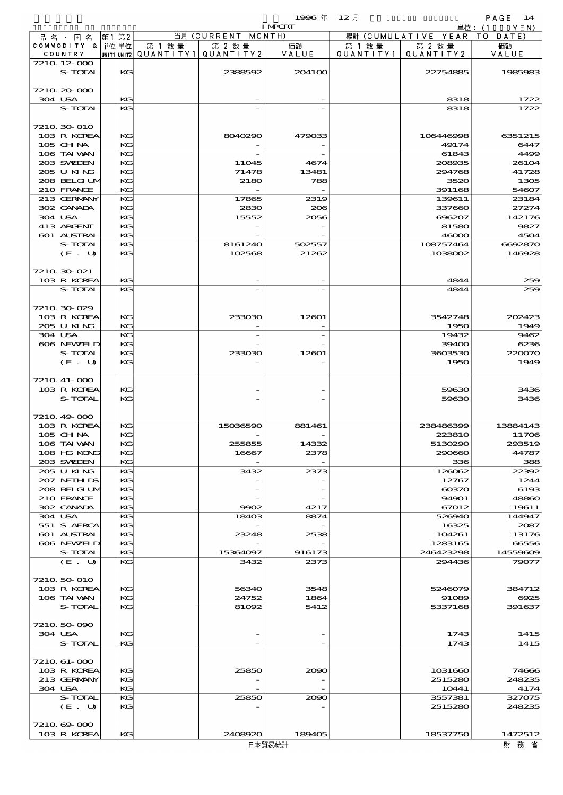$1996 \text{ } \# \quad 12 \text{ } \frac{1}{2}$ 

|         |                            |    |          |                                       |                    | $\sim$<br><b>I MPORT</b> | $\sim$     |                              | .<br>単位: (1000YEN) |
|---------|----------------------------|----|----------|---------------------------------------|--------------------|--------------------------|------------|------------------------------|--------------------|
|         | 品 名 ・ 国 名                  | 第1 | 第2       |                                       | 当月 (CURRENT MONTH) |                          |            | 累計 (CUMULATIVE YEAR TO DATE) |                    |
|         | COMMODITY & 単位単位           |    |          | 第 1 数量                                | 第 2 数量             | 価額                       | 第 1 数 量    | 第 2 数量                       | 価額                 |
|         | COUNTRY                    |    |          | unit1 unit2  QUANT   TY1  QUANT   TY2 |                    | VALUE                    | QUANTITY11 | QUANTITY 2                   | VALUE              |
|         | 7210 12 000<br>S-TOTAL     |    | KG       |                                       | 2388592            | 204100                   |            | 22754885                     | 1985983            |
|         |                            |    |          |                                       |                    |                          |            |                              |                    |
|         | 7210 20 000                |    |          |                                       |                    |                          |            |                              |                    |
| 304 USA |                            |    | KG       |                                       |                    |                          |            | 8318                         | 1722               |
|         | S-TOTAL                    |    | KG.      |                                       |                    |                          |            | 8318                         | 1722               |
|         |                            |    |          |                                       |                    |                          |            |                              |                    |
|         | 7210 30 010<br>103 R KOREA |    | KG       |                                       | 8040290            | 479033                   |            | 106446998                    | 6351215            |
|         | 105 CHNA                   |    | КC       |                                       |                    |                          |            | 49174                        | 6447               |
|         | 106 TAI VAN                |    | KG       |                                       |                    |                          |            | 61843                        | 4499               |
|         | 203 SWIDEN                 |    | KG       |                                       | 11045              | 4674                     |            | 208935                       | 26104              |
|         | 205 U KING                 |    | КC       |                                       | 71478              | 13481                    |            | 294768                       | 41728              |
|         | 208 BELGI UM               |    | KG       |                                       | 2180               | 788                      |            | 3520                         | 1305               |
|         | 210 FRANCE                 |    | КC       |                                       |                    |                          |            | 391168                       | 54607              |
|         | 213 GERMANY                |    | КC       |                                       | 17865              | 2319                     |            | 139611                       | 23184              |
| 304 USA | 302 CANADA                 |    | KG<br>KG |                                       | 2830<br>15552      | 206<br>2056              |            | 337660<br>696207             | 27274<br>142176    |
|         | 413 ARCENT                 |    | KG       |                                       |                    |                          |            | 81580                        | 9827               |
|         | 601 ALSTRAL                |    | КC       |                                       |                    |                          |            | 46000                        | 4504               |
|         | S-TOTAL                    |    | KG       |                                       | 8161240            | 502557                   |            | 108757464                    | 6692870            |
|         | (E. U)                     |    | KG       |                                       | 102568             | 21262                    |            | 1038002                      | 146928             |
|         |                            |    |          |                                       |                    |                          |            |                              |                    |
|         | 7210 30 021                |    |          |                                       |                    |                          |            |                              |                    |
|         | 103 R KOREA                |    | KG<br>KG |                                       |                    |                          |            | 4844                         | 259                |
|         | S-TOTAL                    |    |          |                                       |                    |                          |            | 4844                         | 259                |
|         | 7210 30 029                |    |          |                                       |                    |                          |            |                              |                    |
|         | 103 R KOREA                |    | KG       |                                       | 233030             | 12601                    |            | 3542748                      | 202423             |
|         | 205 U KING                 |    | КC       |                                       |                    |                          |            | 1950                         | 1949               |
| 304 USA |                            |    | КC       |                                       |                    |                          |            | 19432                        | 9462               |
|         | 606 NEWELD                 |    | KG       |                                       |                    |                          |            | 39400                        | 6236               |
|         | S-TOTAL                    |    | KG       |                                       | 233030             | 12601                    |            | 3603530                      | 220070             |
|         | (E. U)                     |    | KG       |                                       |                    |                          |            | 1950                         | 1949               |
|         | 7210 41-000                |    |          |                                       |                    |                          |            |                              |                    |
|         | 103 R KOREA                |    | KG       |                                       |                    |                          |            | 59630                        | 3436               |
|         | S-TOTAL                    |    | КG       |                                       |                    |                          |            | 59630                        | 3436               |
|         |                            |    |          |                                       |                    |                          |            |                              |                    |
|         | 7210 49 000                |    |          |                                       |                    |                          |            |                              |                    |
|         | 103 R KOREA                |    | KG       |                                       | 15036590           | 881461                   |            | 238486399                    | 13884143           |
|         | 105 CH NA                  |    | KG       |                                       |                    |                          |            | 223810                       | 11706              |
|         | 106 TAI VAN                |    | КC       |                                       | 255855             | 14332<br>2378            |            | 5130290                      | 293519             |
|         | 108 HG KONG<br>203 SWIDEN  |    | КG<br>КC |                                       | 16667              |                          |            | 290660<br>336                | 44787<br>388       |
|         | 205 U KING                 |    | КC       |                                       | 3432               | 2373                     |            | 126062                       | 22392              |
|         | 207 NETHLIS                |    | КC       |                                       |                    |                          |            | 12767                        | 1244               |
|         | 208 BELGI UM               |    | КC       |                                       |                    |                          |            | $\cos 70$                    | 6193               |
|         | 210 FRANCE                 |    | КG       |                                       |                    |                          |            | 94901                        | 48860              |
|         | 302 CANADA                 |    | КC       |                                       | 9902               | 4217                     |            | 67012                        | 19611              |
| 304 USA |                            |    | КC       |                                       | 18403              | 8874                     |            | 526940                       | 144947             |
|         | 551 S AFRCA<br>601 ALSTRAL |    | KС<br>КC |                                       | 23248              | 2538                     |            | 16325<br>104261              | 2087<br>13176      |
|         | 606 NEWELD                 |    | KG       |                                       |                    |                          |            | 1283165                      | 66556              |
|         | S-TOTAL                    |    | KG       |                                       | 15364097           | 916173                   |            | 246423298                    | 14559609           |
|         | (E. U)                     |    | KG       |                                       | 3432               | 2373                     |            | 294436                       | 79077              |
|         |                            |    |          |                                       |                    |                          |            |                              |                    |
|         | 7210 50 010                |    |          |                                       |                    |                          |            |                              |                    |
|         | 103 R KOREA                |    | КC       |                                       | 56340              | 3548                     |            | 5246079                      | 384712             |
|         | 106 TAI VAN<br>S-TOTAL     |    | КC<br>КC |                                       | 24752<br>81092     | 1864<br>5412             |            | 91089<br>5337168             | 6925<br>391637     |
|         |                            |    |          |                                       |                    |                          |            |                              |                    |
|         | 7210 50 090                |    |          |                                       |                    |                          |            |                              |                    |
| 304 USA |                            |    | KG       |                                       |                    |                          |            | 1743                         | 1415               |
|         | S-TOTAL                    |    | KG       |                                       |                    |                          |            | 1743                         | 1415               |
|         |                            |    |          |                                       |                    |                          |            |                              |                    |
|         | 7210 61-000                |    |          |                                       |                    |                          |            |                              |                    |
|         | 103 R KOREA                |    | KG       |                                       | 25850              | 2090                     |            | 1031660                      | 74666              |
| 304 USA | 213 GERMANY                |    | KG<br>KG |                                       |                    |                          |            | 2515280<br>10441             | 248235<br>4174     |
|         | S-TOTAL                    |    | KG       |                                       | 25850              | 2090                     |            | 3557381                      | 327075             |
|         | (E. U)                     |    | KG       |                                       |                    |                          |            | 2515280                      | 248235             |
|         |                            |    |          |                                       |                    |                          |            |                              |                    |
|         | 7210 69 000                |    |          |                                       |                    |                          |            |                              |                    |
|         | 103 R KOREA                |    | KG       |                                       | 2408920            | 189405                   |            | 18537750                     | 1472512            |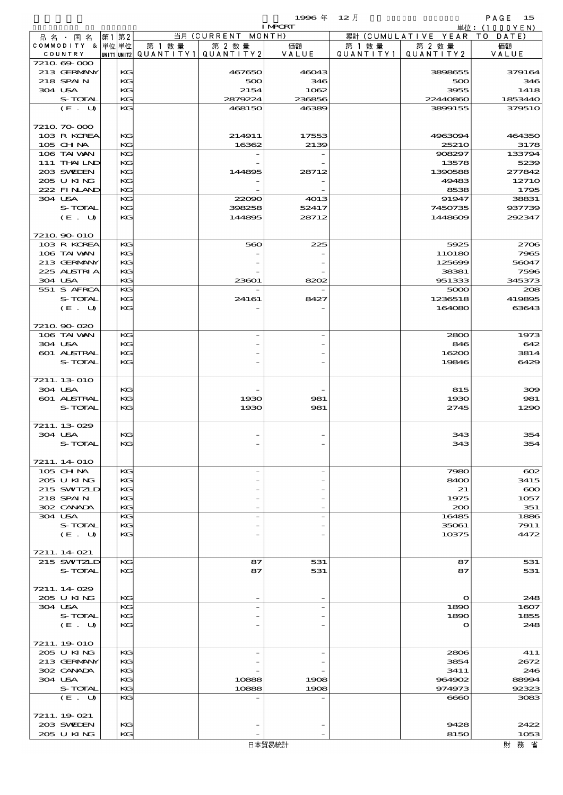$1996 \nsubseteq 12 \nparallel$  PAGE 15

|                            |          |        |                                       | <b>I MPORT</b> |           |                              | 単位: (1000YEN)    |
|----------------------------|----------|--------|---------------------------------------|----------------|-----------|------------------------------|------------------|
| 品名・国名                      | 第1第2     |        | 当月 (CURRENT MONTH)                    |                |           | 累計 (CUMULATIVE YEAR TO DATE) |                  |
| COMMODITY & 単位単位           |          | 第 1 数量 | 第 2 数量                                | 価額             | 第 1 数 量   | 第 2 数量                       | 価額               |
| COUNTRY                    |          |        | UNIT1 UNIT2  QUANT I TY1  QUANT I TY2 | VALUE          | QUANTITY1 | QUANTITY 2                   | VALUE            |
| 7210 69 000<br>213 GERMANY | KG       |        | 467650                                | 46043          |           | 3898655                      | 379164           |
| 218 SPAIN                  | KG       |        | 500                                   | 346            |           | 500                          | 346              |
| 304 USA                    | KG       |        | 2154                                  | 1062           |           | 3955                         | 1418             |
| S-TOTAL                    | KG       |        | 2879224                               | 236856         |           | 22440860                     | 1853440          |
| (E. U)                     | KG       |        | 468150                                | 46389          |           | 3899155                      | 379510           |
|                            |          |        |                                       |                |           |                              |                  |
| 7210 70 000                |          |        |                                       |                |           |                              |                  |
| 103 R KOREA                | KG<br>KG |        | 214911<br>16362                       | 17553          |           | 4963094                      | 464350           |
| 105 CH NA<br>106 TAI VAN   | KG       |        |                                       | 2139           |           | <b>25210</b><br>908297       | 3178<br>133794   |
| $111$ THAILND              | КC       |        |                                       |                |           | 13578                        | 5239             |
| 203 SWIEN                  | KG       |        | 144895                                | 28712          |           | 1390588                      | 277842           |
| 205 U KING                 | KG       |        |                                       |                |           | 49483                        | 12710            |
| 222 FINAND                 | KG       |        |                                       |                |           | 8538                         | 1795             |
| 304 USA                    | KG       |        | 22090                                 | 4013           |           | 91947                        | 38831            |
| S-TOTAL<br>(E. U)          | KG<br>KG |        | 398258<br>144895                      | 52417<br>28712 |           | 7450735<br>1448609           | 937739<br>292347 |
|                            |          |        |                                       |                |           |                              |                  |
| 7210 90 010                |          |        |                                       |                |           |                              |                  |
| 103 R KOREA                | KG       |        | 560                                   | 225            |           | 5925                         | 2706             |
| 106 TAI VAN                | КC       |        |                                       |                |           | 110180                       | 7965             |
| 213 GERMANY                | KG       |        |                                       |                |           | 125699                       | 56047            |
| 225 ALSTRIA<br>304 USA     | KG<br>KG |        |                                       |                |           | 38381<br>951333              | 7596             |
| 551 S AFRCA                | KG       |        | 23601                                 | 8202           |           | 5000                         | 345373<br>208    |
| S-TOTAL                    | KG       |        | 24161                                 | 8427           |           | 1236518                      | 419895           |
| (E. U)                     | KG       |        |                                       |                |           | 164080                       | 63643            |
|                            |          |        |                                       |                |           |                              |                  |
| 7210.90-020                |          |        |                                       |                |           |                              |                  |
| 106 TAI VAN                | KG       |        |                                       |                |           | 2800                         | 1973             |
| 304 USA<br>601 ALSTRAL     | KG<br>KG |        |                                       |                |           | 846<br>16200                 | 642<br>3814      |
| S-TOTAL                    | KG       |        |                                       |                |           | 19846                        | 6429             |
|                            |          |        |                                       |                |           |                              |                  |
| 7211.13-010                |          |        |                                       |                |           |                              |                  |
| 304 USA                    | KG       |        |                                       |                |           | 815                          | 300              |
| 601 ALSTRAL                | KG       |        | 1930                                  | 981            |           | 1930                         | 981              |
| S-TOTAL                    | KG       |        | 1930                                  | 981            |           | 2745                         | 1290             |
| 7211.13-029                |          |        |                                       |                |           |                              |                  |
| 304 USA                    | KG       |        |                                       |                |           | 343                          | 354              |
| S-TOTAL                    | KG       |        |                                       |                |           | 343                          | 354              |
|                            |          |        |                                       |                |           |                              |                  |
| 7211.14 010                |          |        |                                       |                |           |                              |                  |
| 105 CHNA                   | KG<br>KG |        |                                       |                |           | 7980                         | $\infty$         |
| 205 U KING<br>215 SWIZLD   | KG       |        |                                       |                |           | 8400<br>21                   | 3415<br>$\infty$ |
| 218 SPAIN                  | KG       |        |                                       |                |           | 1975                         | 1057             |
| 302 CANADA                 | KG       |        |                                       |                |           | 200                          | 351              |
| 304 USA                    | KG       |        |                                       |                |           | 16485                        | 1886             |
| S-TOTAL                    | KG       |        |                                       |                |           | 35061                        | 7911             |
| (E. U)                     | KG       |        |                                       |                |           | 10375                        | 4472             |
| 7211.14 021                |          |        |                                       |                |           |                              |                  |
| 215 SWIZLD                 | KG       |        | 87                                    | 531            |           | 87                           | 531              |
| S-TOTAL                    | KG       |        | 87                                    | 531            |           | 87                           | 531              |
|                            |          |        |                                       |                |           |                              |                  |
| 7211.14029                 |          |        |                                       |                |           |                              |                  |
| 205 U KING                 | KG       |        |                                       |                |           | $\mathbf o$                  | 248              |
| 304 USA<br>S-TOTAL         | KG<br>KG |        |                                       |                |           | 1890<br>1890                 | 1607<br>1855     |
| (E. U)                     | KG       |        |                                       |                |           | $\Omega$                     | 248              |
|                            |          |        |                                       |                |           |                              |                  |
| 7211.19-010                |          |        |                                       |                |           |                              |                  |
| 205 U KING                 | KG       |        |                                       |                |           | 2806                         | 411              |
| 213 GERMANY                | KG       |        |                                       |                |           | 3854                         | 2672             |
| 302 CANADA<br>304 USA      | KC<br>KG |        | 10888                                 | 1908           |           | 3411<br>964902               | 246<br>88994     |
| S-TOTAL                    | KG       |        | 10888                                 | 1908           |           | 974973                       | 92323            |
| (E. U)                     | KG       |        |                                       |                |           | 6660                         | 3083             |
|                            |          |        |                                       |                |           |                              |                  |
| 7211.19 021                |          |        |                                       |                |           |                              |                  |
| 203 SWIDEN                 | KG       |        |                                       |                |           | 9428                         | 2422             |
| 205 U KING                 | KG       |        |                                       |                |           | 8150                         | 1053             |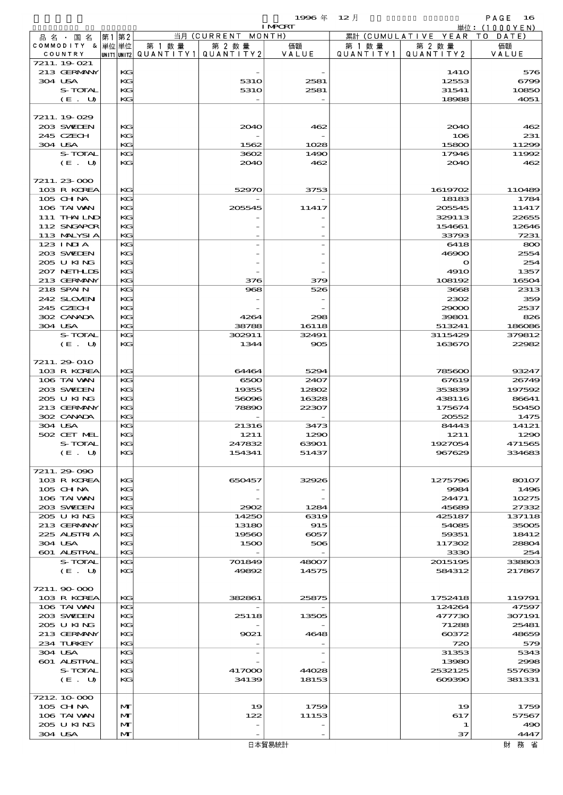|         |                             |    |              |                                                  |                    | 1996年              | $12$ 月               |                        | PAGE<br>16     |
|---------|-----------------------------|----|--------------|--------------------------------------------------|--------------------|--------------------|----------------------|------------------------|----------------|
|         |                             |    |              |                                                  |                    | <b>I MPORT</b>     |                      |                        | 単位: (1000YEN)  |
|         | 品 名 ・ 国 名                   | 第1 | 第2           |                                                  | 当月 (CURRENT MONTH) |                    |                      | 累計 (CUMULATIVE YEAR TO | DATE)          |
|         | COMMODITY & 単位単位<br>COUNTRY |    |              | 第 1 数量<br> unit1 unit2  Q∪ANT   TY1  Q∪ANT   TY2 | 第 2 数量             | 価額<br>VALUE        | 第 1 数 量<br>QUANTITY1 | 第 2 数量<br>QUANTITY2    | 価額<br>VALUE    |
|         | 7211.19 021                 |    |              |                                                  |                    |                    |                      |                        |                |
|         | 213 GERMANY                 |    | KG           |                                                  |                    |                    |                      | 141O                   | 576            |
| 304 USA |                             |    | KG           |                                                  | 5310               | 2581               |                      | 12553                  | 6799           |
|         | S-TOTAL                     |    | KG           |                                                  | 531O               | 2581               |                      | 31541                  | 10850          |
|         | (E. U)                      |    | KG           |                                                  |                    |                    |                      | 18988                  | 4051           |
|         |                             |    |              |                                                  |                    |                    |                      |                        |                |
|         | 7211.19-029                 |    |              |                                                  |                    |                    |                      |                        |                |
|         | 203 SWIEN                   |    | KG           |                                                  | 2040               | 462                |                      | 2040                   | 462            |
|         | 245 CZECH                   |    | KG           |                                                  |                    |                    |                      | 106                    | 231            |
| 304 USA |                             |    | KG           |                                                  | 1562               | 1028               |                      | 15800                  | 11299          |
|         | S-TOTAL                     |    | KG           |                                                  | 3602               | 1490               |                      | 17946                  | 11992          |
|         | (E. U)                      |    | KG           |                                                  | 2040               | 462                |                      | 2040                   | 462            |
|         |                             |    |              |                                                  |                    |                    |                      |                        |                |
|         | 7211.23-000                 |    |              |                                                  |                    |                    |                      |                        |                |
|         | 103 R KOREA                 |    | KG           |                                                  | 52970              | 3753               |                      | 1619702                | 110489         |
|         | $105$ CHNA                  |    | KG           |                                                  |                    |                    |                      | 18183                  | 1784           |
|         | 106 TAI VAN                 |    | KG           |                                                  | 205545             | 11417              |                      | 205545                 | 11417          |
|         | 111 THAILND<br>112 SNGAPOR  |    | KG           |                                                  |                    |                    |                      | 329113                 | 22655          |
|         | 113 MALYSIA                 |    | KG<br>KG     |                                                  |                    |                    |                      | 154661<br>33793        | 12646<br>7231  |
|         | 123 INIA                    |    | KG           |                                                  |                    |                    |                      | 6418                   | 800            |
|         | 203 SWIDEN                  |    | KG           |                                                  |                    |                    |                      | 46900                  | 2554           |
|         | 205 U KING                  |    | KG           |                                                  |                    |                    |                      | $\mathbf o$            | 254            |
|         | 207 NETHLIS                 |    | KG           |                                                  |                    |                    |                      | <b>4910</b>            | 1357           |
|         | 213 GERMANY                 |    | KG           |                                                  | 376                | 379                |                      | 108192                 | 16504          |
|         | 218 SPAIN                   |    | KG           |                                                  | 968                | 526                |                      | 3668                   | 2313           |
|         | 242 SLOVEN                  |    | KG           |                                                  |                    |                    |                      | 2302                   | 359            |
|         | 245 CZECH                   |    | KG           |                                                  |                    |                    |                      | 29000                  | 2537           |
|         | 302 CANADA                  |    | KG           |                                                  | 4264               | 298                |                      | 39801                  | 826            |
| 304 USA |                             |    | KG           |                                                  | 38788              | 16118              |                      | 513241                 | 186086         |
|         | S-TOTAL                     |    | KG           |                                                  | 302911             | 32491              |                      | 3115429                | 379812         |
|         | (E. U)                      |    | KG           |                                                  | 1344               | 905                |                      | 163670                 | 22982          |
|         |                             |    |              |                                                  |                    |                    |                      |                        |                |
|         | 7211.29 010                 |    |              |                                                  |                    |                    |                      |                        |                |
|         | 103 R KOREA                 |    | KG           |                                                  | 64464              | 5294               |                      | 785600                 | 93247          |
|         | 106 TAI VAN                 |    | KG           |                                                  | 6500               | 2407               |                      | 67619                  | 26749          |
|         | 203 SWIEN                   |    | KG           |                                                  | 19355              | 12802              |                      | 353839                 | 197592         |
|         | 205 U KING                  |    | KG           |                                                  | 56096              | 16328              |                      | 438116                 | 86641          |
|         | 213 GERMANY                 |    | KG           |                                                  | 78890              | 22307              |                      | 175674                 | 50450          |
|         | 302 CANADA                  |    | KG           |                                                  |                    |                    |                      | 20552                  | 1475           |
| 304 USA |                             |    | KG           |                                                  | 21316              | 3473               |                      | 84443                  | 14121          |
|         | 502 CET MEI                 |    | KG           |                                                  | 1211               | 1290               |                      | 1211                   | 1290           |
|         | S-TOTAL                     |    | KG           |                                                  | 247832             | 63901              |                      | 1927054                | 471565         |
|         | (E. U)                      |    | KG           |                                                  | 154341             | 51437              |                      | 967629                 | 334683         |
|         |                             |    |              |                                                  |                    |                    |                      |                        |                |
|         | 7211.29-090                 |    |              |                                                  |                    |                    |                      |                        |                |
|         | 103 R KOREA                 |    | KG           |                                                  | 650457             | 32926              |                      | 1275796                | 80107          |
|         | 105 CHNA                    |    | KG           |                                                  |                    |                    |                      | 9984                   | 1496           |
|         | 106 TAI VAN                 |    | KG           |                                                  |                    |                    |                      | 24471                  | 10275          |
|         | 203 SWIEN                   |    | KG           |                                                  | 2902               | 1284               |                      | 45689                  | 27332          |
|         | 205 U KING<br>213 GERMANY   |    | KG           |                                                  | 14250<br>13180     | 6319               |                      | 425187                 | 137118         |
|         | 225 ALSTRIA                 |    | KG<br>KG     |                                                  | 19560              | 915<br>$\infty$ 57 |                      | 54085<br>59351         | 35005<br>18412 |
| 304 USA |                             |    | KG           |                                                  | 1500               | 506                |                      | 117302                 | 28804          |
|         | 601 ALSTRAL                 |    | KG           |                                                  |                    |                    |                      | 3330                   | 254            |
|         | S-TOTAL                     |    | KG           |                                                  | 701849             | 48007              |                      | 2015195                | 338803         |
|         | (E. U)                      |    | KG           |                                                  | 49892              | 14575              |                      | 584312                 | 217867         |
|         |                             |    |              |                                                  |                    |                    |                      |                        |                |
|         | 7211.90 000                 |    |              |                                                  |                    |                    |                      |                        |                |
|         | 103 R KOREA                 |    | KG           |                                                  | 382861             | 25875              |                      | 1752418                | 119791         |
|         | 106 TAI VAN                 |    | KG           |                                                  |                    |                    |                      | 124264                 | 47597          |
|         | 203 SWIDEN                  |    | KG           |                                                  | 25118              | 13505              |                      | 477730                 | 307191         |
|         | 205 U KING                  |    | KG           |                                                  |                    |                    |                      | 71288                  | 25481          |
|         | 213 GERMANY                 |    | KG           |                                                  | 9021               | 4648               |                      | $\cos z$               | 48659          |
|         | 234 TURKEY                  |    | KG           |                                                  |                    |                    |                      | 720                    | 579            |
| 304 USA |                             |    | KG           |                                                  |                    |                    |                      | 31353                  | 5343           |
|         | 601 ALSTRAL                 |    | KG           |                                                  |                    |                    |                      | 13980                  | 2998           |
|         | S-TOTAL                     |    | KG           |                                                  | 417000             | 44028              |                      | 2532125                | 557639         |
|         | (E. U)                      |    | KG           |                                                  | 34139              | 18153              |                      | 609390                 | 381331         |
|         |                             |    |              |                                                  |                    |                    |                      |                        |                |
|         | 7212 10 000                 |    |              |                                                  |                    |                    |                      |                        |                |
|         | 105 CHNA                    |    | $\mathbf{M}$ |                                                  | 19                 | 1759               |                      | 19                     | 1759           |
|         | 106 TAI VAN                 |    | M            |                                                  | 122                | 11153              |                      | 617                    | 57567          |
|         | 205 U KING                  |    | $\mathbf{M}$ |                                                  |                    |                    |                      | 1                      | 490            |
| 304 USA |                             |    | $\mathbf{M}$ |                                                  |                    |                    |                      | 37                     | 4447           |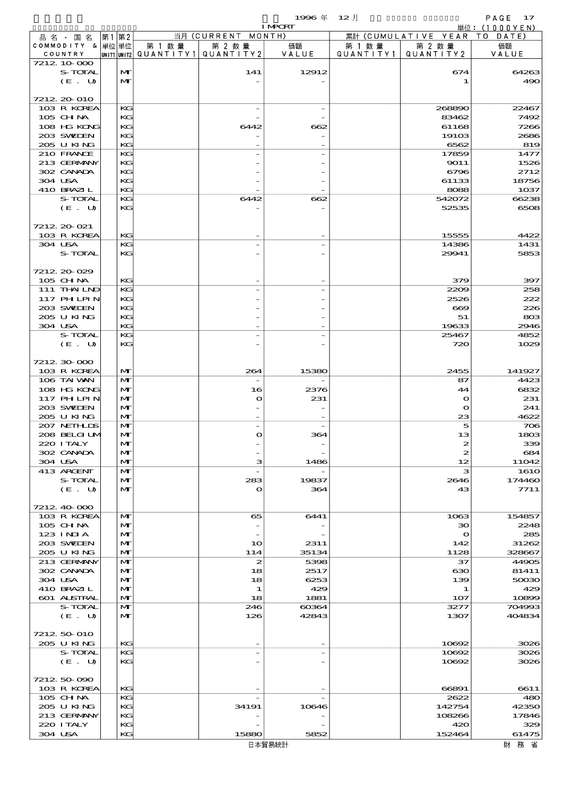$1996 \& 12 \&$ 

|                            |              |        |                                       | <b>I MPORT</b> |         |                              | 単位: (1000YEN)        |
|----------------------------|--------------|--------|---------------------------------------|----------------|---------|------------------------------|----------------------|
| 品 名 ・ 国 名                  | 第1第2         |        | 当月 (CURRENT MONTH)                    |                |         | 累計 (CUMULATIVE YEAR TO DATE) |                      |
| COMMODITY & 単位単位           |              | 第 1 数量 | 第 2 数量                                | 価額             | 第 1 数 量 | 第 2 数量                       | 価額                   |
| COUNTRY<br>7212 10 000     |              |        | UNIT1 UNIT2  QUANT   TY1  QUANT   TY2 | VALUE          |         | QUANTITY1   QUANTITY2        | VALUE                |
| S-TOTAL                    | M            |        | 141                                   | 12912          |         | 674                          | 64263                |
| (E. U)                     | $\mathbf{M}$ |        |                                       |                |         | 1                            | 490                  |
|                            |              |        |                                       |                |         |                              |                      |
| 7212 20 010                |              |        |                                       |                |         |                              |                      |
| 103 R KOREA<br>105 CH NA   | KG<br>KG     |        |                                       |                |         | 268890<br>83462              | 22467<br>7492        |
| 108 HG KONG                | KG           |        | 6442                                  | 662            |         | 61168                        | 7266                 |
| 203 SWIDEN                 | KG           |        |                                       |                |         | 191 <sub>OS</sub>            | 2686                 |
| 205 U KING                 | KG           |        |                                       |                |         | 6562                         | 819                  |
| 210 FRANCE                 | KG           |        |                                       |                |         | 17859                        | 1477                 |
| 213 GERMANY                | KG           |        |                                       |                |         | 9011                         | 1526                 |
| 302 CANADA                 | KG           |        |                                       |                |         | 6796                         | 2712                 |
| 304 USA                    | KG           |        |                                       |                |         | 61133                        | 18756                |
| 410 BRAZIL                 | KG           |        |                                       |                |         | 8088                         | 1 <sub>0</sub> 37    |
| S-TOTAL<br>(E. U)          | KG<br>KG     |        | 6442                                  | 662            |         | 542072<br>52535              | 66238<br>6508        |
|                            |              |        |                                       |                |         |                              |                      |
| 7212 20 021                |              |        |                                       |                |         |                              |                      |
| 103 R KOREA                | KG           |        |                                       |                |         | 15555                        | 4422                 |
| 304 USA                    | KG           |        |                                       |                |         | 14386                        | 1431                 |
| S-TOTAL                    | KG           |        |                                       |                |         | 29941                        | 5853                 |
|                            |              |        |                                       |                |         |                              |                      |
| 7212 20 029                |              |        |                                       |                |         |                              |                      |
| 105 CH NA                  | KG           |        |                                       |                |         | 379                          | 397                  |
| 111 THAILND<br>117 PHLPIN  | KG<br>KG     |        |                                       |                |         | 2209<br>2526                 | 258<br>222           |
| 203 SWIDEN                 | KG           |        |                                       |                |         | $\bf{669}$                   | 226                  |
| 205 U KING                 | KG           |        |                                       |                |         | 51                           | 80B                  |
| 304 USA                    | KG           |        |                                       |                |         | 19633                        | 2946                 |
| S-TOTAL                    | KG           |        |                                       |                |         | 25467                        | 4852                 |
| (E. U)                     | KG           |        |                                       |                |         | 720                          | 1029                 |
|                            |              |        |                                       |                |         |                              |                      |
| 7212 30 000                |              |        |                                       |                |         |                              |                      |
| 103 R KOREA<br>106 TAI VAN | M<br>M       |        | 264                                   | 15380          |         | 2455<br>87                   | 141927<br>4423       |
| 108 HG KONG                | M            |        | 16                                    | 2376           |         | 44                           | 6832                 |
| 117 PHLPIN                 | M            |        | O                                     | 231            |         | $\mathbf o$                  | 231                  |
| 203 SWIDEN                 | M            |        |                                       |                |         | $\mathbf o$                  | 241                  |
| 205 U KING                 | M            |        |                                       |                |         | 23                           | 4622                 |
| 207 NETHLIS                | M            |        |                                       |                |         | 5                            | 706                  |
| 208 BELGI UM               | M            |        | $\mathbf o$                           | 364            |         | 13                           | 1803                 |
| 220 I TALY                 | $\mathbf{M}$ |        |                                       |                |         |                              | 339                  |
| 302 CANADA                 | M            |        |                                       |                |         | $\boldsymbol{z}$             | 684                  |
| 304 USA<br>413 ARGENT      | M<br>M       |        | з                                     | 1486           |         | 12<br>з                      | 11042<br><b>1610</b> |
| S-TOTAL                    | M            |        | 283                                   | 19837          |         | 2646                         | 174460               |
| (E. U)                     | M            |        | $\mathbf{o}$                          | 364            |         | 43                           | 7711                 |
|                            |              |        |                                       |                |         |                              |                      |
| 7212 40 000                |              |        |                                       |                |         |                              |                      |
| 103 R KOREA                | M            |        | 65                                    | 6441           |         | 1063                         | 154857               |
| 105 CHNA                   | M            |        | $\overline{\phantom{0}}$              |                |         | $\infty$                     | 2248                 |
| 123 INIA                   | M            |        |                                       |                |         | $\bullet$                    | 285                  |
| 203 SWIDEN<br>205 U KING   | M<br>M       |        | 10<br>114                             | 2311<br>35134  |         | 142<br>1128                  | 31262<br>328667      |
| 213 GERMANY                | M            |        | 2                                     | 5398           |         | 37                           | 44905                |
| 302 CANADA                 | M            |        | 18                                    | 2517           |         | ഓ                            | 81411                |
| 304 USA                    | M            |        | 18                                    | 6253           |         | 139                          | 50030                |
| 410 BRAZIL                 | M            |        | 1                                     | 429            |         | 1                            | 429                  |
| 601 ALSTRAL                | M            |        | 18                                    | 1881           |         | 107                          | 10899                |
| S-TOTAL                    | M            |        | 246                                   | 60364          |         | 3277                         | 704993               |
| (E. U)                     | $\mathbf{M}$ |        | 126                                   | 42843          |         | 1307                         | 404834               |
| 7212 50 010                |              |        |                                       |                |         |                              |                      |
| 205 U KING                 | KG           |        |                                       |                |         | 10692                        | 3026                 |
| S-TOTAL                    | KG           |        |                                       |                |         | 10692                        | 3026                 |
| (E. U)                     | KG           |        |                                       |                |         | 10692                        | 3026                 |
|                            |              |        |                                       |                |         |                              |                      |
| 721250000                  |              |        |                                       |                |         |                              |                      |
| 103 R KOREA                | KG           |        |                                       |                |         | 66891                        | 6611                 |
| 105 CH NA                  | КG           |        |                                       |                |         | 2622                         | 480                  |
| 205 U KING                 | KС           |        | 34191                                 | 10646          |         | 142754                       | 42350                |
| 213 GERMANY<br>220 I TALY  | KG<br>KG     |        |                                       |                |         | 108266<br>420                | 17846<br>329         |
| 304 USA                    | KG           |        | 15880                                 | 5852           |         | 152464                       | 61475                |
|                            |              |        |                                       |                |         |                              |                      |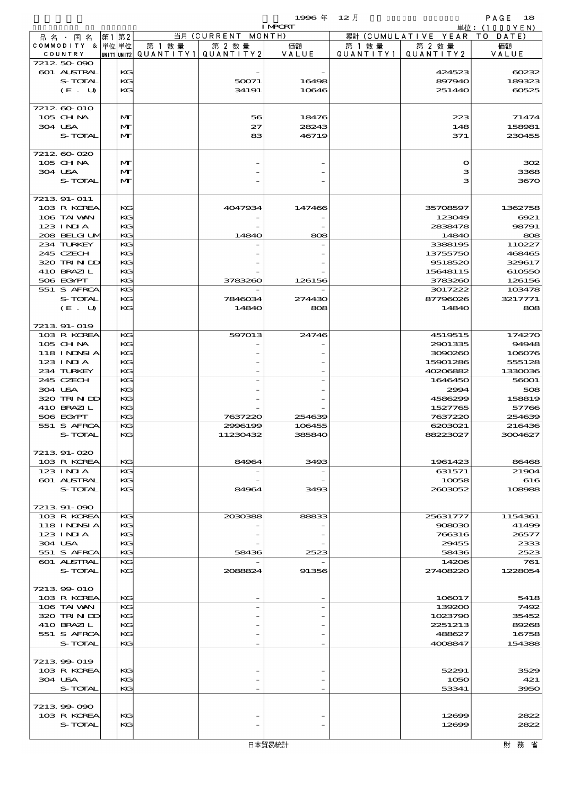$1996 \& 12 \rightarrow$  PAGE 18

|                    |    |              |                                       |                    | <b>I MPORT</b> |        |                              | 単位: (1000YEN) |
|--------------------|----|--------------|---------------------------------------|--------------------|----------------|--------|------------------------------|---------------|
| 品名・国名              | 第1 | 第2           |                                       | 当月 (CURRENT MONTH) |                |        | 累計 (CUMULATIVE YEAR TO DATE) |               |
| COMMODITY & 単位単位   |    |              | 第 1 数量                                | 第 2 数量             | 価額             | 第 1 数量 | 第 2 数量                       | 価額            |
| COUNTRY            |    |              | UNIT1 UNIT2  QUANT   TY1  QUANT   TY2 |                    | VALUE          |        | QUANTITY1   QUANTITY2        | VALUE         |
| 7212 50 090        |    |              |                                       |                    |                |        |                              |               |
| <b>601 ALSTRAL</b> |    | KG           |                                       |                    |                |        | 424523                       | 60232         |
| S-TOTAL            |    | KG           |                                       | 50071              | 16498          |        | 897940                       | 189323        |
| (E. U)             |    | KG           |                                       | 34191              | 10646          |        | 251440                       | 60525         |
|                    |    |              |                                       |                    |                |        |                              |               |
| 7212 60 010        |    |              |                                       |                    |                |        |                              |               |
| 105 CHNA           |    | $\mathbf{M}$ |                                       | 56                 | 18476          |        | 223                          | 71474         |
| 304 USA            |    | $\mathbf{M}$ |                                       | 27                 | 28243          |        | 148                          | 158981        |
| S-TOTAL            |    | $\mathbf{M}$ |                                       | 83                 | 46719          |        | 371                          | 230455        |
|                    |    |              |                                       |                    |                |        |                              |               |
| 7212 60 020        |    |              |                                       |                    |                |        |                              |               |
| 105 CHNA           |    | $\mathbf{M}$ |                                       |                    |                |        | $\mathbf o$                  | 302           |
| 304 USA            |    | $\mathbf{M}$ |                                       |                    |                |        | з                            | 3368          |
| S-TOTAL            |    | $\mathbf{M}$ |                                       |                    |                |        | з                            | 3670          |
|                    |    |              |                                       |                    |                |        |                              |               |
| 7213 91-011        |    |              |                                       |                    |                |        |                              |               |
| 103 R KOREA        |    | KG           |                                       | 4047934            | 147466         |        | 35708597                     | 1362758       |
| 106 TAI VAN        |    | KG           |                                       |                    |                |        | 123049                       | 6921          |
|                    |    |              |                                       |                    |                |        |                              |               |
| $123$ INJA         |    | KG<br>KG     |                                       | 14840              |                |        | 2838478                      | 98791         |
| 208 BELGI UM       |    |              |                                       |                    | 808            |        | 14840                        | 808           |
| 234 TURKEY         |    | KG           |                                       |                    |                |        | 3388195                      | 110227        |
| 245 CZECH          |    | KG           |                                       |                    |                |        | 13755750                     | 468465        |
| 320 TRINDO         |    | KG           |                                       |                    |                |        | 9518520                      | 329617        |
| 410 BRAZIL         |    | KG           |                                       |                    |                |        | 15648115                     | 610550        |
| 506 EGYPT          |    | KG           |                                       | 3783260            | 126156         |        | 3783260                      | 126156        |
| 551 S AFRCA        |    | KG           |                                       |                    |                |        | 3017222                      | 103478        |
| S-TOTAL            |    | KG           |                                       | 7846034            | 274430         |        | 87796026                     | 3217771       |
| (E. U)             |    | KG           |                                       | 1484O              | 808            |        | 14840                        | 808           |
|                    |    |              |                                       |                    |                |        |                              |               |
| 7213 91-019        |    |              |                                       |                    |                |        |                              |               |
| 103 R KOREA        |    | KG           |                                       | 597013             | 24746          |        | 4519515                      | 174270        |
| $105$ CHNA         |    | KG           |                                       |                    |                |        | 2901335                      | 94948         |
| 118 I NDSI A       |    | KG           |                                       |                    |                |        | 3090260                      | 108076        |
| $123$ INIA         |    | KG           |                                       |                    |                |        | 15901286                     | 555128        |
| 234 TURKEY         |    | KG           |                                       |                    |                |        | 40206882                     | 1330036       |
| 245 CZECH          |    | KG           |                                       |                    |                |        | 1646450                      | 56001         |
| 304 USA            |    | KG           |                                       |                    |                |        | 2994                         | 508           |
| 320 TRINDO         |    | KG           |                                       |                    |                |        | 4586299                      | 158819        |
| 410 BRAZIL         |    | KG           |                                       |                    |                |        | 1527765                      | 57766         |
| 506 EGYPT          |    | KG           |                                       | 7637220            | 254639         |        | 7637220                      | 254639        |
| 551 S AFRCA        |    | KG           |                                       | 2996199            | 106455         |        | 6203021                      | 216436        |
| S-TOTAL            |    | KG           |                                       | 11230432           | 385840         |        | 88223027                     | 3004627       |
|                    |    |              |                                       |                    |                |        |                              |               |
| 7213.91-020        |    |              |                                       |                    |                |        |                              |               |
|                    |    | KG           |                                       | 84964              |                |        |                              |               |
| 103 R KOREA        |    | KG           |                                       |                    | 3493           |        | 1961423                      | 86468         |
| $123$ INIA         |    |              |                                       |                    |                |        | 631571                       | 21904         |
| <b>601 ALSTRAL</b> |    | KG           |                                       |                    |                |        | 10058                        | 616           |
| S-TOTAL            |    | KG           |                                       | 84964              | 3493           |        | 2603052                      | 108988        |
|                    |    |              |                                       |                    |                |        |                              |               |
| 7213 91-090        |    |              |                                       |                    |                |        |                              |               |
| 103 R KOREA        |    | KG           |                                       | 2030388            | 88833          |        | 25631777                     | 1154361       |
| <b>118 INNSIA</b>  |    | KG           |                                       |                    |                |        | 908030                       | 41499         |
| $123$ INIA         |    | KG           |                                       |                    |                |        | 766316                       | 26577         |
| 304 USA            |    | KG           |                                       |                    |                |        | 29455                        | 2333          |
| 551 S AFRCA        |    | KG           |                                       | 58436              | 2523           |        | 58436                        | 2523          |
| 601 ALSTRAL        |    | KG           |                                       |                    |                |        | 14206                        | 761           |
| S-TOTAL            |    | KG           |                                       | 2088824            | 91356          |        | 27408220                     | 1228054       |
|                    |    |              |                                       |                    |                |        |                              |               |
| 7213 99 010        |    |              |                                       |                    |                |        |                              |               |
| 103 R KOREA        |    | KG           |                                       |                    |                |        | 106017                       | 5418          |
| 106 TAI VAN        |    | KG           |                                       |                    |                |        | 139200                       | 7492          |
| 320 TRINDO         |    | KG           |                                       |                    |                |        | 1023790                      | 35452         |
| 410 BRAZIL         |    | KG           |                                       |                    |                |        | 2251213                      | 89268         |
| 551 S AFRCA        |    | KG           |                                       |                    |                |        | 488627                       | 16758         |
| S-TOTAL            |    | KG           |                                       |                    |                |        | 4008847                      | 154388        |
|                    |    |              |                                       |                    |                |        |                              |               |
| 7213 99 019        |    |              |                                       |                    |                |        |                              |               |
| 103 R KOREA        |    | KG           |                                       |                    |                |        | 52291                        | 3529          |
| 304 USA            |    | KG           |                                       |                    |                |        | 1050                         | 421           |
| S-TOTAL            |    | KG           |                                       |                    |                |        | 53341                        | 3950          |
|                    |    |              |                                       |                    |                |        |                              |               |
| 7213 99 090        |    |              |                                       |                    |                |        |                              |               |
| 103 R KOREA        |    | KG           |                                       |                    |                |        | 12699                        | 2822          |
| S-TOTAL            |    | KG           |                                       |                    |                |        | 12699                        | 2822          |
|                    |    |              |                                       |                    |                |        |                              |               |
|                    |    |              |                                       |                    |                |        |                              |               |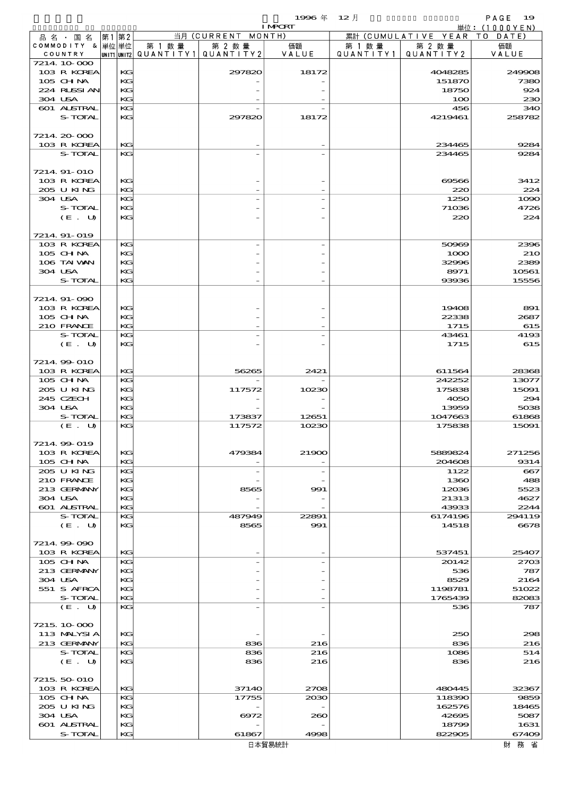$1996 \nrightarrow \quad 12 \nrightarrow$  PAGE 19

|                              |       |          |        |                                                                                                                    | <b>I MPORT</b>           |                      |                              | 単位: (1000YEN)  |
|------------------------------|-------|----------|--------|--------------------------------------------------------------------------------------------------------------------|--------------------------|----------------------|------------------------------|----------------|
| 品名・国名                        | 第1 第2 |          |        | 当月 (CURRENT MONTH)                                                                                                 |                          |                      | 累計 (CUMULATIVE YEAR TO DATE) |                |
| COMMODITY & 単位 単位<br>COUNTRY |       |          | 第 1 数量 | 第 2 数量<br>$\lvert \textsf{UNIT1} \rvert \textsf{UNIT2} \rvert \texttt{QUANTITY1} \rvert \texttt{QUANTITY2} \rvert$ | 価額<br>VALUE              | 第 1 数 量<br>QUANTITY1 | 第 2 数量<br>QUANTITY 2         | 価額<br>VALUE    |
| 7214 10 000                  |       |          |        |                                                                                                                    |                          |                      |                              |                |
| 103 R KOREA                  |       | KG       |        | 297820                                                                                                             | 18172                    |                      | 4048285                      | 249908         |
| 105 CHNA                     |       | KG       |        |                                                                                                                    |                          |                      | 151870                       | 7380           |
| 224 RUSSI AN                 |       | KG       |        |                                                                                                                    |                          |                      | 18750                        | 924            |
| 304 USA<br>601 ALSTRAL       |       | KG<br>KG |        |                                                                                                                    |                          |                      | 100<br>456                   | 230<br>340     |
| S-TOTAL                      |       | KG       |        | 297820                                                                                                             | 18172                    |                      | 4219461                      | 258782         |
|                              |       |          |        |                                                                                                                    |                          |                      |                              |                |
| 7214 20 000                  |       |          |        |                                                                                                                    |                          |                      |                              |                |
| 103 R KOREA                  |       | KG       |        |                                                                                                                    |                          |                      | 234465                       | 9284           |
| S-TOTAL                      |       | KG       |        |                                                                                                                    |                          |                      | 234465                       | 9284           |
| 7214 91-010                  |       |          |        |                                                                                                                    |                          |                      |                              |                |
| 103 R KOREA                  |       | KG       |        |                                                                                                                    |                          |                      | 69566                        | 3412           |
| 205 U KING                   |       | KG       |        |                                                                                                                    |                          |                      | 220                          | 224            |
| 304 USA                      |       | KG       |        |                                                                                                                    |                          |                      | 1250                         | 1090           |
| S-TOTAL                      |       | KG       |        |                                                                                                                    |                          |                      | 71036                        | 4726           |
| (E. U)                       |       | KG       |        |                                                                                                                    |                          |                      | 220                          | 224            |
| 7214 91-019                  |       |          |        |                                                                                                                    |                          |                      |                              |                |
| 103 R KOREA                  |       | KG       |        |                                                                                                                    |                          |                      | 50969                        | 2396           |
| 105 CHNA                     |       | KG       |        |                                                                                                                    |                          |                      | 1000                         | <b>210</b>     |
| 106 TAI VAN                  |       | KG       |        |                                                                                                                    |                          |                      | 32996                        | 2389           |
| 304 USA                      |       | KG       |        |                                                                                                                    |                          |                      | 8971                         | 10561          |
| S-TOTAL                      |       | KG       |        |                                                                                                                    |                          |                      | 93936                        | 15556          |
| 7214 91-090                  |       |          |        |                                                                                                                    |                          |                      |                              |                |
| 103 R KOREA                  |       | KG       |        |                                                                                                                    |                          |                      | 19408                        | 891            |
| 105 CH NA                    |       | KG       |        |                                                                                                                    |                          |                      | 22338                        | 2687           |
| 210 FRANCE                   |       | KG       |        |                                                                                                                    |                          |                      | 1715                         | 615            |
| S-TOTAL                      |       | KG       |        |                                                                                                                    |                          |                      | 43461                        | 4193           |
| (E. U)                       |       | KG       |        |                                                                                                                    |                          |                      | 1715                         | 615            |
| 7214 99 010                  |       |          |        |                                                                                                                    |                          |                      |                              |                |
| 103 R KOREA                  |       | KG       |        | 56265                                                                                                              | 2421                     |                      | 611564                       | 28368          |
| 105 CHNA                     |       | KG       |        |                                                                                                                    |                          |                      | 242252                       | 13077          |
| 205 U KING                   |       | KG       |        | 117572                                                                                                             | 10230                    |                      | 175838                       | 15091          |
| 245 CZECH                    |       | KG       |        |                                                                                                                    |                          |                      | 4050                         | 294            |
| 304 USA<br>S-TOTAL           |       | KG<br>KG |        |                                                                                                                    |                          |                      | 13959                        | 5038           |
| (E. U)                       |       | KG       |        | 173837<br>117572                                                                                                   | 12651<br>10230           |                      | 1047663<br>175838            | 61868<br>15091 |
|                              |       |          |        |                                                                                                                    |                          |                      |                              |                |
| 7214 99 019                  |       |          |        |                                                                                                                    |                          |                      |                              |                |
| 103 R KOREA                  |       | KG       |        | 479384                                                                                                             | 21900                    |                      | 5889824                      | 271256         |
| 105 CH NA                    |       | KG       |        |                                                                                                                    |                          |                      | 204608                       | 9314           |
| 205 U KING<br>210 FRANCE     |       | KG<br>KG |        | $\overline{a}$                                                                                                     | $\overline{\phantom{0}}$ |                      | 1122                         | 667<br>488     |
| 213 GERMANY                  |       | KG       |        | 8565                                                                                                               | 991                      |                      | 1360<br>12036                | 5523           |
| 304 USA                      |       | KG       |        |                                                                                                                    |                          |                      | 21313                        | 4627           |
| 601 ALSTRAL                  |       | KG       |        |                                                                                                                    |                          |                      | 43933                        | 2244           |
| S-TOTAL                      |       | KG       |        | 487949                                                                                                             | 22891                    |                      | 6174196                      | 294119         |
| (E. U)                       |       | KG       |        | 8565                                                                                                               | 991                      |                      | 14518                        | 6678           |
| 7214.99-090                  |       |          |        |                                                                                                                    |                          |                      |                              |                |
| 103 R KOREA                  |       | KG       |        |                                                                                                                    |                          |                      | 537451                       | 25407          |
| 105 CH NA                    |       | KG       |        |                                                                                                                    | $\overline{\phantom{0}}$ |                      | 20142                        | 2703           |
| 213 GERMANY                  |       | KG       |        |                                                                                                                    |                          |                      | 536                          | 787            |
| 304 USA                      |       | KG       |        |                                                                                                                    |                          |                      | 8529                         | 2164           |
| 551 S AFRCA                  |       | KG       |        |                                                                                                                    |                          |                      | 1198781                      | 51022          |
| S-TOTAL<br>(E. U)            |       | KG<br>KG |        |                                                                                                                    |                          |                      | 1765439<br>536               | 82083<br>787   |
|                              |       |          |        |                                                                                                                    |                          |                      |                              |                |
| 7215 10 000                  |       |          |        |                                                                                                                    |                          |                      |                              |                |
| 113 MALYSIA                  |       | KG       |        |                                                                                                                    |                          |                      | 250                          | 298            |
| 213 GERMANY                  |       | KG       |        | 836                                                                                                                | 216                      |                      | 836                          | 216            |
| S-TOTAL                      |       | KG       |        | 836                                                                                                                | 216                      |                      | 1086                         | 514            |
| (E. U)                       |       | KG       |        | 836                                                                                                                | 216                      |                      | 836                          | 216            |
| 7215, 50 010                 |       |          |        |                                                                                                                    |                          |                      |                              |                |
| 103 R KOREA                  |       | KG       |        | 37140                                                                                                              | 2708                     |                      | 480445                       | 32367          |
| 105 CH NA                    |       | KG       |        | 17755                                                                                                              | 2030                     |                      | 118390                       | 9859           |
| 205 U KING                   |       | KG       |        |                                                                                                                    |                          |                      | 162576                       | 18465          |
| 304 USA                      |       | KG       |        | 6972                                                                                                               | 260                      |                      | 42695                        | 5087           |
| 601 ALSTRAL<br>S-TOTAL       |       | KG<br>KG |        | 61867                                                                                                              | 4998                     |                      | 18799<br>822905              | 1631<br>67409  |
|                              |       |          |        |                                                                                                                    |                          |                      |                              |                |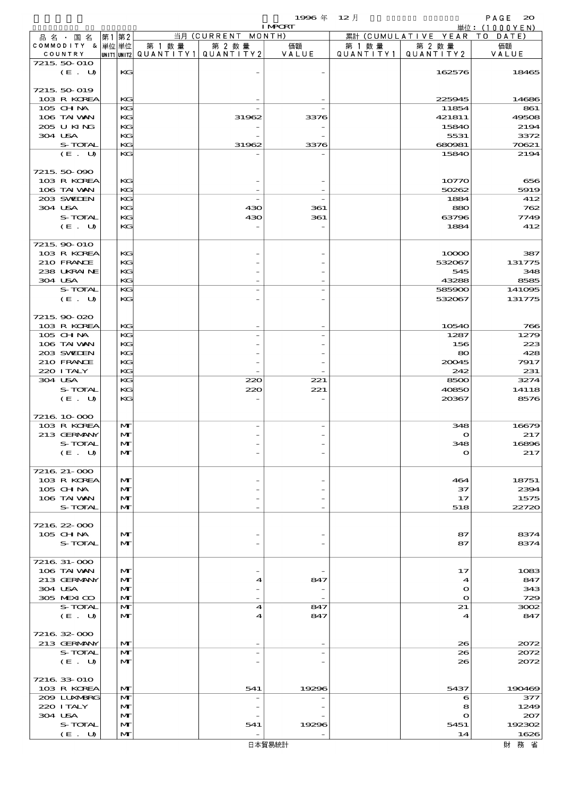|                            |         |      |                              |        | 単位: $(1000YEN)$                       |       |           |                              |               |
|----------------------------|---------|------|------------------------------|--------|---------------------------------------|-------|-----------|------------------------------|---------------|
| 品名・国名                      |         | 第1第2 |                              |        | 当月 (CURRENT MONTH)                    |       |           | 累計 (CUMULATIVE YEAR TO DATE) |               |
| COMMODITY & 単位単位           |         |      |                              | 第 1 数量 | 第 2 数量                                | 価額    | 第 1 数 量   | 第 2 数量                       | 価額            |
| COUNTRY                    |         |      |                              |        | UNIT1 UNIT2  QUANT   TY1  QUANT   TY2 | VALUE | QUANTITY1 | QUANTITY 2                   | VALUE         |
| 7215 50 010                | (E. U)  |      | KG                           |        |                                       |       |           | 162576                       | 18465         |
|                            |         |      |                              |        |                                       |       |           |                              |               |
| 7215 50 019                |         |      |                              |        |                                       |       |           |                              |               |
| 103 R KOREA                |         |      | KG                           |        |                                       |       |           | 225945                       | 14686         |
| 105 CHNA                   |         |      | KG                           |        |                                       |       |           | 11854                        | 861           |
| 106 TAI VAN                |         |      | KG                           |        | 31962                                 | 3376  |           | 421811                       | 49508         |
| 205 U KING                 |         |      | KG                           |        |                                       |       |           | 15840                        | 2194          |
| 304 USA                    |         |      | KG                           |        |                                       |       |           | 5531                         | 3372          |
|                            | S-TOTAL |      | KG                           |        | 31962                                 | 3376  |           | 680981                       | 70621         |
|                            | (E. U)  |      | KG                           |        |                                       |       |           | 15840                        | 2194          |
| 7215 50 090                |         |      |                              |        |                                       |       |           |                              |               |
| 103 R KOREA                |         |      | KG                           |        |                                       |       |           | 10770                        | 656           |
| 106 TAI VAN                |         |      | KG                           |        |                                       |       |           | 50262                        | 5919          |
| 203 SWIEN                  |         |      | KG                           |        |                                       |       |           | 1884                         | 412           |
| 304 USA                    |         |      | KG                           |        | 430                                   | 361   |           | 880                          | 762           |
|                            | S-TOTAL |      | KG                           |        | 430                                   | 361   |           | 63796                        | 7749          |
|                            | (E. U)  |      | KG                           |        |                                       |       |           | 1884                         | 412           |
| 7215 90 010                |         |      |                              |        |                                       |       |           |                              |               |
| 103 R KOREA                |         |      | KG                           |        |                                       |       |           | 10000                        | 387           |
| 210 FRANCE                 |         |      | KG                           |        |                                       |       |           | 532067                       | 131775        |
| 238 UKRAINE                |         |      | KG                           |        |                                       |       |           | 545                          | 348           |
| 304 USA                    |         |      | KG                           |        |                                       |       |           | 43288                        | 8585          |
|                            | S-TOTAL |      | KG                           |        |                                       |       |           | 585900                       | 141095        |
|                            | (E. U)  |      | KG                           |        |                                       |       |           | 532067                       | 131775        |
|                            |         |      |                              |        |                                       |       |           |                              |               |
| 7215 90 020                |         |      |                              |        |                                       |       |           |                              |               |
| 103 R KOREA<br>105 CH NA   |         |      | KG<br>KG                     |        |                                       |       |           | 10540<br>1287                | 766<br>1279   |
| 106 TAI VAN                |         |      | KG                           |        |                                       |       |           | 156                          | 223           |
| 203 SWIEN                  |         |      | KG                           |        |                                       |       |           | 80                           | 428           |
| 210 FRANCE                 |         |      | KG                           |        |                                       |       |           | 20045                        | 7917          |
| 220 I TALY                 |         |      | KG                           |        |                                       |       |           | 242                          | 231           |
| 304 USA                    |         |      | KG                           |        | 220                                   | 221   |           | 8500                         | 3274          |
|                            | S-TOTAL |      | KG                           |        | 220                                   | 221   |           | 40850                        | 14118         |
|                            | (E. U)  |      | KG                           |        |                                       |       |           | 20367                        | 8576          |
| 7216 10 000                |         |      |                              |        |                                       |       |           |                              |               |
| 103 R KOREA                |         |      | M                            |        |                                       |       |           | 348                          | 16679         |
| 213 GERMANY                |         |      | $\mathbf{M}$                 |        |                                       |       |           | $\mathbf o$                  | 217           |
| S-TOTAL                    |         |      | $\mathbf{M}$                 |        |                                       |       |           | 348                          | 16896         |
|                            | (E. U)  |      | M                            |        |                                       |       |           | $\mathbf o$                  | 217           |
|                            |         |      |                              |        |                                       |       |           |                              |               |
| 7216 21-000                |         |      |                              |        |                                       |       |           |                              |               |
| 103 R KOREA                |         |      | $\mathbf{M}$                 |        |                                       |       |           | 464                          | 18751         |
| 105 CHNA                   |         |      | $\mathbf{M}$                 |        |                                       |       |           | 37                           | 2394          |
| 106 TAI VAN                | S-TOTAL |      | M<br>$\mathbf{M}$            |        |                                       |       |           | 17<br>518                    | 1575<br>22720 |
|                            |         |      |                              |        |                                       |       |           |                              |               |
| 7216 22 000                |         |      |                              |        |                                       |       |           |                              |               |
| 105 CHNA                   |         |      | $\mathbf{M}$                 |        |                                       |       |           | 87                           | 8374          |
|                            | S-TOTAL |      | $\mathbf{M}$                 |        |                                       |       |           | 87                           | 8374          |
|                            |         |      |                              |        |                                       |       |           |                              |               |
| 7216 31-000                |         |      |                              |        |                                       |       |           |                              |               |
| 106 TAI VAN<br>213 GERMANY |         |      | $\mathbf{M}$<br>$\mathbf{M}$ |        | 4                                     | 847   |           | 17                           | 1083<br>847   |
| 304 USA                    |         |      | M                            |        |                                       |       |           | 4<br>$\mathbf o$             | 343           |
| 305 MEXICO                 |         |      | $\mathbf{M}$                 |        |                                       |       |           | $\Omega$                     | 729           |
|                            | S-TOTAL |      | M                            |        | 4                                     | 847   |           | 21                           | 3002          |
|                            | (E. U)  |      | $\mathbf{M}$                 |        | 4                                     | 847   |           | 4                            | 847           |
|                            |         |      |                              |        |                                       |       |           |                              |               |
| 7216 32 000                |         |      |                              |        |                                       |       |           |                              |               |
| 213 GERMANY                |         |      | $\mathbf{M}$                 |        |                                       |       |           | 26                           | 2072          |
|                            | S-TOTAL |      | M<br>$\mathbf{M}$            |        |                                       |       |           | 26<br>26                     | 2072          |
|                            | (E. U)  |      |                              |        |                                       |       |           |                              | 2072          |
| 7216 33 010                |         |      |                              |        |                                       |       |           |                              |               |
| 103 R KOREA                |         |      | $\mathbf{M}$                 |        | 541                                   | 19296 |           | 5437                         | 190469        |
| 2009 LUNABRG               |         |      | M                            |        |                                       |       |           | 6                            | 377           |
| 220 I TALY                 |         |      | $\mathbf{M}$                 |        |                                       |       |           | 8                            | 1249          |
| 304 USA                    |         |      | $\mathbf{M}$                 |        |                                       |       |           | $\mathbf o$                  | 207           |
|                            | S-TOTAL |      | $\mathbf{M}$                 |        | 541                                   | 19296 |           | 5451                         | 192302        |
|                            | (E. U)  |      | $\mathbf{M}$                 |        |                                       |       |           | 14                           | 1626          |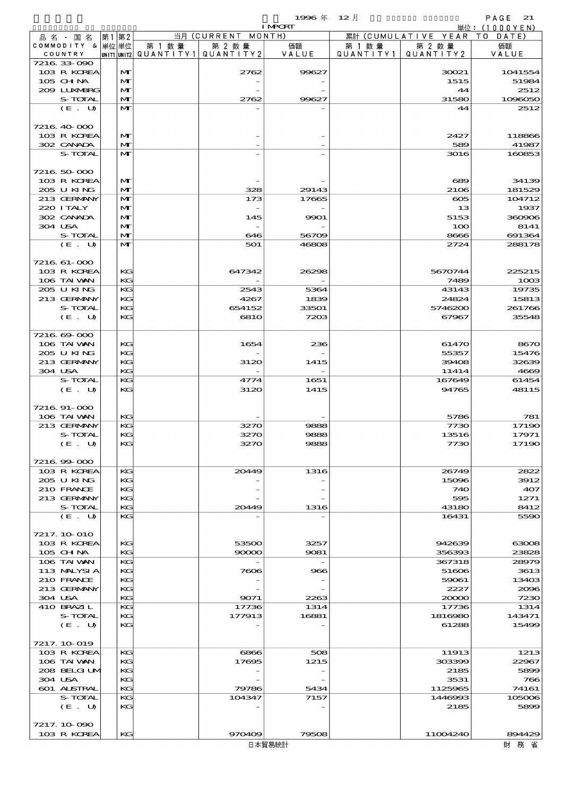$1996 \nless 12 \nless 12$ 

|                            |      |              |        |                                       | <b>I MPORT</b> |         |                              | 単位: (1000YEN)    |
|----------------------------|------|--------------|--------|---------------------------------------|----------------|---------|------------------------------|------------------|
| 品 名 ・ 国 名                  | 第1第2 |              |        | 当月 (CURRENT MONTH)                    |                |         | 累計 (CUMULATIVE YEAR TO DATE) |                  |
| COMMODITY & 単位単位           |      |              | 第 1 数量 | 第 2 数量                                | 価額             | 第 1 数 量 | 第 2 数量                       | 価額               |
| COUNTRY                    |      |              |        | UNIT1 UNIT2  QUANT   TY1  QUANT   TY2 | VALUE          |         | QUANTITY1   QUANTITY2        | VALUE            |
| 7216 33 090<br>103 R KOREA |      | M            |        |                                       | 99627          |         |                              |                  |
| 105 CHNA                   |      | $\mathbf{M}$ |        | 2762                                  |                |         | 30021<br>1515                | 1041554<br>51984 |
| 209 LUNABRG                |      | $\mathbf{M}$ |        |                                       |                |         | 44                           | 2512             |
| S-TOTAL                    |      | M            |        | 2762                                  | 99627          |         | 31580                        | 1096050          |
| (E. U)                     |      | M            |        |                                       |                |         | 44                           | 2512             |
|                            |      |              |        |                                       |                |         |                              |                  |
| 7216 40 000                |      |              |        |                                       |                |         |                              |                  |
| 103 R KOREA                |      | M            |        |                                       |                |         | 2427                         | 118866           |
| 302 CANADA                 |      | M            |        |                                       |                |         | 589                          | 41987            |
| <b>S-TOTAL</b>             |      | M            |        |                                       |                |         | 3016                         | 160853           |
|                            |      |              |        |                                       |                |         |                              |                  |
| 7216 50 000                |      |              |        |                                       |                |         |                              |                  |
| 103 R KOREA                |      | $\mathbf{M}$ |        |                                       |                |         | 689                          | 34139            |
| 205 U KING                 |      | $\mathbf{M}$ |        | 328                                   | 29143          |         | 2106                         | 181529           |
| 213 GERMANY                |      | M            |        | 173                                   | 17665          |         | $\infty$                     | 104712           |
| 220 I TALY                 |      | M            |        |                                       |                |         | 13                           | 1937             |
| 302 CANADA                 |      | M            |        | 145                                   | 9901           |         | 5153                         | 360906           |
| 304 USA                    |      | M            |        |                                       |                |         | 100                          | 8141             |
| S-TOTAL                    |      | $\mathbf{M}$ |        | 646                                   | 56709          |         | 8666                         | 691364           |
| (E. U)                     |      | M            |        | 501                                   | 46808          |         | 2724                         | 288178           |
|                            |      |              |        |                                       |                |         |                              |                  |
| 7216 61-000                |      |              |        |                                       |                |         |                              |                  |
| 103 R KOREA                |      | KG           |        | 647342                                | 26298          |         | 5670744                      | 225215           |
| 106 TAI VAN                |      | KG           |        |                                       |                |         | 7489                         | 1003             |
| 205 U KING                 |      | KG           |        | 2543                                  | 5364           |         | 43143                        | 19735            |
| 213 GERMANY                |      | KG           |        | 4267                                  | 1839           |         | 24824                        | 15813            |
| S-TOTAL                    |      | KG           |        | 654152                                | 33501          |         | 5746200                      | 261766           |
| (E. U)                     |      | KG           |        | 681O                                  | 7203           |         | 67967                        | 35548            |
|                            |      |              |        |                                       |                |         |                              |                  |
| 7216 69 000                |      |              |        |                                       |                |         |                              |                  |
| 106 TAI WAN                |      | KG           |        | 1654                                  | 236            |         | 61470                        | 8670             |
| 205 U KING                 |      | KG           |        |                                       |                |         | 55357                        | 15476            |
| 213 GERMANY                |      | KG           |        | 3120                                  | 1415           |         | 39408                        | 32639            |
| 304 USA                    |      | KG           |        |                                       |                |         | 11414                        | 4669             |
| S-TOTAL                    |      | KG           |        | 4774                                  | 1651           |         | 167649                       | 61454            |
| (E. U)                     |      | KG           |        | 3120                                  | 1415           |         | 94765                        | 48115            |
|                            |      |              |        |                                       |                |         |                              |                  |
| 7216 91-000                |      |              |        |                                       |                |         |                              |                  |
| 106 TAI VAN                |      | KG           |        |                                       |                |         | 5786                         | 781              |
| 213 GERMANY                |      | KG           |        | 3270                                  | 9888           |         | 7730                         | 17190            |
| S-TOTAL                    |      | KG           |        | 3270                                  | 9888           |         | 13516                        | 17971            |
| (E. U)                     |      | KG           |        | 3270                                  | 9888           |         | 7730                         | 17190            |
|                            |      |              |        |                                       |                |         |                              |                  |
| 7216.99.000                |      |              |        |                                       |                |         |                              |                  |
| 103 R KOREA                |      | KG           |        | 20449                                 | 1316           |         | 26749                        | 2822             |
| 205 U KING                 |      | KG           |        |                                       |                |         | 15096                        | 3912             |
| 210 FRANCE                 |      | KG           |        |                                       |                |         | 740                          | 407              |
| 213 GERMANY                |      | КG           |        |                                       |                |         | 595                          | 1271             |
| S-TOTAL                    |      | KG           |        | 20449                                 | 1316           |         | 43180                        | 8412             |
| (E. U)                     |      | KG           |        |                                       |                |         | 16431                        | 5590             |
|                            |      |              |        |                                       |                |         |                              |                  |
| 7217. 10 010               |      |              |        |                                       |                |         |                              |                  |
| 103 R KOREA                |      | КG           |        | 53500                                 | 3257           |         | 942639                       | 63008            |
| $105$ CHNA                 |      | KG           |        | 90000                                 | 9081           |         | 356393                       | 23828            |
| 106 TAI VAN                |      | KG           |        |                                       |                |         | 367318                       | 28979            |
| 113 MALYSIA                |      | KG           |        | 7606                                  | 966            |         | 51606                        | 3613             |
| 210 FRANCE<br>213 GERMANY  |      | KG           |        |                                       |                |         | 59061<br>2227                | 13403            |
| 304 USA                    |      | КG<br>KG     |        |                                       | 2263           |         |                              | 2096             |
| 410 BRAZIL                 |      | KG           |        | 9071<br>17736                         | 1314           |         | 20000<br>17736               | 7230<br>1314     |
| S-TOTAL                    |      | KG           |        | 177913                                | 16881          |         | 1816980                      |                  |
| (E. U)                     |      | KG           |        |                                       |                |         | 61288                        | 143471           |
|                            |      |              |        |                                       |                |         |                              | 15499            |
| 7217. 10 019               |      |              |        |                                       |                |         |                              |                  |
| 103 R KOREA                |      | KG           |        | 6866                                  | 508            |         | 11913                        | 1213             |
| 106 TAI VAN                |      | KG           |        | 17695                                 | 1215           |         | 303399                       | 22967            |
| 208 BELGI UM               |      | KG           |        |                                       |                |         | 2185                         | 5899             |
| 304 USA                    |      | KG           |        |                                       |                |         | 3531                         | 766              |
| 601 ALSTRAL                |      | KG           |        | 79786                                 | 5434           |         | 1125965                      | 74161            |
| S-TOTAL                    |      | KG           |        | 104347                                | 7157           |         | 1446993                      | 105006           |
| (E. U)                     |      | KG           |        |                                       |                |         | 2185                         | 5899             |
|                            |      |              |        |                                       |                |         |                              |                  |
| 7217.10.090                |      |              |        |                                       |                |         |                              |                  |
| 103 R KOREA                |      | KG           |        | 970409                                | 79508          |         | 11004240                     | 894429           |
|                            |      |              |        |                                       |                |         |                              |                  |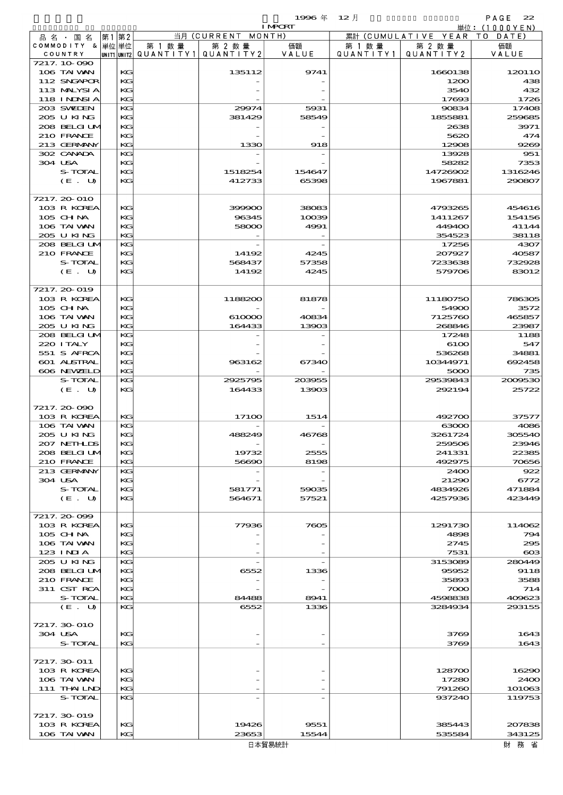|                         |             |    |           |            | 1996年 12月      |                   |            | PAGE<br>22  |
|-------------------------|-------------|----|-----------|------------|----------------|-------------------|------------|-------------|
|                         |             |    |           |            | <b>I MPORT</b> |                   | 単位:        | (1000YEN)   |
| 品名・<br>国名               | 第1          | 第2 |           | 当月(CURRENT | MONTH)         | (CUMULATIVE<br>累計 | YEAR       | T O<br>DATE |
| <b>COMMODITY</b><br>- & | 単位 単位       |    | 第 1 数量    | 第 2 数量     | 価額             | 第 1 数量            | 第 2 数量     | 価額          |
| COUNTRY                 | UNIT1 UNIT2 |    | QUANTITY1 | QUANTITY 2 | VALUE          | QUANTITY1         | QUANTITY 2 | VALUE       |
| 7217.10.090             |             |    |           |            |                |                   |            |             |
| 106 TAI VAN             |             | KG |           | 135112     | 9741           |                   | 1660138    | 12011O      |
| 112 SNGAPOR             |             | KG |           |            |                |                   | 1200       | 438         |
| 113 MALYSIA             |             | KG |           |            |                |                   | 3540       | 432         |
| <b>118 INDSIA</b>       |             | KG |           |            |                |                   | 17693      | 1726        |
| 203 SWIDEN              |             | KG |           | 29974      | 5931           |                   | 90834      | 17408       |
| 205 U KING              |             | KG |           | 381429     | 58549          |                   | 1855881    | 259685      |
| 208 BELGI UM            |             | KG |           |            |                |                   | 2638       | 3971        |
| 210 FRANCE              |             | KG |           |            |                |                   | 5620       | 474         |
| 213 GERMANY             |             | KG |           | 1330       | 918            |                   | 12908      | 9269        |
| 302 CANADA              |             | KG |           |            |                |                   | 13928      | 951         |
| 304 USA                 |             | KG |           |            |                |                   | 58282      | 7353        |
| S-TOTAL                 |             | KG |           | 1518254    | 154647         |                   | 14726902   | 1316246     |
| (E. U)                  |             | KG |           | 412733     | 65398          |                   | 1967881    | 290807      |
|                         |             |    |           |            |                |                   |            |             |
| 7217, 20 010            |             |    |           |            |                |                   |            |             |
| 103 R KOREA             |             | KG |           | 399900     | 38083          |                   | 4793265    | 454616      |
| $105$ CHNA              |             | KG |           | 96345      | 10039          |                   | 1411267    | 154156      |
| 106 TAI VAN             |             | KG |           | 58000      | 4991           |                   | 449400     | 41144       |
|                         |             |    |           |            |                |                   |            |             |

| 302 CANADA   | KG |         |        | 13928    | 951           |
|--------------|----|---------|--------|----------|---------------|
| 304 USA      | KG |         |        | 58282    | 7353          |
| S-TOTAL      | KG | 1518254 | 154647 | 14726902 | 1316246       |
| (E. U)       | KG | 412733  | 65398  | 1967881  | 290807        |
|              |    |         |        |          |               |
| 7217.20-010  |    |         |        |          |               |
| 103 R KOREA  | KG | 399900  | 38083  | 4793265  | 454616        |
| 105 CH NA    | KG | 96345   | 10039  | 1411267  | 154156        |
| 106 TAI VAN  | KG | 58000   | 4991   | 449400   | 41144         |
| 205 U KING   | KG |         |        | 354523   | 38118         |
| 208 BELGI UM | KG |         |        | 17256    | 4307          |
| 210 FRANCE   | KG | 14192   | 4245   | 207927   | 40587         |
| S-TOTAL      | KG | 568437  | 57358  | 7233638  | 732928        |
| (E. U)       | KG | 14192   | 4245   | 579706   | 83012         |
|              |    |         |        |          |               |
| 7217.20-019  |    |         |        |          |               |
| 103 R KOREA  | KG | 1188200 | 81878  | 11180750 | <b>786305</b> |
| 105 CH NA    | KG |         |        | 54900    | 3572          |
| 106 TAI VAN  | KG | 610000  | 40834  | 7125760  | 465857        |
| 205 U KING   | KG | 164433  | 13903  | 268846   | 23987         |
| 208 BELGI UM | KG |         |        | 17248    | 1188          |
| 220 I TALY   | KG |         |        | 6100     | 547           |
| 551 S AFRCA  | KG |         |        | 536268   | 34881         |
| 601 ALSTRAL  | KG | 963162  | 67340  | 10344971 | 692458        |
| 606 NEWELD   | KG |         |        | 5000     | 735           |
| S-TOTAL      | KG | 2925795 | 203955 | 29539843 | 2009530       |
| (E. U)       | KG | 164433  | 13903  | 292194   | 25722         |
|              |    |         |        |          |               |
| 7217.20-090  |    |         |        |          |               |
| 103 R KOREA  | KG | 17100   | 1514   | 492700   | 37577         |
| 106 TAI VAN  | KG |         |        | 63000    | 4086          |
| 205 U KING   | KG | 488249  | 46768  | 3261724  | 305540        |
| 207 NETHLIS  | KG |         |        | 259506   | 23946         |
| 208 BELGI UM | KG | 19732   | 2555   | 241331   | 22385         |
| 210 FRANCE   | KG | 56690   | 8198   | 492975   | 70656         |
| 213 GERMANY  | KG |         |        | 2400     | 922           |
| 304 USA      | KG |         |        | 21290    | 6772          |
| S-TOTAL      | KG | 581771  | 59035  | 4834926  | 471884        |
| (E. U)       | KG | 564671  | 57521  | 4257936  | 423449        |
| 7217.20-099  |    |         |        |          |               |
| 103 R KOREA  | KG | 77936   | 7605   | 1291730  | 114062        |
| 105 CH NA    | KG |         |        | 4898     | 794           |
| 106 TAI VAN  | KG |         |        | 2745     | 295           |
| 123 INIA     | KС |         |        | 7531     | $\infty$      |
| 205 U KING   | KG |         |        | 3153089  | 280449        |
| 208 BELGI UN | KG | 6552    | 1336   | 95952    | 9118          |
| 210 FRANCE   | KG |         |        | 35893    | 3588          |
| 311 CST RCA  | KG |         |        | 7000     | 714           |
| S-TOTAL      | KG | 84488   | 8941   | 4598838  | 409623        |
| (E. U)       | KG | 6552    | 1336   | 3284934  | 293155        |
|              |    |         |        |          |               |
| 7217.30-010  |    |         |        |          |               |
| 304 USA      | KC |         |        | 3769     | 1643          |
| S-TOTAL      | KG |         |        | 3769     | 1643          |
|              |    |         |        |          |               |
| 7217. 30 011 |    |         |        |          |               |
| 103 R KOREA  | KG |         |        | 128700   | 16290         |
| 106 TAI VAN  | KC |         |        | 17280    | 2400          |
| 111 THAILND  | KG |         |        | 791260   | 101063        |
| S-TOTAL      | KC |         |        | 937240   | 119753        |
|              |    |         |        |          |               |
| 7217.30-019  |    |         |        |          |               |
| 103 R KOREA  | KG | 19426   | 9551   | 385443   | 207835        |
| 106 TAI VAN  | KG | 23653   | 15544  | 535584   | 343125        |
|              |    |         | 日本貿易統計 |          | 財 務 省         |
|              |    |         |        |          |               |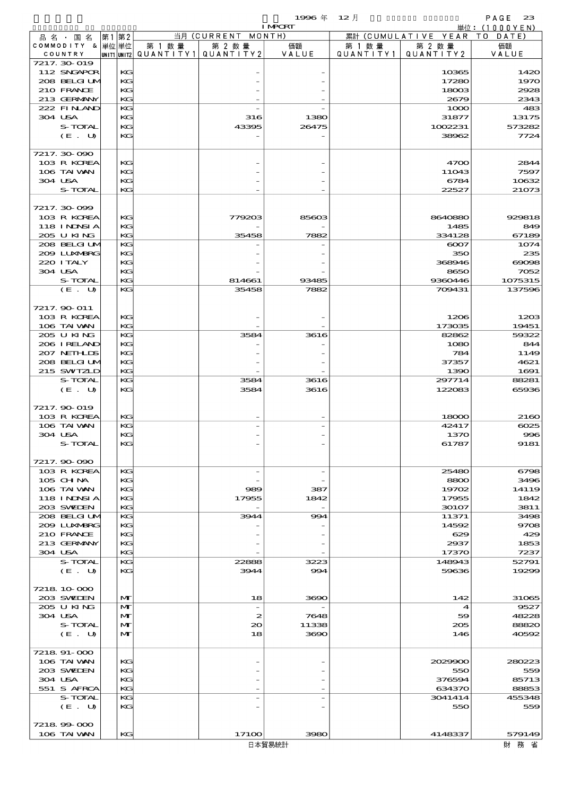|                            |      |              |                                       |                  | 1996年          | $12$ 月               |                              | PAGE<br>23      |
|----------------------------|------|--------------|---------------------------------------|------------------|----------------|----------------------|------------------------------|-----------------|
|                            |      |              |                                       |                  | <b>I MPORT</b> |                      |                              | 単位: $(1000YEN)$ |
| 品名・国名<br>COMMODITY & 単位単位  | 第1第2 |              | 第 1 数量                                | 当月 (CURRENT      | MONTH)         |                      | 累計 (CUMULATIVE YEAR TO DATE) | 価額              |
| COUNTRY                    |      |              | unit1 unit2  Q∪ANT   TY1  Q∪ANT   TY2 | 第 2 数量           | 価額<br>VALUE    | 第 1 数 量<br>QUANTITY1 | 第 2 数量<br>QUANTITY2          | VALUE           |
| 7217. 30-019               |      |              |                                       |                  |                |                      |                              |                 |
| 112 SNGAPOR                |      | KG           |                                       |                  |                |                      | 10365                        | 1420            |
| 208 BELGI UM               |      | KG           |                                       |                  |                |                      | 17280                        | 197C            |
| 210 FRANCE                 |      | KG           |                                       |                  |                |                      | 18003                        | 2928            |
| 213 GERMANY                |      | KC           |                                       |                  |                |                      | 2679                         | 2343            |
| 222 FINAND                 |      | KG           |                                       |                  |                |                      | 1000                         | 48 <sup>°</sup> |
| 304 USA<br><b>S-TOTAL</b>  |      | KG<br>KG     |                                       | 316<br>43395     | 1380<br>26475  |                      | 31877<br>1002231             | 13175<br>573282 |
| (E. U)                     |      | KG           |                                       |                  |                |                      | 38962                        | 7724            |
|                            |      |              |                                       |                  |                |                      |                              |                 |
| 7217.30-090                |      |              |                                       |                  |                |                      |                              |                 |
| 103 R KOREA                |      | KG           |                                       |                  |                |                      | 4700                         | 2844            |
| 106 TAI VAN                |      | KG           |                                       |                  |                |                      | 11043                        | 7597            |
| 304 USA                    |      | KC           |                                       |                  |                |                      | 6784                         | 10632           |
| S-TOTAL                    |      | KG           |                                       |                  |                |                      | 22527                        | 21073           |
| 7217.30-099                |      |              |                                       |                  |                |                      |                              |                 |
| 103 R KOREA                |      | KC           |                                       | 779203           | 85603          |                      | 8640880                      | 929818          |
| 118 INNSI A                |      | KC           |                                       |                  |                |                      | 1485                         | 849             |
| 205 U KING                 |      | KG           |                                       | 35458            | 7882           |                      | 334128                       | 67189           |
| 208 BELGIUM                |      | KG           |                                       |                  |                |                      | 6007                         | 1074            |
| 200 LUNABRG                |      | KG           |                                       |                  |                |                      | 350                          | 235             |
| 220 I TALY                 |      | KG           |                                       |                  |                |                      | 368946                       | $\cos x$        |
| 304 USA                    |      | KG           |                                       |                  |                |                      | 8650                         | 7052            |
| S-TOTAL                    |      | KG           |                                       | 814661           | 93485          |                      | 9360446                      | 1075315         |
| (E. U)                     |      | KG           |                                       | 35458            | 7882           |                      | 709431                       | 137596          |
|                            |      |              |                                       |                  |                |                      |                              |                 |
| 7217.90-011                |      |              |                                       |                  |                |                      |                              |                 |
| 103 R KOREA                |      | KC           |                                       |                  |                |                      | 1206                         | 1200            |
| 106 TAI VAN<br>205 U KING  |      | KG<br>KG     |                                       | 3584             | 3616           |                      | 173035<br>82862              | 19451<br>59322  |
| 206 IRELAND                |      | KG           |                                       |                  |                |                      | 1080                         | 844             |
| 207 NETHLIS                |      | KG           |                                       |                  |                |                      | 784                          | 1149            |
| 208 BELGI UM               |      | KG           |                                       |                  |                |                      | 37357                        | 4621            |
| 215 SWIZLD                 |      | KG           |                                       |                  |                |                      | 1390                         | 1691            |
| S-TOTAL                    |      | KG           |                                       | 3584             | 3616           |                      | 297714                       | 88281           |
| (E. U)                     |      | KG           |                                       | 3584             | 3616           |                      | 122083                       | 65936           |
|                            |      |              |                                       |                  |                |                      |                              |                 |
| 7217.90-019                |      |              |                                       |                  |                |                      |                              |                 |
| 103 R KOREA                |      | KG           |                                       |                  |                |                      | 18000                        | 2160            |
| 106 TAI VAN<br>304 USA     |      | KG<br>KG     |                                       |                  |                |                      | 42417<br>1370                | 6025<br>996     |
| S-TOTAL                    |      | KG           |                                       |                  |                |                      | 61787                        | 9181            |
|                            |      |              |                                       |                  |                |                      |                              |                 |
| 7217.90-090                |      |              |                                       |                  |                |                      |                              |                 |
| 103 R KOREA                |      | KG           |                                       |                  |                |                      | 25480                        | 6796            |
| $105$ CHNA                 |      | KG           |                                       |                  |                |                      | 8800                         | 3496            |
| 106 TAI VAN                |      | KG           |                                       | 989              | 387            |                      | 19702                        | 14119           |
| 118 INNSI A                |      | KC           |                                       | 17955            | 1842           |                      | 17955                        | 1842            |
| 203 SWIEN                  |      | KG           |                                       |                  |                |                      | 30107                        | 3811            |
| 208 BELGI UM               |      | KG           |                                       | 3944             | 994            |                      | 11371                        | 3498            |
| 2009 LUNABRG<br>210 FRANCE |      | KC<br>KG     |                                       |                  |                |                      | 14592<br>629                 | 9706<br>425     |
| 213 GERMANY                |      | KC           |                                       |                  |                |                      | 2937                         | 1853            |
| 304 USA                    |      | KG           |                                       |                  |                |                      | 17370                        | 7237            |
| S-TOTAL                    |      | KG           |                                       | 22888            | 3223           |                      | 148943                       | 52791           |
| (E. U)                     |      | KG           |                                       | 3944             | 994            |                      | 59636                        | 19299           |
|                            |      |              |                                       |                  |                |                      |                              |                 |
| 7218 10 000                |      |              |                                       |                  |                |                      |                              |                 |
| 203 SVELEN                 |      | $\mathbf{M}$ |                                       | 18               | 3690           |                      | 142                          | 31065           |
| 205 U KING                 |      | M            |                                       |                  |                |                      | 4                            | 9527            |
| 304 USA                    |      | M            |                                       | $\boldsymbol{z}$ | 7648           |                      | 59                           | 48225           |
| S-TOTAL                    |      | $\mathbf{M}$ |                                       | $\infty$         | 11338          |                      | 205                          | 88820           |
| (E. U)                     |      | $\mathbf{M}$ |                                       | 18               | 3690           |                      | 146                          | 40592           |
| 7218 91-000                |      |              |                                       |                  |                |                      |                              |                 |
| 106 TAI VAN                |      | KG           |                                       |                  |                |                      | 2029900                      | 280223          |
| 203 SVELEN                 |      | KC           |                                       |                  |                |                      | 550                          | 559             |
| 304 USA                    |      | KC           |                                       |                  |                |                      | 376594                       | 85713           |
| 551 S AFRCA                |      | KG           |                                       |                  |                |                      | 634370                       | 88853           |
| S-TOTAL                    |      | KG           |                                       |                  |                |                      | 3041414                      | 455348          |
| (E. U)                     |      | KG           |                                       |                  |                |                      | 550                          | 559             |
|                            |      |              |                                       |                  |                |                      |                              |                 |
| 7218 99 000                |      |              |                                       |                  |                |                      |                              |                 |

106 TAIWAN KG 17100 3980 4148337 579149<br>日本貿易統計 財務省 財務省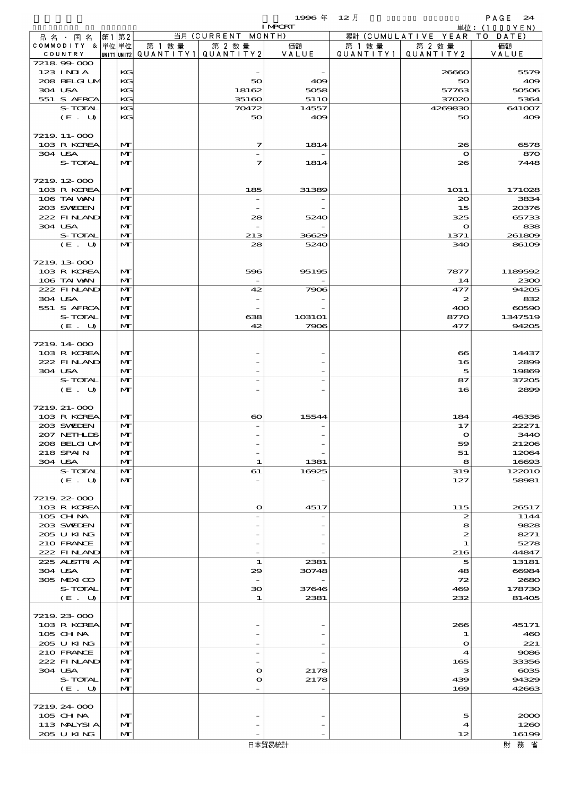$PAGE$  24<br>単位:(1000YFN)

 $1996$   $\#$   $12$   $\#$ 

|                  |      |              |                                       |                          | <b>TMCKT</b>     |         |                              | 里位:(丨 U U U Y L N ) |
|------------------|------|--------------|---------------------------------------|--------------------------|------------------|---------|------------------------------|---------------------|
| 品名・国名            | 第1第2 |              |                                       | 当月 (CURRENT MONTH)       |                  |         | 累計 (CUMULATIVE YEAR TO DATE) |                     |
| COMMODITY & 単位単位 |      |              | 第 1 数 量                               | 第 2 数量                   | 価額               | 第 1 数 量 | 第 2 数量                       | 価額                  |
| COUNTRY          |      |              | UNIT1 UNIT2  QUANT   TY1  QUANT   TY2 |                          | VALUE            |         | QUANTITY1   QUANTITY2        | VALUE               |
| 721899000        |      |              |                                       |                          |                  |         |                              |                     |
| 123 INIA         |      | KG           |                                       |                          |                  |         | 26660                        | 5579                |
|                  |      |              |                                       |                          |                  |         |                              |                     |
| 208 BELGI UM     |      | KG           |                                       | 50                       | 409              |         | 50                           | 409                 |
| 304 USA          |      | KG           |                                       | 18162                    | 5058             |         | 57763                        | 50506               |
| 551 S AFRCA      |      | KG           |                                       | 35160                    | 51 <sub>10</sub> |         | 37020                        | 5364                |
|                  |      |              |                                       |                          |                  |         |                              |                     |
| S-TOTAL          |      | KG           |                                       | 70472                    | 14557            |         | 4269830                      | 641007              |
| (E. U)           |      | KG           |                                       | 50                       | 409              |         | 50                           | 409                 |
|                  |      |              |                                       |                          |                  |         |                              |                     |
|                  |      |              |                                       |                          |                  |         |                              |                     |
| 7219 11-000      |      |              |                                       |                          |                  |         |                              |                     |
| 103 R KOREA      |      | M            |                                       | 7                        | 1814             |         | 26                           | 6578                |
| 304 USA          |      | M            |                                       |                          |                  |         | $\mathbf o$                  | 870                 |
|                  |      |              |                                       |                          |                  |         |                              |                     |
| S-TOTAL          |      | M            |                                       | 7                        | 1814             |         | 26                           | 7448                |
|                  |      |              |                                       |                          |                  |         |                              |                     |
| 7219. 12-000     |      |              |                                       |                          |                  |         |                              |                     |
|                  |      |              |                                       |                          |                  |         |                              |                     |
| 103 R KOREA      |      | M            |                                       | 185                      | 31389            |         | <b>1O11</b>                  | 171028              |
| 106 TAI VAN      |      | M            |                                       |                          |                  |         | 20                           | 3834                |
| 203 SWIEN        |      | M            |                                       |                          |                  |         | 15                           | 20376               |
|                  |      |              |                                       |                          |                  |         |                              |                     |
| 222 FINAND       |      | M            |                                       | 28                       | 5240             |         | 325                          | 65733               |
| 304 USA          |      | M            |                                       |                          |                  |         | $\mathbf o$                  | 838                 |
| S-TOTAL          |      | M            |                                       | 213                      | 36629            |         | 1371                         | 261809              |
|                  |      |              |                                       |                          |                  |         |                              |                     |
| (E. U)           |      | M            |                                       | 28                       | 5240             |         | 340                          | 86109               |
|                  |      |              |                                       |                          |                  |         |                              |                     |
|                  |      |              |                                       |                          |                  |         |                              |                     |
| 7219. 13-000     |      |              |                                       |                          |                  |         |                              |                     |
| 103 R KOREA      |      | M            |                                       | 596                      | 95195            |         | 7877                         | 1189592             |
| 106 TAI VAN      |      | M            |                                       |                          |                  |         | 14                           | 2300                |
| 222 FINAND       |      | $\mathbf{M}$ |                                       | 42                       |                  |         | 477                          | 94205               |
|                  |      |              |                                       |                          | 7906             |         |                              |                     |
| 304 USA          |      | M            |                                       |                          |                  |         | 2                            | 832                 |
| 551 S AFRCA      |      | M            |                                       |                          |                  |         | 400                          | 60590               |
|                  |      |              |                                       |                          |                  |         |                              |                     |
| S-TOTAL          |      | M            |                                       | 638                      | 103101           |         | 8770                         | 1347519             |
| (E. U)           |      | M            |                                       | 42                       | 7906             |         | 477                          | 94205               |
|                  |      |              |                                       |                          |                  |         |                              |                     |
|                  |      |              |                                       |                          |                  |         |                              |                     |
| 7219.14-000      |      |              |                                       |                          |                  |         |                              |                     |
| 103 R KOREA      |      | $\mathbf{M}$ |                                       |                          |                  |         | $\bf{8}$                     | 14437               |
| 222 FINAND       |      | M            |                                       |                          |                  |         | 16                           | 2899                |
|                  |      |              |                                       |                          |                  |         |                              |                     |
| 304 USA          |      | M            |                                       |                          |                  |         | 5                            | 19869               |
| S-TOTAL          |      | M            |                                       |                          |                  |         | 87                           | 37205               |
| (E. U)           |      | $\mathbf{M}$ |                                       |                          |                  |         | 16                           | 2899                |
|                  |      |              |                                       |                          |                  |         |                              |                     |
|                  |      |              |                                       |                          |                  |         |                              |                     |
| 7219 21-000      |      |              |                                       |                          |                  |         |                              |                     |
| 103 R KOREA      |      | M            |                                       | $\boldsymbol{\infty}$    | 15544            |         | 184                          | 46336               |
|                  |      |              |                                       |                          |                  |         |                              |                     |
| 203 SWIDEN       |      | M            |                                       |                          |                  |         | 17                           | 22271               |
| 207 NETHLIS      |      | M            |                                       |                          |                  |         | $\mathbf{o}$                 | 3440                |
| 208 BELGI UM     |      | $\mathbf{M}$ |                                       |                          |                  |         | 59                           | 21206               |
|                  |      |              |                                       |                          |                  |         |                              |                     |
| 218 SPAIN        |      | M            |                                       |                          |                  |         | 51                           | 12064               |
| 304 USA          |      | M            |                                       | 1                        | 1381             |         | 8                            | 16693               |
| S-TOTAL          |      | M            |                                       | 61                       | 16925            |         | 319                          | 122010              |
|                  |      |              |                                       |                          |                  |         |                              |                     |
| (E. U)           |      | M            |                                       |                          |                  |         | 127                          | 58981               |
|                  |      |              |                                       |                          |                  |         |                              |                     |
| 7219 22 000      |      |              |                                       |                          |                  |         |                              |                     |
|                  |      |              |                                       |                          |                  |         |                              |                     |
| 103 R KOREA      |      | M            |                                       | $\mathbf o$              | 4517             |         | 115                          | 26517               |
| 105 CH NA        |      | M            |                                       |                          |                  |         | $\boldsymbol{z}$             | 1144                |
| 203 SWIDEN       |      | M            |                                       |                          |                  |         | 8                            | 9828                |
|                  |      | M            |                                       |                          |                  |         |                              | 8271                |
| 205 U KING       |      |              |                                       |                          |                  |         | $\boldsymbol{z}$             |                     |
| 210 FRANCE       |      | M            |                                       |                          |                  |         | 1                            | 5278                |
| 222 FINAND       |      | M            |                                       |                          |                  |         | 216                          | 44847               |
| 225 ALSTRIA      |      | M            |                                       | 1                        | 2381             |         | 5                            | 13181               |
|                  |      |              |                                       |                          |                  |         |                              |                     |
| 304 USA          |      | M            |                                       | 29                       | 30748            |         | 48                           | 66984               |
| 305 MEXICO       |      | M            |                                       |                          |                  |         | 72                           | 2680                |
| S-TOTAL          |      | M            |                                       | 30                       | 37646            |         | 469                          | 178730              |
|                  |      |              |                                       |                          |                  |         |                              |                     |
| (E. U)           |      | $\mathbf{M}$ |                                       | 1                        | 2381             |         | 232                          | 81405               |
|                  |      |              |                                       |                          |                  |         |                              |                     |
| 7219 23 000      |      |              |                                       |                          |                  |         |                              |                     |
|                  |      |              |                                       |                          |                  |         |                              |                     |
| 103 R KOREA      |      | M            |                                       |                          |                  |         | 266                          | 45171               |
| 105 CHNA         |      | M            |                                       |                          |                  |         | 1                            | 460                 |
| 205 U KING       |      | M            |                                       |                          |                  |         | $\mathbf o$                  | 221                 |
|                  |      |              |                                       |                          |                  |         |                              |                     |
| 210 FRANCE       |      | M            |                                       | $\overline{\phantom{0}}$ |                  |         | 4                            | 9086                |
| 222 FINAND       |      | M            |                                       |                          |                  |         | 165                          | 33356               |
| 304 USA          |      | M            |                                       | $\mathbf o$              | 2178             |         | з                            | $\cos 5$            |
|                  |      |              |                                       |                          |                  |         |                              |                     |
| S-TOTAL          |      | M            |                                       | $\mathbf o$              | 2178             |         | 439                          | 94329               |
| (E. U)           |      | $\mathbf{M}$ |                                       |                          |                  |         | 169                          | 42663               |
|                  |      |              |                                       |                          |                  |         |                              |                     |
|                  |      |              |                                       |                          |                  |         |                              |                     |
| 7219. 24-000     |      |              |                                       |                          |                  |         |                              |                     |
| 105 CHNA         |      | M            |                                       |                          |                  |         | 5                            | 2000                |
| 113 MALYSIA      |      | M            |                                       |                          |                  |         | 4                            | 1260                |
|                  |      |              |                                       |                          |                  |         |                              |                     |
| 205 U KING       |      | $\mathbf{M}$ |                                       |                          |                  |         | 12                           | 16199               |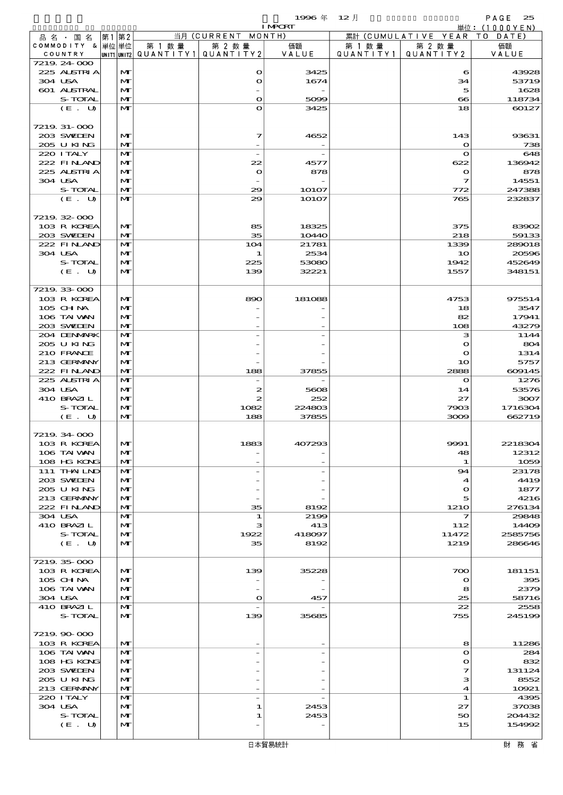$1996 \& 12 \nparallel$  PAGE 25

|                            |                   |        |                                       | <b>I MPORT</b> |            |                              | .<br>単位: $(1000YEN)$ |
|----------------------------|-------------------|--------|---------------------------------------|----------------|------------|------------------------------|----------------------|
| 品名 国名                      | 第1第2              |        | 当月 (CURRENT MONTH)                    |                |            | 累計 (CUMULATIVE YEAR TO DATE) |                      |
| COMMODITY & 単位単位           |                   | 第 1 数量 | 第 2 数量                                | 価額             | 第 1 数 量    | 第 2 数量                       | 価額                   |
| COUNTRY                    |                   |        | unit1 unit2  QUANT   TY1  QUANT   TY2 | VALUE          | QUANTITY11 | QUANTITY 2                   | VALUE                |
| 7219 24 000<br>225 ALSTRIA | M                 |        | $\mathbf o$                           | 3425           |            | 6                            | 43928                |
| 304 USA                    | $\mathbf{M}$      |        | O                                     | 1674           |            | 34                           | 53719                |
| 601 ALSTRAL                | $\mathbf{M}$      |        |                                       |                |            | 5                            | 1628                 |
| S-TOTAL                    | M                 |        | O                                     | 5099           |            | $\bf{8}$                     | 118734               |
| (E. U)                     | M                 |        | $\mathbf o$                           | 3425           |            | 18                           | 60127                |
|                            |                   |        |                                       |                |            |                              |                      |
| 7219. 31-000               |                   |        |                                       |                |            |                              |                      |
| 203 SWIEN<br>205 U KING    | M<br>M            |        | 7                                     | 4652           |            | 143                          | 93631                |
| 220 I TALY                 | M                 |        | $\overline{a}$                        |                |            | $\mathbf o$<br>$\mathbf{o}$  | 738<br>648           |
| 222 FINAND                 | M                 |        | 22                                    | 4577           |            | 622                          | 136942               |
| 225 ALSTRIA                | M                 |        | $\mathbf{o}$                          | 878            |            | $\bullet$                    | 878                  |
| 304 USA                    | $\mathbf{M}$      |        |                                       |                |            | 7                            | 14551                |
| S-TOTAL                    | M                 |        | 29                                    | 1O1O7          |            | 772                          | 247388               |
| (E. U)                     | M                 |        | 29                                    | 10107          |            | 765                          | 232837               |
|                            |                   |        |                                       |                |            |                              |                      |
| 7219.32-000<br>103 R KOREA | M                 |        | 85                                    | 18325          |            | 375                          | 83902                |
| 203 SWIEN                  | $\mathbf{M}$      |        | 35                                    | 10440          |            | 218                          | 59133                |
| 222 FINAND                 | M                 |        | 104                                   | 21781          |            | 1339                         | 289018               |
| 304 USA                    | M                 |        | 1                                     | 2534           |            | 10                           | 20596                |
| S-TOTAL                    | $\mathbf{M}$      |        | 225                                   | 53080          |            | 1942                         | 452649               |
| (E. U)                     | $\mathbf{M}$      |        | 139                                   | 32221          |            | 1557                         | 348151               |
|                            |                   |        |                                       |                |            |                              |                      |
| 7219.33-000                |                   |        |                                       |                |            |                              |                      |
| 103 R KOREA                | $\mathbf{M}$<br>M |        | 890                                   | 181088         |            | 4753                         | 975514<br>3547       |
| 105 CH NA<br>106 TAI VAN   | M                 |        |                                       |                |            | 18<br>82                     | 17941                |
| 203 SWIEN                  | $\mathbf{M}$      |        |                                       |                |            | 108                          | 43279                |
| 204 DENMARK                | M                 |        |                                       |                |            | з                            | 1144                 |
| 205 U KING                 | $\mathbf{M}$      |        |                                       |                |            | $\bullet$                    | 804                  |
| 210 FRANCE                 | M                 |        |                                       |                |            | $\mathbf o$                  | 1314                 |
| 213 GERMANY                | M                 |        |                                       |                |            | 10                           | 5757                 |
| 222 FINAND                 | M                 |        | 188                                   | 37855          |            | 2888                         | 609145               |
| 225 ALSTRIA                | M<br>$\mathbf{M}$ |        |                                       |                |            | $\mathbf{o}$                 | 1276                 |
| 304 USA<br>410 BRAZIL      | M                 |        | 2<br>2                                | 5608<br>252    |            | 14<br>27                     | 53576<br>3007        |
| S-TOTAL                    | M                 |        | 1082                                  | 224803         |            | 7903                         | 1716304              |
| (E. U)                     | M                 |        | 188                                   | 37855          |            | 3009                         | 662719               |
|                            |                   |        |                                       |                |            |                              |                      |
| 7219. 34 000               |                   |        |                                       |                |            |                              |                      |
| 103 R KOREA                | м                 |        | 1883                                  | 407293         |            | 9991                         | 2218304              |
| 106 TAI VAN<br>108 HG KONG | M<br>M            |        |                                       |                |            | 48                           | 12312<br>1059        |
| 111 THAILND                | M                 |        |                                       |                |            | 1<br>94                      | 23178                |
| 203 SWIDEN                 | M                 |        |                                       |                |            | 4                            | 4419                 |
| 2005 U KING                | M                 |        |                                       |                |            | $\mathbf o$                  | 1877                 |
| 213 GERMANY                | M                 |        |                                       |                |            | 5                            | 4216                 |
| 222 FINAND                 | M                 |        | 35                                    | 8192           |            | 1210                         | 276134               |
| 304 USA                    | M                 |        | 1                                     | 2199           |            | 7                            | 29848                |
| 410 BRAZIL                 | M                 |        | з                                     | 413            |            | 112                          | 14409                |
| S-TOTAL<br>(E. U)          | M<br>M            |        | 1922<br>35                            | 418097<br>8192 |            | 11472<br>1219                | 2585756<br>286646    |
|                            |                   |        |                                       |                |            |                              |                      |
| 7219.35-000                |                   |        |                                       |                |            |                              |                      |
| 103 R KOREA                | M                 |        | 139                                   | 35228          |            | 700                          | 181151               |
| 105 CH NA                  | M                 |        |                                       |                |            | $\mathbf o$                  | 395                  |
| 106 TAI VAN                | M                 |        |                                       |                |            | 8                            | 2379                 |
| 304 USA                    | M                 |        | O                                     | 457            |            | 25                           | 58716                |
| 410 BRAZIL                 | M<br>$\mathbf{M}$ |        |                                       |                |            | 22                           | 2558                 |
| S-TOTAL                    |                   |        | 139                                   | 35685          |            | 755                          | 245199               |
| 7219.90-000                |                   |        |                                       |                |            |                              |                      |
| 103 R KOREA                | M                 |        |                                       |                |            | 8                            | 11286                |
| 106 TAI VAN                | M                 |        |                                       |                |            | $\mathbf o$                  | 284                  |
| 108 HG KONG                | M                 |        |                                       |                |            | $\mathbf o$                  | 832                  |
| 203 SWIDEN                 | M                 |        |                                       |                |            | 7                            | 131124               |
| 205 U KING                 | M                 |        |                                       |                |            | з                            | 8552                 |
| 213 GERMANY<br>220 I TALY  | M<br>M            |        |                                       |                |            | 4<br>1                       | 10921<br>4395        |
| 304 USA                    | M                 |        | 1                                     | 2453           |            | 27                           | 37038                |
| S-TOTAL                    | M                 |        | 1                                     | 2453           |            | 50                           | 204432               |
| (E. U)                     | M                 |        |                                       |                |            | 15                           | 154992               |
|                            |                   |        |                                       |                |            |                              |                      |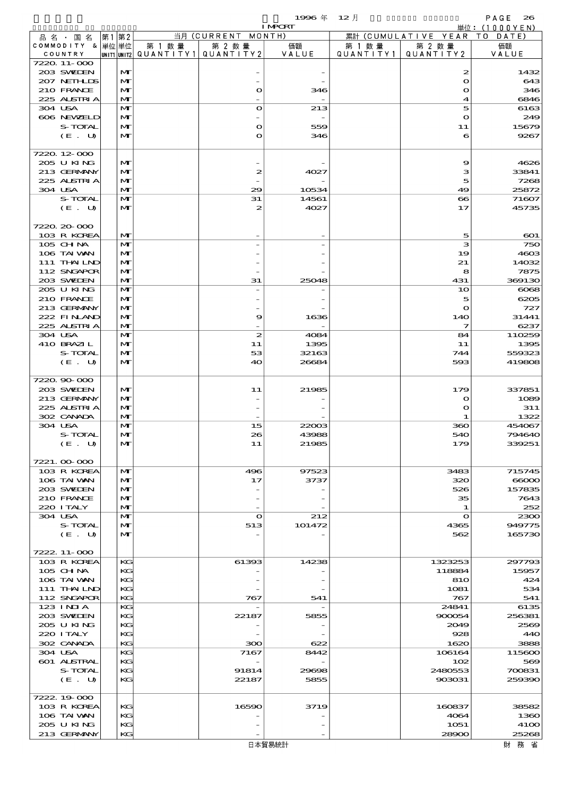$1996 \nless 12 \nless 12$ 

|                          |             |       |              |        |                                 | <b>I MPORT</b> |         |                              | 単位: (1000YEN)              |
|--------------------------|-------------|-------|--------------|--------|---------------------------------|----------------|---------|------------------------------|----------------------------|
| 品名・国名                    |             | 第1 第2 |              |        | 当月 (CURRENT MONTH)              |                |         | 累計 (CUMULATIVE YEAR TO DATE) |                            |
| COMMODITY & 単位単位         |             |       |              | 第 1 数量 | 第 2 数量                          | 価額             | 第 1 数 量 | 第 2 数量                       | 価額                         |
| COUNTRY<br>7220 11-000   |             |       |              |        | UNIT1 UNIT2 QUANTITY1 QUANTITY2 | VALUE          |         | QUANTITY1   QUANTITY2        | VALUE                      |
| 203 SWIEN                |             |       | M            |        |                                 |                |         | 2                            | 1432                       |
| 207 NETHLIS              |             |       | M            |        |                                 |                |         | $\mathbf{\Omega}$            | 643                        |
| 210 FRANCE               |             |       | M            |        | $\mathbf o$                     | 346            |         | $\mathbf o$                  | 346                        |
| 225 ALSTRIA              |             |       | $\mathbf{M}$ |        |                                 |                |         | 4                            | 6846                       |
| 304 USA                  |             |       | $\mathbf{M}$ |        | $\mathbf o$                     | 213            |         | 5                            | 6163                       |
| 606 NEWELD               |             |       | M            |        |                                 |                |         | $\mathbf o$                  | 249                        |
|                          | S-TOTAL     |       | $\mathbf{M}$ |        | $\mathbf o$                     | 559            |         | 11                           | 15679                      |
|                          | $(E_U U)$   |       | $\mathbf{M}$ |        | $\mathbf o$                     | 346            |         | 6                            | 9267                       |
| 7220 12 000              |             |       |              |        |                                 |                |         |                              |                            |
| 205 U KING               |             |       | M            |        |                                 |                |         | 9                            | 4626                       |
| 213 GERMANY              |             |       | M            |        | 2                               | 4027           |         | з                            | 33841                      |
| 225 ALSTRIA              |             |       | $\mathbf{M}$ |        |                                 |                |         | 5                            | 7268                       |
| 304 USA                  |             |       | $\mathbf{M}$ |        | 29                              | 10534          |         | 49                           | 25872                      |
|                          | S-TOTAL     |       | $\mathbf{M}$ |        | 31                              | 14561          |         | $\infty$                     | 71607                      |
|                          | (E. U)      |       | M            |        | 2                               | 4027           |         | 17                           | 45735                      |
|                          |             |       |              |        |                                 |                |         |                              |                            |
| 7220 20 000              |             |       |              |        |                                 |                |         |                              |                            |
| 103 R KOREA              |             |       | M            |        |                                 |                |         | 5                            | $\boldsymbol{\mathrm{co}}$ |
| 105 CHNA                 |             |       | $\mathbf{M}$ |        |                                 |                |         | з                            | 750                        |
| 106 TAI VAN              | 111 THAILND |       | M<br>M       |        |                                 |                |         | 19<br>21                     | 4603<br>14032              |
|                          | 112 SNGAPOR |       | $\mathbf{M}$ |        |                                 |                |         | 8                            | 7875                       |
| 203 SWIDEN               |             |       | $\mathbf{M}$ |        | 31                              | 25048          |         | 431                          | 369130                     |
| 205 U KING               |             |       | $\mathbf{M}$ |        |                                 |                |         | 10                           | $\cos$                     |
| 210 FRANCE               |             |       | M            |        |                                 |                |         | 5                            | 6205                       |
| 213 GERMANY              |             |       | M            |        |                                 |                |         | $\bullet$                    | 727                        |
|                          | 222 FINAND  |       | $\mathbf{M}$ |        | 9                               | 1636           |         | 14O                          | 31441                      |
| 225 ALSTRIA              |             |       | $\mathbf{M}$ |        |                                 |                |         | 7                            | 6237                       |
| 304 USA                  |             |       | $\mathbf{M}$ |        | 2                               | 4084           |         | 84                           | 110259                     |
| 410 BRAZIL               |             |       | M            |        | 11                              | 1395           |         | 11                           | 1395                       |
|                          | S-TOTAL     |       | $\mathbf{M}$ |        | 53                              | 32163          |         | 744                          | 559323                     |
|                          | (E. U)      |       | $\mathbf{M}$ |        | 40                              | 26684          |         | 593                          | 419808                     |
| 7220.90-000              |             |       |              |        |                                 |                |         |                              |                            |
| 203 SVELEN               |             |       | M            |        | 11                              | 21985          |         | 179                          | 337851                     |
| 213 GERMANY              |             |       | M            |        |                                 |                |         | $\bullet$                    | 1089                       |
| 225 ALSTRIA              |             |       | $\mathbf{M}$ |        |                                 |                |         | O                            | 311                        |
| 302 CANADA               |             |       | $\mathbf{M}$ |        |                                 |                |         | -1                           | 1322                       |
| 304 USA                  |             |       | $\mathbf{M}$ |        | 15                              | 22003          |         | 360                          | 454067                     |
|                          | S-TOTAL     |       | M            |        | 26                              | 43988          |         | 540                          | 794640                     |
|                          | (E. U)      |       | $\mathbf{M}$ |        | 11                              | 21985          |         | 179                          | 339251                     |
|                          |             |       |              |        |                                 |                |         |                              |                            |
| 7221.00.000              |             |       |              |        |                                 |                |         |                              |                            |
| 103 R KOREA              |             |       | M            |        | 496                             | 97523          |         | 3483                         | 715745                     |
| 106 TAI WAN              |             |       | M            |        | 17                              | 3737           |         | 320                          | 66000                      |
| 203 SWIDEN<br>210 FRANCE |             |       | M<br>M       |        |                                 |                |         | 526<br>35                    | 157835<br>7643             |
| 220 ITALY                |             |       | M            |        |                                 |                |         | 1                            | 252                        |
| 304 USA                  |             |       | M            |        | $\bullet$                       | 212            |         | $\mathbf o$                  | 2300                       |
|                          | S-TOTAL     |       | M            |        | 513                             | 101472         |         | 4365                         | 949775                     |
|                          | (E. U)      |       | M            |        |                                 |                |         | 562                          | 165730                     |
|                          |             |       |              |        |                                 |                |         |                              |                            |
| 7222. 11-000             |             |       |              |        |                                 |                |         |                              |                            |
|                          | 103 R KOREA |       | KG           |        | 61393                           | 14238          |         | 1323253                      | 297793                     |
| $105$ CHNA               |             |       | KG           |        |                                 |                |         | 118884                       | 15957                      |
| 106 TAI VAN              |             |       | KG           |        |                                 |                |         | 810                          | 424                        |
|                          | 111 THAILND |       | KG           |        |                                 |                |         | 1081                         | 534                        |
| $123$ INIA               | 112 SNGAPOR |       | KG<br>KG     |        | 767                             | 541            |         | 767<br>24841                 | 541<br>6135                |
| 203 SVELEN               |             |       | KG           |        | 22187                           | 5855           |         | 900054                       | 256381                     |
| 205 U KING               |             |       | KG           |        |                                 |                |         | 2049                         | 2569                       |
| 220 I TALY               |             |       | KG           |        |                                 |                |         | 928                          | 440                        |
| 302 CANADA               |             |       | KG           |        | 300                             | 622            |         | 1620                         | 3888                       |
| 304 USA                  |             |       | KG           |        | 7167                            | 8442           |         | 106164                       | 115600                     |
| <b>601 ALSTRAL</b>       |             |       | KG           |        |                                 |                |         | 102                          | 569                        |
|                          | S-TOTAL     |       | KG           |        | 91814                           | 29698          |         | 2480553                      | 700831                     |
|                          | (E. U)      |       | KG           |        | 22187                           | 5855           |         | 903031                       | 259390                     |
|                          |             |       |              |        |                                 |                |         |                              |                            |
| 7222.19.000              |             |       |              |        |                                 |                |         |                              |                            |
| 106 TAI VAN              | 103 R KOREA |       | KG<br>KG     |        | 16590                           | 3719           |         | 160837                       | 38582                      |
| 205 U KING               |             |       | КG           |        |                                 |                |         | 4064<br>1051                 | 1360<br>4100               |
|                          | 213 GERMANY |       | KG           |        |                                 |                |         | 28900                        | 25268                      |
|                          |             |       |              |        |                                 |                |         |                              |                            |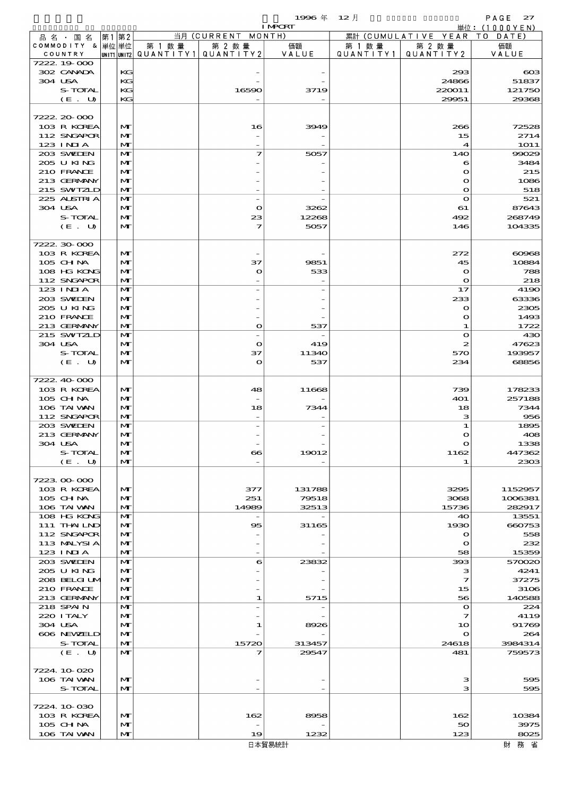|                           |      |              |                          |                                          | 1996年          | $12$ 月    |                           | PAGE<br>27                     |
|---------------------------|------|--------------|--------------------------|------------------------------------------|----------------|-----------|---------------------------|--------------------------------|
| 品名・国名                     | 第1第2 |              |                          | 当月 (CURRENT MONTH)                       | <b>I MPCRT</b> |           | 累計 (CUMULATIVE YEAR)      | 単位: $(1000YEN)$<br>T O<br>DATE |
| COMMODITY & 単位単位          |      |              | 第 1 数 量                  | 第 2 数量                                   | 価額             | 第 1 数 量   | 第 2 数量                    | 価額                             |
| COUNTRY<br>7222.19.000    |      |              | unit1 unit2  Q∪ANT   TY1 | QUANTITY2                                | VALUE          | QUANTITY1 | QUANTITY 2                | VALUE                          |
| 302 CANADA                |      | KG           |                          |                                          |                |           | 293                       | $\cos$                         |
| 304 USA                   |      | KG           |                          |                                          |                |           | 24866                     | 51837                          |
| S-TOTAL                   |      | KG           |                          | 16590                                    | 3719           |           | 220011                    | 121750                         |
| (E. U)                    |      | KG           |                          |                                          |                |           | 29951                     | 29368                          |
| 7222.20000                |      |              |                          |                                          |                |           |                           |                                |
| 103 R KOREA               |      | M            |                          | 16                                       | 3949           |           | 266                       | 72528                          |
| 112 SNGAPOR               |      | M            |                          |                                          |                |           | 15                        | 2714                           |
| $123$ INIA<br>203 SVELEN  |      | M<br>M       |                          | 7                                        | 5057           |           | 4<br>14O                  | <b>1O11</b><br>99029           |
| 205 U KING                |      | M            |                          |                                          |                |           | 6                         | 3484                           |
| 210 FRANCE                |      | M            |                          |                                          |                |           | $\mathbf o$               | 215                            |
| 213 GERMANY               |      | M            |                          |                                          |                |           | O                         | 1086                           |
| 215 SWIZLD<br>225 ALSTRIA |      | M<br>M       |                          | $\overline{\phantom{0}}$                 |                |           | $\mathbf{o}$<br>$\bullet$ | 518<br>521                     |
| 304 USA                   |      | M            |                          | $\bullet$                                | 3262           |           | 61                        | 87643                          |
| S-TOTAL                   |      | M            |                          | 23                                       | 12268          |           | 492                       | 268749                         |
| (E. U)                    |      | $\mathbf{M}$ |                          | 7                                        | 5057           |           | 146                       | 104335                         |
| 7222.30.000               |      |              |                          |                                          |                |           |                           |                                |
| 103 R KOREA               |      | $\mathbf{M}$ |                          |                                          |                |           | 272                       | 60968                          |
| $105$ CHNA                |      | M            |                          | 37                                       | 9851           |           | 45                        | 10884                          |
| 108 HG KONG               |      | M            |                          | $\mathbf o$                              | 533            |           | $\mathbf o$               | 788                            |
| 112 SNGAPOR<br>123 INIA   |      | M<br>M       |                          |                                          |                |           | $\mathbf o$<br>17         | 218<br>4190                    |
| 203 SWIEN                 |      | M            |                          |                                          |                |           | 233                       | 63336                          |
| 205 U KING                |      | M            |                          |                                          |                |           | $\mathbf{\Omega}$         | 2305                           |
| 210 FRANCE                |      | M            |                          |                                          |                |           | O                         | 1493                           |
| 213 GERMANY<br>215 SWIZLD |      | M<br>M       |                          | $\mathbf{o}$<br>$\overline{\phantom{0}}$ | 537            |           | 1<br>$\bullet$            | 1722<br>430                    |
| 304 USA                   |      | $\mathbf{M}$ |                          | $\mathbf{o}$                             | 419            |           | $\boldsymbol{z}$          | 47623                          |
| S-TOTAL                   |      | M            |                          | 37                                       | 11340          |           | 570                       | 193957                         |
| (E. U)                    |      | $\mathbf{M}$ |                          | $\mathbf o$                              | 537            |           | 234                       | 68856                          |
| 7222.40-000               |      |              |                          |                                          |                |           |                           |                                |
| 103 R KOREA               |      | M            |                          | 48                                       | 11668          |           | 739                       | 178233                         |
| 105 CHNA                  |      | M            |                          |                                          |                |           | 401                       | 257188                         |
| 106 TAI VAN               |      | M            |                          | 18                                       | 7344           |           | 18                        | 7344                           |
| 112 SNGAPOR<br>203 SWIDEN |      | M<br>M       |                          |                                          |                |           | з<br>1                    | 956<br>1895                    |
| 213 GERMANY               |      | $\mathbf{M}$ |                          |                                          |                |           |                           | 408                            |
| 304 USA                   |      | M            |                          |                                          |                |           | O                         | 1338                           |
| S-TOTAL                   |      | M            |                          | $\bf{e}\bf{s}$                           | 19012          |           | 1162                      | 447362                         |
| (E. U)                    |      | M            |                          |                                          |                |           | 1                         | 2303                           |
| 7223000000                |      |              |                          |                                          |                |           |                           |                                |
| 103 R KOREA               |      | M            |                          | 377                                      | 131788         |           | 3295                      | 1152957                        |
| $105$ CHNA<br>106 TAI VAN |      | M<br>M       |                          | 251<br>14989                             | 79518<br>32513 |           | 3068<br>15736             | 1006381<br>282917              |
| 108 HG KONG               |      | M            |                          |                                          |                |           | 40                        | 13551                          |
| 111 THAILND               |      | M            |                          | 95                                       | 31165          |           | 1930                      | 660753                         |
| 112 SNGAPOR               |      | M            |                          |                                          |                |           | O                         | 558                            |
| 113 MALYSIA<br>$123$ INIA |      | M<br>M       |                          |                                          |                |           | $\mathbf{\Omega}$<br>58   | 232<br>15359                   |
| 203 SWIDEN                |      | M            |                          | 6                                        | 23832          |           | 393                       | 570020                         |
| 205 U KING                |      | M            |                          |                                          |                |           | з                         | 4241                           |
| 208 BELGI UM              |      | M            |                          |                                          |                |           | 7                         | 37275                          |
| 210 FRANCE<br>213 GERMANY |      | M<br>M       |                          | 1                                        | 5715           |           | 15<br>56                  | 3106<br>140588                 |
| 218 SPAIN                 |      | M            |                          |                                          |                |           | $\bullet$                 | 224                            |
| 220 I TALY                |      | M            |                          |                                          |                |           | 7                         | 4119                           |
| 304 USA                   |      | M            |                          | 1                                        | 8926           |           | 10                        | 91769                          |
| 606 NEWELD<br>S-TOTAL     |      | M<br>M       |                          | 15720                                    | 313457         |           | $\mathbf o$<br>24618      | 264<br>3984314                 |
| (E. U)                    |      | M            |                          | 7                                        | 29547          |           | 481                       | 759573                         |
|                           |      |              |                          |                                          |                |           |                           |                                |
| 7224.10.020               |      |              |                          |                                          |                |           |                           |                                |
| 106 TAI VAN<br>S-TOTAL    |      | M<br>M       |                          |                                          |                |           | з<br>з                    | 595<br>595                     |
|                           |      |              |                          |                                          |                |           |                           |                                |
| 7224.10.030               |      |              |                          |                                          |                |           |                           |                                |
| 103 R KOREA<br>105 CH NA  |      | M<br>M       |                          | 162                                      | 8958           |           | 162<br>50                 | 10384<br>3975                  |
| 106 TAI VAN               |      | M            |                          | 19                                       | 1232           |           | 123                       | 8025                           |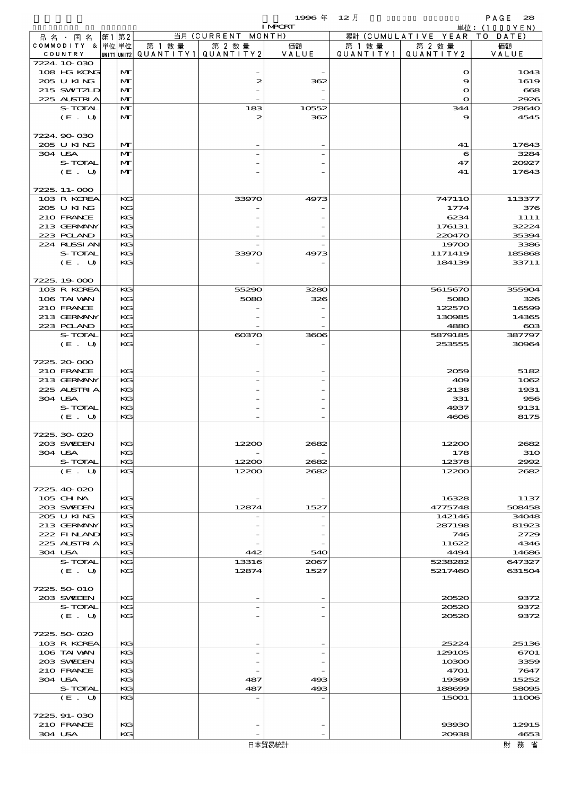$1996 \n& 12 \nparallel$  PAGE 28

|                            |          |        |                                       | <b>I MPORT</b> |           |                              | 単位: (1000YEN)    |
|----------------------------|----------|--------|---------------------------------------|----------------|-----------|------------------------------|------------------|
| 品名・国名                      | 第1 第2    |        | 当月 (CURRENT MONTH)                    |                |           | 累計 (CUMULATIVE YEAR TO DATE) |                  |
| COMMODITY & 単位単位           |          | 第 1 数量 | 第 2 数量                                | 価額             | 第 1 数量    | 第 2 数量                       | 価額               |
| COUNTRY<br>7224.10.030     |          |        | UNIT1 UNIT2  QUANT   TY1  QUANT   TY2 | VALUE          | QUANTITY1 | QUANTITY 2                   | VALUE            |
| 108 HG KONG                | M        |        |                                       |                |           | $\mathbf o$                  | 1043             |
| 205 U KING                 | M        |        | 2                                     | 362            |           | 9                            | 1619             |
| 215 SWIZLD                 | M        |        |                                       |                |           | $\mathbf{o}$                 | 668              |
| 225 ALSTRIA                | M        |        |                                       |                |           | $\Omega$                     | 2926             |
| S-TOTAL                    | M        |        | 183                                   | 10552          |           | 344                          | 28640            |
| (E. U)                     | M        |        | 2                                     | 362            |           | 9                            | 4545             |
|                            |          |        |                                       |                |           |                              |                  |
| 7224.90-030<br>205 U KING  |          |        |                                       |                |           |                              | 17643            |
| 304 USA                    | M<br>M   |        |                                       |                |           | 41<br>6                      | 3284             |
| S-TOTAL                    | M        |        |                                       |                |           | 47                           | 20927            |
| (E. U)                     | M        |        |                                       |                |           | 41                           | 17643            |
|                            |          |        |                                       |                |           |                              |                  |
| 7225.11-000                |          |        |                                       |                |           |                              |                  |
| 103 R KOREA                | KG       |        | 33970                                 | 4973           |           | 747110                       | 113377           |
| 205 U KING                 | KG       |        |                                       |                |           | 1774                         | 376              |
| 210 FRANCE                 | KG       |        |                                       |                |           | 6234                         | 1111             |
| 213 GERMANY<br>223 POLAND  | KG<br>KG |        |                                       |                |           | 176131<br>220470             | 32224<br>35394   |
| 224 RUSSI AN               | KG       |        |                                       |                |           | 19700                        | 3386             |
| S-TOTAL                    | KG       |        | 33970                                 | 4973           |           | 1171419                      | 185868           |
| (E. U)                     | KG       |        |                                       |                |           | 184139                       | 33711            |
|                            |          |        |                                       |                |           |                              |                  |
| 7225.19000                 |          |        |                                       |                |           |                              |                  |
| 103 R KOREA                | KG       |        | 55290                                 | 3280           |           | 5615670                      | 355904           |
| 106 TAI VAN                | KG       |        | 5080                                  | 326            |           | 5080                         | 326              |
| 210 FRANCE                 | KG       |        |                                       |                |           | 122570                       | 16599            |
| 213 GERMANY<br>223 POLAND  | KG<br>KG |        |                                       |                |           | 130985<br>4880               | 14365            |
| S-TOTAL                    | KG       |        | $\cos 70$                             | 3606           |           | 5879185                      | $\cos$<br>387797 |
| (E. U)                     | KG       |        |                                       |                |           | 253555                       | 30964            |
|                            |          |        |                                       |                |           |                              |                  |
| 7225, 20-000               |          |        |                                       |                |           |                              |                  |
| 210 FRANCE                 | KG       |        |                                       |                |           | 2059                         | 5182             |
| 213 GERMANY                | KG       |        |                                       |                |           | 409                          | 1062             |
| 225 ALSTRIA                | KG       |        |                                       |                |           | 2138                         | 1931             |
| 304 USA                    | KG       |        |                                       |                |           | 331                          | 956              |
| S-TOTAL<br>(E. U)          | KG<br>KG |        |                                       |                |           | 4937<br>4606                 | 9131<br>8175     |
|                            |          |        |                                       |                |           |                              |                  |
| 7225, 30, 020              |          |        |                                       |                |           |                              |                  |
| 203 SVEDEN                 | KG       |        |                                       | 268            |           | 12200                        | 268              |
| 304 USA                    | KG       |        |                                       |                |           | 178                          | <b>31O</b>       |
| S-TOTAL                    | KG       |        | 12200                                 | 2682           |           | 12378                        | 2992             |
| (E. U)                     | KG       |        | 12200                                 | 2682           |           | 12200                        | 2682             |
|                            |          |        |                                       |                |           |                              |                  |
| 7225, 40-020<br>$105$ CHNA | KG       |        |                                       |                |           | 16328                        | 1137             |
| 203 SWIEN                  | KG       |        | 12874                                 | 1527           |           | 4775748                      | 508458           |
| 205 U KING                 | KG       |        |                                       |                |           | 142146                       | 34048            |
| 213 GERMANY                | KG       |        |                                       |                |           | 287198                       | 81923            |
| 222 FINAND                 | KG       |        |                                       |                |           | 746                          | 2729             |
| 225 ALSTRIA                | КC       |        |                                       |                |           | 11622                        | 4346             |
| 304 USA                    | KG       |        | 442                                   | 540            |           | 4494                         | 14686            |
| S-TOTAL                    | KG       |        | 13316                                 | 2067           |           | 5238282                      | 647327           |
| (E. U)                     | KG       |        | 12874                                 | 1527           |           | 5217460                      | 631504           |
| 7225, 50 010               |          |        |                                       |                |           |                              |                  |
| 203 SWIEN                  | KG       |        |                                       |                |           | 20520                        | 9372             |
| S-TOTAL                    | KG       |        |                                       |                |           | 20520                        | 9372             |
| (E. U)                     | KG       |        |                                       |                |           | 20520                        | 9372             |
|                            |          |        |                                       |                |           |                              |                  |
| 7225.50-020                |          |        |                                       |                |           |                              |                  |
| 103 R KOREA                | KG       |        |                                       |                |           | 25224                        | 25136            |
| 106 TAI VAN<br>203 SWIEN   | KG<br>KG |        |                                       |                |           | 129105<br>10300              | 6701<br>3359     |
| 210 FRANCE                 | KG       |        |                                       |                |           | 4701                         | 7647             |
| 304 USA                    | KG       |        | 487                                   | 493            |           | 19369                        | 15252            |
| S-TOTAL                    | KG       |        | 487                                   | 493            |           | 188699                       | 58095            |
| (E. U)                     | KG       |        |                                       |                |           | 15001                        | 11006            |
|                            |          |        |                                       |                |           |                              |                  |
| 7225.91-030                |          |        |                                       |                |           |                              |                  |
| 210 FRANCE                 | KG       |        |                                       |                |           | 93930                        | 12915            |
| 304 USA                    | KG       |        |                                       |                |           | 20938                        | 4653             |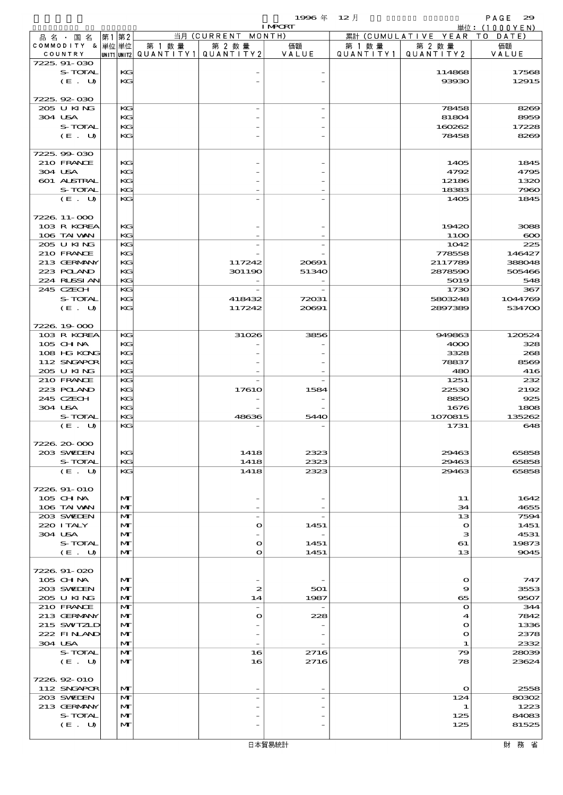$1996 \& 12 \cancel{1}$ 

|                             |                   |        |                                                 | <b>I MPORT</b> |        |                                 | 単位: (1000YEN)  |
|-----------------------------|-------------------|--------|-------------------------------------------------|----------------|--------|---------------------------------|----------------|
| 品名・国名                       | 第1第2              |        | 当月 (CURRENT MONTH)                              |                |        | 累計 (CUMULATIVE YEAR TO DATE)    |                |
| COMMODITY & 単位単位<br>COUNTRY |                   | 第 1 数量 | 第 2 数量<br>UNIT1 UNIT2 QUANT I TY 1 QUANT I TY 2 | 価額<br>VALUE    | 第 1 数量 | 第 2 数量<br>QUANTITY1   QUANTITY2 | 価額<br>VALUE    |
| 7225.91-030                 |                   |        |                                                 |                |        |                                 |                |
| S-TOTAL                     | KG                |        |                                                 |                |        | 114868                          | 17568          |
| (E. U)                      | KG                |        |                                                 |                |        | 93930                           | 12915          |
| 7225.92-030                 |                   |        |                                                 |                |        |                                 |                |
| 205 U KING                  | KG                |        |                                                 |                |        | 78458                           | 8269           |
| 304 USA                     | KG                |        |                                                 |                |        | 81804                           | 8959           |
| S-TOTAL                     | KG                |        |                                                 |                |        | 160262                          | 17228          |
| (E. U)                      | KG                |        |                                                 |                |        | 78458                           | 8269           |
|                             |                   |        |                                                 |                |        |                                 |                |
| 7225.99-030<br>210 FRANCE   | KG                |        |                                                 |                |        | 1405                            | 1845           |
| 304 USA                     | KG                |        |                                                 |                |        | 4792                            | 4795           |
| 601 ALSTRAL                 | KG                |        |                                                 |                |        | 12186                           | 1320           |
| S-TOTAL                     | KG                |        |                                                 |                |        | 18383                           | 7960           |
| (E. U)                      | KG                |        |                                                 |                |        | 1405                            | 1845           |
| 7226.11-000                 |                   |        |                                                 |                |        |                                 |                |
| 103 R KOREA                 | KG                |        |                                                 |                |        | 19420                           | 3088           |
| 106 TAI VAN                 | KG                |        |                                                 |                |        | <b>1100</b>                     | $\infty$       |
| 205 U KING                  | KG                |        |                                                 |                |        | 1042                            | 225            |
| 210 FRANCE                  | KG                |        |                                                 |                |        | 778558                          | 146427         |
| 213 GERMANY                 | KG                |        | 117242                                          | 20691          |        | 2117789                         | 388048         |
| 223 POLAND<br>224 RLSSIAN   | KG<br>KG          |        | 301190                                          | 51340          |        | 2878590<br>5019                 | 505466<br>548  |
| 245 CZECH                   | KG                |        |                                                 |                |        | 1730                            | 367            |
| S-TOTAL                     | KG                |        | 418432                                          | 72031          |        | 5803248                         | 1044769        |
| (E. U)                      | KG                |        | 117242                                          | 20691          |        | 2897389                         | 534700         |
|                             |                   |        |                                                 |                |        |                                 |                |
| 7226.19.000                 |                   |        |                                                 |                |        |                                 |                |
| 103 R KOREA<br>105 CH NA    | KG<br>KG          |        | 31026                                           | 3856           |        | 949863<br>4000                  | 120524<br>328  |
| 108 HG KONG                 | KG                |        |                                                 |                |        | 3328                            | 268            |
| 112 SNGAPOR                 | KG                |        |                                                 |                |        | 78837                           | 8569           |
| 205 U KING                  | KG                |        |                                                 |                |        | 480                             | 416            |
| 210 FRANCE                  | KG                |        |                                                 |                |        | 1251                            | 232            |
| 223 POLAND                  | KG                |        | 1761O                                           | 1584           |        | 22530                           | 2192           |
| 245 CZECH<br>304 USA        | KG<br>KG          |        |                                                 |                |        | 8850<br>1676                    | 925<br>1808    |
| S-TOTAL                     | KG                |        | 48636                                           | 5440           |        | 1070815                         | 135262         |
| (E. U)                      | KG                |        |                                                 |                |        | 1731                            | 648            |
|                             |                   |        |                                                 |                |        |                                 |                |
| 7226.20-000                 |                   |        |                                                 |                |        |                                 |                |
| 203 SWIDEN<br>S-TOTAL       | KG<br>KG          |        | 1418<br>1418                                    | 2323<br>2323   |        | 29463<br>29463                  | 65858<br>65858 |
| (E. U)                      | KG                |        | 1418                                            | 2323           |        | 29463                           | 65858          |
|                             |                   |        |                                                 |                |        |                                 |                |
| 7226 91-010                 |                   |        |                                                 |                |        |                                 |                |
| 105 CH NA                   | $\mathbf{M}$      |        |                                                 |                |        | 11                              | 1642           |
| 106 TAI VAN                 | $\mathbf{M}$      |        |                                                 |                |        | 34                              | 4655           |
| 203 SWIDEN<br>220 I TALY    | M<br>$\mathbf{M}$ |        | $\overline{\phantom{a}}$<br>$\bullet$           | 1451           |        | 13<br>$\mathbf{o}$              | 7594<br>1451   |
| 304 USA                     | $\mathbf{M}$      |        |                                                 |                |        | з                               | 4531           |
| S-TOTAL                     | M                 |        | $\mathbf o$                                     | 1451           |        | 61                              | 19873          |
| (E. U)                      | $\mathbf{M}$      |        | $\mathbf{o}$                                    | 1451           |        | 13                              | 9045           |
|                             |                   |        |                                                 |                |        |                                 |                |
| 7226.91-020<br>105 CH NA    | $\mathbf{M}$      |        |                                                 |                |        | $\mathbf{o}$                    | 747            |
| 203 SWIEN                   | $\mathbf{M}$      |        | $\boldsymbol{z}$                                | 501            |        | 9                               | 3553           |
| 205 U KING                  | $\mathbf{M}$      |        | 14                                              | 1987           |        | 65                              | 9507           |
| 210 FRANCE                  | M                 |        | $\overline{\phantom{a}}$                        |                |        | $\Omega$                        | 344            |
| 213 GERMANY                 | $\mathbf{M}$      |        | $\bullet$                                       | 228            |        | 4                               | 7842           |
| 215 SWIZLD                  | $\mathbf{M}$      |        |                                                 |                |        | O                               | 1336           |
| 222 FINAND<br>304 USA       | M<br>M            |        |                                                 |                |        | $\mathbf o$<br>1                | 2378<br>2332   |
| S-TOTAL                     | M                 |        | 16                                              | 2716           |        | 79                              | 28039          |
| (E. U)                      | $\mathbf{M}$      |        | 16                                              | 2716           |        | 78                              | 23624          |
|                             |                   |        |                                                 |                |        |                                 |                |
| 7226.92-010                 |                   |        |                                                 |                |        |                                 |                |
| 112 SNGAPOR                 | $\mathbf{M}$      |        |                                                 |                |        | $\mathbf{o}$                    | 2558           |
| 203 SWIDEN<br>213 GERMANY   | M<br>M            |        |                                                 |                |        | 124<br>1                        | 80302<br>1223  |
| S-TOTAL                     | $\mathbf{M}$      |        |                                                 |                |        | 125                             | 84083          |
| (E. U)                      | $\mathbf{M}$      |        |                                                 |                |        | 125                             | 81525          |
|                             |                   |        |                                                 |                |        |                                 |                |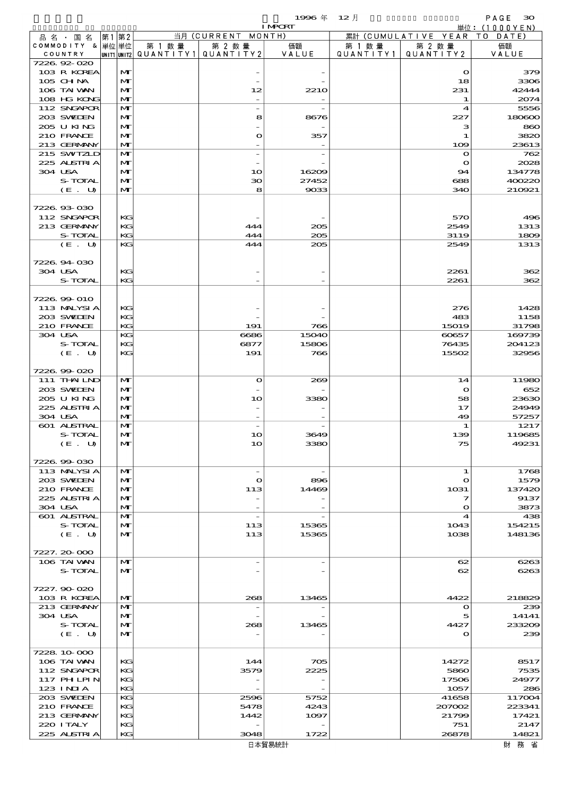$1996 \nleftrightarrow \n\begin{array}{ccc}\n12 & 12\n\end{array}$ 

|                           |      |                   |                                       |                          | <b>I MPORT</b> |        |                              | 単位: (1000YEN)   |
|---------------------------|------|-------------------|---------------------------------------|--------------------------|----------------|--------|------------------------------|-----------------|
| 品名・国名                     | 第1第2 |                   |                                       | 当月 (CURRENT MONTH)       |                |        | 累計 (CUMULATIVE YEAR TO DATE) |                 |
| COMMODITY & 単位単位          |      |                   | 第 1 数量                                | 第 2 数量                   | 価額             | 第 1 数量 | 第 2 数量                       | 価額              |
| COUNTRY<br>7226.92-020    |      |                   | UNIT1 UNIT2  QUANT I TY1  QUANT I TY2 |                          | VALUE          |        | QUANTITY1   QUANTITY2        | VALUE           |
| 103 R KOREA               |      | M                 |                                       |                          |                |        | $\mathbf o$                  | 379             |
| 105 CHNA                  |      | M                 |                                       |                          |                |        | 18                           | 3306            |
| 106 TAI VAN               |      | $\mathbf{M}$      |                                       | 12                       | <b>2210</b>    |        | 231                          | 42444           |
| 108 HG KONG               |      | $\mathbf{M}$      |                                       |                          |                |        | 1                            | 2074            |
| 112 SNGAPOR               |      | $\mathbf{M}$      |                                       |                          |                |        | 4                            | 5556            |
| 203 SWIEN                 |      | M                 |                                       | 8                        | 8676           |        | 227                          | 180600          |
| 205 U KING                |      | M                 |                                       |                          |                |        | з                            | 860             |
| 210 FRANCE<br>213 GERMANY |      | M<br>$\mathbf{M}$ |                                       | $\mathbf o$              | 357            |        | 1                            | 3820            |
| 215 SWIZLD                |      | $\mathbf{M}$      |                                       |                          |                |        | 109<br>$\mathbf o$           | 23613<br>762    |
| 225 ALSTRIA               |      | M                 |                                       |                          |                |        | $\mathbf o$                  | 2028            |
| 304 USA                   |      | M                 |                                       | 10                       | 16209          |        | 94                           | 134778          |
| S-TOTAL                   |      | $\mathbf{M}$      |                                       | 30                       | 27452          |        | 688                          | 400220          |
| (E. U)                    |      | $\mathbf{M}$      |                                       | 8                        | 9033           |        | 340                          | 210921          |
|                           |      |                   |                                       |                          |                |        |                              |                 |
| 7226.93-030               |      |                   |                                       |                          |                |        |                              |                 |
| 112 SNGAPOR               |      | KG                |                                       |                          |                |        | 570                          | 496             |
| 213 GERMANY               |      | KG                |                                       | 444                      | 205            |        | 2549                         | 1313            |
| S-TOTAL<br>(E. U)         |      | KG<br>KG          |                                       | 444<br>444               | 205<br>205     |        | 3119<br>2549                 | 1809<br>1313    |
|                           |      |                   |                                       |                          |                |        |                              |                 |
| 7226.94.030               |      |                   |                                       |                          |                |        |                              |                 |
| 304 USA                   |      | KG                |                                       |                          |                |        | 2261                         | 362             |
| S-TOTAL                   |      | KG                |                                       |                          |                |        | 2261                         | 362             |
|                           |      |                   |                                       |                          |                |        |                              |                 |
| 7226.99-010               |      |                   |                                       |                          |                |        |                              |                 |
| 113 MALYSIA               |      | KG                |                                       |                          |                |        | 276                          | 1428            |
| 203 SWIEN                 |      | KG                |                                       |                          |                |        | 483                          | 1158            |
| 210 FRANCE                |      | KG                |                                       | 191                      | 766            |        | 15019                        | 31798           |
| 304 USA<br>S-TOTAL        |      | KG                |                                       | 6686                     | 15040          |        | 60657                        | 169739          |
| (E. U)                    |      | KG<br>KG          |                                       | 6877<br>191              | 15806<br>766   |        | 76435<br>15502               | 204123<br>32956 |
|                           |      |                   |                                       |                          |                |        |                              |                 |
| 7226.99-020               |      |                   |                                       |                          |                |        |                              |                 |
| 111 THAIND                |      | M                 |                                       | $\bullet$                | 269            |        | 14                           | 11980           |
| 203 SWIEN                 |      | $\mathbf{M}$      |                                       |                          |                |        | $\bullet$                    | 652             |
| 205 U KING                |      | M                 |                                       | 10                       | 3380           |        | 58                           | 23630           |
| 225 ALSTRIA               |      | $\mathbf{M}$      |                                       |                          |                |        | 17                           | 24949           |
| 304 USA                   |      | $\mathbf{M}$      |                                       |                          |                |        | 49                           | 57257           |
| 601 ALSTRAL               |      | M                 |                                       |                          |                |        | 1                            | 1217            |
| S-TOTAL                   |      | M<br>$\mathbf{M}$ |                                       | 10                       | 3649           |        | 139<br>75                    | 119685          |
| (E. U)                    |      |                   |                                       | 1 <sub>O</sub>           | 3380           |        |                              | 49231           |
| 7226.99-030               |      |                   |                                       |                          |                |        |                              |                 |
| 113 MALYSIA               |      | M                 |                                       | $\overline{\phantom{a}}$ |                |        | 1                            | 1768            |
| 203 SWIDEN                |      | M                 |                                       | $\mathbf{o}$             | 896            |        | $\mathbf o$                  | 1579            |
| 210 FRANCE                |      | M                 |                                       | 113                      | 14469          |        | 1031                         | 137420          |
| 225 ALSTRIA               |      | M                 |                                       |                          |                |        | 7                            | 9137            |
| 304 USA                   |      | $\mathbf{M}$      |                                       |                          |                |        | $\mathbf o$                  | 3873            |
| <b>601 ALSTRAL</b>        |      | M                 |                                       | $\overline{\phantom{a}}$ |                |        | 4                            | 438             |
| S-TOTAL                   |      | M                 |                                       | 113                      | 15365          |        | 1043                         | 154215          |
| (E. U)                    |      | M                 |                                       | 113                      | 15365          |        | 1038                         | 148136          |
| 7227.20-000               |      |                   |                                       |                          |                |        |                              |                 |
| 106 TAI VAN               |      | M                 |                                       |                          |                |        | 62                           | 6263            |
| S-TOTAL                   |      | $\mathbf{M}$      |                                       |                          |                |        | 62                           | 6263            |
|                           |      |                   |                                       |                          |                |        |                              |                 |
| 7227.90-020               |      |                   |                                       |                          |                |        |                              |                 |
| 103 R KOREA               |      | M                 |                                       | 268                      | 13465          |        | 4422                         | 218829          |
| 213 GERMANY               |      | M                 |                                       |                          |                |        | $\mathbf o$                  | 239             |
| 304 USA                   |      | M                 |                                       |                          |                |        | 5                            | 14141           |
| S-TOTAL                   |      | M                 |                                       | 268                      | 13465          |        | 4427                         | 233209          |
| (E. U)                    |      | M                 |                                       |                          |                |        | o                            | 239             |
| 7228 10 000               |      |                   |                                       |                          |                |        |                              |                 |
| 106 TAI VAN               |      | KG                |                                       | 144                      | 705            |        | 14272                        | 8517            |
| 112 SNGAPOR               |      | KG                |                                       | 3579                     | 2225           |        | 5860                         | 7535            |
| 117 PH LPIN               |      | KG                |                                       |                          |                |        | 17506                        | 24977           |
| $123$ INIA                |      | KG                |                                       |                          |                |        | 1057                         | 286             |
| 203 SVELEN                |      | KG                |                                       | 2596                     | 5752           |        | 41658                        | 117004          |
| 210 FRANCE                |      | KG                |                                       | 5478                     | 4243           |        | 207002                       | 223341          |
| 213 GERMANY               |      | KG                |                                       | 1442                     | 1097           |        | 21799                        | 17421           |
| 220 I TALY                |      | KG                |                                       |                          |                |        | 751                          | 2147            |
| 225 ALSTRIA               |      | KG                |                                       | 3048                     | 1722           |        | 26878                        | 14821           |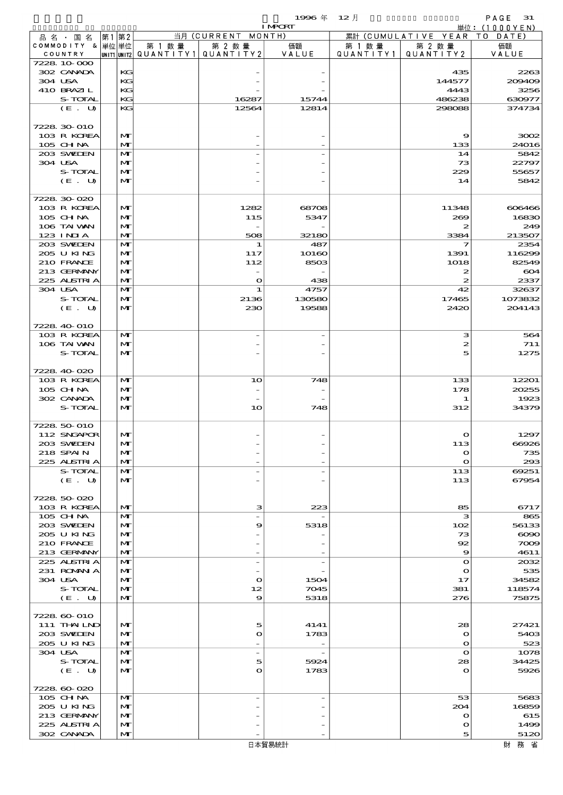$\begin{array}{cccc}\n & & \mathsf{PAGE} & \mathsf{31} \\
\boxplus \textit{fit}: & (1000 \text{YEN})\n\end{array}$ 

| 1996 年<br>12 月 |  |
|----------------|--|
|----------------|--|

|                             |       |                              |        |                                                  | <b>I MPCRT</b>           |                      |                        | 単位: (1000YEN) |
|-----------------------------|-------|------------------------------|--------|--------------------------------------------------|--------------------------|----------------------|------------------------|---------------|
| 品 名 ・ 国 名                   | 第1 第2 |                              |        | 当月 (CURRENT MONTH)                               |                          |                      | 累計 (CUMULATIVE YEAR TO | DATE)         |
| COMMODITY & 単位単位<br>COUNTRY |       |                              | 第 1 数量 | 第 2 数量<br> UNIT1 UNIT2  QUANT   TY1  QUANT   TY2 | 価額<br>VALUE              | 第 1 数 量<br>QUANTITY1 | 第 2 数量<br>QUANTITY 2   | 価額<br>VALUE   |
| 7228 10 000                 |       |                              |        |                                                  |                          |                      |                        |               |
| 302 CANADA                  |       | KG                           |        |                                                  |                          |                      | 435                    | 2263          |
| 304 USA                     |       | KG                           |        |                                                  |                          |                      | 144577                 | 209409        |
| 410 BRAZIL                  |       | KG                           |        |                                                  |                          |                      | 4443                   | 3256          |
| S-TOTAL                     |       | KG                           |        | 16287                                            | 15744                    |                      | 486238                 | 630977        |
| (E. U)                      |       | KG                           |        | 12564                                            | 12814                    |                      | 298088                 | 374734        |
| 7228 30 010                 |       |                              |        |                                                  |                          |                      |                        |               |
| 103 R KOREA                 |       | M                            |        |                                                  |                          |                      | 9                      | 3002          |
| 105 CHNA                    |       | $\mathbf{M}$                 |        |                                                  |                          |                      | 133                    | 24016         |
| 203 SWIEN                   |       | $\mathbf{M}$                 |        |                                                  |                          |                      | 14                     | 5842          |
| 304 USA                     |       | $\mathbf{M}$                 |        |                                                  |                          |                      | 73                     | 22797         |
| S-TOTAL                     |       | $\mathbf{M}$                 |        |                                                  |                          |                      | 229                    | 55657         |
| (E. U)                      |       | $\mathbf{M}$                 |        |                                                  |                          |                      | 14                     | 5842          |
| 7228 30 020                 |       |                              |        |                                                  |                          |                      |                        |               |
| 103 R KOREA                 |       | M                            |        | 1282                                             | 68708                    |                      | 11348                  | 606466        |
| 105 CHNA                    |       | M                            |        | 115                                              | 5347                     |                      | 269                    | 16830         |
| 106 TAI VAN                 |       | $\mathbf{M}$                 |        | $\overline{\phantom{a}}$                         |                          |                      | 2                      | 249           |
| $123$ INIA                  |       | $\mathbf{M}$                 |        | 508                                              | 32180                    |                      | 3384                   | 213507        |
| 203 SWIEN                   |       | M                            |        | 1                                                | 487                      |                      | 7                      | 2354          |
| 205 U KING                  |       | $\mathbf{M}$                 |        | 117                                              | 10160                    |                      | 1391                   | 116299        |
| 210 FRANCE                  |       | M                            |        | 112                                              | 8503                     |                      | 1018                   | 82549         |
| 213 GERMANY<br>225 ALSTRIA  |       | $\mathbf{M}$<br>$\mathbf{M}$ |        | $\overline{\phantom{a}}$<br>$\mathbf{o}$         | 438                      |                      | 2<br>2                 | 604<br>2337   |
| 304 USA                     |       | $\mathbf{M}$                 |        | 1                                                | 4757                     |                      | 42                     | 32637         |
| S-TOTAL                     |       | $\mathbf{M}$                 |        | 2136                                             | 130580                   |                      | 17465                  | 1073832       |
| (E. U)                      |       | $\mathbf{M}$                 |        | 230                                              | 19588                    |                      | 2420                   | 204143        |
|                             |       |                              |        |                                                  |                          |                      |                        |               |
| 7228 40 010                 |       |                              |        |                                                  |                          |                      |                        |               |
| 103 R KOREA                 |       | M                            |        |                                                  |                          |                      | з                      | 564           |
| 106 TAI VAN                 |       | $\mathbf{M}$                 |        |                                                  |                          |                      | 2                      | 711           |
| S-TOTAL                     |       | $\mathbf{M}$                 |        |                                                  |                          |                      | 5                      | 1275          |
| 7228 40 020                 |       |                              |        |                                                  |                          |                      |                        |               |
| 103 R KOREA                 |       | M                            |        | 10                                               | 748                      |                      | 133                    | 12201         |
| 105 CHNA                    |       | $\mathbf{M}$                 |        |                                                  |                          |                      | 178                    | 20255         |
| 302 CANADA                  |       | $\mathbf{M}$                 |        |                                                  |                          |                      | 1                      | 1923          |
| S-TOTAL                     |       | $\mathbf{M}$                 |        | 10                                               | 748                      |                      | 312                    | 34379         |
|                             |       |                              |        |                                                  |                          |                      |                        |               |
| 7228 50 010                 |       |                              |        |                                                  |                          |                      |                        |               |
| 112 SNGAPOR<br>203 SVELEN   |       | $\mathbf{M}$<br>$\mathbf{M}$ |        |                                                  |                          |                      | $\Omega$<br>113        | 1297<br>ന്നമാ |
| 218 SPAIN                   |       | $\mathbf{M}$                 |        |                                                  |                          |                      | $\mathbf o$            | 735           |
| 225 ALSTRIA                 |       | M                            |        |                                                  |                          |                      | $\bullet$              | 293           |
| S-TOTAL                     |       | M                            |        |                                                  |                          |                      | 113                    | 69251         |
| (E. U)                      |       | M                            |        |                                                  |                          |                      | 113                    | 67954         |
|                             |       |                              |        |                                                  |                          |                      |                        |               |
| 7228 50 020                 |       |                              |        |                                                  |                          |                      |                        |               |
| 103 R KOREA                 |       | M                            |        | з                                                | 223                      |                      | 85                     | 6717          |
| 105 CH NA<br>203 SWIDEN     |       | M<br>$\mathbf{M}$            |        | $\overline{\phantom{0}}$<br>9                    | 5318                     |                      | з<br>102               | 865<br>56133  |
| 205 U KING                  |       | M                            |        |                                                  |                          |                      | 73                     | $\infty$      |
| 210 FRANCE                  |       | $\mathbf{M}$                 |        |                                                  |                          |                      | 92                     | $\infty$      |
| 213 GERMANY                 |       | $\mathbf{M}$                 |        |                                                  |                          |                      | 9                      | 4611          |
| 225 ALSTRIA                 |       | M                            |        | $\overline{\phantom{a}}$                         | $\overline{\phantom{a}}$ |                      | $\mathbf{o}$           | 2032          |
| 231 ROMANIA                 |       | $\mathbf{M}$                 |        |                                                  |                          |                      | $\mathbf o$            | 535           |
| 304 USA                     |       | M                            |        | $\bullet$                                        | 1504                     |                      | 17                     | 34582         |
| S-TOTAL                     |       | $\mathbf{M}$                 |        | 12                                               | 7045                     |                      | 381                    | 118574        |
| (E. U)                      |       | M                            |        | 9                                                | 5318                     |                      | 276                    | 75875         |
| 7228 60 010                 |       |                              |        |                                                  |                          |                      |                        |               |
| 111 THAILND                 |       | M                            |        | 5                                                | 4141                     |                      | 28                     | 27421         |
| 203 SWIEN                   |       | M                            |        | $\mathbf o$                                      | 1783                     |                      | $\mathbf{o}$           | 5403          |
| 205 U KING                  |       | $\mathbf{M}$                 |        |                                                  |                          |                      | $\mathbf{o}$           | 523           |
| 304 USA                     |       | $\mathbf{M}$                 |        | $\overline{\phantom{a}}$                         | $\overline{\phantom{a}}$ |                      | $\mathbf{o}$           | 1078          |
| S-TOTAL                     |       | $\mathbf{M}$                 |        | 5                                                | 5924                     |                      | 28                     | 34425         |
| (E. U)                      |       | M                            |        | $\mathbf O$                                      | 1783                     |                      | $\mathbf{o}$           | 5926          |
| 7228 60 020                 |       |                              |        |                                                  |                          |                      |                        |               |
| 105 CH NA                   |       | M                            |        | $\overline{\phantom{0}}$                         | $\overline{\phantom{a}}$ |                      | 53                     | 5683          |
| 205 U KING                  |       | $\mathbf{M}$                 |        |                                                  |                          |                      | 204                    | 16859         |
| 213 GERMANY                 |       | M                            |        |                                                  |                          |                      | $\mathbf{o}$           | 615           |
| 225 ALSTRIA                 |       | M                            |        |                                                  |                          |                      | $\mathbf o$            | 1499          |
| 302 CANADA                  |       | $\mathbf{M}$                 |        |                                                  |                          |                      | 5                      | 5120          |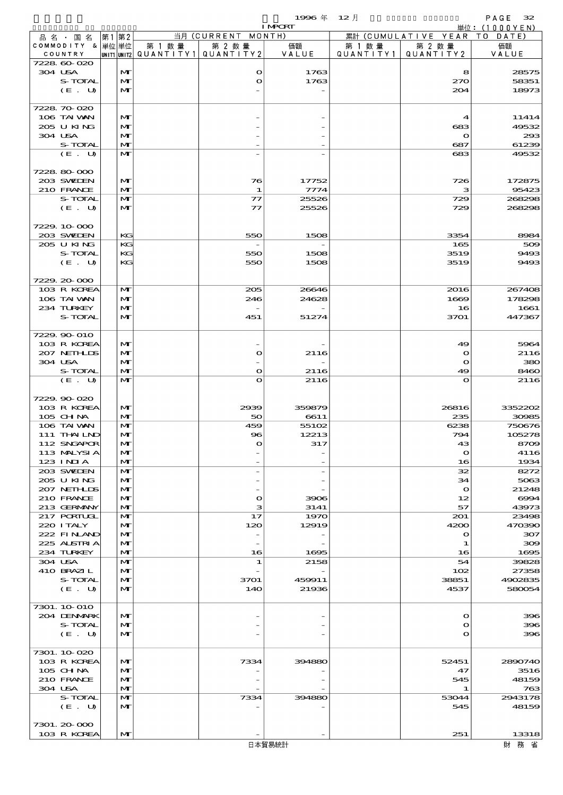$1996 \n& 12 \nparallel$  PAGE 32

|                    |              |        |                                          | <b>I MPCRT</b> |         |                              | 単位: (1000YEN) |
|--------------------|--------------|--------|------------------------------------------|----------------|---------|------------------------------|---------------|
| 品名・国名              | 第1第2         |        | 当月 (CURRENT MONTH)                       |                |         | 累計 (CUMULATIVE YEAR TO DATE) |               |
| COMMODITY & 単位単位   |              | 第 1 数量 | 第 2 数量                                   | 価額             | 第 1 数 量 | 第 2 数量                       | 価額            |
| COUNTRY            |              |        | UNIT1 UNIT2  QUANT I TY 1   QUANT I TY 2 | VALUE          |         | QUANTITY1   QUANTITY2        | VALUE         |
| 7228 60 020        |              |        |                                          |                |         |                              |               |
| 304 USA            | M            |        | $\mathbf{\Omega}$                        | 1763           |         | 8                            | 28575         |
| S-TOTAL            | M            |        | $\mathbf o$                              | 1763           |         | 270                          | 58351         |
| (E. U)             | $\mathbf{M}$ |        |                                          |                |         | 204                          | 18973         |
|                    |              |        |                                          |                |         |                              |               |
| 7228 70 020        |              |        |                                          |                |         |                              |               |
| 106 TAI VAN        | M            |        |                                          |                |         | 4                            | 11414         |
| 205 U KING         | M            |        |                                          |                |         | 683                          | 49532         |
| 304 USA            | $\mathbf{M}$ |        |                                          |                |         | $\mathbf o$                  | 293           |
| S-TOTAL            | $\mathbf{M}$ |        |                                          |                |         | 687                          | 61239         |
| (E. U)             | $\mathbf{M}$ |        |                                          |                |         | 683                          | 49532         |
|                    |              |        |                                          |                |         |                              |               |
| 7228 80 000        |              |        |                                          |                |         |                              |               |
| 203 SWIEN          | M            |        | 76                                       | 17752          |         | 726                          | 172875        |
| 210 FRANCE         | $\mathbf{M}$ |        | 1                                        | 7774           |         | з                            | 95423         |
| S-TOTAL            | $\mathbf{M}$ |        | $\mathcal{T}$                            | 25526          |         | 729                          | 268298        |
| (E. U)             | M            |        | $\tau$                                   | 25526          |         | 729                          | 268298        |
|                    |              |        |                                          |                |         |                              |               |
| 7229.10.000        |              |        |                                          |                |         |                              |               |
| 203 SWIEN          | KG           |        | 550                                      | 1508           |         | 3354                         | 8984          |
| 205 U KING         | KG           |        |                                          |                |         | 165                          | 509           |
| S-TOTAL            | KG           |        | 550                                      | 1508           |         | 3519                         | 9493          |
| (E. U)             | KG           |        | 550                                      | 1508           |         | 3519                         | 9493          |
|                    |              |        |                                          |                |         |                              |               |
| 7229.20-000        |              |        |                                          |                |         |                              |               |
| 103 R KOREA        | $\mathbf{M}$ |        | 205                                      | 26646          |         | 2016                         | 267408        |
| 106 TAI VAN        | M            |        | 246                                      | 24628          |         | 1669                         | 178298        |
| 234 TURKEY         | M            |        |                                          |                |         | 16                           | 1661          |
| S-TOTAL            | $\mathbf{M}$ |        | 451                                      | 51274          |         | 3701                         | 447367        |
|                    |              |        |                                          |                |         |                              |               |
| 7229.90-010        |              |        |                                          |                |         |                              |               |
|                    |              |        |                                          |                |         |                              |               |
| 103 R KOREA        | M            |        |                                          |                |         | 49                           | 5964          |
| 207 NETHLIS        | M            |        | $\mathbf o$                              | 2116           |         | $\bullet$                    | 2116          |
| 304 USA            | $\mathbf{M}$ |        |                                          |                |         | $\mathbf o$                  | 380           |
| S-TOTAL            | $\mathbf{M}$ |        | $\mathbf{o}$                             | 2116           |         | 49                           | 8460          |
| (E. U)             | $\mathbf{M}$ |        | $\bullet$                                | 2116           |         | $\mathbf o$                  | 2116          |
|                    |              |        |                                          |                |         |                              |               |
| 7229.90-020        |              |        |                                          |                |         |                              |               |
| 103 R KOREA        | M            |        | 2939                                     | 359879         |         | 26816                        | 3352202       |
| 105 CHNA           | $\mathbf{M}$ |        | 50                                       | 6611           |         | 235                          | 30985         |
| 106 TAI VAN        | $\mathbf{M}$ |        | 459                                      | 55102          |         | 6238                         | 750676        |
| 111 THAILND        | M            |        | $\bf{8}$                                 | 12213          |         | 794                          | 105278        |
| 112 SNGAPOR        | $\mathbf{M}$ |        | $\Omega$                                 | 317            |         | 43                           | 8709          |
| 113 MALYSIA        | M            |        |                                          |                |         | $\mathbf o$                  | 4116          |
| $123$ INIA         | M            |        |                                          |                |         | 16                           | 1934          |
| 203 SWIDEN         | M            |        |                                          |                |         | 32                           | 8272          |
| 205 U KING         | M            |        |                                          |                |         | 34                           | 5063          |
| 207 NETHLIS        | M            |        |                                          |                |         | $\mathbf{o}$                 | 21248         |
| 210 FRANCE         | M            |        | $\mathbf o$                              | 3906           |         | 12                           | 6994          |
| 213 GERMANY        | $\mathbf{M}$ |        | з                                        | 3141           |         | 57                           | 43973         |
| 217 PORTUGL        | $\mathbf{M}$ |        | 17                                       | 1970           |         | 201                          | 23498         |
| 220 I TALY         | M            |        | 120                                      | 12919          |         | 4200                         | 470390        |
| 222 FINAND         | M            |        |                                          |                |         | $\mathbf o$                  | 307           |
| 225 ALSTRIA        | M            |        |                                          |                |         | 1                            | 309           |
| 234 TURKEY         | M            |        | 16                                       | 1695           |         | 16                           | 1695          |
| 304 USA            | M            |        | 1                                        | 2158           |         | 54                           | 39828         |
| 410 BRAZIL         | M            |        |                                          |                |         | 102                          | 27358         |
| S-TOTAL            | M            |        | 3701                                     | 459911         |         | 38851                        | 4902835       |
| (E. U)             | M            |        | 140                                      | 21936          |         | 4537                         | 580054        |
|                    |              |        |                                          |                |         |                              |               |
| 7301. 10 010       |              |        |                                          |                |         |                              |               |
| 204 DENMARK        | M            |        |                                          |                |         | $\mathbf o$                  | 396           |
| S-TOTAL            | M            |        |                                          |                |         | o                            | 396           |
| (E. U)             | $\mathbf{M}$ |        |                                          |                |         | O                            | 396           |
|                    |              |        |                                          |                |         |                              |               |
| 7301.10-020        |              |        |                                          |                |         |                              |               |
| 103 R KOREA        | M            |        | 7334                                     | 394880         |         | 52451                        | 2890740       |
| $105$ CHNA         | M            |        |                                          |                |         | 47                           | 3516          |
| 210 FRANCE         | M            |        |                                          |                |         | 545                          | 48159         |
|                    | $\mathbf{M}$ |        |                                          |                |         | 1                            |               |
| 304 USA<br>S-TOTAL |              |        |                                          |                |         |                              | 763           |
|                    | M            |        | 7334                                     | 394880         |         | 53044                        | 2943178       |
| (E. U)             | M            |        |                                          |                |         | 545                          | 48159         |
|                    |              |        |                                          |                |         |                              |               |
| 7301. 20-000       |              |        |                                          |                |         |                              |               |
| 103 R KOREA        | M            |        |                                          |                |         | 251                          | 13318         |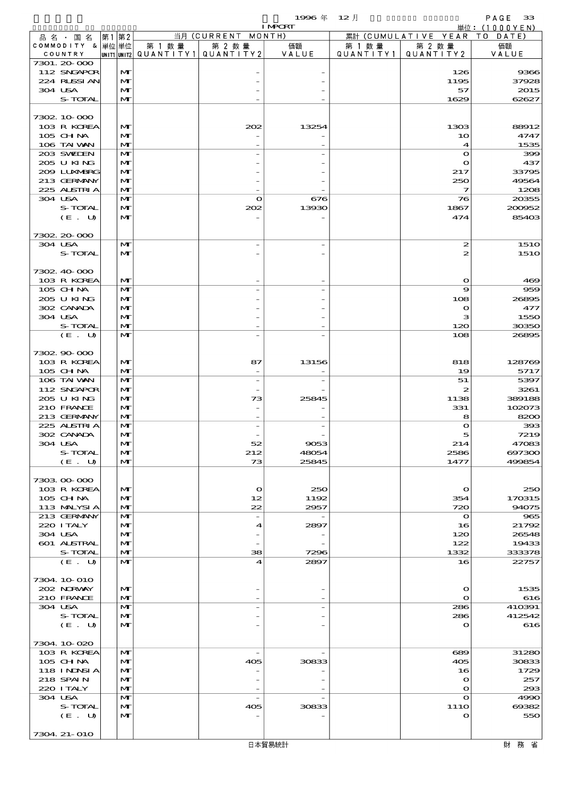$1996 \# 12 \nparallel$  PAGE 33

|         |                           |      |                              |        |                                          | <b>I MPORT</b> |           |                              | 単位: (1000YEN)   |
|---------|---------------------------|------|------------------------------|--------|------------------------------------------|----------------|-----------|------------------------------|-----------------|
|         | 品 名 ・ 国 名                 | 第1第2 |                              |        | 当月 (CURRENT MONTH)                       |                |           | 累計 (CUMULATIVE YEAR TO DATE) |                 |
|         | COMMODITY & 単位単位          |      |                              | 第 1 数量 | 第 2 数量                                   | 価額             | 第 1 数量    | 第 2 数量<br>QUANTITY 2         | 価額              |
|         | COUNTRY<br>7301. 20-000   |      |                              |        | UNIT1  UNIT2   QUANT I TY1   QUANT I TY2 | VALUE          | QUANTITY1 |                              | VALUE           |
|         | 112 SNGAPOR               |      | M                            |        |                                          |                |           | 126                          | 9366            |
|         | 224 RUSSIAN               |      | $\mathbf{M}$                 |        |                                          |                |           | 1195                         | 37928           |
| 304 USA |                           |      | $\mathbf{M}$                 |        |                                          |                |           | 57                           | 2015            |
|         | S-TOTAL                   |      | $\mathbf{M}$                 |        |                                          |                |           | 1629                         | 62627           |
|         |                           |      |                              |        |                                          |                |           |                              |                 |
|         | 7302 10 000               |      |                              |        |                                          |                |           |                              |                 |
|         | 103 R KOREA<br>$105$ CHNA |      | $\mathbf{M}$<br>M            |        | 202                                      | 13254          |           | 1303                         | 88912<br>4747   |
|         | 106 TAI VAN               |      | M                            |        |                                          |                |           | 10<br>$\boldsymbol{4}$       | 1535            |
|         | 203 SWIEN                 |      | $\mathbf{M}$                 |        |                                          |                |           | $\mathbf o$                  | 399             |
|         | 205 U KING                |      | M                            |        |                                          |                |           | $\mathbf o$                  | 437             |
|         | 2009 LUNABRG              |      | $\mathbf{M}$                 |        |                                          |                |           | 217                          | 33795           |
|         | 213 GERMANY               |      | M                            |        |                                          |                |           | 250                          | 49564           |
|         | 225 ALSTRIA               |      | $\mathbf{M}$                 |        |                                          |                |           | 7                            | 1208            |
| 304 USA | S-TOTAL                   |      | $\mathbf{M}$<br>M            |        | $\mathbf{o}$                             | 676            |           | 76                           | 20355           |
|         | (E. U)                    |      | $\mathbf{M}$                 |        | 202                                      | 13930          |           | 1867<br>474                  | 200952<br>85403 |
|         |                           |      |                              |        |                                          |                |           |                              |                 |
|         | 7302.20-000               |      |                              |        |                                          |                |           |                              |                 |
| 304 USA |                           |      | $\mathbf{M}$                 |        |                                          |                |           | $\boldsymbol{z}$             | <b>1510</b>     |
|         | S-TOTAL                   |      | $\mathbf{M}$                 |        |                                          |                |           | 2                            | <b>1510</b>     |
|         |                           |      |                              |        |                                          |                |           |                              |                 |
|         | 7302 40 000               |      |                              |        |                                          |                |           |                              |                 |
|         | 103 R KOREA<br>105 CHNA   |      | $\mathbf{M}$<br>$\mathbf{M}$ |        |                                          |                |           | $\mathbf o$<br>9             | 469             |
|         | 205 U KING                |      | $\mathbf{M}$                 |        |                                          |                |           | 108                          | 959<br>26895    |
|         | 302 CANADA                |      | M                            |        |                                          |                |           | $\bullet$                    | 477             |
| 304 USA |                           |      | $\mathbf{M}$                 |        |                                          |                |           | з                            | 1550            |
|         | S-TOTAL                   |      | $\mathbf{M}$                 |        |                                          |                |           | 120                          | 30350           |
|         | (E. U)                    |      | $\mathbf{M}$                 |        |                                          |                |           | 108                          | 26895           |
|         |                           |      |                              |        |                                          |                |           |                              |                 |
|         | 7302.90-000               |      |                              |        |                                          |                |           |                              |                 |
|         | 103 R KOREA<br>105 CH NA  |      | M<br>$\mathbf{M}$            |        | 87                                       | 13156          |           | 818<br>19                    | 128769<br>5717  |
|         | 106 TAI VAN               |      | $\mathbf{M}$                 |        |                                          |                |           | 51                           | 5397            |
|         | 112 SNGAPOR               |      | $\mathbf{M}$                 |        |                                          |                |           | $\boldsymbol{z}$             | 3261            |
|         | 205 U KING                |      | $\mathbf{M}$                 |        | 73                                       | 25845          |           | 1138                         | 389188          |
|         | 210 FRANCE                |      | $\mathbf{M}$                 |        |                                          |                |           | 331                          | 102073          |
|         | 213 GERMANY               |      | $\mathbf{M}$                 |        |                                          |                |           | 8                            | 8200            |
|         | 225 ALSTRIA               |      | $\mathbf{M}$                 |        |                                          |                |           | $\mathbf o$                  | 393             |
|         | 302 CANADA                |      | M                            |        |                                          |                |           | 5                            | 7219            |
| 304 USA | S-TOTAL                   |      | $\mathbf{M}$<br>M            |        | 52<br>212                                | 9053<br>48054  |           | 214<br>2586                  | 47083<br>697300 |
|         | (E. U)                    |      | $\mathbf{M}$                 |        | 73                                       | 25845          |           | 1477                         | 499854          |
|         |                           |      |                              |        |                                          |                |           |                              |                 |
|         | 7303 00 000               |      |                              |        |                                          |                |           |                              |                 |
|         | 103 R KOREA               |      | $\mathbf{M}$                 |        | $\mathbf{o}$                             | 250            |           | $\mathbf{\Omega}$            | 250             |
|         | 105 CH NA                 |      | $\mathbf{M}$                 |        | 12                                       | 1192           |           | 354                          | 170315          |
|         | 113 MALYSIA               |      | $\mathbf{M}$                 |        | 22                                       | 2957           |           | 720                          | 94075           |
|         | 213 GERMANY<br>220 I TALY |      | $\mathbf{M}$<br>M            |        | $\overline{\phantom{a}}$<br>4            | 2897           |           | $\mathbf{o}$<br>16           | 965<br>21792    |
| 304 USA |                           |      | $\mathbf{M}$                 |        |                                          |                |           | 120                          | 26548           |
|         | 601 ALSTRAL               |      | M                            |        |                                          |                |           | 122                          | 19433           |
|         | S-TOTAL                   |      | $\mathbf{M}$                 |        | 38                                       | 7296           |           | 1332                         | 333378          |
|         | (E. U)                    |      | $\mathbf{M}$                 |        | 4                                        | 2897           |           | 16                           | 22757           |
|         |                           |      |                              |        |                                          |                |           |                              |                 |
|         | 7304 10 010               |      |                              |        |                                          |                |           |                              |                 |
|         | 202 NORWAY                |      | $\mathbf{M}$                 |        |                                          |                |           | $\mathbf o$                  | 1535            |
| 304 USA | 210 FRANCE                |      | M<br>$\mathbf{M}$            |        |                                          |                |           | $\mathbf{o}$<br>286          | 616<br>410391   |
|         | S-TOTAL                   |      | M                            |        |                                          |                |           | 286                          | 412542          |
|         | (E. U)                    |      | $\mathbf{M}$                 |        |                                          |                |           | $\bullet$                    | 616             |
|         |                           |      |                              |        |                                          |                |           |                              |                 |
|         | 7304.10.020               |      |                              |        |                                          |                |           |                              |                 |
|         | 103 R KOREA               |      | M                            |        | $\overline{\phantom{a}}$                 |                |           | 689                          | 31280           |
|         | 105 CH NA                 |      | M                            |        | 405                                      | 30833          |           | 405                          | 30833           |
|         | 118 INDSIA<br>218 SPAIN   |      | $\mathbf{M}$<br>$\mathbf{M}$ |        |                                          |                |           | 16<br>$\mathbf o$            | 1729<br>257     |
|         | 220 I TALY                |      | $\mathbf{M}$                 |        |                                          |                |           | $\mathbf o$                  | 293             |
| 304 USA |                           |      | $\mathbf{M}$                 |        | $\overline{a}$                           |                |           | $\mathbf o$                  | 4990            |
|         | S-TOTAL                   |      | M                            |        | 405                                      | 30833          |           | 111O                         | 69382           |
|         | (E. U)                    |      | M                            |        |                                          |                |           | $\bullet$                    | 550             |
|         |                           |      |                              |        |                                          |                |           |                              |                 |
|         | 7304. 21-010              |      |                              |        |                                          |                |           |                              |                 |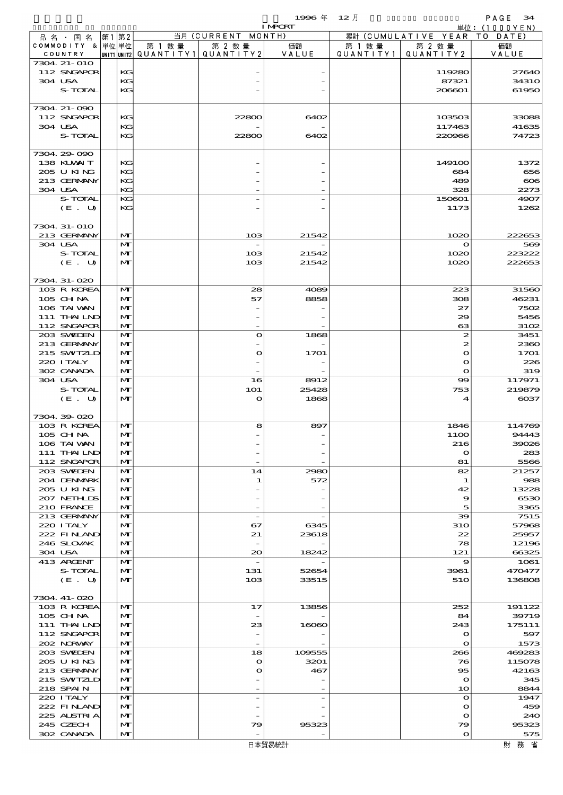|                             |      |                              |                                         |                          | 1996年          | $12$ 月    |                                        | PAGE<br>34            |
|-----------------------------|------|------------------------------|-----------------------------------------|--------------------------|----------------|-----------|----------------------------------------|-----------------------|
|                             |      |                              |                                         | 当月 (CURRENT MONTH)       | <b>I MPCRT</b> |           |                                        | 単位:(1000YEN)          |
| 品名・国名<br>COMMODITY & 単位単位   | 第1第2 |                              | 第 1 数 量                                 | 第 2 数量                   | 価額             | 第 1 数 量   | 累計 (CUMULATIVE YEAR TO DATE)<br>第 2 数量 | 価額                    |
| COUNTRY                     |      |                              | UNIT1 UNIT2   QUANT   TY1   QUANT   TY2 |                          | VALUE          | QUANTITY1 | QUANTITY2                              | VALUE                 |
| 7304 21-010                 |      |                              |                                         |                          |                |           |                                        |                       |
| 112 SNGAPOR<br>304 USA      |      | KG<br>KG                     |                                         |                          |                |           | 119280<br>87321                        | 27640<br><b>34310</b> |
| <b>S-TOTAL</b>              |      | KG                           |                                         |                          |                |           | 206601                                 | 61950                 |
|                             |      |                              |                                         |                          |                |           |                                        |                       |
| 7304. 21-090<br>112 SNGAPOR |      | KG                           |                                         | 22800                    | 6402           |           | 103503                                 |                       |
| 304 USA                     |      | KG                           |                                         |                          |                |           | 117463                                 | 33088<br>41635        |
| S-TOTAL                     |      | KG                           |                                         | 22800                    | 6402           |           | 220966                                 | 74723                 |
|                             |      |                              |                                         |                          |                |           |                                        |                       |
| 7304.29-090<br>138 KUWAIT   |      | KG                           |                                         |                          |                |           | 1491 <sub>00</sub>                     | 1372                  |
| 205 U KING                  |      | KG                           |                                         |                          |                |           | 684                                    | 656                   |
| 213 GERMANY                 |      | KG                           |                                         |                          |                |           | 489                                    | $\infty$              |
| 304 USA                     |      | KG                           |                                         |                          |                |           | 328                                    | 2273                  |
| S-TOTAL<br>(E. U)           |      | KG<br>KG                     |                                         |                          |                |           | 150601<br>1173                         | 4907<br>1262          |
|                             |      |                              |                                         |                          |                |           |                                        |                       |
| 7304 31-010                 |      |                              |                                         |                          |                |           |                                        |                       |
| 213 GERMANY                 |      | M                            |                                         | 10 <sup>3</sup>          | 21542          |           | 1020                                   | 222653                |
| 304 USA                     |      | M                            |                                         |                          |                |           | $\mathbf o$                            | 569                   |
| S-TOTAL<br>(E. U)           |      | $\mathbf{M}$<br>$\mathbf{M}$ |                                         | 10B<br>10 <sub>3</sub>   | 21542<br>21542 |           | 1020<br>1020                           | 223222<br>222653      |
|                             |      |                              |                                         |                          |                |           |                                        |                       |
| 7304. 31-020                |      |                              |                                         |                          |                |           |                                        |                       |
| 103 R KOREA                 |      | $\mathbf{M}$                 |                                         | 28                       | 4089           |           | 223                                    | 31560                 |
| $105$ CHNA<br>106 TAI WAN   |      | $\mathbf{M}$<br>$\mathbf{M}$ |                                         | 57                       | 8858           |           | 308<br>27                              | 46231<br>7502         |
| 111 THAILND                 |      | $\mathbf{M}$                 |                                         |                          |                |           | 29                                     | 5456                  |
| 112 SNGAPOR                 |      | M                            |                                         |                          |                |           | 63                                     | 3102                  |
| 203 SWIEN                   |      | $\mathbf{M}$                 |                                         | $\mathbf o$              | 1868           |           | $\boldsymbol{z}$                       | 3451                  |
| 213 GERMANY                 |      | $\mathbf{M}$                 |                                         |                          |                |           | 2                                      | 2360                  |
| 215 SWIZLD<br>220 I TALY    |      | $\mathbf{M}$<br>$\mathbf{M}$ |                                         | $\mathbf o$              | 1701           |           | $\mathbf o$<br>$\mathbf o$             | 1701<br>226           |
| 302 CANADA                  |      | $\mathbf{M}$                 |                                         |                          |                |           | $\mathbf o$                            | 319                   |
| 304 USA                     |      | M                            |                                         | 16                       | 8912           |           | $\infty$                               | 117971                |
| S-TOTAL                     |      | M                            |                                         | <b>1O1</b>               | 25428          |           | 753                                    | 219879<br>$\cos$      |
| (E. U)                      |      | $\mathbf{M}$                 |                                         | $\mathbf o$              | 1868           |           | 4                                      |                       |
| 7304.39.020                 |      |                              |                                         |                          |                |           |                                        |                       |
| 103 R KOREA                 |      | M                            |                                         | 8                        | 897            |           | 1846                                   | 114769                |
| 105 CHNA                    |      | $\mathbf{M}$<br>$\mathbf{M}$ |                                         |                          |                |           | 1100                                   | 94443                 |
| 106 TAI VAN<br>111 THAILND  |      | M                            |                                         |                          |                |           | 216<br>$\mathbf{o}$                    | 39026<br>283          |
| 112 SNGAPOR                 |      | $\mathbf{M}$                 |                                         |                          |                |           | 81                                     | 5566                  |
| 203 SWIDEN                  |      | $\mathbf{M}$                 |                                         | 14                       | 2980           |           | 82                                     | 21257                 |
| 204 DENMARK<br>205 U KING   |      | $\mathbf{M}$<br>$\mathbf{M}$ |                                         | 1                        | 572            |           | 1<br>42                                | 988<br>13228          |
| 207 NETHLIS                 |      | M                            |                                         |                          |                |           | 9                                      | 6530                  |
| 210 FRANCE                  |      | $\mathbf{M}$                 |                                         |                          |                |           | 5                                      | 3365                  |
| 213 GERMANY                 |      | $\mathbf{M}$                 |                                         | $\overline{\phantom{0}}$ |                |           | 39                                     | 7515                  |
| 220 I TALY<br>222 FINAND    |      | M<br>$\mathbf{M}$            |                                         | 67<br>21                 | 6345<br>23618  |           | <b>31O</b><br>22                       | 57968<br>25957        |
| 246 SLOVAK                  |      | M                            |                                         |                          |                |           | 78                                     | 12196                 |
| 304 USA                     |      | $\mathbf{M}$                 |                                         | 20                       | 18242          |           | 121                                    | 66325                 |
| 413 ARGENT                  |      | $\mathbf{M}$                 |                                         | $\overline{\phantom{a}}$ |                |           | 9                                      | 1061                  |
| S-TOTAL<br>(E. U)           |      | M<br>$\mathbf{M}$            |                                         | 131<br>103               | 52654<br>33515 |           | 3961<br>510                            | 470477<br>136808      |
|                             |      |                              |                                         |                          |                |           |                                        |                       |
| 7304. 41-020                |      |                              |                                         |                          |                |           |                                        |                       |
| 103 R KOREA                 |      | M                            |                                         | 17                       | 13856          |           | 252                                    | 191122                |
| $105$ CHNA<br>111 THAILND   |      | M<br>M                       |                                         | 23                       | 16060          |           | 84<br>243                              | 39719<br>175111       |
| 112 SNGAPOR                 |      | $\mathbf{M}$                 |                                         |                          |                |           | $\mathbf{o}$                           | 597                   |
| 202 NORWAY                  |      | $\mathbf{M}$                 |                                         |                          |                |           | $\mathbf{o}$                           | 1573                  |
| 203 SWIEN                   |      | $\mathbf{M}$                 |                                         | 18                       | 109555         |           | 266                                    | 469283                |
| 205 U KING<br>213 GERMANY   |      | $\mathbf{M}$<br>M            |                                         | O<br>O                   | 3201<br>467    |           | 76<br>$\overline{\textbf{5}}$          | 115078<br>42163       |
| 215 SWIZLD                  |      | $\mathbf{M}$                 |                                         |                          |                |           | $\mathbf{\Omega}$                      | 345                   |
| 218 SPAIN                   |      | $\mathbf{M}$                 |                                         |                          |                |           | 10                                     | 8844                  |
| 220 I TALY                  |      | $\mathbf{M}$                 |                                         |                          |                |           | $\bullet$                              | 1947                  |
| 222 FINAND<br>225 ALSTRIA   |      | $\mathbf{M}$<br>M            |                                         |                          |                |           | $\mathbf o$<br>$\mathbf o$             | 459<br>240            |
| 245 CZECH                   |      | M                            |                                         | 79                       | 95323          |           | 79                                     | 95323                 |
| 302 CANADA                  |      | $\mathbf{M}$                 |                                         |                          |                |           | $\mathbf{o}$                           | 575                   |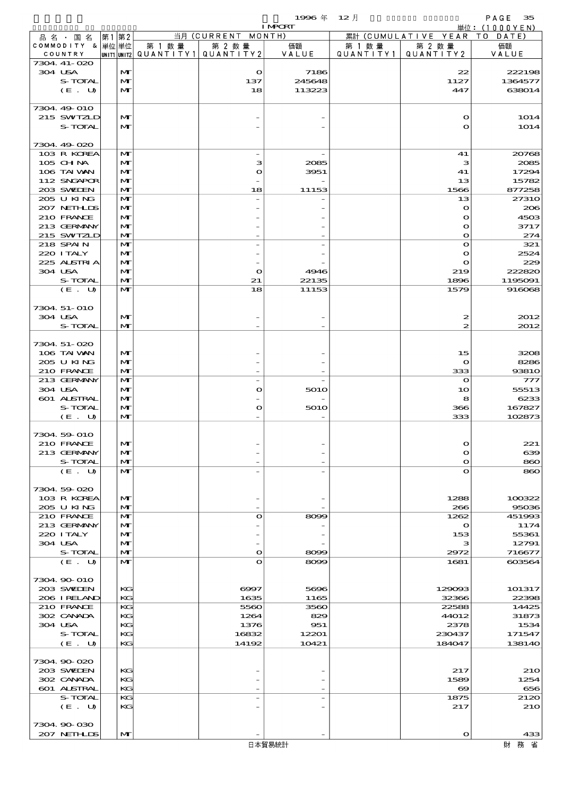$1996 \nless 12 \nless 12$ 

|                            |      |              |        |                                                 | <b>I MPORT</b> |         |                              | 単位: (1000YEN) |
|----------------------------|------|--------------|--------|-------------------------------------------------|----------------|---------|------------------------------|---------------|
| 品名・国名                      | 第1第2 |              |        | 当月 (CURRENT MONTH)                              |                |         | 累計 (CUMULATIVE YEAR TO DATE) |               |
| COMMODITY & 単位単位           |      |              | 第 1 数量 | 第 2 数量                                          | 価額             | 第 1 数 量 | 第 2 数量                       | 価額            |
| COUNTRY                    |      |              |        | $ $ UNIT1 $ $ UNIT2 $ $ QUANTITY1 $ $ QUANTITY2 | VALUE          |         | QUANTITY1 QUANTITY2          | VALUE         |
| 7304. 41-020<br>304 USA    |      | M            |        | $\mathbf o$                                     | 7186           |         | 22                           | 222198        |
| S-TOTAL                    |      | M            |        | 137                                             | 245648         |         | 1127                         | 1364577       |
| (E. U)                     |      | $\mathbf{M}$ |        | 18                                              | 113223         |         | 447                          | 638014        |
|                            |      |              |        |                                                 |                |         |                              |               |
| 7304 49 010                |      |              |        |                                                 |                |         |                              |               |
| 215 SWIZLD                 |      | M            |        |                                                 |                |         | $\mathbf o$                  | 1014          |
| S-TOTAL                    |      | $\mathbf{M}$ |        |                                                 |                |         | $\mathbf{o}$                 | 1014          |
|                            |      |              |        |                                                 |                |         |                              |               |
| 7304.49-020                |      |              |        |                                                 |                |         |                              |               |
| 103 R KOREA                |      | M            |        |                                                 |                |         | 41                           | 20768         |
| 105 CH NA                  |      | M            |        | з                                               | 2085           |         | з                            | 2085          |
| 106 TAI VAN                |      | M            |        | $\mathbf o$                                     | 3951           |         | 41                           | 17294         |
| 112 SNGAPOR                |      | $\mathbf{M}$ |        |                                                 |                |         | 13                           | 15782         |
| 203 SWIEN                  |      | $\mathbf{M}$ |        | 18                                              | 11153          |         | 1566                         | 877258        |
| 205 U KING                 |      | $\mathbf{M}$ |        |                                                 |                |         | 13                           | 2731O         |
| 207 NETHLIS                |      | M            |        |                                                 |                |         | $\mathbf o$                  | 206           |
| 210 FRANCE                 |      | M            |        |                                                 |                |         | $\mathbf{\Omega}$            | 4503          |
| 213 GERMANY                |      | $\mathbf{M}$ |        |                                                 |                |         | $\mathbf{o}$                 | 3717          |
| 215 SWIZLD                 |      | $\mathbf{M}$ |        |                                                 |                |         | $\mathbf o$                  | 274           |
| 218 SPAIN                  |      | $\mathbf{M}$ |        |                                                 |                |         | $\bullet$                    | 321           |
| 220 I TALY                 |      | M            |        |                                                 |                |         | $\mathbf o$                  | 2524          |
| 225 ALSTRIA                |      | M            |        |                                                 |                |         | $\mathbf{o}$                 | 229           |
| 304 USA                    |      | $\mathbf{M}$ |        | $\mathbf{o}$                                    | 4946           |         | 219                          | 222820        |
| S-TOTAL                    |      | $\mathbf{M}$ |        | 21                                              | 22135          |         | 1896                         | 1195091       |
| (E. U)                     |      | $\mathbf{M}$ |        | 18                                              | 11153          |         | 1579                         | 916068        |
|                            |      |              |        |                                                 |                |         |                              |               |
| 7304 51-010                |      |              |        |                                                 |                |         |                              |               |
| 304 USA                    |      | M            |        |                                                 |                |         | 2                            | 2012          |
| S-TOTAL                    |      | $\mathbf{M}$ |        |                                                 |                |         | $\boldsymbol{z}$             | 2012          |
|                            |      |              |        |                                                 |                |         |                              |               |
| 7304.51-020<br>106 TAI VAN |      |              |        |                                                 |                |         |                              |               |
| 205 U KING                 |      | M<br>M       |        |                                                 |                |         | 15<br>$\mathbf o$            | 3208<br>8286  |
| 210 FRANCE                 |      | $\mathbf{M}$ |        |                                                 |                |         | 333                          | 9381O         |
| 213 GERMANY                |      | $\mathbf{M}$ |        |                                                 |                |         | $\mathbf o$                  | 777           |
| 304 USA                    |      | M            |        | $\mathbf o$                                     | 5010           |         | 10                           | 55513         |
| 601 ALSTRAL                |      | M            |        |                                                 |                |         | 8                            | 6233          |
| S-TOTAL                    |      | $\mathbf{M}$ |        | $\mathbf o$                                     | 5010           |         | 366                          | 167827        |
| (E. U)                     |      | $\mathbf{M}$ |        |                                                 |                |         | 333                          | 102873        |
|                            |      |              |        |                                                 |                |         |                              |               |
| 7304 59 010                |      |              |        |                                                 |                |         |                              |               |
| 210 FRANCE                 |      | $\mathbf{M}$ |        |                                                 |                |         | റ                            | 221           |
| 213 GERMANY                |      | M            |        |                                                 |                |         | O                            | 639           |
| S-TOTAL                    |      | M            |        |                                                 |                |         | $\mathbf o$                  | 860           |
| (E. U)                     |      | $\mathbf{M}$ |        |                                                 |                |         | $\mathbf o$                  | 860           |
|                            |      |              |        |                                                 |                |         |                              |               |
| 7304 59 020                |      |              |        |                                                 |                |         |                              |               |
| 103 R KOREA                |      | M            |        |                                                 |                |         | 1288                         | 100322        |
| 205 U KING                 |      | M            |        |                                                 |                |         | 266                          | 95036         |
| 210 FRANCE                 |      | $\mathbf{M}$ |        | $\mathbf o$                                     | 8099           |         | 1262                         | 451993        |
| 213 GERMANY                |      | M            |        |                                                 |                |         | $\mathbf o$                  | 1174          |
| 220 I TALY                 |      | M            |        |                                                 |                |         | 153                          | 55361         |
| 304 USA                    |      | M            |        |                                                 |                |         | з                            | 12791         |
| S-TOTAL                    |      | $\mathbf{M}$ |        | $\bullet$                                       | 8099           |         | 2972                         | 716677        |
| (E. U)                     |      | $\mathbf{M}$ |        | $\mathbf o$                                     | 8099           |         | 1681                         | 603564        |
|                            |      |              |        |                                                 |                |         |                              |               |
| 7304 90 010                |      |              |        |                                                 |                |         |                              |               |
| 203 SWIDEN                 |      | КG           |        | 6997                                            | 5696           |         | 129093                       | 101317        |
| 206 I RELAND               |      | KG           |        | 1635                                            | 1165           |         | 32366                        | 22398         |
| 210 FRANCE                 |      | KG           |        | 5560                                            | 3560           |         | 22588                        | 14425         |
| 302 CANADA<br>304 USA      |      | KG<br>KG     |        | 1264<br>1376                                    | 829<br>951     |         | 44012                        | 31873<br>1534 |
| S-TOTAL                    |      | KG           |        | 16832                                           | 12201          |         | 2378<br>230437               | 171547        |
| (E. U)                     |      | KG           |        | 14192                                           | 10421          |         | 184047                       | 138140        |
|                            |      |              |        |                                                 |                |         |                              |               |
| 7304.90-020                |      |              |        |                                                 |                |         |                              |               |
| 203 SWIEN                  |      | KG           |        |                                                 |                |         | 217                          | 210           |
| 302 CANADA                 |      | KG           |        |                                                 |                |         | 1589                         | 1254          |
| 601 ALSTRAL                |      | KG           |        |                                                 |                |         | $\boldsymbol{\infty}$        | 656           |
| S-TOTAL                    |      | KG           |        |                                                 |                |         | 1875                         | 2120          |
| (E. U)                     |      | KG           |        |                                                 |                |         | 217                          | <b>210</b>    |
|                            |      |              |        |                                                 |                |         |                              |               |
| 7304.90-030                |      |              |        |                                                 |                |         |                              |               |
| 207 NETHLIS                |      | M            |        |                                                 |                |         | $\mathbf o$                  | 433           |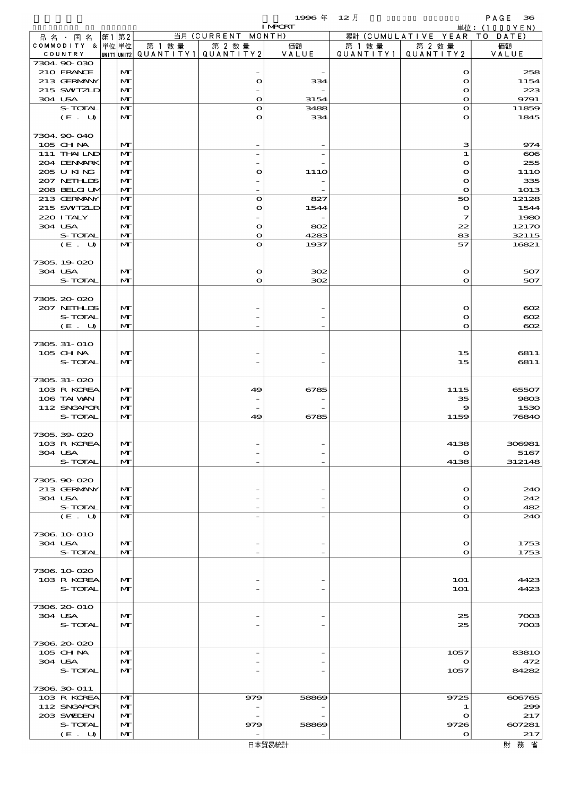$1996 \n& 12 \nparallel$  PAGE 36

|                            |                              |        |                                 | <b>I MPCRT</b> |         |                                        | 単位: $(1000YEN)$      |
|----------------------------|------------------------------|--------|---------------------------------|----------------|---------|----------------------------------------|----------------------|
| 品名・国名<br>COMMODITY & 単位 単位 | 第1第2                         | 第 1 数量 | 当月 (CURRENT MONTH)<br>第 2 数量    |                |         | 累計 (CUMULATIVE YEAR TO DATE)<br>第 2 数量 | 価額                   |
| COUNTRY                    |                              |        | UNIT1 UNIT2 QUANTITY1 QUANTITY2 | 価額<br>VALUE    | 第 1 数 量 | QUANTITY1   QUANTITY2                  | VALUE                |
| 7304.90-030                |                              |        |                                 |                |         |                                        |                      |
| 210 FRANCE<br>213 GERMANY  | $\mathbf{M}$                 |        |                                 |                |         | $\mathbf o$                            | 258                  |
| 215 SWIZLD                 | $\mathbf{M}$<br>$\mathbf{M}$ |        | $\Omega$                        | 334            |         | $\bullet$<br>$\bullet$                 | 1154<br>223          |
| 304 USA                    | $\mathbf{M}$                 |        | $\bullet$                       | 3154           |         | $\bullet$                              | 9791                 |
| S-TOTAL                    | $\mathbf{M}$                 |        | $\Omega$                        | 3488           |         | $\mathbf o$                            | 11859                |
| (E. U)                     | $\mathbf{M}$                 |        | O                               | 334            |         | $\mathbf o$                            | 1845                 |
| 7304 90 040                |                              |        |                                 |                |         |                                        |                      |
| 105 CH NA                  | M                            |        |                                 |                |         | з                                      | 974                  |
| 111 THAILND                | $\mathbf{M}$                 |        |                                 |                |         | ${\bf 1}$                              | $\infty$             |
| 204 DENMARK                | M                            |        |                                 |                |         | $\mathbf o$                            | 255                  |
| 205 U KING<br>207 NETHLIS  | $\mathbf{M}$<br>$\mathbf{M}$ |        | $\mathbf o$                     | 111O           |         | $\mathbf{o}$<br>$\bullet$              | 111O<br>335          |
| 208 BELGI UM               | $\mathbf{M}$                 |        |                                 |                |         | $\mathbf{o}$                           | 1013                 |
| 213 GERMANY                | $\mathbf{M}$                 |        | $\bullet$                       | 827            |         | 50                                     | 12128                |
| 215 SWIZLD                 | $\mathbf{M}$                 |        | $\mathbf o$                     | 1544           |         | $\mathbf o$                            | 1544                 |
| 220 I TALY<br>304 USA      | $\mathbf{M}$<br>$\mathbf{M}$ |        | $\mathbf{o}$                    | 802            |         | $\mathcal I$<br>22                     | 1980<br>12170        |
| S-TOTAL                    | $\mathbf{M}$                 |        | $\Omega$                        | 4283           |         | 83                                     | 32115                |
| (E. U)                     | $\mathbf{M}$                 |        | $\mathbf o$                     | 1937           |         | 57                                     | 16821                |
|                            |                              |        |                                 |                |         |                                        |                      |
| 7305.19-020                |                              |        |                                 |                |         |                                        |                      |
| 304 USA<br>S-TOTAL         | $\mathbf{M}$<br>$\mathbf{M}$ |        | $\Omega$<br>$\mathbf{o}$        | 302<br>302     |         | $\mathbf o$<br>$\mathbf{o}$            | 507<br>507           |
|                            |                              |        |                                 |                |         |                                        |                      |
| 7305.20-020                |                              |        |                                 |                |         |                                        |                      |
| 207 NETHLIS                | $\mathbf{M}$                 |        |                                 |                |         | $\bullet$                              | $\infty$             |
| S-TOTAL<br>(E. U)          | $\mathbf{M}$<br>$\mathbf{M}$ |        |                                 |                |         | $\mathbf o$<br>$\mathbf{o}$            | $\infty$<br>$\infty$ |
|                            |                              |        |                                 |                |         |                                        |                      |
| 7305, 31-010               |                              |        |                                 |                |         |                                        |                      |
| 105 CH NA                  | $\mathbf{M}$                 |        |                                 |                |         | 15                                     | 6811                 |
| S-TOTAL                    | $\mathbf{M}$                 |        |                                 |                |         | 15                                     | 6811                 |
| 7305, 31-020               |                              |        |                                 |                |         |                                        |                      |
| 103 R KOREA                | M                            |        | 49                              | 6785           |         | 1115                                   | 65507                |
| 106 TAI VAN                | $\mathbf{M}$                 |        |                                 |                |         | 35                                     | 9803                 |
| 112 SNGAPOR<br>S-TOTAL     | $\mathbf{M}$<br>$\mathbf{M}$ |        | 49                              | 6785           |         | 9<br>1159                              | 1530<br>76840        |
|                            |                              |        |                                 |                |         |                                        |                      |
| 7305.39-020                |                              |        |                                 |                |         |                                        |                      |
| 103 R KOREA                | $\mathbf{M}$                 |        |                                 |                |         | 4138                                   | 306981               |
| 304 USA<br>S-TOTAL         | $\mathbf{M}$<br>$\mathbf{M}$ |        |                                 |                |         | $\mathbf o$<br>4138                    | 5167<br>312148       |
|                            |                              |        |                                 |                |         |                                        |                      |
| 7305.90-020                |                              |        |                                 |                |         |                                        |                      |
| 213 GERMANY                | $\mathbf{M}$                 |        |                                 |                |         | $\mathbf o$                            | 240                  |
| 304 USA                    | M                            |        |                                 |                |         | $\mathbf o$                            | 242                  |
| S-TOTAL<br>(E. U)          | $\mathbf{M}$<br>$\mathbf{M}$ |        |                                 |                |         | $\mathbf o$<br>$\mathbf o$             | 482<br>240           |
|                            |                              |        |                                 |                |         |                                        |                      |
| 7306 10 010                |                              |        |                                 |                |         |                                        |                      |
| 304 USA<br>S-TOTAL         | $\mathbf{M}$<br>$\mathbf{M}$ |        |                                 |                |         | $\mathbf o$                            | 1753                 |
|                            |                              |        |                                 |                |         | $\mathbf o$                            | 1753                 |
| 7306.10.020                |                              |        |                                 |                |         |                                        |                      |
| 103 R KOREA                | $\mathbf{M}$                 |        |                                 |                |         | <b>1O1</b>                             | 4423                 |
| S-TOTAL                    | M                            |        |                                 |                |         | 1O1                                    | 4423                 |
| 7306 20 010                |                              |        |                                 |                |         |                                        |                      |
| 304 USA                    | $\mathbf{M}$                 |        |                                 |                |         | 25                                     | 7003                 |
| S-TOTAL                    | $\mathbf{M}$                 |        |                                 |                |         | 25                                     | 7003                 |
|                            |                              |        |                                 |                |         |                                        |                      |
| 7306.20-020<br>105 CH NA   | $\mathbf{M}$                 |        |                                 |                |         | 1057                                   | <b>83810</b>         |
| 304 USA                    | $\mathbf{M}$                 |        |                                 |                |         | $\mathbf o$                            | 472                  |
| S-TOTAL                    | $\mathbf{M}$                 |        |                                 |                |         | 1057                                   | 84282                |
|                            |                              |        |                                 |                |         |                                        |                      |
| 7306 30 011<br>103 R KOREA | $\mathbf{M}$                 |        | 979                             | 58869          |         | 9725                                   | 606765               |
| 112 SNGAPOR                | $\mathbf{M}$                 |        |                                 |                |         | 1                                      | 299                  |
| 203 SWIEN                  | $\mathbf{M}$                 |        |                                 |                |         | $\mathbf o$                            | 217                  |
| S-TOTAL                    | M                            |        | 979                             | 58869          |         | 9726                                   | 607281               |
| (E. U)                     | $\mathbf{M}$                 |        |                                 |                |         | $\mathbf o$                            | 217                  |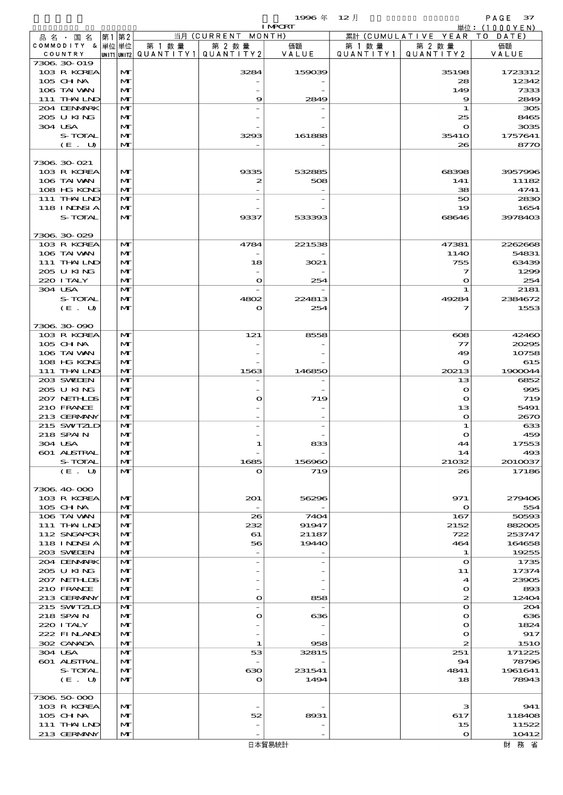$1996 \# 12 \nparallel$  PAGE 37

|                             |                              |        |                                                  | <b>I MPCRT</b> |         |                                 | 単位: (1000 Y E N) |
|-----------------------------|------------------------------|--------|--------------------------------------------------|----------------|---------|---------------------------------|------------------|
| 品名・国名                       | 第1 第2                        |        | 当月 (CURRENT MONTH)                               |                |         | 累計 (CUMULATIVE YEAR TO DATE)    |                  |
| COMMODITY & 単位単位<br>COUNTRY |                              | 第 1 数量 | 第 2 数量<br> UNIT1 UNIT2  QUANT   TY1  QUANT   TY2 | 価額<br>VALUE    | 第 1 数 量 | 第 2 数量<br>QUANTITY1   QUANTITY2 | 価額<br>VALUE      |
| 7306 30 019                 |                              |        |                                                  |                |         |                                 |                  |
| 103 R KOREA                 | M                            |        | 3284                                             | 159039         |         | 35198                           | 1723312          |
| 105 CHNA<br>106 TAI VAN     | $\mathbf{M}$<br>M            |        |                                                  |                |         | 28<br>149                       | 12342<br>7333    |
| 111 THAILND                 | $\mathbf{M}$                 |        | 9                                                | 2849           |         | $\boldsymbol{\Theta}$           | 2849             |
| 204 DENMARK                 | M                            |        |                                                  |                |         | 1                               | 305              |
| 205 U KING                  | M                            |        |                                                  |                |         | 25                              | 8465             |
| 304 USA<br><b>S-TOTAL</b>   | $\mathbf{M}$<br>M            |        | 3293                                             | 161888         |         | $\mathbf{o}$<br><b>35410</b>    | 3035<br>1757641  |
| (E. U)                      | $\mathbf{M}$                 |        |                                                  |                |         | 26                              | 8770             |
|                             |                              |        |                                                  |                |         |                                 |                  |
| 7306.30-021                 |                              |        |                                                  |                |         |                                 |                  |
| 103 R KOREA<br>106 TAI VAN  | $\mathbf{M}$<br>M            |        | 9335                                             | 532885<br>508  |         | 68398                           | 3957996          |
| 108 HG KONG                 | $\mathbf{M}$                 |        | 2                                                |                |         | 141<br>38                       | 11182<br>4741    |
| 111 THAILND                 | M                            |        |                                                  |                |         | 50                              | 2830             |
| 118 I NDSI A                | M                            |        |                                                  |                |         | 19                              | 1654             |
| S-TOTAL                     | $\mathbf{M}$                 |        | 9337                                             | 533393         |         | 68646                           | 3978403          |
| 7306.30-029                 |                              |        |                                                  |                |         |                                 |                  |
| 103 R KOREA                 | $\mathbf{M}$                 |        | 4784                                             | 221538         |         | 47381                           | 2262668          |
| 106 TAI VAN                 | M                            |        |                                                  |                |         | 114O                            | 54831            |
| 111 THAILND                 | $\mathbf{M}$                 |        | 18                                               | 3021           |         | 755                             | 63439            |
| 205 U KING                  | M                            |        |                                                  |                |         | 7                               | 1299             |
| 220 I TALY<br>304 USA       | $\mathbf{M}$<br>$\mathbf{M}$ |        | $\mathbf{o}$                                     | 254            |         | $\mathbf o$<br>1                | 254<br>2181      |
| S-TOTAL                     | M                            |        | 4802                                             | 224813         |         | 49284                           | 2384672          |
| (E. U)                      | $\mathbf{M}$                 |        | $\mathbf{o}$                                     | 254            |         | っ                               | 1553             |
|                             |                              |        |                                                  |                |         |                                 |                  |
| 7306 30 090                 |                              |        |                                                  |                |         |                                 |                  |
| 103 R KOREA<br>105 CH NA    | M<br>$\mathbf{M}$            |        | 121                                              | 8558           |         | $\cos$<br>$\tau\tau$            | 42460<br>20295   |
| 106 TAI VAN                 | $\mathbf{M}$                 |        |                                                  |                |         | 49                              | 10758            |
| 108 HG KONG                 | M                            |        |                                                  |                |         | $\mathbf{\Omega}$               | 615              |
| 111 THAILND                 | $\mathbf{M}$                 |        | 1563                                             | 146850         |         | 20213                           | 1900044          |
| 203 SWIDEN<br>205 U KING    | M<br>$\mathbf{M}$            |        |                                                  |                |         | 13<br>$\mathbf{o}$              | 6852<br>995      |
| 207 NETHLIS                 | $\mathbf{M}$                 |        | $\mathbf{o}$                                     | 719            |         | $\mathbf{o}$                    | 719              |
| 210 FRANCE                  | M                            |        |                                                  |                |         | 13                              | 5491             |
| 213 GERMANY                 | $\mathbf{M}$                 |        |                                                  |                |         | $\mathbf o$                     | 2670             |
| 215 SWIZLD<br>218 SPAIN     | M<br>M                       |        |                                                  |                |         | 1<br>$\mathbf o$                | 633<br>459       |
| 304 USA                     | $\mathbf{M}$                 |        |                                                  | 833            |         | 44                              | 17553            |
| 601 ALSTRAL                 | M                            |        |                                                  |                |         | 14                              | 493              |
| S-TOTAL                     | M                            |        | 1685                                             | 156960         |         | 21032                           | 2010037          |
| (E. U)                      | $\mathbf{M}$                 |        | $\mathbf o$                                      | 719            |         | 26                              | 17186            |
| 7306 40 000                 |                              |        |                                                  |                |         |                                 |                  |
| 103 R KOREA                 | $\mathbf{M}$                 |        | 201                                              | 56296          |         | 971                             | 279406           |
| $105$ CHNA                  | M                            |        |                                                  |                |         | $\mathbf o$                     | 554              |
| 106 TAI VAN                 | $\mathbf{M}$                 |        | 26                                               | 7404           |         | 167                             | 50593            |
| 111 THAILND<br>112 SNGAPOR  | $\mathbf{M}$<br>$\mathbf{M}$ |        | 232<br>61                                        | 91947<br>21187 |         | 2152<br>722                     | 882005<br>253747 |
| 118 I NDSI A                | M                            |        | 56                                               | 19440          |         | 464                             | 164658           |
| 203 SWIDEN                  | $\mathbf{M}$                 |        |                                                  |                |         | 1                               | 19255            |
| 204 DENMARK                 | M                            |        |                                                  |                |         | $\mathbf{o}$                    | 1735             |
| 205 U KING<br>207 NETHLIS   | $\mathbf{M}$<br>$\mathbf{M}$ |        |                                                  |                |         | 11<br>4                         | 17374<br>23905   |
| 210 FRANCE                  | M                            |        |                                                  |                |         | $\mathbf o$                     | 893              |
| 213 GERMANY                 | $\mathbf{M}$                 |        | $\bullet$                                        | 858            |         | 2                               | 12404            |
| 215 SWIZLD                  | M                            |        |                                                  |                |         | $\Omega$                        | 204              |
| 218 SPAIN                   | $\mathbf{M}$                 |        | $\mathbf{o}$                                     | 636            |         | $\mathbf o$                     | 636              |
| 220 I TALY<br>222 FINAND    | $\mathbf{M}$<br>M            |        |                                                  |                |         | O<br>O                          | 1824<br>917      |
| 302 CANADA                  | $\mathbf{M}$                 |        | 1                                                | 958            |         | 2                               | <b>1510</b>      |
| 304 USA                     | M                            |        | 53                                               | 32815          |         | 251                             | 171225           |
| 601 ALSTRAL                 | $\mathbf{M}$                 |        |                                                  |                |         | 94                              | 78796            |
| S-TOTAL<br>(E. U)           | M<br>$\mathbf{M}$            |        | ഓ<br>$\mathbf o$                                 | 231541<br>1494 |         | 4841<br>18                      | 1961641<br>78943 |
|                             |                              |        |                                                  |                |         |                                 |                  |
| 7306.50-000                 |                              |        |                                                  |                |         |                                 |                  |
| 103 R KOREA                 | $\mathbf{M}$                 |        |                                                  |                |         | з                               | 941              |
| 105 CH NA                   | M<br>$\mathbf{M}$            |        | 52                                               | 8931           |         | 617                             | 118408<br>11522  |
| 111 THAILND<br>213 GERMANY  | $\mathbf{M}$                 |        |                                                  |                |         | 15<br>$\Omega$                  | 10412            |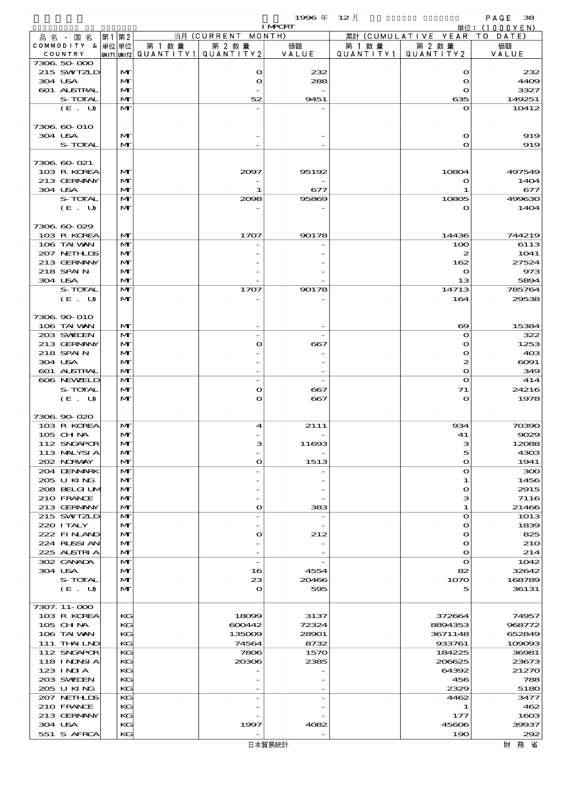$1996 \nless 12 \nless 12 \nless 138$ 

|                             |       |                   |        |                                                     | <b>I MPORT</b> |                      |                                  | 単位: $(1000YEN)$              |
|-----------------------------|-------|-------------------|--------|-----------------------------------------------------|----------------|----------------------|----------------------------------|------------------------------|
| 品 名 ・ 国 名                   | 第1 第2 |                   |        | 当月 (CURRENT MONTH)                                  |                |                      | 累計 (CUMULATIVE YEAR TO DATE)     |                              |
| COMMODITY & 単位単位<br>COUNTRY |       |                   | 第 1 数量 | 第 2 数量<br> UNIT1  UNIT2   QUANT I TY1   QUANT I TY2 | 価額<br>VALUE    | 第 1 数 量<br>QUANTITY1 | 第 2 数量<br>QUANTITY 2             | 価額<br>VALUE                  |
| 7306 50 000                 |       |                   |        |                                                     |                |                      |                                  |                              |
| 215 SWIZLD                  |       | M                 |        | $\mathbf{o}$                                        | 232            |                      | $\mathbf o$                      | 232                          |
| 304 USA                     |       | M                 |        | $\bullet$                                           | 288            |                      | $\mathbf{o}$                     | 4409                         |
| 601 ALSTRAL                 |       | M<br>$\mathbf{M}$ |        | 52                                                  |                |                      | $\mathbf o$                      | 3327                         |
| S-TOTAL<br>(E. U)           |       | $\mathbf{M}$      |        |                                                     | 9451           |                      | 635<br>$\mathbf o$               | 149251<br>10412              |
|                             |       |                   |        |                                                     |                |                      |                                  |                              |
| 7306 60-010                 |       |                   |        |                                                     |                |                      |                                  |                              |
| 304 USA                     |       | $\mathbf{M}$      |        |                                                     |                |                      | $\mathbf o$                      | 919                          |
| S-TOTAL                     |       | $\mathbf{M}$      |        |                                                     |                |                      | $\mathbf{o}$                     | 919                          |
| 7306 60 021                 |       |                   |        |                                                     |                |                      |                                  |                              |
| 103 R KOREA                 |       | $\mathbf{M}$      |        | 2097                                                | 95192          |                      | 10804                            | 497549                       |
| 213 GERMANY                 |       | M                 |        |                                                     |                |                      | $\mathbf o$                      | 1404                         |
| 304 USA                     |       | $\mathbf{M}$      |        | 1                                                   | 677            |                      | л.                               | 677                          |
| S-TOTAL<br>(E. U)           |       | M<br>$\mathbf{M}$ |        | 2098                                                | 95869          |                      | 10805<br>$\mathbf o$             | 499630<br>1404               |
|                             |       |                   |        |                                                     |                |                      |                                  |                              |
| 7306 60 029                 |       |                   |        |                                                     |                |                      |                                  |                              |
| 103 R KOREA                 |       | $\mathbf{M}$      |        | 1707                                                | 90178          |                      | 14436                            | 744219                       |
| 106 TAI VAN                 |       | $\mathbf{M}$      |        |                                                     |                |                      | 100                              | 6113                         |
| 207 NETHLIS<br>213 GERMANY  |       | M<br>M            |        |                                                     |                |                      | 2<br>162                         | 1041<br>27524                |
| 218 SPAIN                   |       | M                 |        |                                                     |                |                      | $\mathbf o$                      | 973                          |
| 304 USA                     |       | $\mathbf{M}$      |        |                                                     |                |                      | 13                               | 5894                         |
| S-TOTAL                     |       | M                 |        | 1707                                                | 90178          |                      | 14713                            | 785764                       |
| (E. U)                      |       | $\mathbf{M}$      |        |                                                     |                |                      | 164                              | 29538                        |
| 7306 90 010                 |       |                   |        |                                                     |                |                      |                                  |                              |
| 106 TAI VAN                 |       | $\mathbf{M}$      |        |                                                     |                |                      | $\boldsymbol{\infty}$            | 15384                        |
| 203 SWIEN                   |       | $\mathbf{M}$      |        |                                                     |                |                      | $\mathbf o$                      | 322                          |
| 213 GERMANY                 |       | M                 |        | $\bullet$                                           | 667            |                      | $\mathbf o$                      | 1253                         |
| 218 SPAIN                   |       | M                 |        |                                                     |                |                      | $\mathbf o$                      | 40 <sup>3</sup>              |
| 304 USA<br>601 ALSTRAL      |       | M<br>$\mathbf{M}$ |        |                                                     |                |                      | $\boldsymbol{z}$<br>$\mathbf{o}$ | $\Theta$ O $\Theta$ 1<br>349 |
| 606 NEWELD                  |       | M                 |        | $\overline{\phantom{a}}$                            |                |                      | $\mathbf{o}$                     | 414                          |
| S-TOTAL                     |       | M                 |        | $\bullet$                                           | 667            |                      | 71                               | 24216                        |
| (E. U)                      |       | M                 |        | $\mathbf{o}$                                        | 667            |                      | $\mathbf{o}$                     | 1978                         |
|                             |       |                   |        |                                                     |                |                      |                                  |                              |
| 7306 90 020<br>103 R KOREA  |       | $\mathbf{M}$      |        | 4                                                   | 2111           |                      | 934                              | 70390                        |
| 105 CHNA                    |       | $\mathbf{M}$      |        |                                                     |                |                      | 41                               | 9029                         |
| 112 SNGAPOR                 |       | $\mathbf{M}$      |        |                                                     | 11693          |                      | з                                | 12088                        |
| 113 MALYSIA                 |       | M                 |        |                                                     |                |                      | 5                                | 4303                         |
| 202 NRWAY                   |       | M                 |        | $\bullet$                                           | 1513           |                      | $\mathbf{o}$                     | 1941                         |
| 204 DENMARK<br>205 U KING   |       | M<br>$\mathbf{M}$ |        |                                                     |                |                      | $\mathbf o$<br>1                 | 300<br>1456                  |
| 208 BELGI UM                |       | $\mathbf{M}$      |        |                                                     |                |                      | $\mathbf o$                      | 2915                         |
| 210 FRANCE                  |       | M                 |        |                                                     |                |                      | з                                | 7116                         |
| 213 GERMANY                 |       | M                 |        | $\bullet$                                           | 383            |                      | 1                                | 21466                        |
| 215 SWIZLD<br>220 I TALY    |       | M<br>$\mathbf{M}$ |        |                                                     |                |                      | $\mathbf o$<br>$\mathbf o$       | 1013<br>1839                 |
| 222 FINAND                  |       | M                 |        | $\bullet$                                           | 212            |                      | $\mathbf o$                      | 825                          |
| 224 RUSSI AN                |       | M                 |        |                                                     |                |                      | $\mathbf o$                      | <b>210</b>                   |
| 225 ALSTRIA                 |       | M                 |        |                                                     |                |                      | $\mathbf o$                      | 214                          |
| 302 CANADA                  |       | M                 |        | $\overline{\phantom{a}}$                            |                |                      | $\mathbf o$                      | 1042                         |
| 304 USA<br>S-TOTAL          |       | M<br>M            |        | 16<br>23                                            | 4554<br>20466  |                      | 82<br>1070                       | 32642<br>168789              |
| (E. U)                      |       | M                 |        | $\mathbf{\Omega}$                                   | 595            |                      | 5                                | 36131                        |
|                             |       |                   |        |                                                     |                |                      |                                  |                              |
| 7307. 11-000                |       |                   |        |                                                     |                |                      |                                  |                              |
| 103 R KOREA                 |       | KG                |        | 18099                                               | 3137           |                      | 372664                           | 74957                        |
| 105 CH NA<br>106 TAI VAN    |       | KC<br>KG          |        | 600442<br>135009                                    | 72324<br>28901 |                      | 8894353<br>3671148               | 968772<br>652849             |
| 111 THAILND                 |       | KC                |        | 74564                                               | 8732           |                      | 933761                           | 109093                       |
| 112 SNGAPOR                 |       | KG                |        | 7806                                                | 1570           |                      | 184225                           | 36981                        |
| 118 I NDSI A                |       | KG                |        | 20306                                               | 2385           |                      | 206625                           | 23673                        |
| 123 INIA<br>203 SWIDEN      |       | KC<br>KG          |        |                                                     |                |                      | 64392<br>456                     | 21270<br>788                 |
| 205 U KING                  |       | KC                |        |                                                     |                |                      | 2329                             | 5180                         |
| 207 NETHLIS                 |       | KG                |        |                                                     |                |                      | 4462                             | 3477                         |
| 210 FRANCE                  |       | KG                |        |                                                     |                |                      | 1                                | 462                          |
| 213 GERMANY                 |       | KG                |        |                                                     |                |                      | 177                              | 1603                         |
| 304 USA<br>551 S AFRCA      |       | KG<br>KG          |        | 1997                                                | 4082           |                      | 45606<br>190                     | 39937<br>292                 |
|                             |       |                   |        |                                                     |                |                      |                                  |                              |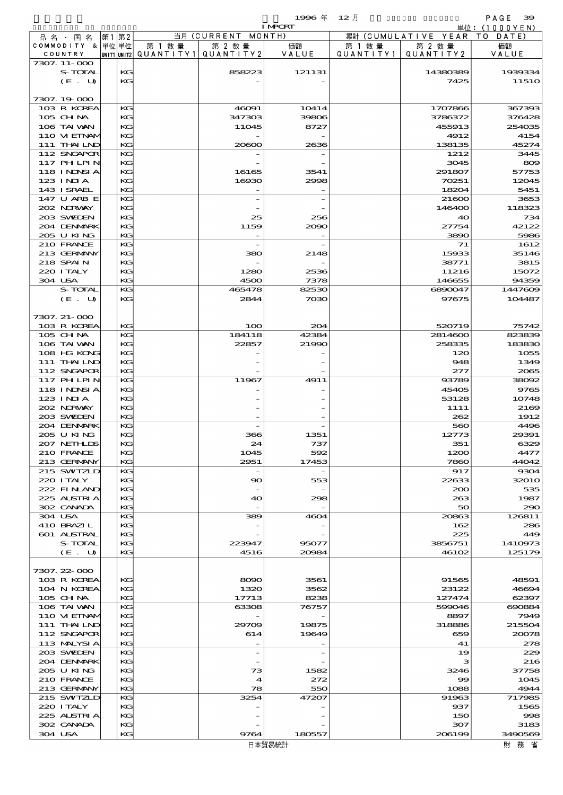$1996 \& 12 \&$ 

|                            |    |          |                                       |                                 | <b>I MPORT</b> |           |                              | 単位: (1000YEN)    |
|----------------------------|----|----------|---------------------------------------|---------------------------------|----------------|-----------|------------------------------|------------------|
| 品名・国名                      | 第1 | 第2       |                                       | 当月(CURRENT                      | MONTH)         |           | 累計 (CUMULATIVE YEAR TO DATE) |                  |
| COMMODITY & 単位単位           |    |          | 第 1 数量                                | 第 2 数量                          | 価額             | 第 1 数 量   | 第 2 数量                       | 価額               |
| COUNTRY                    |    |          | UNIT1 UNIT2  QUANT I TY1  QUANT I TY2 |                                 | VALUE          | QUANTITY1 | QUANTITY 2                   | VALUE            |
| 7307. 11-000               |    |          |                                       |                                 |                |           |                              |                  |
| S-TOTAL                    |    | KG       |                                       | 858223                          | 121131         |           | 14380389                     | 1939334          |
| (E. U)                     |    | KG       |                                       |                                 |                |           | 7425                         | 1151C            |
|                            |    |          |                                       |                                 |                |           |                              |                  |
| 7307.19-000                |    |          |                                       |                                 |                |           |                              |                  |
| 103 R KOREA                |    | KG       |                                       | 46091                           | 10414          |           | 1707866                      | 367393           |
| 105 CH NA                  |    | KG       |                                       | 347303                          | 39806          |           | 3786372                      | 376428           |
| 106 TAI VAN                |    | KG       |                                       | 11045                           | 8727           |           | 455913                       | 254035           |
| 110 VIEINAM<br>111 THAILND |    | KG<br>KG |                                       | 20600                           | 2636           |           | 4912<br>138135               | 4154<br>45274    |
| 112 SNGAPOR                |    | KG       |                                       |                                 |                |           | 1212                         | 3445             |
| 117 PHLPIN                 |    | KG       |                                       |                                 |                |           | 3045                         | 800              |
| 118 INNSI A                |    | KG       |                                       | 16165                           | 3541           |           | 291807                       | 57753            |
| $123$ INIA                 |    | KG       |                                       | 16930                           | 2998           |           | 70251                        | 12045            |
| 143 ISRAEL                 |    | KG       |                                       |                                 |                |           | 18204                        | 5451             |
| 147 U ARB E                |    | KG       |                                       |                                 |                |           | 21600                        | 3653             |
| 202 NORWAY                 |    | KG       |                                       |                                 |                |           | 146400                       | 118323           |
| 203 SWIEN                  |    | KG       |                                       | 25                              | 256            |           | 40                           | 734              |
| 204 DENMARK                |    | KG       |                                       | 1159                            | 2090           |           | 27754                        | 42122            |
| 205 U KING                 |    | KG       |                                       |                                 |                |           | 3890                         | 5986             |
| 210 FRANCE                 |    | KG       |                                       |                                 |                |           | 71                           | 1612             |
| 213 GERMANY                |    | KG       |                                       | 380                             | 2148           |           | 15933                        | 35146            |
| 218 SPAIN                  |    | KG       |                                       |                                 |                |           | 38771                        | 3815             |
| 220 I TALY                 |    | KG       |                                       | 1280                            | 2536           |           | 11216                        | 15072            |
| 304 USA                    |    | KG       |                                       | 4500                            | 7378           |           | 146655                       | 94359            |
| S-TOTAL                    |    | KG       |                                       | 465478                          | 82530          |           | 6890047                      | 1447609          |
| (E. U)                     |    | KG       |                                       | 2844                            | 7030           |           | 97675                        | 104487           |
|                            |    |          |                                       |                                 |                |           |                              |                  |
| 7307. 21-000               |    |          |                                       |                                 |                |           |                              |                  |
| 103 R KOREA                |    | KG       |                                       | 100                             | 204            |           | 520719                       | 75742            |
| 105 CH NA                  |    | KG       |                                       | 184118                          | 42384          |           | 2814600                      | 823839           |
| 106 TAI VAN                |    | KG       |                                       | 22857                           | 21990          |           | 258335                       | 183830           |
| 108 HG KONG                |    | KG       |                                       |                                 |                |           | 120                          | 1055             |
| 111 THAILND                |    | KG       |                                       |                                 |                |           | 948                          | 1349             |
| 112 SNGAPOR                |    | KG       |                                       |                                 |                |           | 277                          | 2065             |
| 117 PH LPIN                |    | KG       |                                       | 11967                           | 4911           |           | 93789                        | 38092            |
| 118 I NDSI A               |    | KG       |                                       |                                 |                |           | 45405                        | 9765             |
| 123 INIA                   |    | KG       |                                       |                                 |                |           | 53128                        | 10748            |
| 202 NORWAY                 |    | KG       |                                       |                                 |                |           | 1111                         | 2166             |
| 203 SWIEN                  |    | KG       |                                       |                                 |                |           | 262                          | 1912             |
| 204 DENMARK                |    | KG       |                                       |                                 |                |           | 560                          | 4496             |
| 205 U KING                 |    | KG<br>KG |                                       | 366                             | 1351           |           | 12773                        | 29391<br>6329    |
| 207 NETHLIS                |    | KG       |                                       | 24                              | 737            |           | 351                          | 4477             |
| 210 FRANCE<br>213 GERMANY  |    | KG       |                                       | 1045<br>2951                    | 592<br>17453   |           | 1200<br>7860                 | 44042            |
| 215 SWIZLD                 |    | KG       |                                       | $\hspace{0.1mm}-\hspace{0.1mm}$ |                |           | 917                          | 9304             |
| 220 I TALY                 |    | KG       |                                       | $\infty$                        | 553            |           | 22633                        | 3201C            |
| 222 FINAND                 |    | KG       |                                       |                                 |                |           | 200                          | 535              |
| 225 ALSTRIA                |    | KG       |                                       | 40                              | 298            |           | 263                          | 1987             |
| 302 CANADA                 |    | KG       |                                       |                                 |                |           | 50                           | 290              |
| 304 USA                    |    | KG       |                                       | 389                             | 4604           |           | 20863                        | 126811           |
| 410 BRAZIL                 |    | KG       |                                       |                                 |                |           | 162                          | 286              |
| 601 ALSTRAL                |    | KG       |                                       |                                 |                |           | 225                          | 449              |
| S-TOTAL                    |    | KG       |                                       | 223947                          | 95077          |           | 3856751                      | 1410973          |
| (E. U)                     |    | KG       |                                       | 4516                            | 20984          |           | 46102                        | 125179           |
|                            |    |          |                                       |                                 |                |           |                              |                  |
| 7307.22-000                |    |          |                                       |                                 |                |           |                              |                  |
| 103 R KOREA                |    | KG       |                                       | 8090                            | 3561           |           | 91565                        | 48591            |
| 104 N KOREA                |    | KG       |                                       | 1320                            | 3562           |           | 23122                        | 46694            |
| $105$ CHNA                 |    | KG       |                                       | 17713                           | 8238           |           | 127474                       | 62397            |
| 106 TAI VAN                |    | KG       |                                       | 63308                           | 76757          |           | 599046                       | 690884           |
| 110 VI EINAM               |    | KG       |                                       |                                 |                |           | 8897                         | <b>7949</b>      |
| 111 THAILND                |    | KG       |                                       | 29709                           | 19875          |           | 318886                       | 215504           |
| 112 SNGAPOR                |    | KG       |                                       | 614                             | 19649          |           | 659                          | 20078            |
| 113 MALYSIA                |    | KG       |                                       |                                 |                |           | 41                           | 278              |
| 203 SWILEN                 |    | KG       |                                       |                                 |                |           | 19                           | 229              |
| 204 DENMARK                |    | KG       |                                       |                                 |                |           | з                            | 216              |
| 205 U KING                 |    | KG       |                                       | 73                              | 1582           |           | 3246                         | 37758            |
| 210 FRANCE                 |    | KG       |                                       | $\boldsymbol{4}$                | 272            |           | 99                           | 1045             |
| 213 GERMANY                |    | KG       |                                       | 78                              | 550            |           | 1088                         | 4944             |
| 215 SWIZLD                 |    | KG       |                                       | 3254                            | 47207          |           | 91963                        | 717985           |
| 220 I TALY<br>225 ALSTRIA  |    | KG<br>KG |                                       |                                 |                |           | 937<br>150                   | 1565             |
| 302 CANADA                 |    | KG       |                                       |                                 |                |           | 307                          | $\infty$<br>3183 |
|                            |    |          |                                       |                                 |                |           |                              |                  |

 $304$  USA  $\begin{array}{|c|c|c|c|c|c|c|c|c|} \hline \text{180557} & & & & \text{208199} & \text{349056} \ \hline \end{array}$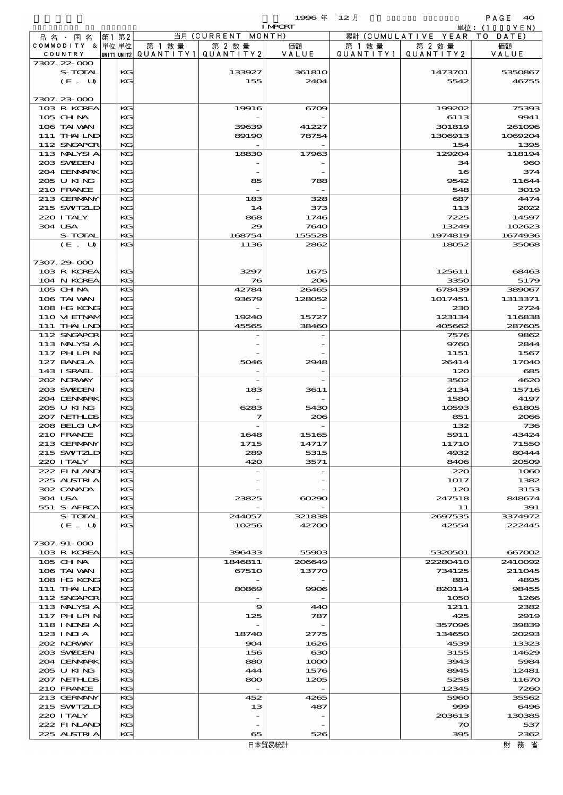$1996 \& 12 \&$ 

|                           |          |                                       |            | <b>I MPORT</b> |                   |                              | 単位:(1000YEN)  |
|---------------------------|----------|---------------------------------------|------------|----------------|-------------------|------------------------------|---------------|
| 品名・国名                     | 第1第2     |                                       | 当月(CURRENT | MONTH)         |                   | 累計 (CUMULATIVE YEAR TO DATE) |               |
| COMMODITY & 単位単位          |          | 第 1 数量                                | 第 2 数量     | 価額             | 第 1 数 量           | 第 2 数量                       | 価額            |
| COUNTRY                   |          | unit1 unit2  QUANT   TY1  QUANT   TY2 |            | VALUE          | Q U A N T I T Y 1 | QUANTITY 2                   | VALUE         |
| 7307.22-000               |          |                                       |            |                |                   |                              |               |
| S-TOTAL                   | KG       |                                       | 133927     | 36181O         |                   | 1473701                      | 5350867       |
| (E. U)                    | KG       |                                       | 155        | 2404           |                   | 5542                         | 46755         |
|                           |          |                                       |            |                |                   |                              |               |
| 7307.23-000               | KG       |                                       |            |                |                   |                              |               |
| 103 R KOREA<br>105 CH NA  | KG       |                                       | 19916      | 6709           |                   | 199202<br>6113               | 75393<br>9941 |
| 106 TAI WAN               | KG       |                                       | 39639      | 41227          |                   | 301819                       | 261096        |
| 111 THAILND               | KG       |                                       | 89190      | 78754          |                   | 1308913                      | 1069204       |
| 112 SNGAPOR               | KG       |                                       |            |                |                   | 154                          | 1395          |
| 113 MALYSIA               | KG       |                                       | 18830      | 17963          |                   | 129204                       | 118194        |
| 203 SWIEN                 | KG       |                                       |            |                |                   | 34                           | 960           |
| 204 DENMARK               | KG       |                                       |            |                |                   | 16                           | 374           |
| 205 U KING                | KG       |                                       | 85         | 788            |                   | 9542                         | 11644         |
| 210 FRANCE                | KG       |                                       |            |                |                   | 548                          | 3019          |
| 213 GERMANY               | KG       |                                       | 183        | 328            |                   | 687                          | 4474          |
| 215 SWIZLD                | KG       |                                       | 14         | 373            |                   | 113                          | 2022          |
| 220 ITALY                 | KG       |                                       | 868        | 1746           |                   | 7225                         | 14597         |
| 304 USA                   | KG       |                                       | 29         | 7640           |                   | 13249                        | 102623        |
| S-TOTAL                   | КG       |                                       | 168754     | 155528         |                   | 1974819                      | 1674936       |
| (E. U)                    | KG       |                                       | 1136       | 2862           |                   | 18052                        | 35068         |
|                           |          |                                       |            |                |                   |                              |               |
| 7307.29 000               |          |                                       |            |                |                   |                              |               |
| 103 R KOREA               | КC       |                                       | 3297       | 1675           |                   | 125611                       | 68463         |
| 104 N KOREA               | KG       |                                       | 76         | 206            |                   | 3350                         | 5179          |
| 105 CH NA                 | КC       |                                       | 42784      | 26465          |                   | 678439                       | 389067        |
| 106 TAI VAN               | KG       |                                       | 93679      | 128052         |                   | 1017451                      | 1313371       |
| 108 HG KONG               | KG       |                                       |            |                |                   | 230                          | 2724          |
| 110 VI EINAM              | KG       |                                       | 19240      | 15727          |                   | 123134                       | 116838        |
| 111 THAILND               | KG       |                                       | 45565      | 38460          |                   | 405662                       | 287605        |
| 112 SNGAPOR               | KG       |                                       |            |                |                   | 7576                         | 9862          |
| 113 MALYSIA<br>117 PHLPIN | KG<br>KG |                                       |            |                |                   | 9760                         | 2844<br>1567  |
| 127 BANCLA                | KG       |                                       | 5046       | 2948           |                   | 1151<br>26414                | 17040         |
| 143 I SRAEL               | KG       |                                       |            |                |                   | 120                          | 685           |
| 202 NORWAY                | KG       |                                       |            |                |                   | 3502                         | 4620          |
| 203 SWIEN                 | KG       |                                       | 183        | 3611           |                   | 2134                         | 15716         |
| 204 DENMARK               | KG       |                                       |            |                |                   | 1580                         | 4197          |
| 205 U KING                | KG       |                                       | 6283       | 5430           |                   | 10593                        | 61805         |
| 207 NETHLIS               | KG       |                                       | 7          | 206            |                   | 851                          | 2066          |
| 208 BELGI UM              | KG       |                                       |            |                |                   | 132                          | 736           |
| 210 FRANCE                | KG       |                                       | 1648       | 15165          |                   | 5911                         | 43424         |
| 213 GERMANY               | KG       |                                       | 1715       | 14717          |                   | 11710                        | 71550         |
| 215 SWIZLD                | КC       |                                       | 289        | 5315           |                   | 4932                         | 80444         |
| 220 I TALY                | KС       |                                       | 420        | 3571           |                   | 8406                         | 20509         |
| 222 FINAND                | КC       |                                       |            |                |                   | 220                          | 1080          |
| 225 ALSTRIA               | KG       |                                       |            |                |                   | 1017                         | 1382          |
| 302 CANADA                | KС       |                                       |            |                |                   | 120                          | 3153          |
| 304 USA                   | KG       |                                       | 23825      | $\alpha$       |                   | 247518                       | 848674        |
| 551 S AFRCA               | KG       |                                       |            |                |                   | 11                           | 391           |
| S-TOTAL                   | КC       |                                       | 244057     | 321838         |                   | 2697535                      | 3374972       |
| (E. U)                    | KG       |                                       | 10256      | 42700          |                   | 42554                        | 222445        |
| 7307.91-000               |          |                                       |            |                |                   |                              |               |
| 103 R KOREA               | KG       |                                       | 396433     | 55903          |                   | 5320501                      | 667002        |
| 105 CH NA                 | КC       |                                       | 1846811    | 206649         |                   | 22280410                     | 2410092       |
| 106 TAI VAN               | KG       |                                       | 67510      | 13770          |                   | 734125                       | 211045        |
| 108 HG KONG               | КC       |                                       |            |                |                   | 881                          | 4895          |
| 111 THAILND               | KG       |                                       | 80869      | 9906           |                   | 820114                       | 98455         |
| 112 SNGAPOR               | КC       |                                       |            |                |                   | 1050                         | 1266          |
| 113 MALYSIA               | КC       |                                       | 9          | 440            |                   | 1211                         | 2382          |
| 117 PH LPIN               | KG       |                                       | 125        | 787            |                   | 425                          | 2919          |
| 118 I NDSI A              | КC       |                                       |            |                |                   | 357096                       | 39839         |
| 123 INIA                  | KG       |                                       | 18740      | 2775           |                   | 134650                       | 20293         |
| 202 NORWAY                | KС       |                                       | 904        | 1626           |                   | 4539                         | 13323         |
| 203 SWIEN                 | КC       |                                       | 156        | 630            |                   | 3155                         | 14629         |
| 204 DENMARK               | KG       |                                       | 880        | 1000           |                   | 3943                         | 5984          |
| 205 U KING                | КC       |                                       | 444        | 1576           |                   | 8945                         | 12481         |
| 207 NETHLIS               | KG       |                                       | 800        | 1205           |                   | 5258                         | 11670         |
| 210 FRANCE                | КC       |                                       |            |                |                   | 12345                        | 7260          |
| 213 GERMANY               | КC       |                                       | 452        | 4265           |                   | 5960                         | 35562         |
| 215 SWIZLD                | KС       |                                       | 13         | 487            |                   | 999                          | 6496          |
| 220 I TALY                | КC       |                                       |            |                |                   | 203613                       | 130385        |
| 222 FINAND                | KG       |                                       |            |                |                   | $\infty$                     | 537           |
| 225 ALSTRIA               | КC       |                                       | 65         | 526            |                   | 395                          | 2362          |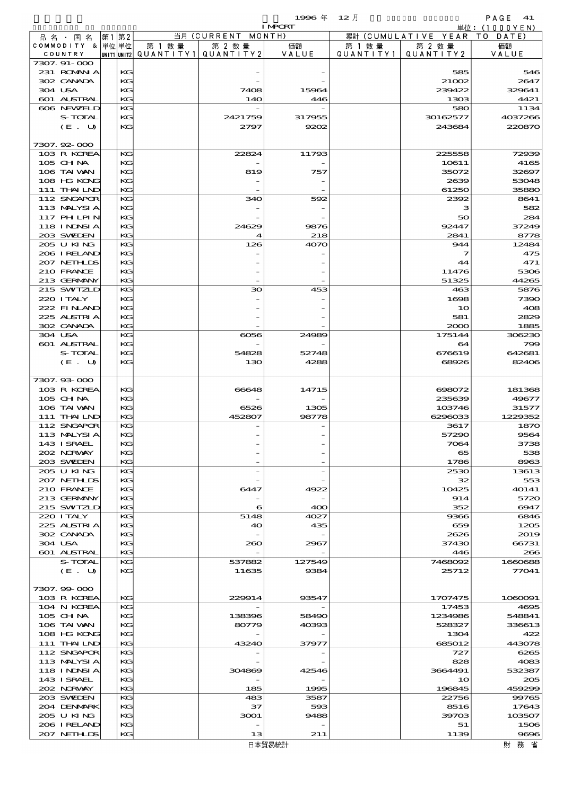$1$ 996  $\overline{4}$   $12\overline{1}$   $12\overline{1}$   $12\overline{1}$   $12\overline{1}$   $12\overline{1}$ 

| $\sim$ | $\sim$ / |  |
|--------|----------|--|
|        |          |  |

|                                 |          |        |                                       | <b>I MPORT</b> |                   |                              | 単位: (1000YEN)   |
|---------------------------------|----------|--------|---------------------------------------|----------------|-------------------|------------------------------|-----------------|
| 品名・国名                           | 第1 第2    |        | 当月 (CURRENT MONTH)                    |                |                   | 累計 (CUMULATIVE YEAR TO DATE) |                 |
| COMMODITY & 単位単位                |          | 第 1 数量 | 第 2 数量                                | 価額             | 第 1 数 量           | 第 2 数量                       | 価額              |
| COUNTRY                         |          |        | UNIT1 UNIT2  QUANT   TY1  QUANT   TY2 | VALUE          | Q U A N T I T Y 1 | QUANTITY 2                   | VALUE           |
| 7307. 91-000                    |          |        |                                       |                |                   |                              |                 |
| 231 ROMANIA<br>302 CANADA       | KG       |        |                                       |                |                   | 585                          | 546             |
| 304 USA                         | KC<br>KC |        | 7408                                  | 15964          |                   | 21002<br>239422              | 2647<br>329641  |
| <b>601 ALSTRAL</b>              | KG       |        | <b>14O</b>                            | 446            |                   | 1303                         | 4421            |
| 606 NEWELD                      | КG       |        |                                       |                |                   | 580                          |                 |
| S-TOTAL                         | КG       |        | 2421759                               | 317955         |                   | 30162577                     | 1134<br>4037266 |
| (E. U)                          | KC       |        | 2797                                  | 9202           |                   | 243684                       | 220870          |
|                                 |          |        |                                       |                |                   |                              |                 |
| 7307.92-000                     |          |        |                                       |                |                   |                              |                 |
| 103 R KOREA                     | KG       |        | 22824                                 | 11793          |                   | 225558                       | 72939           |
| 105 CH NA                       | КG       |        |                                       |                |                   | 10611                        | 4165            |
| 106 TAI VAN                     | KC       |        | 819                                   | 757            |                   | 35072                        | 32697           |
| 108 HG KONG                     | KG       |        |                                       |                |                   | 2639                         | 53048           |
| 111 THAILND                     | KC       |        |                                       |                |                   | 61250                        | 35880           |
| 112 SNGAPOR                     | KG       |        | 340                                   | 592            |                   | 2392                         | 8641            |
| 113 MALYSIA                     | КG       |        |                                       |                |                   | з                            | 582             |
| <b>117 PHLPIN</b>               | KC       |        |                                       |                |                   | 50                           | 284             |
| <b>118 INNSIA</b>               | КG       |        | 24629                                 | 9876           |                   | 92447                        | 37249           |
| 203 SWIEN                       | KG       |        | $\boldsymbol{\mathcal{A}}$            | 218            |                   | 2841                         | 8778            |
| 205 U KING                      | KG       |        | 126                                   | 4070           |                   | 944                          | 12484           |
| 206 IRELAND                     | КG       |        |                                       |                |                   | 7                            | 475             |
| 207 NETHLIS                     | KC       |        |                                       |                |                   | 44                           | 471             |
| 210 FRANCE                      | KG       |        |                                       |                |                   | 11476                        | 5306            |
| 213 GERMANY                     | KG       |        |                                       |                |                   | 51325                        | 44265           |
| 215 SWIZLD                      | KG       |        | 30                                    | 453            |                   | 463                          | 5876            |
| 220 I TALY                      | KG       |        |                                       |                |                   | 1698                         | 7390            |
| 222 FINAND                      | KC       |        |                                       |                |                   | 10                           | 408             |
| 225 ALSTRIA                     | KG       |        |                                       |                |                   | 581                          | 2829            |
| 302 CANADA                      | KG       |        |                                       |                |                   | 2000                         | 1885            |
| 304 USA                         | KG       |        | 6056                                  | 24989          |                   | 175144                       | 306230          |
| 601 ALSTRAL                     | KG       |        |                                       |                |                   | 64                           | 799             |
| S-TOTAL                         | KC       |        | 54828                                 | 52748          |                   | 676619                       | 642681          |
| (E. U)                          | KG       |        | 130                                   | 4288           |                   | 68926                        | 82406           |
|                                 |          |        |                                       |                |                   |                              |                 |
| 7307.93-000<br>103 R KOREA      |          |        |                                       |                |                   |                              |                 |
| 105 CHNA                        | KC<br>KC |        | 66648                                 | 14715          |                   | 698072<br>235639             | 181368<br>49677 |
| 106 TAI VAN                     | KC       |        | 6526                                  | 1305           |                   | 103746                       | 31577           |
| 111 THAILND                     | KG       |        | 452807                                | 98778          |                   | 6296033                      | 1229352         |
| 112 SNGAPOR                     | KG       |        |                                       |                |                   | 3617                         | 1870            |
| 113 MALYSIA                     | KG       |        |                                       |                |                   | 57290                        | 9564            |
| 143 I SRAEL                     | КG       |        |                                       |                |                   | 7064                         | 3738            |
| 202 NORWAY                      | КG       |        |                                       |                |                   | 65                           | 538             |
| 203 SWIDEN                      | KG       |        |                                       |                |                   | 1786                         | 8963            |
| 205 U KING                      | KG       |        |                                       |                |                   | 2530                         | 13613           |
| 207 NETHLIS                     | KG       |        |                                       |                |                   | 32                           | 553             |
| 210 FRANCE                      | KC       |        | 6447                                  | 4922           |                   | 10425                        | 40141           |
| 213 GERMANY                     | КG       |        |                                       |                |                   | 914                          | 5720            |
| 215 SWIZLD                      | KG       |        | 6                                     | 400            |                   | 352                          | 6947            |
| 220 I TALY                      | КG       |        | 5148                                  | 4027           |                   | 9366                         | 6846            |
| 225 ALSTRIA                     | KG       |        | 40                                    | 435            |                   | 659                          | 1205            |
| 302 CANADA                      | KC       |        |                                       |                |                   | 2626                         | 2019            |
| 304 USA                         | КG       |        | 200                                   | 2967           |                   | 37430                        | 66731           |
| 601 ALSTRAL                     | KG       |        |                                       |                |                   | 446                          | 266             |
| S-TOTAL                         | КG       |        | 537882                                | 127549         |                   | 7468092                      | 1660688         |
| (E. U)                          | KG       |        | 11635                                 | 9384           |                   | 25712                        | 77041           |
|                                 |          |        |                                       |                |                   |                              |                 |
| 7307.99-000                     |          |        |                                       |                |                   |                              |                 |
| 103 R KOREA                     | KC       |        | 229914                                | 93547          |                   | 1707475                      | 1080091         |
| 104 N KOREA                     | КG       |        |                                       |                |                   | 17453                        | 4695            |
| 105 CHNA                        | KG       |        | 138396                                | 58490          |                   | 1234986                      | 548841          |
| 106 TAI VAN                     | KG       |        | 80779                                 | 40393          |                   | 528327                       | 336613          |
| 108 HG KONG                     | КG       |        |                                       |                |                   | 1304                         | 422             |
| 111 THAILND                     | KG       |        | 43240                                 | 37977          |                   | 685012                       | 443078          |
| 112 SNGAPOR                     | КG       |        |                                       |                |                   | 727                          | 6265            |
| 113 MALYSIA                     | KG       |        |                                       |                |                   | 828                          | 4083<br>532387  |
| <b>118 INNSIA</b><br>143 ISRAEL | KG<br>КG |        | 304869                                | 42546          |                   | 3664491<br>10                | 205             |
| 202 NRWAY                       | KG       |        | 185                                   | 1995           |                   | 196845                       | 459299          |
| 203 SWIDEN                      | KG       |        | 483                                   | 3587           |                   | 22756                        | 99765           |
| 204 DENMARK                     | KG       |        | 37                                    | 593            |                   | 8516                         | 17643           |
| 205 U KING                      | KC       |        | 3001                                  | 9488           |                   | 39703                        | 103507          |
| 206 I RELAND                    | КG       |        |                                       |                |                   | 51                           | 1506            |
| 207 NETHLIS                     | KC       |        | 13                                    | 211            |                   | 1139                         | 9696            |
|                                 |          |        |                                       | 日木留易統計         |                   |                              | 財 務 省           |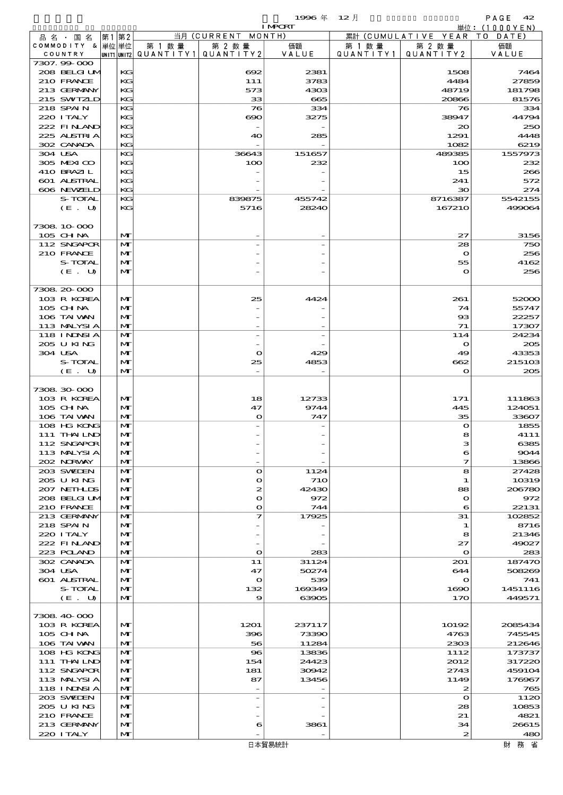|                               |              |      |              |                                       |                              | 1996年          | $12$ 月               |                              | PAGE $42$                       |
|-------------------------------|--------------|------|--------------|---------------------------------------|------------------------------|----------------|----------------------|------------------------------|---------------------------------|
|                               |              |      |              |                                       |                              | <b>I MPORT</b> |                      |                              | $\dot{\mathbb{H}}$ 位: (1000YEN) |
| 品 名 ・ 国 名<br>COMMODITY & 単位単位 |              | 第1第2 |              | 第 1 数量                                | 当月 (CURRENT MONTH)<br>第 2 数量 |                |                      | 累計 (CUMULATIVE YEAR TO DATE) |                                 |
| COUNTRY                       |              |      |              | unit1 unit2  QUANT   TY1  QUANT   TY2 |                              | 価額<br>VALUE    | 第 1 数 量<br>QUANTITY1 | 第 2 数 量<br>QUANTITY2         | 価額<br>VALUE                     |
| 7307.99 000                   |              |      |              |                                       |                              |                |                      |                              |                                 |
| 208 BELGI UM                  |              |      | KG           |                                       | $\infty$                     | 2381           |                      | 1508                         | 7464                            |
| 210 FRANCE                    |              |      | KG           |                                       | 111                          | 3783           |                      | 4484                         | 27859                           |
| 213 GERMANY<br>215 SWIZLD     |              |      | KG<br>KG     |                                       | 573<br>33                    | 4303           |                      | 48719                        | 181798                          |
| 218 SPAIN                     |              |      | KG           |                                       | 76                           | 665<br>334     |                      | 20866<br>76                  | 81576<br>334                    |
| 220 I TALY                    |              |      | KG           |                                       | $\infty$                     | 3275           |                      | 38947                        | 44794                           |
| 222 FINAND                    |              |      | KG           |                                       |                              |                |                      | 20                           | 250                             |
| 225 ALSTRIA                   |              |      | KG           |                                       | 40                           | 285            |                      | 1291                         | 4448                            |
| 302 CANADA                    |              |      | KG           |                                       |                              |                |                      | 1082                         | 6219                            |
| 304 USA                       |              |      | KG           |                                       | 36643                        | 151657         |                      | 489385                       | 1557973                         |
| 305 MEXICO                    |              |      | KG           |                                       | 100                          | 232            |                      | 100                          | 232                             |
| 410 BRAZIL<br>601 ALSTRAL     |              |      | KG<br>KG     |                                       |                              |                |                      | 15<br>241                    | 266<br>572                      |
| 606 NEWELD                    |              |      | KG           |                                       |                              |                |                      | 30                           | 274                             |
|                               | S-TOTAL      |      | KG           |                                       | 839875                       | 455742         |                      | 8716387                      | 5542155                         |
|                               | (E. U)       |      | KG           |                                       | 5716                         | 28240          |                      | 167210                       | 499064                          |
|                               |              |      |              |                                       |                              |                |                      |                              |                                 |
| 7308 10 000                   |              |      |              |                                       |                              |                |                      |                              |                                 |
| 105 CH NA                     |              |      | M            |                                       |                              |                |                      | 27                           | 3156                            |
| 112 SNGAPOR<br>210 FRANCE     |              |      | M<br>M       |                                       |                              |                |                      | 28<br>$\mathbf{o}$           | 750<br>256                      |
|                               | S-TOTAL      |      | M            |                                       |                              |                |                      | 55                           | 4162                            |
|                               | (E. U)       |      | M            |                                       |                              |                |                      | $\mathbf{o}$                 | 256                             |
|                               |              |      |              |                                       |                              |                |                      |                              |                                 |
| 7308.20-000                   |              |      |              |                                       |                              |                |                      |                              |                                 |
| 103 R KOREA                   |              |      | M            |                                       | 25                           | 4424           |                      | 261                          | 52000                           |
| 105 CH NA                     |              |      | M            |                                       |                              |                |                      | 74                           | 55747                           |
| 106 TAI VAN<br>113 MALYSIA    |              |      | M<br>M       |                                       |                              |                |                      | $_{\rm ss}$<br>71            | 22257<br>17307                  |
| 118 I NDSI A                  |              |      | M            |                                       |                              |                |                      | 114                          | 24234                           |
| 205 U KING                    |              |      | M            |                                       |                              |                |                      | $\mathbf{o}$                 | 205                             |
| 304 USA                       |              |      | M            |                                       | $\mathbf o$                  | 429            |                      | 49                           | 43353                           |
|                               | S-TOTAL      |      | M            |                                       | 25                           | 4853           |                      | 662                          | 215103                          |
|                               | (E. U)       |      | M            |                                       | $\overline{\phantom{a}}$     |                |                      | $\mathbf{o}$                 | 205                             |
|                               |              |      |              |                                       |                              |                |                      |                              |                                 |
| 7308 30 000<br>103 R KOREA    |              |      | M            |                                       | 18                           | 12733          |                      | 171                          | 111863                          |
| 105 CH NA                     |              |      | M            |                                       | 47                           | 9744           |                      | 445                          | 124051                          |
| 106 TAI VAN                   |              |      | M            |                                       | $\mathbf o$                  | 747            |                      | 35                           | 33607                           |
| 108 HG KONG                   |              |      | M            |                                       |                              |                |                      | $\mathbf{o}$                 | 1855                            |
| 111 THAILND                   |              |      | M            |                                       |                              |                |                      | R                            | 4111                            |
| 112 SNGAPOR                   |              |      | M            |                                       |                              |                |                      | з                            | 6385                            |
| 113 MALYSIA                   |              |      | M            |                                       |                              |                |                      | 6                            | 9044                            |
| 202 NORWAY<br>203 SWIDEN      |              |      | M<br>M       |                                       | $\bullet$                    | 1124           |                      | $\mathcal I$<br>8            | 13866<br>27428                  |
| 205 U KING                    |              |      | M            |                                       | $\bullet$                    | <b>710</b>     |                      | 1                            | 10319                           |
| 207 NETHLIS                   |              |      | M            |                                       | 2                            | 42430          |                      | 88                           | 206780                          |
|                               | 208 BELGI UM |      | M            |                                       | O                            | 972            |                      | $\mathbf o$                  | 972                             |
| 210 FRANCE                    |              |      | M            |                                       | $\Omega$                     | 744            |                      | 6                            | 22131                           |
| 213 GERMANY                   |              |      | M            |                                       | 7                            | 17925          |                      | 31                           | 102852                          |
| 218 SPAIN<br>220 I TALY       |              |      | M<br>M       |                                       |                              |                |                      | 1<br>8                       | 8716<br>21346                   |
| 222 FINAND                    |              |      | M            |                                       |                              |                |                      | 27                           | 49027                           |
| 223 POLAND                    |              |      | M            |                                       | $\mathbf o$                  | 283            |                      | $\mathbf o$                  | 283                             |
| 302 CANADA                    |              |      | M            |                                       | 11                           | 31124          |                      | 201                          | 187470                          |
| 304 USA                       |              |      | M            |                                       | 47                           | 50274          |                      | 644                          | 508269                          |
| 601 ALSTRAL                   |              |      | M            |                                       | $\mathbf{\Omega}$            | 539            |                      | O                            | 741                             |
|                               | S-TOTAL      |      | M            |                                       | 132                          | 169349         |                      | 1690                         | 1451116                         |
|                               | (E. U)       |      | M            |                                       | 9                            | 63905          |                      | 170                          | 449571                          |
| 7308 40 000                   |              |      |              |                                       |                              |                |                      |                              |                                 |
| 103 R KOREA                   |              |      | M            |                                       | 1201                         | 237117         |                      | 10192                        | 2085434                         |
| $105$ CHNA                    |              |      | M            |                                       | 396                          | 73390          |                      | 4763                         | 745545                          |
| 106 TAI VAN                   |              |      | M            |                                       | 56                           | 11284          |                      | 2303                         | 212646                          |
| 108 HG KONG                   |              |      | M            |                                       | $\bf{8}$                     | 13836          |                      | 1112                         | 173737                          |
|                               | 111 THAILND  |      | M            |                                       | 154                          | 24423          |                      | 2012                         | 317220                          |
| 112 SNGAPOR<br>113 MALYSIA    |              |      | M<br>M       |                                       | 181<br>87                    | 30942<br>13456 |                      | 2743<br>1149                 | 459104<br>176967                |
| 118 I NDSI A                  |              |      | M            |                                       | $\overline{\phantom{a}}$     |                |                      | $\boldsymbol{z}$             | 765                             |
| 203 SWIDEN                    |              |      | M            |                                       |                              |                |                      | $\mathbf{o}$                 | 1120                            |
| 205 U KING                    |              |      | M            |                                       |                              |                |                      | 28                           | 10853                           |
| 210 FRANCE                    |              |      | M            |                                       |                              |                |                      | 21                           | 4821                            |
| 213 GERMANY                   |              |      | M            |                                       | 6                            | 3861           |                      | 34                           | 26615                           |
| 220 I TALY                    |              |      | $\mathbf{M}$ |                                       |                              |                |                      | $\boldsymbol{z}$             | 480                             |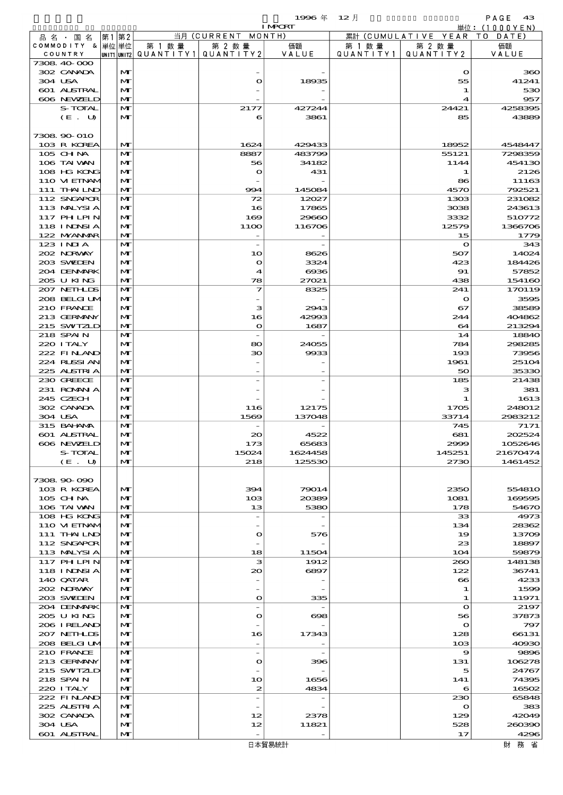$1996 \text{ } \#$   $12 \text{ } \frac{\text{}}{\text{}}$  RAGE 43

|                             |                              |                                                  |                                       | <b>I MPORT</b>    |        |                                 | 単位: (1000 Y E N)    |
|-----------------------------|------------------------------|--------------------------------------------------|---------------------------------------|-------------------|--------|---------------------------------|---------------------|
| 品名・国名                       | 第1 第2                        |                                                  | 当月 (CURRENT MONTH)                    |                   |        | 累計 (CUMULATIVE YEAR TO DATE)    |                     |
| COMMODITY & 単位単位<br>COUNTRY |                              | 第 1 数量<br> UNIT1 UNIT2  QUANT   TY1  QUANT   TY2 | 第 2 数量                                | 価額<br>VALUE       | 第 1 数量 | 第 2 数量<br>QUANTITY1   QUANTITY2 | 価額<br>VALUE         |
| 7308 40 000                 |                              |                                                  |                                       |                   |        |                                 |                     |
| 302 CANADA                  | M                            |                                                  |                                       |                   |        | $\mathbf o$                     | 360                 |
| 304 USA                     | M                            |                                                  | $\bullet$                             | 18935             |        | 55                              | 41241               |
| 601 ALSTRAL                 | $\mathbf{M}$                 |                                                  |                                       |                   |        | 1                               | 530                 |
| 606 NEWELD                  | $\mathbf{M}$                 |                                                  |                                       |                   |        | 4                               | 957                 |
| S-TOTAL<br>(E. U)           | $\mathbf{M}$<br>M            |                                                  | 2177<br>6                             | 427244<br>3861    |        | 24421<br>85                     | 4258395<br>43889    |
|                             |                              |                                                  |                                       |                   |        |                                 |                     |
| 7308 90 010                 |                              |                                                  |                                       |                   |        |                                 |                     |
| 103 R KOREA                 | $\mathbf{M}$                 |                                                  | 1624                                  | 429433            |        | 18952                           | 4548447             |
| 105 CHNA                    | $\mathbf{M}$                 |                                                  | 8887                                  | 483799            |        | 55121                           | 7298359             |
| 106 TAI VAN                 | M                            |                                                  | 56                                    | 34182             |        | 1144                            | 454130              |
| 108 HG KONG<br>110 VIEINAM  | M<br>M                       |                                                  | $\bullet$                             | 431               |        | 1<br>86                         | 2126<br>11163       |
| 111 THAILND                 | $\mathbf{M}$                 |                                                  | 994                                   | 145084            |        | 4570                            | 792521              |
| 112 SNGAPOR                 | M                            |                                                  | 72                                    | 12027             |        | 1303                            | 231082              |
| 113 MALYSIA                 | M                            |                                                  | 16                                    | 17865             |        | 3038                            | 243613              |
| 117 PH LPIN                 | M                            |                                                  | 169                                   | 29660             |        | 3332                            | 510772              |
| <b>118 INDSIA</b>           | M                            |                                                  | 11OO                                  | 116706            |        | 12579                           | 1366706             |
| 122 NYANAR<br>123 INIA      | $\mathbf{M}$<br>$\mathbf{M}$ |                                                  | $\overline{\phantom{a}}$              |                   |        | 15<br>$\mathbf o$               | 1779<br>343         |
| 202 NORWAY                  | M                            |                                                  | 10                                    | 8626              |        | 507                             | 14024               |
| 203 SVELEN                  | $\mathbf{M}$                 |                                                  | $\bullet$                             | 3324              |        | 423                             | 184426              |
| 204 DENMARK                 | M                            |                                                  | 4                                     | $\Theta$ 36       |        | 91                              | 57852               |
| 205 U KING                  | $\mathbf{M}$                 |                                                  | 78                                    | 27021             |        | 438                             | 154160              |
| 207 NETHLIS                 | M                            |                                                  | 7                                     | 8325              |        | 241                             | 170119              |
| 208 BELGI UM                | $\mathbf{M}$                 |                                                  |                                       |                   |        | $\mathbf o$                     | 3595                |
| 210 FRANCE                  | $\mathbf{M}$                 |                                                  | з                                     | 2943              |        | 67                              | 38589               |
| 213 GERMANY<br>215 SWIZLD   | $\mathbf{M}$<br>$\mathbf{M}$ |                                                  | 16<br>$\mathbf{o}$                    | 42993<br>1687     |        | 244<br>64                       | 404862<br>213294    |
| 218 SPAIN                   | $\mathbf{M}$                 |                                                  |                                       |                   |        | 14                              | 18840               |
| 220 I TALY                  | $\mathbf{M}$                 |                                                  | 80                                    | 24055             |        | 784                             | 298285              |
| 222 FINAND                  | $\mathbf{M}$                 |                                                  | 30                                    | 9933              |        | 193                             | 73956               |
| 224 RUSSIAN                 | M                            |                                                  |                                       |                   |        | 1961                            | 25104               |
| 225 ALSTRIA                 | $\mathbf{M}$                 |                                                  |                                       |                   |        | 50                              | 35330               |
| 230 GREECE                  | M                            |                                                  |                                       |                   |        | 185                             | 21438               |
| 231 ROMNA<br>245 CZECH      | $\mathbf{M}$<br>$\mathbf{M}$ |                                                  |                                       |                   |        | з<br>1                          | 381<br>1613         |
| 302 CANADA                  | M                            |                                                  | 116                                   | 12175             |        | 1705                            | 248012              |
| 304 USA                     | $\mathbf{M}$                 |                                                  | 1569                                  | 137048            |        | 33714                           | 2983212             |
| 315 BAHAMA                  | M                            |                                                  |                                       |                   |        | 745                             | 7171                |
| 601 ALSTRAL                 | M                            |                                                  | $\infty$                              | 4522              |        | 681                             | 202524              |
| 606 NEWELD                  | M                            |                                                  | 173                                   | 65683             |        | 2999                            | 1052646             |
| S-TOTAL                     | M<br>M                       |                                                  | 15024<br>218                          | 1624458<br>125530 |        | 145251<br>2730                  | 21670474<br>1461452 |
| (E. U)                      |                              |                                                  |                                       |                   |        |                                 |                     |
| 7308 90 090                 |                              |                                                  |                                       |                   |        |                                 |                     |
| 103 R KOREA                 | $\mathbf{M}$                 |                                                  | 394                                   | 79014             |        | 2350                            | 55481O              |
| 105 CH NA                   | M                            |                                                  | 10B                                   | 20389             |        | 1081                            | 169595              |
| 106 TAI VAN                 | M                            |                                                  | 13                                    | 5380              |        | 178                             | 54670               |
| 108 HG KONG                 | $\mathbf{M}$                 |                                                  | $\overline{a}$                        |                   |        | 33                              | 4973                |
| 110 VIEINAM<br>111 THAILND  | $\mathbf{M}$<br>M            |                                                  | $\bullet$                             | 576               |        | 134<br>19                       | 28362<br>13709      |
| 112 SNGAPOR                 | $\mathbf{M}$                 |                                                  |                                       |                   |        | 23                              | 18897               |
| 113 MALYSIA                 | M                            |                                                  | 18                                    | 11504             |        | 104                             | 59879               |
| 117 PHLPIN                  | $\mathbf{M}$                 |                                                  | з                                     | 1912              |        | 260                             | 148138              |
| 118 I NJNSI A               | $\mathbf{M}$                 |                                                  | $\infty$                              | 6897              |        | 122                             | 36741               |
| 140 QATAR                   | M                            |                                                  |                                       |                   |        | $\boldsymbol{\infty}$           | 4233                |
| 202 NORWAY<br>203 SWIDEN    | $\mathbf{M}$<br>$\mathbf{M}$ |                                                  | $\overline{\phantom{a}}$<br>$\bullet$ | 335               |        | 1<br>1                          | 1599<br>11971       |
| 204 DENMARK                 | M                            |                                                  | $\overline{\phantom{a}}$              |                   |        | $\mathbf{o}$                    | 2197                |
| 205 U KING                  | $\mathbf{M}$                 |                                                  | $\bullet$                             | 698               |        | 56                              | 37873               |
| 206 IRELAND                 | M                            |                                                  |                                       |                   |        | $\mathbf{o}$                    | 797                 |
| 207 NETHLIS                 | $\mathbf{M}$                 |                                                  | 16                                    | 17343             |        | 128                             | 66131               |
| 208 BELGI UM                | M                            |                                                  |                                       |                   |        | 103                             | 40930               |
| 210 FRANCE                  | $\mathbf{M}$                 |                                                  | $\overline{\phantom{a}}$              |                   |        | 9                               | 9896                |
| 213 GERMANY<br>215 SWIZLD   | $\mathbf{M}$<br>M            |                                                  | $\bullet$                             | 396               |        | 131<br>5                        | 106278<br>24767     |
| 218 SPAIN                   | $\mathbf{M}$                 |                                                  | 10                                    | 1656              |        | 141                             | 74395               |
| 220 I TALY                  | M                            |                                                  | $\boldsymbol{z}$                      | 4834              |        | $\epsilon$                      | 16502               |
| 222 FINAND                  | M                            |                                                  | $\overline{a}$                        |                   |        | 230                             | 65848               |
| 225 ALSTRIA                 | $\mathbf{M}$                 |                                                  |                                       |                   |        | $\mathbf o$                     | 383                 |
| 302 CANADA                  | M                            |                                                  | 12                                    | 2378              |        | 129                             | 42049               |
| 304 USA<br>601 ALSTRAL      | M                            |                                                  | 12                                    | 11821             |        | 528                             | 260390              |
|                             | M                            |                                                  |                                       |                   |        | 17                              | 4296                |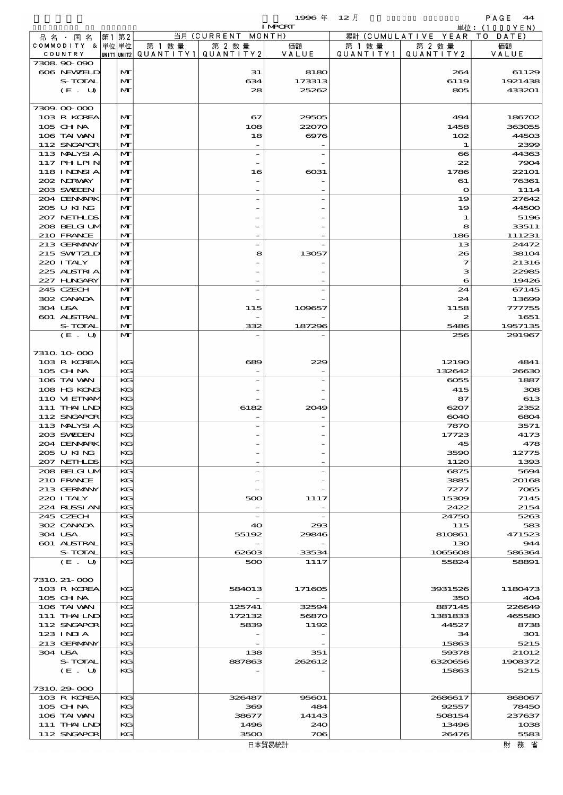$1996 \nexists$   $12 \nexists$ 

|                             |                   |        |                                                  | <b>I MPORT</b> |                     |                              | 単位: (1000YEN)         |
|-----------------------------|-------------------|--------|--------------------------------------------------|----------------|---------------------|------------------------------|-----------------------|
| 品名・国名                       | 第1 第2             |        | 当月 (CURRENT MONTH)                               |                |                     | 累計 (CUMULATIVE YEAR TO DATE) |                       |
| COMMODITY & 単位単位<br>COUNTRY |                   | 第 1 数量 | 第 2 数量<br> UNIT1 UNIT2  QUANT I TY1  QUANT I TY2 | 価額<br>VALUE    | 第 1 数量<br>QUANTITY1 | 第 2 数量<br>QUANTITY 2         | 価額<br>VALUE           |
| 7308 90 090                 |                   |        |                                                  |                |                     |                              |                       |
| 606 NEWELD                  | M                 |        | 31                                               | 8180           |                     | 264                          | 61129                 |
| S-TOTAL                     | M                 |        | 634                                              | 173313         |                     | 6119                         | 1921438               |
| (E. U)                      | $\mathbf{M}$      |        | 28                                               | 25262          |                     | 805                          | 433201                |
|                             |                   |        |                                                  |                |                     |                              |                       |
| 7309.00-000<br>103 R KOREA  | M                 |        | 67                                               | 29505          |                     | 494                          | 186702                |
| 105 CHNA                    | M                 |        | 108                                              | 22070          |                     | 1458                         | 363055                |
| 106 TAI WAN                 | M                 |        | 18                                               | 6976           |                     | 102                          | 44503                 |
| 112 SNGAPOR                 | M                 |        |                                                  |                |                     | 1                            | 2399                  |
| 113 MALYSIA                 | M                 |        | $\overline{a}$                                   |                |                     | $\boldsymbol{\infty}$        | 44363                 |
| 117 PHLPIN                  | M                 |        |                                                  |                |                     | 22                           | 7904                  |
| 118 INNSI A<br>202 NRWAY    | M<br>M            |        | 16                                               | $\cos 1$       |                     | 1786<br>61                   | <b>22101</b><br>76361 |
| 203 SWIEN                   | M                 |        |                                                  |                |                     | $\bullet$                    | 1114                  |
| 204 DENMRK                  | $\mathbf{M}$      |        |                                                  |                |                     | 19                           | 27642                 |
| 205 U KING                  | M                 |        |                                                  |                |                     | 19                           | 44500                 |
| 207 NETHLIS                 | M                 |        |                                                  |                |                     | 1                            | 5196                  |
| 208 BELGI UM                | $\mathbf{M}$      |        |                                                  |                |                     | 8                            | 33511                 |
| 210 FRANCE                  | M                 |        |                                                  |                |                     | 186                          | 111231                |
| 213 GERMANY<br>215 SWIZLD   | $\mathbf{M}$<br>M |        | 8                                                | 13057          |                     | 13<br>26                     | 24472<br>38104        |
| 220 I TALY                  | M                 |        |                                                  |                |                     | $\overline{\mathbf{z}}$      | 21316                 |
| 225 ALSTRIA                 | M                 |        |                                                  |                |                     | з                            | 22985                 |
| 227 H.NGARY                 | M                 |        |                                                  |                |                     | 6                            | 19426                 |
| 245 CZECH                   | $\mathbf{M}$      |        |                                                  |                |                     | 24                           | 67145                 |
| 302 CANADA                  | M                 |        |                                                  |                |                     | 24                           | 13699                 |
| 304 USA                     | M                 |        | 115                                              | 109657         |                     | 1158                         | 777755                |
| 601 ALSTRAL                 | M                 |        | 332                                              |                |                     | 5486                         | 1651                  |
| S-TOTAL<br>(E. U)           | M<br>$\mathbf{M}$ |        |                                                  | 187296         |                     | 256                          | 1957135<br>291967     |
|                             |                   |        |                                                  |                |                     |                              |                       |
| 7310 10 000                 |                   |        |                                                  |                |                     |                              |                       |
| 103 R KOREA                 | KG                |        | 689                                              | 229            |                     | 12190                        | 4841                  |
| 105 CH NA                   | KG                |        |                                                  |                |                     | 132642                       | 26630                 |
| 106 TAI VAN                 | KG                |        |                                                  |                |                     | 6055                         | 1887                  |
| 108 HG KONG<br>110 VI EINAM | KG<br>KG          |        |                                                  |                |                     | 415                          | 308                   |
| 111 THAILND                 | KG                |        | 6182                                             | 2049           |                     | 87<br>6207                   | 613<br>2352           |
| 112 SNGAPOR                 | KG                |        |                                                  |                |                     | 6040                         | 6804                  |
| 113 MALYSIA                 | KG                |        |                                                  |                |                     | 7870                         | 3571                  |
| 203 SWIDEN                  | KG                |        |                                                  |                |                     | 17723                        | 4173                  |
| 204 DENMARK                 | KG                |        |                                                  |                |                     | 45                           | 478                   |
| 205 U KING                  | КC                |        |                                                  |                |                     | 3590                         | 12775                 |
| 207 NETHLIS<br>208 BELGI UM | KG<br>KG          |        |                                                  |                |                     | 1120<br>6875                 | 1393<br>5694          |
| 210 FRANCE                  | КC                |        |                                                  |                |                     | 3885                         | 20168                 |
| 213 GERMANY                 | KG                |        |                                                  |                |                     | 7277                         | 7065                  |
| 220 I TALY                  | KG                |        | 500                                              | 1117           |                     | 15309                        | 7145                  |
| 224 RUSSI AN                | КC                |        |                                                  |                |                     | 2422                         | 2154                  |
| 245 CZECH                   | KG                |        | $\overline{\phantom{a}}$                         |                |                     | 24750                        | 5263                  |
| 302 CANADA<br>304 USA       | КC<br>KG          |        | 40<br>55192                                      | 293<br>29846   |                     | 115<br>810861                | 583<br>471523         |
| 601 ALSTRAL                 | KG                |        |                                                  |                |                     | 130                          | 944                   |
| S-TOTAL                     | KG                |        | 62603                                            | 33534          |                     | 1065608                      | 586364                |
| (E. U)                      | KG                |        | 500                                              | 1117           |                     | 55824                        | 58891                 |
|                             |                   |        |                                                  |                |                     |                              |                       |
| 7310 21-000                 |                   |        |                                                  |                |                     |                              |                       |
| 103 R KOREA                 | КG<br>КC          |        | 584013                                           | 171605         |                     | 3931526                      | 1180473               |
| $105$ CHNA<br>106 TAI VAN   | KG                |        | 125741                                           | 32594          |                     | 350<br>887145                | 404<br>226649         |
| $111$ THAILND               | KG                |        | 172132                                           | 56870          |                     | 1381833                      | 465580                |
| 112 SNGAPOR                 | KG                |        | 5839                                             | 1192           |                     | 44527                        | 8738                  |
| 123 INIA                    | KG                |        |                                                  |                |                     | 34                           | 301                   |
| 213 GERMANY                 | КC                |        |                                                  |                |                     | 15863                        | 5215                  |
| 304 USA                     | KG                |        | 138                                              | 351            |                     | 59378                        | 21012                 |
| S-TOTAL                     | КC                |        | 887863                                           | 262612         |                     | 6320656                      | 1908372               |
| (E. U)                      | KG                |        |                                                  |                |                     | 15863                        | 5215                  |
| 7310 29 000                 |                   |        |                                                  |                |                     |                              |                       |
| 103 R KOREA                 | KG                |        | 326487                                           | 95601          |                     | 2686617                      | 868067                |
| $105$ CHNA                  | КC                |        | 369                                              | 484            |                     | 92557                        | 78450                 |
| 106 TAI VAN                 | KG                |        | 38677                                            | 14143          |                     | 508154                       | 237637                |
| 111 THAILND<br>112 SNGAPOR  | KG<br>KG          |        | 1496<br>3500                                     | 240<br>706     |                     | 13496<br>26476               | 1038<br>5583          |
|                             |                   |        |                                                  |                |                     |                              |                       |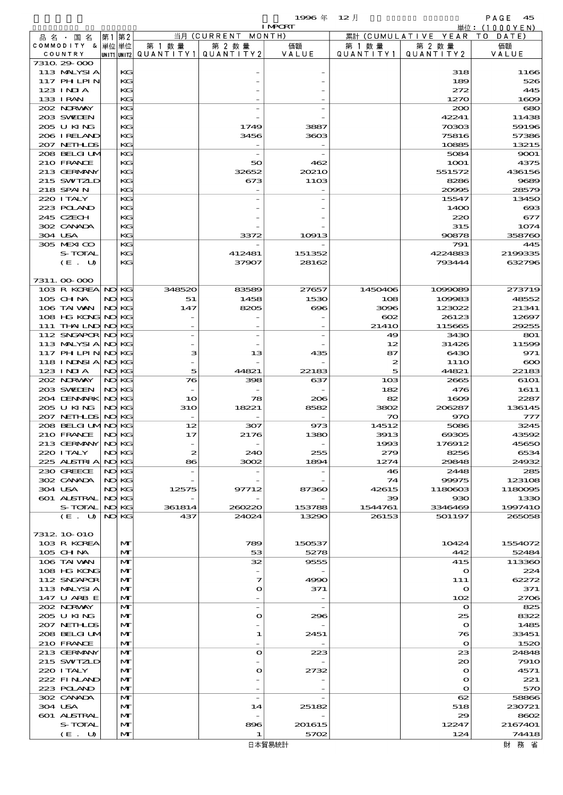|                                        |     |                |                  |                          | 1996年                    | $12$ 月          |                          | PAGE<br>45                     |
|----------------------------------------|-----|----------------|------------------|--------------------------|--------------------------|-----------------|--------------------------|--------------------------------|
|                                        |     |                |                  | 当月 (CURRENT              | <b>I MPORT</b><br>MONTH) |                 | 累計 (CUMULATIVE YEAR      | 単位: $(1000YEN)$<br>T 0<br>DATE |
| 品 名 ・ 国 名<br>COMMODITY & 単位単位          | 第1  | 第2             | 第 1 数量           | 第 2 数量                   | 価額                       | 第 1 数 量         | 第 2 数量                   | 価額                             |
| COUNTRY                                |     | UNIT1 UNIT2    | QUANTITY1        | QUANTITY 2               | VALUE                    | QUANTITY1       | QUANTITY 2               | VALUE                          |
| 7310 29 000                            |     |                |                  |                          |                          |                 |                          |                                |
| 113 MALYSIA                            |     | KG             |                  |                          |                          |                 | 318                      | 1166                           |
| <b>117 PHLPIN</b><br>$123$ INJA        |     | KG<br>KG       |                  |                          |                          |                 | 189<br>272               | 526<br>445                     |
| 133 I RAN                              |     | KG             |                  |                          |                          |                 | 1270                     | 1609                           |
| 202 NRWAY                              |     | KG             |                  |                          |                          |                 | 200                      | 680                            |
| 203 SWIDEN                             |     | KG             |                  |                          |                          |                 | 42241                    | 11438                          |
| 205 U KING                             |     | KG             |                  | 1749                     | 3887                     |                 | 70303                    | 59196                          |
| 206 I RELAND                           |     | KG             |                  | 3456                     | 3603                     |                 | 75816                    | 57386                          |
| 207 NETHLIS<br>208 BELGI UM            |     | KG<br>KG       |                  | $\overline{\phantom{a}}$ |                          |                 | 10885<br>5084            | 13215<br>9001                  |
| 210 FRANCE                             |     | KG             |                  | 50                       | 462                      |                 | 1 <b>001</b>             | 4375                           |
| 213 GERMANY                            |     | KG             |                  | 32652                    | 20210                    |                 | 551572                   | 436156                         |
| 215 SWIZLD                             |     | KG             |                  | 673                      | <b>11OB</b>              |                 | 8286                     | 9689                           |
| 218 SPAIN                              |     | KG             |                  |                          |                          |                 | 20995                    | 28579                          |
| 220 I TALY                             |     | KG             |                  |                          |                          |                 | 15547                    | 13450                          |
| 223 POLAND<br>245 CZECH                |     | KG<br>KG       |                  |                          |                          |                 | 14OO<br>220              | $\bf{60}$                      |
| 302 CANADA                             |     | KG             |                  |                          |                          |                 | 315                      | 677<br>1074                    |
| 304 USA                                |     | KG             |                  | 3372                     | 10913                    |                 | 90878                    | 358760                         |
| 305 MEXICO                             |     | KG             |                  |                          |                          |                 | 791                      | 445                            |
| S-TOTAL                                |     | KG             |                  | 412481                   | 151352                   |                 | 4224883                  | 2199335                        |
| (E. U)                                 |     | KG             |                  | 37907                    | 28162                    |                 | 793444                   | 632796                         |
|                                        |     |                |                  |                          |                          |                 |                          |                                |
| 7311.000000<br>103 R KOREA NO KG       |     |                | 348520           | 83589                    | 27657                    | 1450406         | 1099089                  |                                |
| 105 CHNA                               |     | NO KG          | 51               | 1458                     | 1530                     | 108             | 109983                   | 273719<br>48552                |
| 106 TAI VAN                            |     | NO KG          | 147              | 8205                     | $\bf{696}$               | 3096            | 123022                   | 21341                          |
| 108 HG KONG                            |     | NO KG          |                  |                          |                          | $_{\rm CO2}$    | 26123                    | 12697                          |
| 111 THAILND NO KG                      |     |                |                  |                          |                          | 2141O           | 115665                   | 29255                          |
| 112 SNGAPOR NO KG                      |     |                |                  |                          |                          | 49              | 3430                     | 801                            |
| 113 MALYSIA                            |     | NO KG          |                  |                          |                          | 12              | 31426                    | 11599                          |
| 117 PH LPIN NOKG<br><b>118 INNSIA</b>  |     | NO KG          | з                | 13                       | 435                      | 87<br>2         | 6430<br>11 <sub>10</sub> | 971<br>$\infty$                |
| 123 INIA                               |     | NO KG          | 5                | 44821                    | 22183                    | 5               | 44821                    | 22183                          |
| 202 NORWAY                             |     | NO KG          | 76               | 398                      | 637                      | 10 <sub>3</sub> | 2665                     | 6101                           |
| 203 SWIEN                              |     | NO KG          |                  |                          |                          | 182             | 476                      | 1611                           |
| 204 DENMARK                            |     | NO KG          | 10               | 78                       | 206                      | 82              | 1609                     | 2287                           |
| 205 U KING                             |     | NO KG          | <b>31O</b>       | 18221                    | 8582                     | 3802            | 206287                   | 136145                         |
| 207 NETHLIS NO KG<br>208 BELGI UMNO KG |     |                | 12               | 307                      | 973                      | 70<br>14512     | 970<br>5086              | 777<br>3245                    |
| 210 FRANCE                             | NO. | KG.            | 17               | 2176                     | 1380                     | 3913            | 69305                    | 43592                          |
| 213 GERMANY                            |     | NO KG          |                  |                          |                          | 1993            | 176912                   | 45650                          |
| 220 I TALY                             |     | NO KG          | $\boldsymbol{z}$ | 240                      | 255                      | 279             | 8256                     | 6534                           |
| 225 ALSTRIA                            |     | NO KG          | 86               | 3002                     | 1894                     | 1274            | 29848                    | 24932                          |
| 230 GREECE                             |     | NO KG          |                  |                          |                          | 46              | 2448                     | 285                            |
| 302 CANADA<br>304 USA                  |     | NO KG<br>NO KG | 12575            | 97712                    | 87360                    | 74<br>42615     | 99975<br>1180603         | 123108<br>1180095              |
| 601 ALSTRAL                            |     | NO KG          |                  |                          |                          | 39              | 930                      | 1330                           |
| S-TOTAL                                | NO  | KС             | 361814           | 260220                   | 153788                   | 1544761         | 3346469                  | 1997410                        |
| (E. U)                                 |     | NO KG          | 437              | 24024                    | 13290                    | 26153           | 501197                   | 265058                         |
|                                        |     |                |                  |                          |                          |                 |                          |                                |
| 7312 10 010                            |     |                |                  |                          | 150537                   |                 | 10424                    |                                |
| 103 R KOREA<br>105 CHNA                |     | M<br>M         |                  | 789<br>53                | 5278                     |                 | 442                      | 1554072<br>52484               |
| 106 TAI VAN                            |     | M              |                  | 32                       | 9555                     |                 | 415                      | 113360                         |
| 108 HG KONG                            |     | M              |                  |                          |                          |                 | $\mathbf{o}$             | 224                            |
| 112 SNGAPOR                            |     | M              |                  | 7                        | 4990                     |                 | 111                      | 62272                          |
| 113 MALYSIA                            |     | M              |                  | $\mathbf o$              | 371                      |                 | $\mathbf o$              | 371                            |
| 147 U ARB E<br>202 NORWAY              |     | M<br>M         |                  |                          | $\overline{\phantom{0}}$ |                 | 102<br>$\mathbf o$       | 2706<br>825                    |
| 205 U KING                             |     | M              |                  | $\bullet$                | 296                      |                 | 25                       | 8322                           |
| 207 NETHLIS                            |     | M              |                  |                          |                          |                 | $\mathbf o$              | 1485                           |
| 208 BELGI UM                           |     | M              |                  | 1                        | 2451                     |                 | 76                       | 33451                          |
| 210 FRANCE                             |     | M              |                  |                          |                          |                 | $\mathbf o$              | 1520                           |
| 213 GERMANY                            |     | M              |                  | $\mathbf{o}$             | 223                      |                 | 23                       | 24848                          |
| 215 SWIZLD<br>220 I TALY               |     | M<br>M         |                  | O                        | 2732                     |                 | $\infty$<br>$\mathbf o$  | <b>7910</b><br>4571            |
| 222 FINAND                             |     | M              |                  |                          |                          |                 | $\mathbf o$              | 221                            |
| 223 POLAND                             |     | M              |                  |                          |                          |                 | $\mathbf o$              | 570                            |
| 302 CANADA                             |     | м              |                  |                          |                          |                 | 62                       | 58866                          |
| 304 USA                                |     | M              |                  | 14                       | 25182                    |                 | 518                      | 230721                         |
| 601 ALSTRAL<br>S-TOTAL                 |     | M<br>M         |                  | 896                      | 201615                   |                 | 29<br>12247              | 8602<br>2167401                |
| (E. U)                                 |     | M              |                  | 1                        | 5702                     |                 | 124                      | 74418                          |
|                                        |     |                |                  |                          |                          |                 |                          |                                |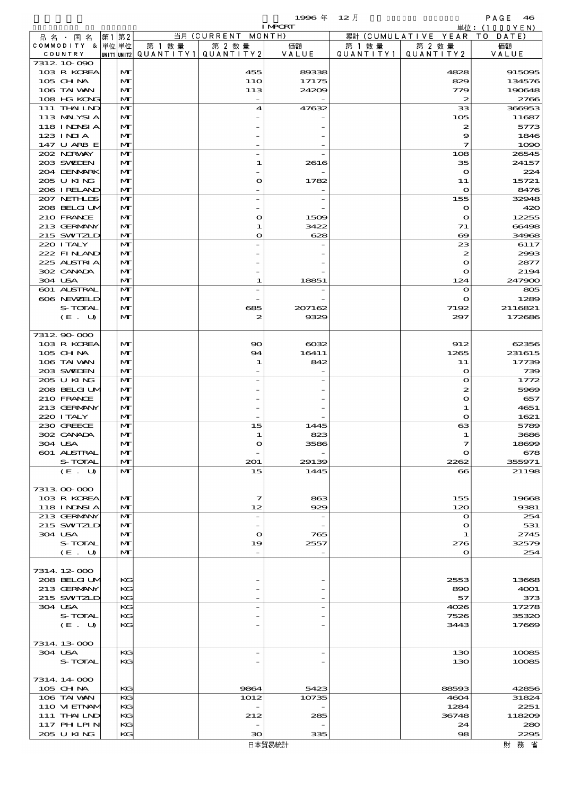|         |                            |       |              |                                                    |                          | 1996年          | $12$ 月    |                             | PAGE<br>46                  |
|---------|----------------------------|-------|--------------|----------------------------------------------------|--------------------------|----------------|-----------|-----------------------------|-----------------------------|
|         | 品名・国名                      | 第1    | 第2           |                                                    | 当月 (CURRENT MONTH)       | <b>I MPCRT</b> |           | 累計 (CUMULATIVE YEAR)        | 単位:(1000YEN)<br>T O<br>DATE |
|         | COMMODITY &                | 単位 単位 |              | 第 1 数 量                                            | 第 2 数量                   | 価額             | 第 1 数 量   | 第 2 数量                      | 価額                          |
| COUNTRY |                            |       |              | $ $ UNIT1 $ $ UNIT2 $ $ Q $\cup$ A N T I T Y 1 $ $ | QUANTITY 2               | VALUE          | QUANTITY1 | QUANTITY 2                  | VALUE                       |
|         | 7312 10 090<br>103 R KOREA |       | M            |                                                    | 455                      | 89338          |           | 4828                        | 915095                      |
|         | $105$ CHNA                 |       | M            |                                                    | <b>11O</b>               | 17175          |           | 829                         | 134576                      |
|         | 106 TAI VAN                |       | M            |                                                    | 113                      | 24209          |           | 779                         | 190648                      |
|         | 108 HG KONG<br>111 THAILND |       | M<br>M       |                                                    | 4                        | 47632          |           | $\boldsymbol{z}$<br>33      | 2766<br>366953              |
|         | 113 MALYSIA                |       | M            |                                                    |                          |                |           | 105                         | 11687                       |
|         | <b>118 INNSIA</b>          |       | M            |                                                    |                          |                |           | $\boldsymbol{z}$            | 5773                        |
|         | $123$ INIA                 |       | M            |                                                    |                          |                |           | 9                           | 1846                        |
|         | 147 U ARB E<br>202 NORWAY  |       | M<br>M       |                                                    |                          |                |           | 7<br>108                    | 1090<br>26545               |
|         | 203 SWIEN                  |       | M            |                                                    | 1                        | 2616           |           | 35                          | 24157                       |
|         | 204 DENMARK                |       | M            |                                                    |                          |                |           | $\mathbf{o}$                | 224                         |
|         | 205 U KING<br>206 I RELAND |       | M<br>M       |                                                    | O                        | 1782           |           | 11<br>$\mathbf o$           | 15721<br>8476               |
|         | 207 NETHLIS                |       | M            |                                                    | $\overline{\phantom{0}}$ |                |           | 155                         | 32948                       |
|         | 208 BELGI UM               |       | M            |                                                    |                          |                |           | $\bullet$                   | 420                         |
|         | 210 FRANCE                 |       | M            |                                                    | $\mathbf o$              | 1509           |           | $\mathbf o$                 | 12255                       |
|         | 213 GERMANY<br>215 SWIZLD  |       | M<br>M       |                                                    | 1<br>$\mathbf o$         | 3422<br>628    |           | 71<br>$\infty$              | 66498<br>34968              |
|         | 220 I TALY                 |       | M            |                                                    |                          |                |           | 23                          | 6117                        |
|         | 222 FINAND                 |       | M            |                                                    |                          |                |           | 2                           | 2993                        |
|         | 225 ALSTRIA                |       | M            |                                                    |                          |                |           | $\mathbf{o}$                | 2877                        |
| 304 USA | 302 CANADA                 |       | M<br>M       |                                                    | 1                        | 18851          |           | $\mathbf o$<br>124          | 2194<br>247900              |
|         | 601 ALSTRAL                |       | M            |                                                    |                          |                |           | $\mathbf{o}$                | 805                         |
|         | 606 NEWELD                 |       | M            |                                                    |                          |                |           | $\mathbf o$                 | 1289                        |
|         | S-TOTAL<br>(E. U)          |       | M<br>M       |                                                    | 685<br>2                 | 207162<br>9329 |           | 7192<br>297                 | 2116821<br>172686           |
|         |                            |       |              |                                                    |                          |                |           |                             |                             |
|         | 7312 90 000                |       |              |                                                    |                          |                |           |                             |                             |
|         | 103 R KOREA                |       | M            |                                                    | 90                       | $\cos z$       |           | 912                         | 62356                       |
|         | $105$ CHNA<br>106 TAI VAN  |       | M<br>M       |                                                    | 94<br>1                  | 16411<br>842   |           | 1265<br>11                  | 231615<br>17739             |
|         | 203 SWIDEN                 |       | M            |                                                    |                          |                |           | $\mathbf o$                 | 739                         |
|         | 205 U KING                 |       | M            |                                                    |                          |                |           | $\bullet$                   | 1772                        |
|         | 208 BELGI UM<br>210 FRANCE |       | M<br>M       |                                                    |                          |                |           | 2<br>$\bullet$              | 5969<br>657                 |
|         | 213 GERMANY                |       | M            |                                                    |                          |                |           | 1                           | 4651                        |
|         | 220 ITALY                  |       | M            |                                                    |                          |                |           | $\mathbf o$                 | 1621                        |
|         | 230 GREECE                 |       | M            |                                                    | 15                       | 1445           |           | $\boldsymbol{\alpha}$       | 5789                        |
| 304 USA | 302 CANADA                 |       | M<br>M       |                                                    | $\mathbf o$              | 82.<br>3586    |           | 7                           | 3686<br>18699               |
|         | 601 ALSTRAL                |       | M            |                                                    |                          |                |           | $\mathbf o$                 | 678                         |
|         | <b>S-TOTAL</b>             |       | M            |                                                    | 201                      | 29139          |           | 2262                        | 355971                      |
|         | (E. U)                     |       | $\mathbf{M}$ |                                                    | 15                       | 1445           |           | $\bullet$                   | 21198                       |
|         | 731300000                  |       |              |                                                    |                          |                |           |                             |                             |
|         | 103 R KOREA                |       | M            |                                                    | 7                        | 863            |           | 155                         | 19668                       |
|         | <b>118 INNSIA</b>          |       | M            |                                                    | 12                       | 929            |           | 120                         | 9381                        |
|         | 213 GERMANY<br>215 SWIZLD  |       | M<br>M       |                                                    | $\overline{\phantom{a}}$ |                |           | $\mathbf{o}$<br>$\mathbf o$ | 254<br>531                  |
| 304 USA |                            |       | M            |                                                    | $\mathbf{o}$             | 765            |           | 1                           | 2745                        |
|         | S-TOTAL                    |       | M            |                                                    | 19                       | 2557           |           | 276                         | 32579                       |
|         | (E. U)                     |       | M            |                                                    |                          |                |           | $\mathbf{o}$                | 254                         |
|         | 7314 12 000                |       |              |                                                    |                          |                |           |                             |                             |
|         | 208 BELGI UM               |       | KG           |                                                    |                          |                |           | 2553                        | 13668                       |
|         | 213 GERMANY                |       | KG           |                                                    |                          |                |           | 890                         | 4001                        |
| 304 USA | 215 SWIZLD                 |       | KG<br>KG     |                                                    |                          |                |           | 57<br>4026                  | 373<br>17278                |
|         | S-TOTAL                    |       | KG           |                                                    |                          |                |           | 7526                        | 35320                       |
|         | (E. U)                     |       | KG           |                                                    |                          |                |           | 3443                        | 17669                       |
|         | 7314 13 000                |       |              |                                                    |                          |                |           |                             |                             |
| 304 USA |                            |       | KG           |                                                    | $\overline{\phantom{0}}$ |                |           | 130                         | 10085                       |
|         | S-TOTAL                    |       | KG           |                                                    |                          |                |           | 130                         | 10085                       |
|         | 7314 14 000                |       |              |                                                    |                          |                |           |                             |                             |
|         | 105 CH NA                  |       | KG           |                                                    | 9864                     | 5423           |           | 88593                       | 42856                       |
|         | 106 TAI VAN                |       | KG           |                                                    | 1012                     | 10735          |           | 4604                        | 31824                       |
|         | 110 VIEINAM                |       | KG           |                                                    |                          |                |           | 1284                        | 2251                        |
|         | 111 THAILND<br>117 PHLPIN  |       | KG<br>KG     |                                                    | 212                      | 285            |           | 36748<br>24                 | 118209<br>280               |
|         | 205 U KING                 |       | KG           |                                                    | $30^{\circ}$             | 335            |           | 98                          | 2295                        |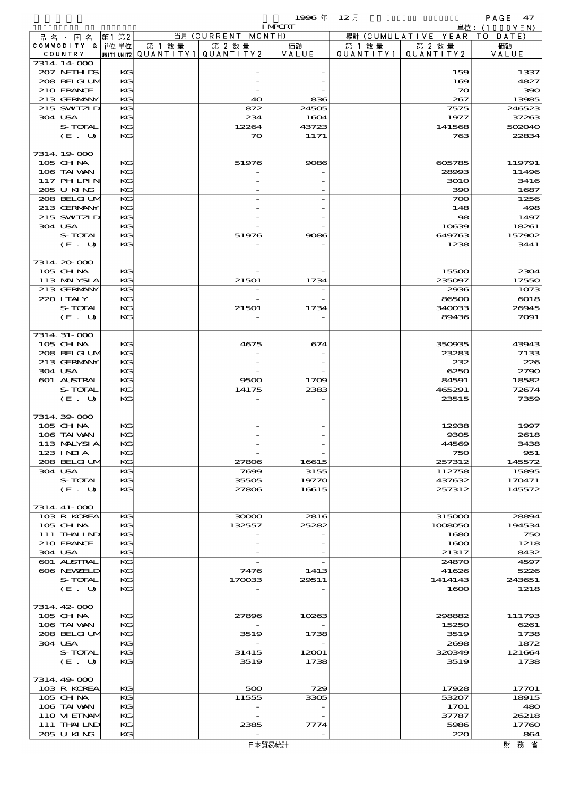$\begin{array}{cc}\n& \text{PAGE} & \textbf{47} \\
\downarrow \text{th}: & (1000 \text{YEN})\n\end{array}$ 

| 12 月<br>1996 年 |  |
|----------------|--|
|----------------|--|

|                  |    |              |                                       |             | <b>I MPORT</b> |                   |                        | 単位: (1000YEN) |
|------------------|----|--------------|---------------------------------------|-------------|----------------|-------------------|------------------------|---------------|
| 品 名 · 国 名        | 第1 | 第2           |                                       | 当月 (CURRENT | MONTH)         |                   | 累計 (CUMULATIVE YEAR TO | DATE          |
| COMMODITY & 単位単位 |    |              | 第 1 数量                                | 第 2 数量      | 価額             | 第 1 数 量           | 第 2 数量                 | 価額            |
| COUNTRY          |    |              | UNIT1 UNIT2  QUANT I TY1  QUANT I TY2 |             | VALUE          | Q U A N T I T Y 1 | QUANTITY 2             | VALUE         |
| 7314 14 000      |    |              |                                       |             |                |                   |                        |               |
| 207 NETHLIS      |    | KG           |                                       |             |                |                   | 159                    | 1337          |
| 208 BELGI UM     |    | KG           |                                       |             |                |                   | 169                    | 4827          |
| 210 FRANCE       |    | KG           |                                       |             |                |                   | $\infty$               | 390           |
| 213 GERMANY      |    | KG           |                                       | 40          | 836            |                   | 267                    | 13985         |
| 215 SWIZLD       |    | KG           |                                       | 872         | 24505          |                   | 7575                   | 246523        |
| 304 USA          |    | KG           |                                       | 234         | 1604           |                   | 1977                   | 37263         |
| S-TOTAL          |    | KG           |                                       | 12264       | 43723          |                   | 141568                 | 502040        |
| (E. U)           |    | KG           |                                       | $\infty$    | 1171           |                   | 763                    | 22834         |
|                  |    |              |                                       |             |                |                   |                        |               |
| 7314 19 000      |    |              |                                       |             |                |                   |                        |               |
| 105 CH NA        |    | KG           |                                       | 51976       | 9086           |                   | 605785                 | 119791        |
| 106 TAI VAN      |    | KG           |                                       |             |                |                   | 28993                  | 11496         |
| 117 PH LPIN      |    | KG           |                                       |             |                |                   | <b>3010</b>            | 3416          |
| 205 U KING       |    | KG           |                                       |             |                |                   | 390                    | 1687          |
| 208 BELGI UM     |    | KG           |                                       |             |                |                   | 700                    | 1256          |
| 213 GERMANY      |    | KG           |                                       |             |                |                   | 148                    | 498           |
| 215 SWIZLD       |    | KG           |                                       |             |                |                   | 98                     | 1497          |
| 304 USA          |    | KG           |                                       |             |                |                   | 10639                  | 18261         |
| S-TOTAL          |    | KG           |                                       | 51976       | 9086           |                   | 649763                 | 157902        |
| (E. U)           |    | KG           |                                       |             |                |                   | 1238                   | 3441          |
|                  |    |              |                                       |             |                |                   |                        |               |
| 7314 20 000      |    |              |                                       |             |                |                   |                        |               |
| 105 CHNA         |    | KG           |                                       |             |                |                   | 15500                  | 2304          |
| 113 MALYSIA      |    | KG           |                                       | 21501       | 1734           |                   | 235097                 | 17550         |
| 213 GERMANY      |    | KG           |                                       |             |                |                   | 2936                   | 1073          |
| 220 I TALY       |    | KG           |                                       |             |                |                   | 86500                  | 6018          |
| S-TOTAL          |    | KG           |                                       | 21501       | 1734           |                   | 340033                 | 26945         |
| (E. U)           |    | KG           |                                       |             |                |                   | 89436                  | 7091          |
|                  |    |              |                                       |             |                |                   |                        |               |
| 7314 31-000      |    |              |                                       |             |                |                   |                        |               |
| $105$ CHNA       |    | KG           |                                       | 4675        | 674            |                   | 350935                 | 43943         |
| 208 BELGI UM     |    | KG           |                                       |             |                |                   | 23283                  | 7133          |
| 213 GERMANY      |    | KG           |                                       |             |                |                   | 232                    | 226           |
| 304 USA          |    | KG           |                                       |             |                |                   | 6250                   | 2790          |
| 601 ALSTRAL      |    | KG           |                                       | 9500        | 1709           |                   | 84591                  | 18582         |
| S-TOTAL          |    | KG           |                                       | 14175       | 2383           |                   | 465291                 | 72674         |
| (E. U)           |    | KG           |                                       |             |                |                   | 23515                  | 7359          |
|                  |    |              |                                       |             |                |                   |                        |               |
| 7314.39-000      |    |              |                                       |             |                |                   |                        |               |
| 105 CH NA        |    | KG           |                                       |             |                |                   | 12938                  | 1997          |
| 106 TAI VAN      |    | KG           |                                       |             |                |                   | 9305                   | 2618          |
| 113 MALYSIA      |    | $\mathbf{K}$ |                                       |             |                |                   | 44569                  | 3438          |
| 123 INIA         |    | KG           |                                       |             |                |                   | 750                    | 951           |
| 208 BELGI UM     |    | KG           |                                       | 27806       | 16615          |                   | 257312                 | 145572        |
| 304 USA          |    | KG           |                                       | 7699        | 3155           |                   | 112758                 | 15895         |
| S-TOTAL          |    | КG           |                                       | 35505       | 19770          |                   | 437632                 | 170471        |
| (E. U)           |    | KG           |                                       | 27806       | 16615          |                   | 257312                 | 145572        |
|                  |    |              |                                       |             |                |                   |                        |               |
| 7314 41-000      |    |              |                                       |             |                |                   |                        |               |
| 103 R KOREA      |    | KG           |                                       | 30000       | 2816           |                   | 315000                 | 28894         |
| 105 CH NA        |    | КG           |                                       | 132557      | 25282          |                   | 1008050                | 194534        |
| 111 THAILND      |    | KG           |                                       |             |                |                   | 1680                   | 750           |
| 210 FRANCE       |    | KG           |                                       |             |                |                   | 1600                   | 1218          |
| 304 USA          |    | KG           |                                       |             |                |                   | 21317                  | 8432          |
| 601 ALSTRAL      |    | KG           |                                       |             |                |                   | 24870                  | 4597          |
| 606 NEWELD       |    | КG           |                                       | 7476        | 1413           |                   | 41626                  | 5226          |
| S-TOTAL          |    | KG           |                                       | 170033      | 29511          |                   | 1414143                | 243651        |
| (E. U)           |    | KG           |                                       |             |                |                   | 1600                   | 1218          |
|                  |    |              |                                       |             |                |                   |                        |               |
| 7314 42 000      |    |              |                                       |             |                |                   |                        |               |
| 105 CHNA         |    | КG           |                                       | 27896       | 10263          |                   | 298882                 | 111793        |
| 106 TAI VAN      |    | KG           |                                       |             |                |                   | 15250                  | 6261          |
| 208 BELGI UM     |    | KG           |                                       | 3519        | 1738           |                   | 3519                   | 1738          |
| 304 USA          |    | KG           |                                       |             |                |                   | 2698                   | 1872          |
| S-TOTAL          |    | KG           |                                       | 31415       | 12001          |                   | 320349                 | 121664        |
| (E. U)           |    | КG           |                                       | 3519        | 1738           |                   | 3519                   | 1738          |
|                  |    |              |                                       |             |                |                   |                        |               |
| 7314.49-000      |    |              |                                       |             |                |                   |                        |               |
| 103 R KOREA      |    | KG           |                                       | 500         | 729            |                   | 17928                  | 17701         |
| 105 CH NA        |    | KG           |                                       | 11555       | 3305           |                   | 53207                  | 18915         |
| 106 TAI VAN      |    | КG           |                                       |             |                |                   | 1701                   | 480           |
| 110 VIEINAM      |    | KG           |                                       |             |                |                   | 37787                  | 26218         |
| 111 THAILND      |    | KG           |                                       | 2385        | 7774           |                   | 5986                   | 17760         |
| 205 U KING       |    | KG           |                                       |             |                |                   | 220                    | 864           |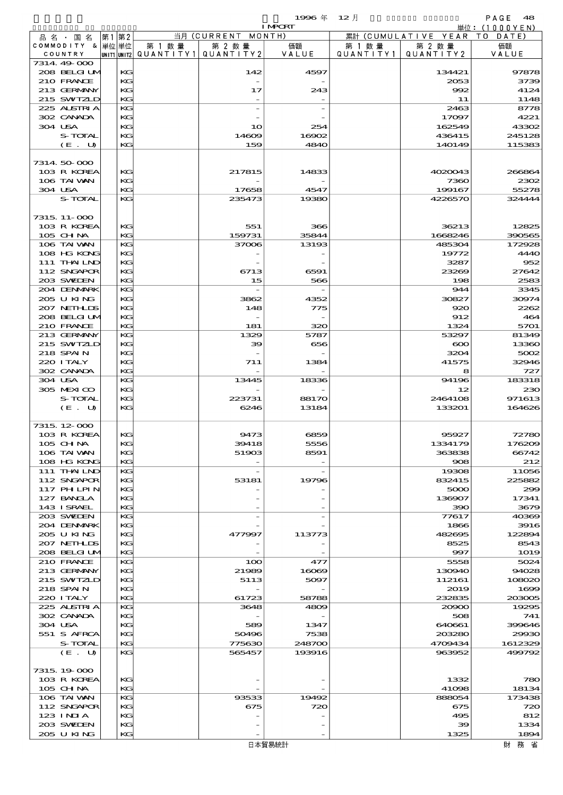|                                                                                    |                    | 1996年 12月    |         |                              | PAGE 48      |
|------------------------------------------------------------------------------------|--------------------|--------------|---------|------------------------------|--------------|
|                                                                                    |                    | <b>LMCRL</b> |         |                              | 単位:(1000YEN) |
| - 品 名 ・ 国 名  第1 第2 _                                                               | 当月 (CURRENT MONTH) |              |         | 累計 (CUMULATIVE YEAR TO DATE) |              |
| COMMODITY & $ \nbox{\Huge{\#}}\nbox{\LARGE{\#}}\nbox{\LARGE{\#}}\nbox{\LARGE{\#}}$ | 第 1 数量<br>第 2 数量   | 価額           | 第 1 数 量 | 第 2 数量                       | 価額           |

|         | 品名・国名            | 第1 第2 |    |                                       | 当月 (CURRENT MONTH) |        |           | 累計 (CUMULATIVE YEAR | T O<br>DATE  |
|---------|------------------|-------|----|---------------------------------------|--------------------|--------|-----------|---------------------|--------------|
|         | COMMODITY & 単位単位 |       |    | 第 1 数 量                               | 第 2 数量             | 価額     | 第 1 数 量   | 第 2 数量              | 価額           |
|         | COUNTRY          |       |    | unit1 unit2  Q∪ANT   TY1  Q∪ANT   TY2 |                    | VALUE  | QUANTITY1 | QUANTITY 2          | VALUE        |
|         | 7314.49-000      |       |    |                                       |                    |        |           |                     |              |
|         | 208 BELGI UM     |       | KG |                                       | 142                | 4597   |           | 134421              | 97878        |
|         | 210 FRANCE       |       | KG |                                       |                    |        |           |                     |              |
|         |                  |       |    |                                       |                    |        |           | 2053                | 3739         |
|         | 213 GERMANY      |       | KC |                                       | 17                 | 243    |           | 992                 | 4124         |
|         | 215 SWIZLD       |       | KG |                                       |                    |        |           | 11                  | 1148         |
|         | 225 ALSTRIA      |       | KG |                                       |                    |        |           | 2463                | 8778         |
|         | 302 CANADA       |       | KG |                                       |                    |        |           | 17097               | 4221         |
| 304 USA |                  |       | KG |                                       | 10                 | 254    |           | 162549              | 43302        |
|         |                  |       |    |                                       |                    |        |           |                     |              |
|         | S-TOTAL          |       | KC |                                       | 14609              | 16902  |           | 436415              | 245128       |
|         | (E. U)           |       | KC |                                       | 159                | 4840   |           | 140149              | 115383       |
|         |                  |       |    |                                       |                    |        |           |                     |              |
|         | 7314 50 000      |       |    |                                       |                    |        |           |                     |              |
|         | 103 R KOREA      |       | KG |                                       | 217815             | 14833  |           | 4020043             | 266864       |
|         | 106 TAI VAN      |       | KG |                                       |                    |        |           | 7360                | 2302         |
|         |                  |       |    |                                       |                    |        |           |                     |              |
| 304 USA |                  |       | KC |                                       | 17658              | 4547   |           | 199167              | 55278        |
|         | S-TOTAL          |       | KG |                                       | 235473             | 19380  |           | 4226570             | 324444       |
|         |                  |       |    |                                       |                    |        |           |                     |              |
|         | 7315, 11-000     |       |    |                                       |                    |        |           |                     |              |
|         | 103 R KOREA      |       | KG |                                       | 551                | 366    |           | 36213               | 12825        |
|         |                  |       |    |                                       |                    |        |           |                     |              |
|         | 105 CHNA         |       | KC |                                       | 159731             | 35844  |           | 1668246             | 390565       |
|         | 106 TAI WAN      |       | KG |                                       | 37006              | 13193  |           | 485304              | 172928       |
|         | 108 HG KONG      |       | KC |                                       |                    |        |           | 19772               | 444C         |
|         | 111 THAILND      |       | KG |                                       |                    |        |           | 3287                | 952          |
|         | 112 SNGAPOR      |       | KG |                                       | 6713               | 6591   |           | 23269               | 27642        |
|         | 203 SWIDEN       |       | KC |                                       | 15                 | 566    |           | 198                 | 2583         |
|         |                  |       |    |                                       |                    |        |           |                     |              |
|         | 204 DENMARK      |       | KG |                                       |                    |        |           | 944                 | 3345         |
|         | 205 U KING       |       | KG |                                       | 3862               | 4352   |           | 30827               | 30974        |
|         | 207 NETHLIS      |       | KG |                                       | 148                | 775    |           | 920                 | 2262         |
|         | 208 BELGI UM     |       | KC |                                       |                    |        |           | 912                 | 464          |
|         | 210 FRANCE       |       | KG |                                       | 181                | 320    |           | 1324                | 5701         |
|         |                  |       |    |                                       |                    |        |           |                     |              |
|         | 213 GERMANY      |       | KG |                                       | 1329               | 5787   |           | 53297               | 81349        |
|         | 215 SWIZLD       |       | KC |                                       | 39                 | 656    |           | $\infty$            | 13360        |
|         | 218 SPAIN        |       | KG |                                       |                    |        |           | 3204                | 5002         |
|         | 220 I TALY       |       | KG |                                       | 711                | 1384   |           | 41575               | 32946        |
|         | 302 CANADA       |       | KC |                                       |                    |        |           | 8                   | 727          |
|         |                  |       |    |                                       |                    |        |           | 94196               | 183318       |
|         |                  |       |    |                                       |                    |        |           |                     |              |
| 304 USA |                  |       | KG |                                       | 13445              | 18336  |           |                     |              |
|         | 305 MEXICO       |       | KG |                                       |                    |        |           | 12                  | 23C          |
|         | S-TOTAL          |       | KG |                                       | 223731             | 88170  |           | 2464108             | 971613       |
|         | (E. U)           |       | KC |                                       | 6246               | 13184  |           | 133201              | 164626       |
|         |                  |       |    |                                       |                    |        |           |                     |              |
|         |                  |       |    |                                       |                    |        |           |                     |              |
|         | 7315, 12-000     |       |    |                                       |                    |        |           |                     |              |
|         | 103 R KOREA      |       | KG |                                       | 9473               | 6859   |           | 95927               | 72780        |
|         | 105 CHNA         |       | KG |                                       | 39418              | 5556   |           | 1334179             | 176209       |
|         | 106 TAI VAN      |       | KG |                                       | 51903              | 8591   |           | 363838              | 66742        |
|         | 108 HG KONG      |       | KG |                                       |                    |        |           | 908                 | 212          |
|         | 111 THAILND      |       | KG |                                       |                    |        |           | 19308               | 11056        |
|         |                  |       |    |                                       |                    |        |           |                     |              |
|         | 112 SNGAPOR      |       | KC |                                       | 53181              | 19796  |           | 832415              | 225882       |
|         | 117 PHLPIN       |       | KG |                                       |                    |        |           | 5000                | 299          |
|         | 127 BANCLA       |       | KG |                                       |                    |        |           | 136907              | 17341        |
|         | 143 ISRAEL       |       | KG |                                       |                    |        |           | 390                 | 3679         |
|         | 203 SWIDEN       |       | KG |                                       |                    |        |           | 77617               | 40369        |
|         | 204 DENMARK      |       | KC |                                       |                    |        |           | 1866                | 3916         |
|         |                  |       | KG |                                       |                    |        |           | 482695              |              |
|         | 205 U KING       |       |    |                                       | 477997             | 113773 |           |                     | 122894       |
|         | 207 NETHLIS      |       | KC |                                       |                    |        |           | 8525                | 8543         |
|         | 208 BELGI UM     |       | KG |                                       |                    |        |           | 997                 | 1019         |
|         | 210 FRANCE       |       | KG |                                       | 100                | 477    |           | 5558                | 5024         |
|         | 213 GERMANY      |       | KC |                                       | 21989              | 16069  |           | 130940              | 94028        |
|         | 215 SWIZLD       |       | KG |                                       | 5113               | 5097   |           | 112161              | 10802C       |
|         |                  |       |    |                                       |                    |        |           |                     |              |
|         | 218 SPAIN        |       | KG |                                       |                    |        |           | 2019                | 1698         |
|         | 220 I TALY       |       | KG |                                       | 61723              | 58788  |           | 232835              | 203005       |
|         | 225 ALSTRIA      |       | KG |                                       | 3648               | 4809   |           | 20900               | 19295        |
|         | 302 CANADA       |       | KC |                                       |                    |        |           | 508                 | 741          |
| 304 USA |                  |       | KG |                                       | 589                | 1347   |           | 640661              | 399646       |
|         | 551 S AFRCA      |       | KC |                                       | 50496              | 7538   |           | 203280              | <b>29930</b> |
|         |                  |       |    |                                       |                    |        |           |                     |              |
|         | S-TOTAL          |       | KG |                                       | 775630             | 248700 |           | 4709434             | 1612329      |
|         | (E. U)           |       | KG |                                       | 565457             | 193916 |           | 963952              | 499792       |
|         |                  |       |    |                                       |                    |        |           |                     |              |
|         | 7315, 19-000     |       |    |                                       |                    |        |           |                     |              |
|         | 103 R KOREA      |       | KG |                                       |                    |        |           | 1332                | 78C          |
|         | 105 CH NA        |       | KG |                                       |                    |        |           | 41098               | 18134        |
|         |                  |       |    |                                       |                    |        |           |                     |              |
|         | 106 TAI VAN      |       | KG |                                       | 93533              | 19492  |           | 888054              | 173438       |
|         | 112 SNGAPOR      |       | KC |                                       | 675                | 720    |           | 675                 | 72C          |
|         | 123 INIA         |       | KG |                                       |                    |        |           | 495                 | 812          |
|         | 203 SWIDEN       |       | KC |                                       |                    |        |           | $\infty$            | 1334         |
|         | 205 U KING       |       | KG |                                       |                    |        |           | 1325                | 1894         |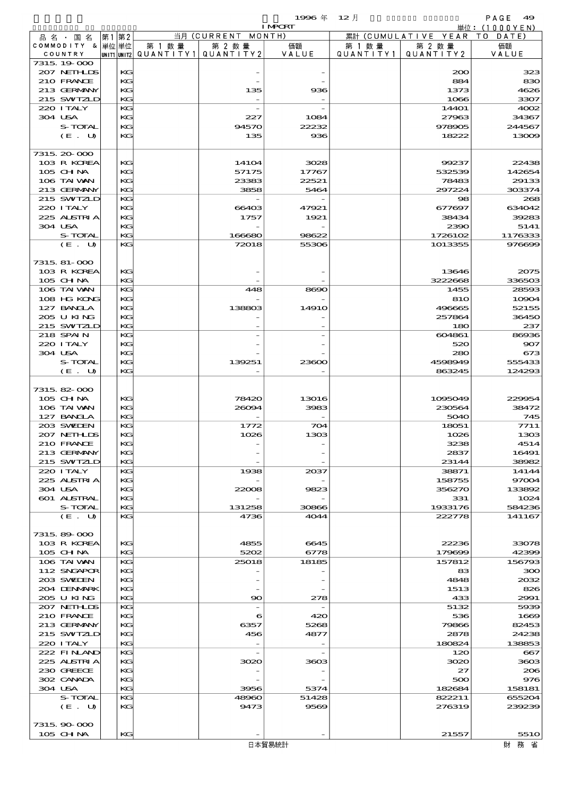$1996 \nleftrightarrow 12 \nparallel$  PAGE 49

|                             |          |                                 |                    | <b>I MPORT</b> |           |                              | 単位: (1000YEN)    |
|-----------------------------|----------|---------------------------------|--------------------|----------------|-----------|------------------------------|------------------|
| 品名・国名                       | 第1第2     |                                 | 当月 (CURRENT MONTH) |                |           | 累計 (CUMULATIVE YEAR TO DATE) |                  |
| COMMODITY & 単位単位            |          | 第 1 数量                          | 第 2 数量             | 価額             | 第 1 数量    | 第 2 数量                       | 価額               |
| COUNTRY                     |          | UNIT1 UNIT2 QUANTITY1 QUANTITY2 |                    | VALUE          | QUANTITY1 | QUANTITY 2                   | VALUE            |
| 7315 19 000<br>207 NETHLIDS | KG       |                                 |                    |                |           | 200                          | 323              |
| 210 FRANCE                  | KG       |                                 |                    |                |           | 884                          | 830              |
| 213 GERMANY                 | KG       |                                 | 135                | 936            |           | 1373                         | 4626             |
| 215 SWIZLD                  | KG       |                                 |                    |                |           | 1066                         | 3307             |
| 220 I TALY                  | KG       |                                 |                    |                |           | 14401                        | 4002             |
| 304 USA                     | KG       |                                 | 227                | 1084           |           | 27963                        | 34367            |
| S-TOTAL                     | KG       |                                 | 94570              | 22232          |           | 978905                       | 244567           |
| (E. U)                      | KG       |                                 | 135                | 936            |           | 18222                        | 13009            |
|                             |          |                                 |                    |                |           |                              |                  |
| 7315 20 000                 |          |                                 |                    |                |           |                              |                  |
| 103 R KOREA                 | KG       |                                 | 14104              | 3028           |           | 99237                        | 22438            |
| 105 CH NA                   | KG       |                                 | 57175              | 17767          |           | 532539                       | 142654           |
| 106 TAI VAN                 | KG       |                                 | 23383              | 22521          |           | 78483                        | 29133            |
| 213 GERMANY<br>215 SWIZLD   | KG<br>KG |                                 | 3858               | 5464           |           | 297224<br>98                 | 303374<br>268    |
| 220 I TALY                  | KG       |                                 | 66403              | 47921          |           | 677697                       | 634042           |
| 225 ALSTRIA                 | KG       |                                 | 1757               | 1921           |           | 38434                        | 39283            |
| 304 USA                     | KG       |                                 |                    |                |           | 2390                         | 5141             |
| S-TOTAL                     | KG       |                                 | 166680             | 98622          |           | 1726102                      | 1176333          |
| (E. U)                      | KG       |                                 | 72018              | 55306          |           | 1013355                      | 976699           |
|                             |          |                                 |                    |                |           |                              |                  |
| 7315, 81-000                |          |                                 |                    |                |           |                              |                  |
| 103 R KOREA                 | KG       |                                 |                    |                |           | 13646                        | 2075             |
| 105 CH NA                   | KG       |                                 |                    |                |           | 3222868                      | 336503           |
| 106 TAI VAN                 | KG       |                                 | 448                | 8690           |           | 1455                         | 28593            |
| 108 HG KONG                 | KG       |                                 |                    |                |           | 810                          | 10904            |
| 127 BANCLA                  | KG       |                                 | 138803             | 1491O          |           | 496665                       | 52155            |
| 205 U KING                  | KG       |                                 |                    |                |           | 257864                       | 36450            |
| 215 SWIZLD                  | KG       |                                 |                    |                |           | 180                          | 237              |
| 218 SPAIN                   | KG       |                                 |                    |                |           | 604861                       | 86936            |
| 220 I TALY                  | KG       |                                 |                    |                |           | 520                          | 907              |
| 304 USA                     | KG       |                                 |                    |                |           | 280                          | 673              |
| S-TOTAL<br>$(E$ .<br>U      | KG<br>KG |                                 | 139251             | 23600          |           | 4598949<br>863245            | 555433<br>124293 |
|                             |          |                                 |                    |                |           |                              |                  |
| 7315, 82-000                |          |                                 |                    |                |           |                              |                  |
| 105 CHNA                    | KG       |                                 | 78420              | 13016          |           | 1095049                      | 229954           |
| 106 TAI VAN                 | KG       |                                 | 26094              | 3983           |           | 230564                       | 38472            |
| 127 BANCLA                  | KG       |                                 |                    |                |           | 5040                         | 745              |
| 203 SWIEN                   | KG       |                                 | 1772               | 704            |           | 18051                        | 7711             |
| 207 NETHLIS                 | KG       |                                 | 1026               | 1303           |           | 1026                         | 1303             |
| 210 FRANCE                  | KG       |                                 |                    |                |           | 3238                         | 4514             |
| 213 GERMANY                 | KG       |                                 |                    |                |           | 2837                         | 16491            |
| 215 SWIZLD                  | KG       |                                 |                    |                |           | 23144                        | 38982            |
| 220 I TALY                  | KG       |                                 | 1938               | 2037           |           | 38871                        | 14144            |
| 225 ALSTRIA                 | KG       |                                 |                    |                |           | 158755                       | 97004            |
| 304 USA                     | KG       |                                 | 22008              | 9823           |           | 356270                       | 133892           |
| <b>601 ALSTRAL</b>          | КC       |                                 |                    |                |           | 331                          | 1024             |
| S-TOTAL<br>(E. U)           | KG<br>KG |                                 | 131258<br>4736     | 30866<br>4044  |           | 1933176<br>222778            | 584236<br>141167 |
|                             |          |                                 |                    |                |           |                              |                  |
| 7315, 89-000                |          |                                 |                    |                |           |                              |                  |
| 103 R KOREA                 | КG       |                                 | 4855               | 6645           |           | 22236                        | 33078            |
| 105 CH NA                   | KG       |                                 | 5202               | 6778           |           | 179699                       | 42399            |
| 106 TAI VAN                 | KG       |                                 | 25018              | 18185          |           | 157812                       | 156793           |
| 112 SNGAPOR                 | KG       |                                 |                    |                |           | 83                           | 300              |
| 203 SWIDEN                  | KG       |                                 |                    |                |           | 4848                         | 2032             |
| 204 DENMARK                 | КC       |                                 |                    |                |           | 1513                         | 826              |
| 205 U KING                  | KG       |                                 | $\infty$           | 278            |           | 433                          | 2991             |
| 207 NETHLIS                 | KG       |                                 |                    |                |           | 5132                         | 5939             |
| 210 FRANCE                  | KG       |                                 | 6                  | 420            |           | 536                          | 1669             |
| 213 GERMANY                 | KG       |                                 | 6357               | 5268           |           | 79866                        | 82453            |
| 215 SWIZLD                  | КC       |                                 | 456                | 4877           |           | 2878                         | 24238            |
| 220 I TALY                  | KG       |                                 |                    |                |           | 180824                       | 138853           |
| 222 FINAND                  | KG       |                                 |                    |                |           | 120                          | 667              |
| 225 ALSTRIA                 | KG       |                                 | 3020               | 3603           |           | 3020                         | 3603             |
| 230 GREECE<br>302 CANADA    | KG<br>КC |                                 |                    |                |           | 27<br>500                    | 206<br>976       |
| 304 USA                     | KG       |                                 | 3956               | 5374           |           | 182684                       | 158181           |
| S-TOTAL                     | KG       |                                 | 48960              | 51428          |           | 822211                       | 655204           |
| (E. U)                      | KG       |                                 | 9473               | 9569           |           | 276319                       | 239239           |
|                             |          |                                 |                    |                |           |                              |                  |
| 7315, 90-000                |          |                                 |                    |                |           |                              |                  |
| 105 CHNA                    | KG       |                                 |                    |                |           | 21557                        | 551O             |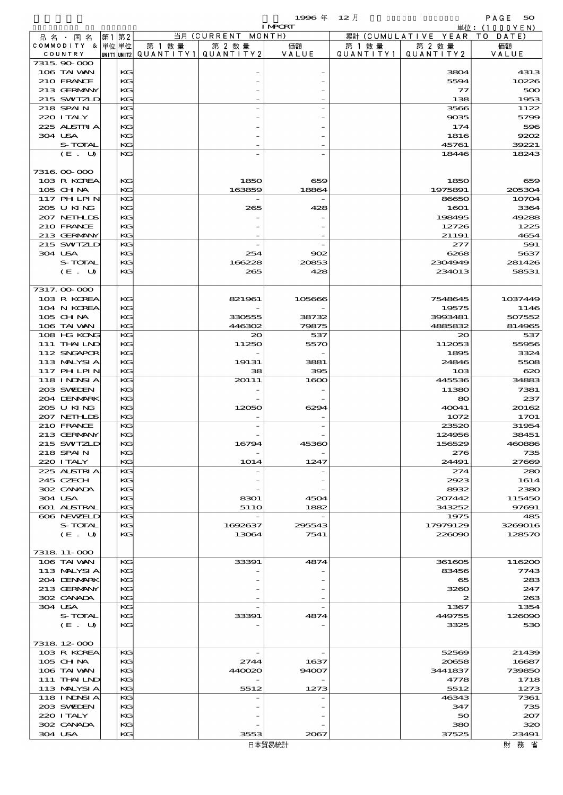|                                  |          |                          |                    | 1996 $#$       | $12$ 月    |                              | PAGE<br>50       |
|----------------------------------|----------|--------------------------|--------------------|----------------|-----------|------------------------------|------------------|
| 品名・国名                            | 第1第2     |                          | 当月 (CURRENT MONTH) | <b>I MPORT</b> |           | 累計 (CUMULATIVE YEAR TO DATE) | 単位:(1000YEN)     |
| COMMODITY & 単位単位                 |          | 第 1 数 量                  | 第 2 数量             | 価額             | 第 1 数 量   | 第 2 数量                       | 価額               |
| COUNTRY                          |          | unit1 unit2  Q∪ANT   TY1 | QUANTITY 2         | VALUE          | QUANTITY1 | QUANTITY2                    | VALUE            |
| 7315, 90-000<br>106 TAI VAN      | KG       |                          |                    |                |           | 3804                         | 4313             |
| 210 FRANCE                       | KG       |                          |                    |                |           | 5594                         | 10226            |
| 213 GERMANY                      | KG       |                          |                    |                |           | $\mathcal{T}$                | 500              |
| 215 SWIZLD<br>218 SPAIN          | KG<br>KG |                          |                    |                |           | 138<br>3566                  | 1953<br>1122     |
| 220 I TALY                       | KG       |                          |                    |                |           | 9035                         | 5799             |
| 225 ALSTRIA                      | KG       |                          |                    |                |           | 174                          | 596              |
| 304 USA                          | KG       |                          |                    |                |           | 1816                         | 9202             |
| S-TOTAL<br>(E. U)                | KG<br>KG |                          |                    |                |           | 45761<br>18446               | 39221<br>18243   |
|                                  |          |                          |                    |                |           |                              |                  |
| 7316 00 000                      |          |                          |                    |                |           |                              |                  |
| 103 R KOREA                      | KG       |                          | 1850<br>163859     | 659            |           | 1850                         | 659              |
| 105 CHNA<br>117 PHLPIN           | KG<br>KG |                          |                    | 18864          |           | 1975891<br>86650             | 205304<br>10704  |
| 205 U KING                       | KG       |                          | 265                | 428            |           | 1601                         | 3364             |
| 207 NETH LIS                     | KG       |                          |                    |                |           | 198495                       | 49288            |
| 210 FRANCE<br>213 GERMANY        | KG<br>KG |                          |                    |                |           | 12726<br>21191               | 1225<br>4654     |
| 215 SWIZLD                       | KG       |                          |                    |                |           | 277                          | 591              |
| 304 USA                          | KG       |                          | 254                | 902            |           | 6268                         | 5637             |
| S-TOTAL                          | KG       |                          | 166228             | 20853          |           | 2304949                      | 281426           |
| (E. U)                           | KG       |                          | 265                | 428            |           | 234013                       | 58531            |
| 7317.00-000                      |          |                          |                    |                |           |                              |                  |
| 103 R KOREA                      | KG       |                          | 821961             | 105666         |           | 7548645                      | 1037449          |
| 104 N KOREA                      | KG       |                          |                    |                |           | 19575                        | 1146             |
| 105 CH NA<br>106 TAI VAN         | KG<br>KG |                          | 330555<br>446302   | 38732<br>79875 |           | 3993481<br>4885832           | 507552<br>814965 |
| 108 HG KONG                      | KG       |                          | 20                 | 537            |           | 20                           | 537              |
| 111 THAILND                      | KG       |                          | 11250              | 5570           |           | 112053                       | 55956            |
| 112 SNGAPOR                      | KG       |                          |                    |                |           | 1895                         | 3324             |
| 113 MALYSIA<br><b>117 PHLPIN</b> | KG<br>KG |                          | 19131<br>38        | 3881<br>395    |           | 24846<br>103                 | 5508<br>620      |
| <b>118 INDNSIA</b>               | KG       |                          | 20111              | 1600           |           | 445536                       | 34883            |
| 203 SWIEN                        | KG       |                          |                    |                |           | 11380                        | 7381             |
| 204 DENMARK                      | KG       |                          |                    |                |           | 80                           | 237              |
| 205 U KING<br>207 NETHLIS        | KG<br>КG |                          | 12050              | 6294           |           | 40041<br>1072                | 20162<br>1701    |
| 210 FRANCE                       | KG       |                          |                    |                |           | 23520                        | 31954            |
| 213 GERMANN                      | KG       |                          |                    |                |           | 124956                       | 38451            |
| 215 SWIZLD                       | КG       |                          | 16794              | 45360          |           | 156529                       | 460886           |
| 218 SPAIN<br>220 I TALY          | KG<br>KG |                          | 1014               | 1247           |           | 276<br>24491                 | 735<br>27669     |
| 225 ALSTRIA                      | KG       |                          |                    |                |           | 274                          | 280              |
| 245 CZECH                        | KG       |                          |                    |                |           | 2923                         | 1614             |
| 302 CANADA<br>304 USA            | KG<br>KG |                          | 8301               | 4504           |           | 8932<br>207442               | 2380<br>115450   |
| <b>601 ALSTRAL</b>               | KG       |                          | 5110               | 1882           |           | 343252                       | 97691            |
| 606 NEWELD                       | KG       |                          |                    |                |           | 1975                         | 485              |
| S-TOTAL                          | KG       |                          | 1692637            | 295543         |           | 17979129                     | 3269016          |
| (E. U)                           | KG       |                          | 13064              | 7541           |           | 226090                       | 128570           |
| 7318 11-000                      |          |                          |                    |                |           |                              |                  |
| 106 TAI VAN                      | KG       |                          | 33391              | 4874           |           | 361605                       | 116200           |
| 113 MALYSIA                      | KG       |                          |                    |                |           | 83456                        | 7743             |
| 204 DENMARK<br>213 GERMANY       | KG<br>KG |                          |                    |                |           | 65<br>3260                   | 283<br>247       |
| 302 CANADA                       | KG       |                          |                    |                |           | 2                            | 263              |
| 304 USA                          | KG       |                          |                    |                |           | 1367                         | 1354             |
| S-TOTAL                          | KG       |                          | 33391              | 4874           |           | 449755                       | 126090           |
| (E. U)                           | KG       |                          |                    |                |           | 3325                         | 530              |
| 7318 12 000                      |          |                          |                    |                |           |                              |                  |
| 103 R KOREA                      | KG       |                          |                    |                |           | 52569                        | 21439            |
| 105 CH NA                        | KG       |                          | 2744               | 1637           |           | 20658                        | 16687            |
| 106 TAI VAN<br>111 THAILND       | KG<br>KG |                          | 440020             | 94007          |           | 3441837<br>4778              | 739850<br>1718   |
| 113 MALYSIA                      | KG       |                          | 5512               | 1273           |           | 5512                         | 1273             |
| 118 I NJNSI A                    | KG       |                          |                    |                |           | 46343                        | 7361             |
| 203 SWIDEN<br>220 I TALY         | KG<br>KG |                          |                    |                |           | 347<br>50                    | 735<br>207       |
| 302 CANADA                       | KG       |                          |                    |                |           | 380                          | 320              |
| 304 USA                          | KG       |                          | 3553               | 2067           |           | 37525                        | 23491            |
|                                  |          |                          |                    | 日本貿易統計         |           |                              | 財務省              |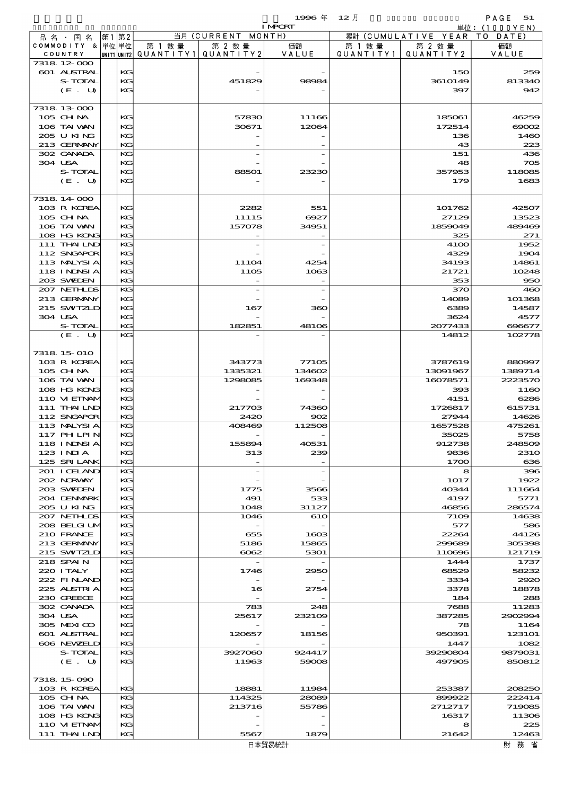|                               |             |           |                       | 1996 $#$        | $12$ 月    |                                | PAGE<br>51        |
|-------------------------------|-------------|-----------|-----------------------|-----------------|-----------|--------------------------------|-------------------|
|                               |             |           |                       | <b>I MPORT</b>  |           |                                | 単位: $(1000YEN)$   |
| 品 名 ・ 国 名<br>COMMODITY & 単位単位 | 第2<br>第1    | 第 1 数 量   | 当月 (CURRENT<br>第 2 数量 | MONTH)<br>価額    | 第 1 数 量   | 累計 (CUMULATIVE YEAR)<br>第 2 数量 | DATE<br>T O<br>価額 |
| COUNTRY                       | UNIT1 UNIT2 | QUANTITY1 | QUANTITY 2            | VALUE           | QUANTITY1 | QUANTITY2                      | VALUE             |
| 7318 12 000                   |             |           |                       |                 |           |                                |                   |
| 601 ALSTRAL                   |             | KG        |                       |                 |           | 150                            | 259               |
| S-TOTAL<br>(E. U)             |             | KG<br>KG  | 451829                | 98984           |           | 3610149<br>397                 | 813340<br>942     |
|                               |             |           |                       |                 |           |                                |                   |
| 7318 13 000                   |             |           |                       |                 |           |                                |                   |
| 105 CH NA                     |             | KG        | 57830                 | 11166           |           | 185061                         | 46259             |
| 106 TAI WAN                   |             | KG        | 30671                 | 12064           |           | 172514                         | $\infty$          |
| 205 U KING                    |             | KG        |                       |                 |           | 136                            | 1460              |
| 213 GERMANY<br>302 CANADA     |             | KG<br>KG  |                       |                 |           | 43                             | 223<br>436        |
| 304 USA                       |             | KG        |                       |                 |           | 151<br>48                      | 705               |
| S-TOTAL                       |             | KG        | 88501                 | 23230           |           | 357953                         | 118085            |
| (E. U)                        |             | KG        |                       |                 |           | 179                            | 1683              |
|                               |             |           |                       |                 |           |                                |                   |
| 7318 14 000                   |             |           |                       |                 |           |                                |                   |
| 103 R KOREA                   |             | KG        | 2282                  | 551             |           | 101762                         | 42507             |
| 105 CHNA<br>106 TAI VAN       |             | KG<br>KG  | 11115<br>157078       | 6927<br>34951   |           | 27129<br>1859049               | 13523<br>489469   |
| 108 HG KONG                   |             | KG        |                       |                 |           | 325                            | 271               |
| 111 THAILND                   |             | KG        |                       |                 |           | 4100                           | 1952              |
| 112 SNGAPOR                   |             | KG        |                       |                 |           | 4329                           | 1904              |
| 113 MALYSIA                   |             | KG        | 11104                 | 4254            |           | 34193                          | 14861             |
| 118 INNSI A                   |             | KG        | 1105                  | 1063            |           | 21721                          | 10248             |
| 203 SWIEN                     |             | KG        |                       |                 |           | 353                            | 950               |
| 207 NETHLIS<br>213 GERMANY    |             | KG<br>KG  |                       |                 |           | 370                            | 460               |
| 215 SWIZLD                    |             | KG        | 167                   | 360             |           | 14089<br>6389                  | 101368<br>14587   |
| 304 USA                       |             | KG        |                       |                 |           | 3624                           | 4577              |
| S-TOTAL                       |             | KG        | 182851                | 48106           |           | 2077433                        | 696677            |
| (E. U)                        |             | KG        |                       |                 |           | 14812                          | 102778            |
|                               |             |           |                       |                 |           |                                |                   |
| 7318 15 010                   |             |           |                       |                 |           |                                |                   |
| 103 R KOREA<br>105 CHNA       |             | KG<br>KG  | 343773<br>1335321     | 77105<br>134602 |           | 3787619<br>13091967            | 880997<br>1389714 |
| 106 TAI VAN                   |             | KG        | 1298085               | 169348          |           | 16078571                       | 2223570           |
| 108 HG KONG                   |             | KG        |                       |                 |           | 393                            | 1160              |
| 110 VI EINAM                  |             | KG        |                       |                 |           | 4151                           | 6286              |
| 111 THAILND                   |             | KG        | 217703                | 74360           |           | 1726817                        | 615731            |
| 112 SNGAPOR                   |             | KG        | 2420                  | 902             |           | 27944                          | 14626             |
| 113 MALYSIA                   |             | KG        | 408469                | 112508          |           | 1657528                        | 475261            |
| 117 PHLPIN<br>118 I NJNSI A   |             | KG<br>КG  | 155894                | 40531           |           | 35025<br>912738                | 5758<br>248509    |
| 123 INIA                      |             | KG        | 313                   | 239             |           | 9836                           | 231O              |
| 125 SRILANK                   |             | KG        |                       |                 |           | 1700                           | 636               |
| 201 I CELAND                  |             | KG        |                       |                 |           | 8                              | 396               |
| 202 NORWAY                    |             | KG        |                       |                 |           | 1017                           | 1922              |
| 203 SWIDEN                    |             | KG        | 1775                  | 3566            |           | 40344                          | 111664            |
| 204 DENMARK                   |             | KG        | 491                   | 533             |           | 4197                           | 5771              |
| 205 U KING<br>207 NETHLIS     |             | KG<br>KG  | 1048<br>1046          | 31127<br>610    |           | 46856<br>7109                  | 286574<br>14638   |
| 208 BELGI UM                  |             | KC        |                       |                 |           | 577                            | 586               |
| 210 FRANCE                    |             | KG        | 655                   | 1603            |           | 22264                          | 44126             |
| 213 GERMANY                   |             | KG        | 5186                  | 15865           |           | 299689                         | 305398            |
| 215 SWIZLD                    |             | KG        | $\cos z$              | 5301            |           | 110696                         | 121719            |
| 218 SPAIN                     |             | KG        |                       |                 |           | 1444                           | 1737              |
| 220 I TALY<br>222 FINAND      |             | KC<br>KG  | 1746                  | 2950            |           | 68529<br>3334                  | 58232<br>2920     |
| 225 ALSTRIA                   |             | KG        | 16                    | 2754            |           | 3378                           | 18878             |
| 230 GREECE                    |             | KG        |                       |                 |           | 184                            | 288               |
| 302 CANADA                    |             | KG        | 783                   | 248             |           | 7688                           | 11283             |
| 304 USA                       |             | KC        | 25617                 | 232109          |           | 387285                         | 2902994           |
| 305 MEXICO                    |             | KG        |                       |                 |           | 78                             | 1164              |
| 601 ALSTRAL                   |             | KG        | 120657                | 18156           |           | 950391                         | 123101            |
| 606 NEWELD<br>S-TOTAL         |             | KG<br>KG  | 3927060               | 924417          |           | 1447<br>39290804               | 1082<br>9879031   |
| (E. U)                        |             | KG        | 11963                 | 59008           |           | 497905                         | 850812            |
|                               |             |           |                       |                 |           |                                |                   |
| 7318 15 090                   |             |           |                       |                 |           |                                |                   |
| 103 R KOREA                   |             | KG        | 18881                 | 11984           |           | 253387                         | 208250            |
| 105 CH NA                     |             | KG        | 114325                | 28089           |           | 899922                         | 222414            |
| 106 TAI VAN                   |             | KC        | 213716                | 55786           |           | 2712717                        | 719085            |
| 108 HG KONG<br>110 VI EINAM   |             | KG<br>KG  |                       |                 |           | 16317<br>8                     | 11306<br>225      |
| 111 THAILND                   |             | KG        | 5567                  | 1879            |           | 21642                          | 12463             |
|                               |             |           |                       | 日本貿易統計          |           |                                | 財務省               |
|                               |             |           |                       |                 |           |                                |                   |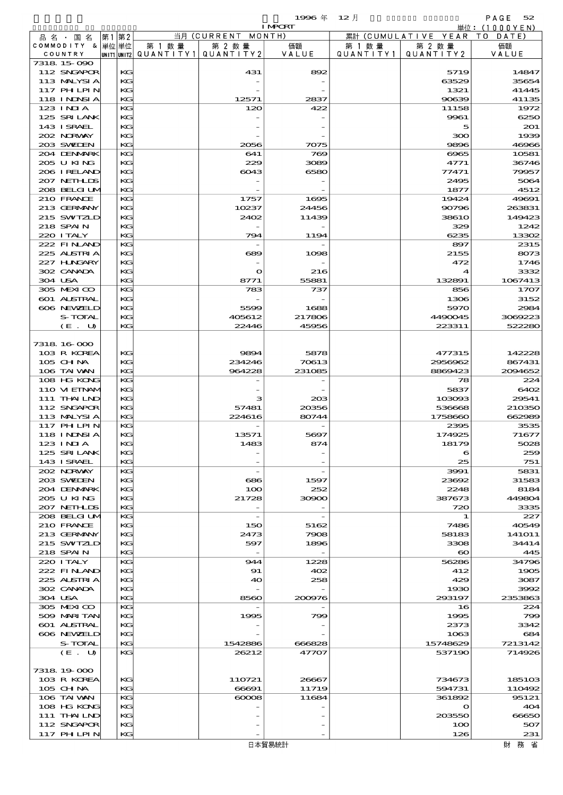|         |                            |             |           |                          | 1996年          | $12$ 月    |                                | PAGE<br>52      |
|---------|----------------------------|-------------|-----------|--------------------------|----------------|-----------|--------------------------------|-----------------|
|         |                            |             |           |                          | <b>I MPORT</b> |           |                                | 単位:(1000YEN)    |
|         | 品 名 ・ 国 名                  | 第1第2        |           | 当月 (CURRENT MONTH)       |                |           | 累計 (CUMULATIVE YEAR TO DATE)   |                 |
|         | COMMODITY & 单位 单位          |             | 第 1 数 量   | 第 2 数量                   | 価額             | 第 1 数 量   | 第 2 数量                         | 価額              |
|         | COUNTRY                    | UNIT1 UNIT2 | QUANTITY1 | QUANTITY2                | VALUE          | QUANTITY1 | QUANTITY2                      | VALUE           |
|         | 7318 15 090                |             |           |                          |                |           |                                | 14847           |
|         | 112 SNGAPOR<br>113 MALYSIA | KG<br>KG    |           | 431                      | 892            |           | 5719<br>63529                  | 35654           |
|         | 117 PHLPIN                 | KG          |           |                          |                |           | 1321                           | 41445           |
|         | <b>118 INDSIA</b>          | KG          |           | 12571                    | 2837           |           | 90639                          | 41135           |
|         | $123$ INIA                 | KG          |           | 120                      | 422            |           | 11158                          | 1972            |
|         | 125 SRILANK                | KG          |           |                          |                |           | 9961                           | 6250            |
|         | 143 ISRAEL                 | KG          |           |                          |                |           | 5                              | 201             |
|         | 202 NRWAY                  | KG          |           |                          |                |           | 300                            | 1939            |
|         | 203 SWIEN                  | KG          |           | 2056                     | 7075           |           | 9896                           | 46966           |
|         | 204 DENMARK<br>205 U KING  | KG<br>KG    |           | 641<br>229               | 769<br>3089    |           | 6965<br>4771                   | 10581<br>36746  |
|         | 206 I RELAND               | KG          |           | 6043                     | 6580           |           | 77471                          | 79957           |
|         | 207 NETHLIS                | KG          |           |                          |                |           | 2495                           | 5064            |
|         | 208 BELGI UM               | KG          |           |                          |                |           | 1877                           | 4512            |
|         | 210 FRANCE                 | KG          |           | 1757                     | 1695           |           | 19424                          | 49691           |
|         | 213 GERMANY                | KG          |           | 10237                    | 24456          |           | 90796                          | 263831          |
|         | 215 SWIZLD                 | KG          |           | 2402                     | 11439          |           | 3861O                          | 149423          |
|         | 218 SPAIN                  | KG          |           |                          |                |           | 329                            | 1242            |
|         | 220 I TALY<br>222 FINAND   | KG<br>KG    |           | 794                      | 1194           |           | 6235<br>897                    | 13302           |
|         | 225 ALSTRIA                | KG          |           | 689                      | 1098           |           | 2155                           | 2315<br>8073    |
|         | 227 H.NGARY                | KG          |           |                          |                |           | 472                            | 1746            |
|         | 302 CANADA                 | KG          |           | $\mathbf o$              | 216            |           | 4                              | 3332            |
| 304 USA |                            | KG          |           | 8771                     | 55881          |           | 132891                         | 1067413         |
|         | 305 MEXICO                 | KG          |           | 783                      | 737            |           | 856                            | 1707            |
|         | <b>601 ALSTRAL</b>         | KG          |           |                          |                |           | 1306                           | 3152            |
|         | 606 NEWELD                 | KG          |           | 5599                     | 1688           |           | 5970                           | 2984            |
|         | S-TOTAL                    | KG          |           | 405612                   | 217806         |           | 4490045                        | 3069223         |
|         | (E. U)                     | KG          |           | 22446                    | 45956          |           | 223311                         | 522280          |
|         | 7318 16 000                |             |           |                          |                |           |                                |                 |
|         | 103 R KOREA                | KG          |           | 9894                     | 5878           |           | 477315                         | 142228          |
|         | 105 CH NA                  | KG          |           | 234246                   | 70613          |           | 2956962                        | 867431          |
|         | 106 TAI WAN                | KG          |           | 964228                   | 231085         |           | 8869423                        | 2094652         |
|         | 108 HG KONG                | KG          |           |                          |                |           | 78                             | 224             |
|         | 110 VI EINAM               | KG          |           |                          |                |           | 5837                           | 6402            |
|         | 111 THAILND<br>112 SNGAPOR | KG<br>КG    |           | з<br>57481               | 20B<br>20356   |           | 103093<br>536668               | 29541<br>210350 |
|         | 113 MALYSIA                | КG          |           | 224616                   | 80744          |           | 1758660                        | 662989          |
|         | 117 PH LPIN                | KG          |           |                          |                |           | 2395                           | 3535            |
|         | <b>118 INDSIA</b>          | КG          |           | 13571                    | 5697           |           | 174925                         | 71677           |
|         | 123 INIA                   | KG          |           | 1483                     | 874            |           | 18179                          | 5028            |
|         | 125 SRILANK                | KG          |           |                          |                |           | 6                              | 259             |
|         | 143 ISRAEL                 | KG          |           |                          |                |           | 25                             | 751             |
|         | 202 NORWAY<br>203 SWIDEN   | KG<br>KG    |           | 686                      | 1597           |           | 3991<br>23692                  | 5831<br>31583   |
|         | 204 DENMARK                | KG          |           | 100                      | 252            |           | 2248                           | 8184            |
|         | 205 U KING                 | КG          |           | 21728                    | 30900          |           | 387673                         | 449804          |
|         | 207 NETHLIS                | KG          |           |                          |                |           | 720                            | 3335            |
|         | 208 BELGI UM               | KG          |           | $\overline{\phantom{a}}$ |                |           | 1                              | 227             |
|         | 210 FRANCE                 | KG          |           | 150                      | 5162           |           | 7486                           | 40549           |
|         | 213 GERMANY                | KG          |           | 2473                     | 7908           |           | 58183                          | 141O11          |
|         | 215 SWIZLD<br>218 SPAIN    | КG<br>KG    |           | 597                      | 1896           |           | 3308                           | 34414<br>445    |
|         | 220 I TALY                 | KG          |           | 944                      | 1228           |           | $\boldsymbol{\infty}$<br>56286 | 34796           |
|         | 222 FINLAND                | КG          |           | 91                       | 402            |           | 412                            | 1905            |
|         | 225 ALSTRIA                | KG          |           | 40                       | 258            |           | 429                            | 3087            |
|         | 302 CANADA                 | KG          |           |                          |                |           | 1930                           | 3992            |
| 304 USA |                            | KG          |           | 8560                     | 200976         |           | 293197                         | 2353863         |
|         | 305 MEXICO                 | KG          |           |                          |                |           | 16                             | 224             |
|         | 509 MARI TAN               | KG          |           | 1995                     | 799            |           | 1995                           | 799             |
|         | 601 ALSTRAL                | KG          |           |                          |                |           | 2373                           | 3342            |

7318.19-000

 606 NEWZELD KG - - 1063 684 S-TOTAL KG 1542886 666828 15748629 7213142 (E. U) KG 26212 47707 537190 714926

 $103 \text{ R K OFA}$   $| \text{KG} |$  110721 26667 734673 185103 105 CHINA KG 66691 11719 594731 110492 106 TAI WAN KG 60008 11684 361892 95121  $108 \text{ HG} \quad \text{KG}$   $\begin{array}{|l|l|} \hline \end{array}$   $\begin{array}{|l|l|} \hline \end{array}$   $\begin{array}{|l|l|} \hline \end{array}$   $\begin{array}{|l|l|} \hline \end{array}$   $\begin{array}{|l|l|} \hline \end{array}$   $\begin{array}{|l|l|} \hline \end{array}$   $\begin{array}{|l|l|} \hline \end{array}$   $\begin{array}{|l|l|} \hline \end{array}$   $\begin{array}{|l|l|} \hline \end{array}$   $\begin$ 108 HG KG KG - - - 0 404<br>111 THAILND KG - - 203550 66650  $112$  SNGAPOR KG -  $100$  507 117 PHILPIN  $\begin{array}{|c|c|c|c|c|c|c|c|}\n\hline\n117 & 126 & & 231\n\end{array}$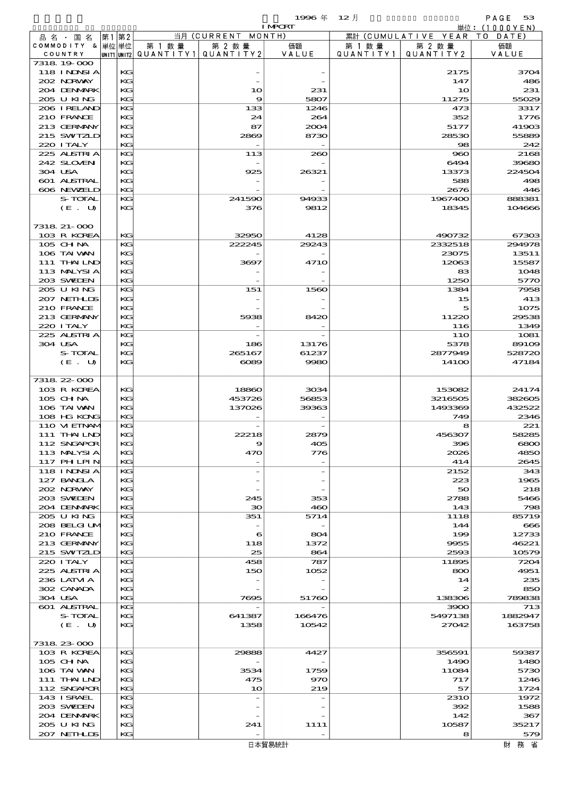$1996 \nleftrightarrow 12 \nparallel$  PAGE 53

|                                  |      |          |                                       |                          | <b>I MPORT</b> |         |                              | 単位: (1000YEN)   |
|----------------------------------|------|----------|---------------------------------------|--------------------------|----------------|---------|------------------------------|-----------------|
| 品名・国名                            | 第1第2 |          |                                       | 当月 (CURRENT MONTH)       |                |         | 累計 (CUMULATIVE YEAR TO DATE) |                 |
| COMMODITY & 単位単位                 |      |          | 第 1 数量                                | 第 2 数量                   | 価額             | 第 1 数 量 | 第 2 数量                       | 価額              |
| COUNTRY                          |      |          | UNIT1 UNIT2  QUANT I TY1  QUANT I TY2 |                          | VALUE          |         | QUANTITY1   QUANTITY2        | VALUE           |
| 7318 19 000<br><b>118 INNSIA</b> |      | KG       |                                       |                          |                |         | 2175                         | 3704            |
| 202 NORWAY                       |      | KG       |                                       |                          |                |         | 147                          | 486             |
| 204 DENMARK                      |      | KG       |                                       | 10                       | 231            |         | 10                           | 231             |
| 205 U KING                       |      | KG       |                                       | 9                        | 5807           |         | 11275                        | 55029           |
| 206 IRELAND                      |      | KG       |                                       | 133                      | 1246           |         | 473                          | 3317            |
| 210 FRANCE                       |      | KG       |                                       | 24                       | 264            |         | 352                          | 1776            |
| 213 GERMANY                      |      | KG       |                                       | 87                       | 2004           |         | 5177                         | 41903           |
| 215 SWIZLD                       |      | KG       |                                       | 2869                     | 8730           |         | 28530                        | 55889           |
| 220 I TALY                       |      | $K$ $G$  |                                       |                          |                |         | 98                           | 242             |
| 225 ALSTRIA                      |      | KG       |                                       | 113                      | 260            |         | 960                          | 2168            |
| 242 SLOVEN<br>304 USA            |      | KG<br>KG |                                       | 925                      | 26321          |         | 6494<br>13373                | 39680<br>224504 |
| 601 ALSTRAL                      |      | KG       |                                       |                          |                |         | 588                          | 498             |
| 606 NEWELD                       |      | KG       |                                       |                          |                |         | 2676                         | 446             |
| S-TOTAL                          |      | KG       |                                       | 241590                   | 94933          |         | 1967400                      | 888381          |
| (E. U)                           |      | KG       |                                       | 376                      | 9812           |         | 18345                        | 104666          |
|                                  |      |          |                                       |                          |                |         |                              |                 |
| 7318 21-000                      |      |          |                                       |                          |                |         |                              |                 |
| 103 R KOREA                      |      | $K$ $G$  |                                       | 32950                    | 4128           |         | 490732                       | 67303           |
| 105 CH NA                        |      | KG       |                                       | 222245                   | 29243          |         | 2332518                      | 294978          |
| 106 TAI VAN                      |      | KG       |                                       |                          |                |         | 23075                        | 13511           |
| 111 THAILND                      |      | KG       |                                       | 3697                     | <b>4710</b>    |         | 12063                        | 15587           |
| 113 MALYSIA                      |      | KG<br>KG |                                       |                          |                |         | 83                           | 1048            |
| 203 SWIEN<br>205 U KING          |      | KG       |                                       | 151                      | 1560           |         | 1250<br>1384                 | 5770<br>7958    |
| 207 NETHLIS                      |      | KG       |                                       |                          |                |         | 15                           | 413             |
| 210 FRANCE                       |      | KG       |                                       |                          |                |         | 5                            | 1075            |
| 213 GERMANY                      |      | KG       |                                       | 5938                     | 8420           |         | 11220                        | 29538           |
| 220 I TALY                       |      | $K$ $G$  |                                       |                          |                |         | 116                          | 1349            |
| 225 ALSTRIA                      |      | KG       |                                       |                          |                |         | 11O                          | 1081            |
| 304 USA                          |      | KG       |                                       | 186                      | 13176          |         | 5378                         | 89109           |
| S-TOTAL                          |      | KG       |                                       | 265167                   | 61237          |         | 2877949                      | 528720          |
| (E. U)                           |      | KG       |                                       | $\infty$                 | 9980           |         | 14100                        | 47184           |
|                                  |      |          |                                       |                          |                |         |                              |                 |
| 7318 22 000                      |      |          |                                       |                          |                |         |                              | 24174           |
| 103 R KOREA<br>105 CH NA         |      | KG<br>KG |                                       | 18860<br>453726          | 3034<br>56853  |         | 153082<br>3216505            | 382605          |
| 106 TAI VAN                      |      | KG       |                                       | 137026                   | 39363          |         | 1493369                      | 432522          |
| 108 HG KONG                      |      | KG       |                                       |                          |                |         | 749                          | 2346            |
| 110 VIEINAM                      |      | KG       |                                       |                          |                |         | 8                            | 221             |
| 111 THAILND                      |      | KG       |                                       | 22218                    | 2879           |         | 456307                       | 58285           |
| 112 SNGAPOR                      |      | KG       |                                       | $\circ$                  | 405            |         | 396                          | 6800            |
| 113 MALYSIA                      |      | KG       |                                       | 470                      | 776            |         | 2026                         | 4850            |
| <b>117 PHLPIN</b>                |      | KG       |                                       |                          |                |         | 414                          | 2645            |
| <b>118 INNSIA</b>                |      | KG       |                                       | $\overline{\phantom{0}}$ |                |         | 2152                         | 343             |
| 127 BANCLA                       |      | KG       |                                       |                          |                |         | 223                          | 1965            |
| 202 NORWAY<br>203 SWIEN          |      | KG<br>KG |                                       | 245                      | 353            |         | 50<br>2788                   | 218<br>5466     |
| 204 DENMRK                       |      | KG       |                                       | $30^{\circ}$             | 460            |         | 143                          | 798             |
| 205 U KING                       |      | KG       |                                       | 351                      | 5714           |         | 1118                         | 85719           |
| 208 BELGI UM                     |      | KG       |                                       |                          |                |         | 144                          | $\bf{666}$      |
| 210 FRANCE                       |      | KG       |                                       | 6                        | 804            |         | 199                          | 12733           |
| 213 GERMANY                      |      | KG       |                                       | 118                      | 1372           |         | 9955                         | 46221           |
| 215 SWIZLD                       |      | KG       |                                       | 25                       | 864            |         | 2593                         | 10579           |
| 220 I TALY                       |      | KG       |                                       | 458                      | 787            |         | 11895                        | 7204            |
| 225 ALSTRIA                      |      | KG       |                                       | 150                      | 1052           |         | 800                          | 4951            |
| 236 LATM A                       |      | KG       |                                       |                          |                |         | 14                           | 235             |
| 302 CANADA                       |      | KG       |                                       |                          |                |         | 2                            | 850             |
| 304 USA<br>601 ALSTRAL           |      | KG<br>KG |                                       | 7695                     | 51760          |         | 138306                       | 789838          |
| S-TOTAL                          |      | KG       |                                       | 641387                   | 166476         |         | 3900<br>5497138              | 713<br>1882947  |
| (E. U)                           |      | KG       |                                       | 1358                     | 10542          |         | 27042                        | 163758          |
|                                  |      |          |                                       |                          |                |         |                              |                 |
| 7318 23 000                      |      |          |                                       |                          |                |         |                              |                 |
| 103 R KOREA                      |      | KG       |                                       | 29888                    | 4427           |         | 356591                       | 59387           |
| 105 CHNA                         |      | KG       |                                       |                          |                |         | 1490                         | 1480            |
| 106 TAI VAN                      |      | KG       |                                       | 3534                     | 1759           |         | 11084                        | 5730            |
| 111 THAILND                      |      | KG       |                                       | 475                      | 970            |         | 717                          | 1246            |
| 112 SNGAPOR                      |      | KG       |                                       | 10                       | 219            |         | 57                           | 1724            |
| 143 ISRAEL                       |      | KG       |                                       |                          |                |         | <b>2310</b>                  | 1972            |
| 203 SWIDEN                       |      | KG       |                                       |                          |                |         | 392                          | 1588            |
| 204 DENMARK<br>205 U KING        |      | KG<br>KG |                                       |                          |                |         | 142                          | 367<br>35217    |
| 207 NETHLIS                      |      | KG       |                                       | 241                      | 1111           |         | 10587<br>8                   | 579             |
|                                  |      |          |                                       |                          |                |         |                              |                 |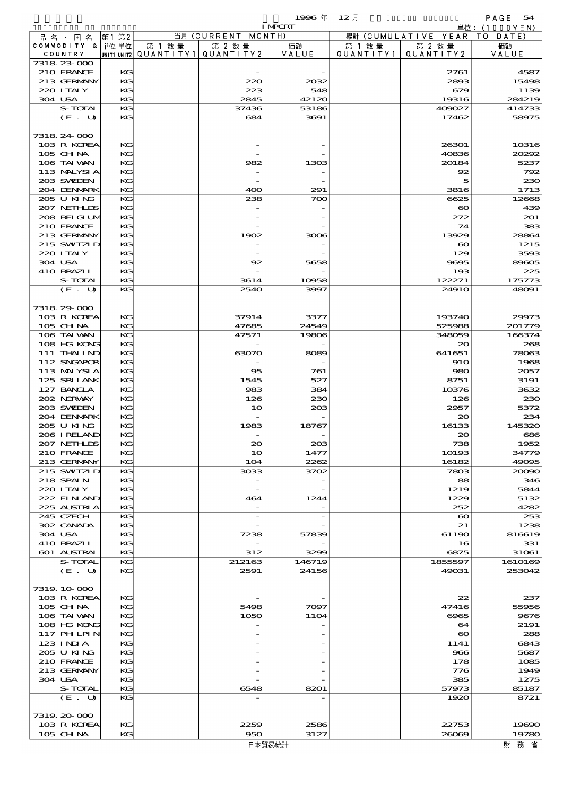$1996 \nless 12 \nless 12$ 

| <b>I MPORT</b> |                             |    |          |                                                  |                |                 | 単位: (1000YEN)        |                              |                   |
|----------------|-----------------------------|----|----------|--------------------------------------------------|----------------|-----------------|----------------------|------------------------------|-------------------|
|                | 品名・国名                       | 第1 | 第2       |                                                  | 当月(CURRENT     | MONTH)          |                      | 累計 (CUMULATIVE YEAR TO DATE) |                   |
|                | COMMODITY & 単位単位<br>COUNTRY |    |          | 第 1 数量<br> unit1 unit2  QUANT   TY1  QUANT   TY2 | 第 2 数量         | 価額<br>VALUE     | 第 1 数 量<br>QUANTITY1 | 第 2 数量<br>QUANTITY 2         | 価額<br>VALUE       |
|                | 7318 23 000                 |    |          |                                                  |                |                 |                      |                              |                   |
|                | 210 FRANCE                  |    | КG       |                                                  |                |                 |                      | 2761                         | 4587              |
|                | 213 GERMANY                 |    | KG       |                                                  | 220            | 2032            |                      | 2893                         | 15498             |
|                | 220 I TALY                  |    | KG       |                                                  | 223            | 548             |                      | 679                          | 1139              |
|                | 304 USA                     |    | KG       |                                                  | 2845           | 42120           |                      | 19316                        | 284219            |
|                | S-TOTAL<br>(E. U)           |    | KG<br>KG |                                                  | 37436<br>684   | 53186<br>3691   |                      | 409027<br>17462              | 414733<br>58975   |
|                |                             |    |          |                                                  |                |                 |                      |                              |                   |
|                | 7318 24 000                 |    |          |                                                  |                |                 |                      |                              |                   |
|                | 103 R KOREA                 |    | KG       |                                                  |                |                 |                      | 26301                        | 10316             |
|                | 105 CHNA                    |    | KG       |                                                  |                |                 |                      | 40836                        | 20292             |
|                | 106 TAI VAN                 |    | KG       |                                                  | 982            | 1303            |                      | 20184                        | 5237              |
|                | 113 MALYSIA<br>203 SWIDEN   |    | KG<br>KG |                                                  |                |                 |                      | 92<br>5                      | 792<br>230        |
|                | 204 DENMARK                 |    | KG       |                                                  | 400            | 291             |                      | 3816                         | 1713              |
|                | 205 U KING                  |    | KG       |                                                  | 238            | 700             |                      | 6625                         | 12668             |
|                | 207 NETHLIS                 |    | KG       |                                                  |                |                 |                      | $\boldsymbol{\infty}$        | 439               |
|                | 208 BELGI UM                |    | KG       |                                                  |                |                 |                      | 272                          | 201               |
|                | 210 FRANCE                  |    | KG       |                                                  |                |                 |                      | 74                           | 383               |
|                | 213 GERMANY<br>215 SWIZLD   |    | KG<br>KG |                                                  | 1902           | 3006            |                      | 13929                        | 28864<br>1215     |
|                | 220 I TALY                  |    | KG       |                                                  |                |                 |                      | $\boldsymbol{\infty}$<br>129 | 3593              |
|                | 304 USA                     |    | KG       |                                                  | 92             | 5658            |                      | 9695                         | 89605             |
|                | 410 BRAZIL                  |    | KG       |                                                  |                |                 |                      | 193                          | 225               |
|                | S-TOTAL                     |    | KG       |                                                  | 3614           | 10958           |                      | 122271                       | 175773            |
|                | (E. U)                      |    | KG       |                                                  | 2540           | 3997            |                      | 2491O                        | 48091             |
|                |                             |    |          |                                                  |                |                 |                      |                              |                   |
|                | 7318 29 000<br>103 R KOREA  |    | КG       |                                                  | 37914          | 3377            |                      | 193740                       | 29973             |
|                | 105 CH NA                   |    | KG       |                                                  | 47685          | 24549           |                      | 525988                       | 201779            |
|                | 106 TAI VAN                 |    | KG       |                                                  | 47571          | 19806           |                      | 348059                       | 166374            |
|                | 108 HG KONG                 |    | KG       |                                                  |                |                 |                      | $\infty$                     | 268               |
|                | 111 THAILND                 |    | KG       |                                                  | 63070          | 8089            |                      | 641651                       | 78063             |
|                | 112 SNGAPOR                 |    | KG       |                                                  |                |                 |                      | 910                          | 1968              |
|                | 113 MALYSIA                 |    | KG       |                                                  | 95             | 761             |                      | 980                          | 2057              |
|                | 125 SRILANK<br>127 BANCLA   |    | KG<br>KG |                                                  | 1545<br>983    | 527<br>384      |                      | 8751<br>10376                | 3191<br>3632      |
|                | 202 NRWAY                   |    | KG       |                                                  | 126            | 230             |                      | 126                          | 230               |
|                | 203 SWIEN                   |    | KG       |                                                  | 10             | 203             |                      | 2957                         | 5372              |
|                | 204 DENMARK                 |    | KG       |                                                  |                |                 |                      | 20                           | 234               |
|                | 205 U KING                  |    | KG       |                                                  | 1983           | 18767           |                      | 16133                        | 145320            |
|                | 206 IRELAND<br>207 NETHLIS  |    | KG<br>KG |                                                  | $\infty$       | 208             |                      | 20<br>738                    | 686<br>1952       |
|                | 210 FRANCE                  |    | KG       |                                                  | 10             | 1477            |                      | 10193                        | 34779             |
|                | 213 GERMANY                 |    | KG       |                                                  | 104            | 2262            |                      | 16182                        | 49095             |
|                | 215 SWIZLD                  |    | KG       |                                                  | 3033           | 3702            |                      | 7803                         | 20090             |
|                | 218 SPAIN                   |    | KG       |                                                  |                |                 |                      | 88                           | 346               |
|                | 220 I TALY                  |    | KG       |                                                  |                |                 |                      | 1219                         | 5844              |
|                | 222 FINAND<br>225 ALSTRIA   |    | KG<br>KG |                                                  | 464            | 1244            |                      | 1229<br>252                  | 5132<br>4282      |
|                | 245 CZECH                   |    | KG       |                                                  |                |                 |                      | $\boldsymbol{\infty}$        | 253               |
|                | 302 CANADA                  |    | KG       |                                                  |                |                 |                      | 21                           | 1238              |
|                | 304 USA                     |    | KG       |                                                  | 7238           | 57839           |                      | 61190                        | 816619            |
|                | 410 BRAZIL                  |    | KG       |                                                  |                |                 |                      | 16                           | 331               |
|                | 601 ALSTRAL                 |    | KG       |                                                  | 312            | 3299            |                      | 6875                         | 31061             |
|                | S-TOTAL                     |    | KG<br>KG |                                                  | 212163<br>2591 | 146719<br>24156 |                      | 1855597<br>49031             | 1610169<br>253042 |
|                | (E. U)                      |    |          |                                                  |                |                 |                      |                              |                   |
|                | 7319 10 000                 |    |          |                                                  |                |                 |                      |                              |                   |
|                | 103 R KOREA                 |    | KG       |                                                  |                |                 |                      | 22                           | 237               |
|                | 105 CHNA                    |    | KG       |                                                  | 5498           | 7097            |                      | 47416                        | 55956             |
|                | 106 TAI VAN                 |    | KG       |                                                  | 1050           | <b>11O4</b>     |                      | 6965                         | 9676              |
|                | 108 HG KONG<br>117 PHLPIN   |    | KG<br>KG |                                                  |                |                 |                      | 64<br>$\boldsymbol{\infty}$  | 2191<br>288       |
|                | $123$ INIA                  |    | KG       |                                                  |                |                 |                      | 1141                         | 6843              |
|                | 205 U KING                  |    | KG       |                                                  |                |                 |                      | 966                          | 5687              |
|                | 210 FRANCE                  |    | KG       |                                                  |                |                 |                      | 178                          | 1085              |
|                | 213 GERMANY                 |    | KG       |                                                  |                |                 |                      | 776                          | 1949              |
|                | 304 USA                     |    | KG       |                                                  |                |                 |                      | 385                          | 1275              |
|                | S-TOTAL                     |    | KG       |                                                  | 6548           | 8201            |                      | 57973                        | 85187             |
|                | (E. U)                      |    | KG       |                                                  |                |                 |                      | 1920                         | 8721              |
|                | 7319 20 000                 |    |          |                                                  |                |                 |                      |                              |                   |
|                | 103 R KOREA                 |    | KG       |                                                  | 2259           | 2586            |                      | 22753                        | 19690             |
|                | 105 CHNA                    |    | KG       |                                                  | 950            | 3127            |                      | 26069                        | 19780             |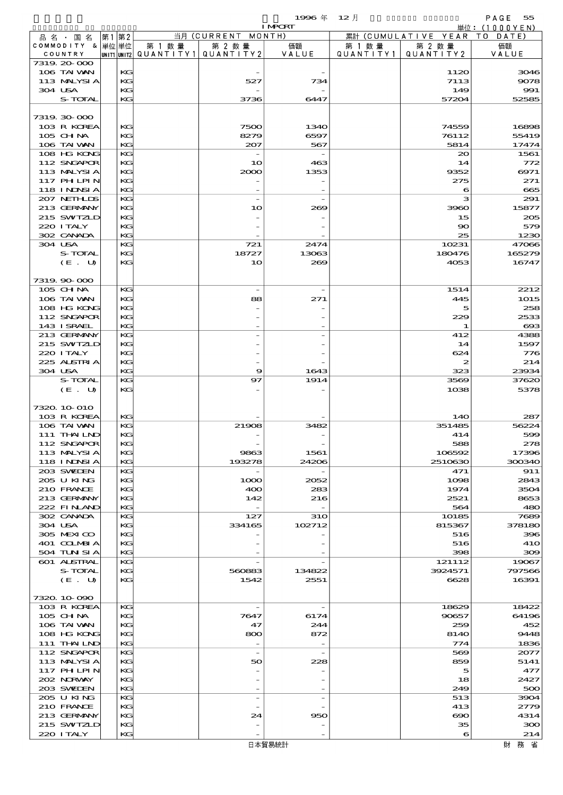$\begin{array}{ccccc} \mathsf{PAGE} & \mathsf{S5} \end{array}$ 

 $1996 \text{ } \text{\textsterling} \text{ } 12 \text{ } \text{\textsterling}$ 

|         |                   |    |         |                                          |                          | <b>IMPORT</b> |         |                              | <u> 単位:(1000YEN)</u>  |
|---------|-------------------|----|---------|------------------------------------------|--------------------------|---------------|---------|------------------------------|-----------------------|
|         | 品名・国名             | 第1 | 第2      |                                          | 当月 (CURRENT MONTH)       |               |         | 累計 (CUMULATIVE YEAR TO DATE) |                       |
|         | COMMODITY & 単位単位  |    |         | 第 1 数 量                                  | 第 2 数量                   | 価額            | 第 1 数 量 | 第 2 数量                       | 価額                    |
|         | COUNTRY           |    |         | UNIT1 UNIT2  QUANT I TY 1   QUANT I TY 2 |                          | VALUE         |         | QUANTITY1   QUANTITY2        | VALUE                 |
|         | 7319 20 000       |    |         |                                          |                          |               |         |                              |                       |
|         | 106 TAI WAN       |    | KG      |                                          |                          |               |         | 1120                         | 3046                  |
|         | 113 MALYSIA       |    | KG      |                                          | 527                      | 734           |         | 7113                         | 9078                  |
| 304 USA |                   |    | KG      |                                          |                          |               |         | 149                          | 991                   |
|         | S-TOTAL           |    | KG      |                                          |                          | 6447          |         |                              | 52585                 |
|         |                   |    |         |                                          | 3736                     |               |         | 57204                        |                       |
|         |                   |    |         |                                          |                          |               |         |                              |                       |
|         | 7319.30-000       |    |         |                                          |                          |               |         |                              |                       |
|         | 103 R KOREA       |    | KG      |                                          | 7500                     | 1340          |         | 74559                        | 16898                 |
|         | 105 CH NA         |    | KG      |                                          | 8279                     | 6597          |         | 76112                        | 55419                 |
|         | 106 TAI VAN       |    | KG      |                                          | 207                      | 567           |         | 5814                         | 17474                 |
|         | 108 HG KONG       |    | KG      |                                          |                          |               |         | $\infty$                     | 1561                  |
|         |                   |    |         |                                          |                          |               |         |                              |                       |
|         | 112 SNGAPOR       |    | KG      |                                          | 10                       | 463           |         | 14                           | 772                   |
|         | 113 MALYSIA       |    | KG      |                                          | 2000                     | 1353          |         | 9352                         | 6971                  |
|         | 117 PHLPIN        |    | KG      |                                          |                          |               |         | 275                          | 271                   |
|         | <b>118 INNSIA</b> |    | KG      |                                          |                          |               |         | 6                            | 665                   |
|         | 207 NETHLIS       |    | KG      |                                          | $\overline{\phantom{a}}$ |               |         | з                            | 291                   |
|         | 213 GERMANY       |    | KG      |                                          | 10                       | 269           |         | 3960                         | 15877                 |
|         | 215 SWIZLD        |    | KG      |                                          |                          |               |         | 15                           | 205                   |
|         |                   |    |         |                                          |                          |               |         |                              |                       |
|         | 220 ITALY         |    | KG      |                                          |                          |               |         | 90                           | 579                   |
|         | 302 CANADA        |    | KG      |                                          |                          |               |         | 25                           | 1230                  |
| 304 USA |                   |    | KG      |                                          | 721                      | 2474          |         | 10231                        | 47066                 |
|         | S-TOTAL           |    | КC      |                                          | 18727                    | 13063         |         | 180476                       | 165279                |
|         | (E. U)            |    | KG      |                                          | 10                       | 269           |         | 4053                         | 16747                 |
|         |                   |    |         |                                          |                          |               |         |                              |                       |
|         | 7319.90-000       |    |         |                                          |                          |               |         |                              |                       |
|         |                   |    |         |                                          |                          |               |         |                              |                       |
|         | 105 CHNA          |    | KG      |                                          | $\overline{\phantom{a}}$ |               |         | 1514                         | 2212                  |
|         | 106 TAI VAN       |    | KG      |                                          | 88                       | 271           |         | 445                          | 1015                  |
|         | 108 HG KONG       |    | KG      |                                          |                          |               |         | 5                            | 258                   |
|         | 112 SNGAPOR       |    | KG      |                                          |                          |               |         | 229                          | 2533                  |
|         | 143 I SRAEL       |    | KG      |                                          |                          |               |         | 1                            | $\boldsymbol{\alpha}$ |
|         | 213 GERMANY       |    | KG      |                                          |                          |               |         | 412                          | 4388                  |
|         |                   |    |         |                                          |                          |               |         |                              |                       |
|         | 215 SWIZLD        |    | KG      |                                          |                          |               |         | 14                           | 1597                  |
|         | 220 I TALY        |    | KG      |                                          |                          |               |         | 624                          | 776                   |
|         | 225 ALSTRIA       |    | KG      |                                          |                          |               |         | $\boldsymbol{z}$             | 214                   |
| 304 USA |                   |    | KG      |                                          | 9                        | 1643          |         | 323                          | 23934                 |
|         | S-TOTAL           |    | KG      |                                          | 97                       | 1914          |         | 3569                         | 37620                 |
|         | (E. U)            |    | $K$ $G$ |                                          |                          |               |         | 1038                         | 5378                  |
|         |                   |    |         |                                          |                          |               |         |                              |                       |
|         |                   |    |         |                                          |                          |               |         |                              |                       |
|         | 7320 10 010       |    |         |                                          |                          |               |         |                              |                       |
|         | 103 R KOREA       |    | KG      |                                          |                          |               |         | 14O                          | 287                   |
|         | 106 TAI VAN       |    | KG      |                                          | 21908                    | 3482          |         | 351485                       | 56224                 |
|         | 111 THAILND       |    | KG      |                                          |                          |               |         | 414                          | 599                   |
|         | 112 SNGAPOR       |    | KG      |                                          |                          |               |         | 588                          | 278                   |
|         | 113 MALYSI A      |    | KG      |                                          | 9863                     | 1561          |         | 106592                       | 17396                 |
|         | <b>118 INNSIA</b> |    | KG      |                                          | 193278                   | 24206         |         | 2510630                      | 300340                |
|         |                   |    |         |                                          |                          |               |         |                              |                       |
|         | 203 SWIDEN        |    | KG      |                                          |                          |               |         | 471                          | 911                   |
|         | 205 U KING        |    | KG      |                                          | 1000                     | 2052          |         | 1098                         | 2843                  |
|         | 210 FRANCE        |    | KG      |                                          | 400                      | 283           |         | 1974                         | 3504                  |
|         | 213 GERMANY       |    | KG      |                                          | 142                      | 216           |         | 2521                         | 8653                  |
|         | 222 FINAND        |    | KG      |                                          |                          |               |         | 564                          | 480                   |
|         | 302 CANADA        |    | KG      |                                          | 127                      | 31O           |         | 10185                        | 7689                  |
| 304 USA |                   |    | KG      |                                          | 334165                   | 102712        |         | 815367                       | 378180                |
|         | 305 MEXICO        |    | KG      |                                          |                          |               |         | 516                          | 396                   |
|         |                   |    |         |                                          |                          |               |         |                              |                       |
|         | 401 COLMBIA       |    | KG      |                                          |                          |               |         | 516                          | <b>41O</b>            |
|         | 504 TUN SI A      |    | KG      |                                          |                          |               |         | 398                          | 300                   |
|         | 601 ALSTRAL       |    | KG      |                                          |                          |               |         | 121112                       | 19067                 |
|         | S-TOTAL           |    | KG      |                                          | 560883                   | 134822        |         | 3924571                      | 797566                |
|         | (E. U)            |    | KG      |                                          | 1542                     | 2551          |         | 6628                         | 16391                 |
|         |                   |    |         |                                          |                          |               |         |                              |                       |
|         | 7320.10-090       |    |         |                                          |                          |               |         |                              |                       |
|         |                   |    |         |                                          |                          |               |         |                              |                       |
|         | 103 R KOREA       |    | KG      |                                          |                          |               |         | 18629                        | 18422                 |
|         | $105$ CHNA        |    | KG      |                                          | 7647                     | 6174          |         | 90657                        | 64196                 |
|         | 106 TAI VAN       |    | KG      |                                          | 47                       | 244           |         | 259                          | 452                   |
|         | 108 HG KONG       |    | KG      |                                          | 800                      | 872           |         | 8140                         | 9448                  |
|         | 111 THAILND       |    | KG      |                                          |                          |               |         | 774                          | 1836                  |
|         | 112 SNGAPOR       |    | KG      |                                          | $\overline{\phantom{a}}$ |               |         | 569                          | 2077                  |
|         | 113 MALYSIA       |    | KG      |                                          | 50                       | 228           |         | 859                          | 5141                  |
|         |                   |    |         |                                          |                          |               |         |                              |                       |
|         | 117 PH LPIN       |    | KG      |                                          |                          |               |         | 5                            | 477                   |
|         | 202 NORWAY        |    | KG      |                                          |                          |               |         | 18                           | 2427                  |
|         | 203 SWIEN         |    | KG      |                                          |                          |               |         | 249                          | 500                   |
|         | 205 U KING        |    | KG      |                                          |                          |               |         | 513                          | 3904                  |
|         | 210 FRANCE        |    | KG      |                                          |                          |               |         | 413                          | 2779                  |
|         | 213 GERMANY       |    | KG      |                                          | 24                       | 950           |         | ൈ                            | 4314                  |
|         | 215 SWIZLD        |    | KG      |                                          |                          |               |         | 35                           | 300                   |
|         |                   |    |         |                                          |                          |               |         |                              |                       |
|         | 220 I TALY        |    | KG      |                                          |                          |               |         | 6                            | 214                   |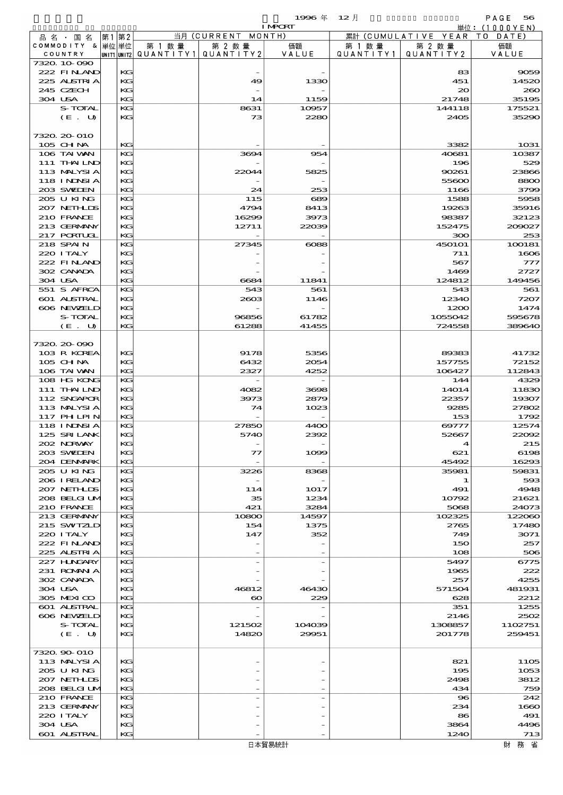|     |                         |             |            |            |            | 1996年          | $12$ 月     |                     | PAGE<br>56    |
|-----|-------------------------|-------------|------------|------------|------------|----------------|------------|---------------------|---------------|
|     |                         |             |            |            |            | <b>I MPORT</b> |            | 単位:                 | 0 0 0 Y E N ) |
| 品名・ | 国 名                     | 第1          | 第2         |            | 当月(CURRENT | MONTH)         |            | 累計 (CUMULATIVE YEAR | T 0<br>DATE)  |
|     | <b>COMMODITY</b><br>δ.  | 単位 単位       |            | 第 1<br>数 量 | 第 2 数量     | 価額             | 数 量<br>第 1 | 第 2 数量              | 価額            |
|     | COUNTRY                 | UNIT1 UNIT2 |            | QUANTITY1  | QUANTITY 2 | VALUE          | QUANTITY1  | QUANTITY 2          | VALUE         |
|     | 7320 10 090             |             |            |            |            |                |            |                     |               |
|     | $222$ FIN AND           |             | KG         |            | $\sim$     |                |            | 83                  | 9059          |
|     | 225 ALSTRIA             |             | KG         |            | 49         | 1330           |            | 451                 | 14520         |
|     | 245 CZECH               |             | KG         |            |            |                |            | 20                  | 260           |
|     | 304 USA                 |             | KG         |            | 14         | 1159           |            | 21748               | 35195         |
|     | S-TOTAL                 |             | $K$ $G$    |            | 8631       | 10957          |            | 144118              | 175521        |
|     | $\sqrt{12}$ $\sqrt{13}$ |             | <b>TAN</b> |            | $\sim$     | $\sim$         |            | $\sim$ $\sim$       | $\sim$        |

| 245 CZECH          | KG |                       |        | zv            | za          |
|--------------------|----|-----------------------|--------|---------------|-------------|
| 304 USA            | KG | 14                    | 1159   | 21748         | 35195       |
|                    |    |                       |        |               |             |
| S-TOTAL            | KG | 8631                  | 10957  | 144118        | 175521      |
| (E. U)             | KG | 73                    | 2280   | 2405          | 35290       |
|                    |    |                       |        |               |             |
|                    |    |                       |        |               |             |
| 7320 20 010        |    |                       |        |               |             |
|                    |    |                       |        |               |             |
| 105 CH NA          | KG |                       |        | 3382          | 1031        |
| 106 TAI VAN        | KG | 3694                  | 954    | 40681         | 10387       |
|                    |    |                       |        |               |             |
| 111 THAILND        | KG |                       |        | 196           | 529         |
| 113 MALYSIA        | KG | 22044                 | 5825   | 90261         | 23866       |
|                    |    |                       |        |               |             |
| 118 I NDSI A       | KG |                       |        | 55600         | 8800        |
| 203 SWIEN          | KG | 24                    | 253    | 1166          | 3799        |
|                    |    |                       |        |               |             |
| 205 U KING         | KG | 115                   | 689    | 1588          | 5958        |
| 207 NETHLIS        | KG | 4794                  | 8413   | 19263         | 35916       |
|                    |    |                       |        |               |             |
| 210 FRANCE         | KG | 16299                 | 3973   | 98387         | 32123       |
| 213 GERMANY        | KG | 12711                 | 22039  | 152475        | 200027      |
|                    |    |                       |        |               |             |
| 217 PORTUGL        | KG |                       |        | 300           | 253         |
| 218 SPAIN          | KG | 27345                 | $\cos$ | <b>450101</b> | 100181      |
|                    |    |                       |        |               |             |
| 220 I TALY         | KG |                       |        | 711           | 1606        |
| 222 FINAND         | KG |                       |        | 567           | 777         |
|                    |    |                       |        |               |             |
| 302 CANADA         | KG |                       |        | 1469          | 2727        |
| 304 USA            | KG | 6684                  | 11841  | 124812        | 149456      |
|                    |    |                       |        |               |             |
| 551 S AFRCA        | KG | 543                   | 561    | 543           | 561         |
| 601 ALSTRAL        | KG | 2603                  | 1146   | 12340         | 7207        |
|                    |    |                       |        |               |             |
| 606 NEWELD         | KG |                       |        | 1200          | 1474        |
| S-TOTAL            | KG | 96856                 | 61782  | 1055042       | 595678      |
|                    |    |                       |        |               |             |
| (E. U)             | KG | 61288                 | 41455  | 724558        | 389640      |
|                    |    |                       |        |               |             |
|                    |    |                       |        |               |             |
| 7320, 20-090       |    |                       |        |               |             |
| 103 R KOREA        | KG | 9178                  | 5356   | 89383         | 41732       |
|                    |    |                       |        |               |             |
| $105$ CHNA         | KG | 6432                  | 2054   | 157755        | 72152       |
| 106 TAI VAN        | KG | 2327                  | 4252   | 106427        | 112843      |
|                    |    |                       |        |               |             |
| 108 HG KONG        | KG |                       |        | 144           | 4329        |
| 111 THAILND        | KG | 4082                  | 3698   | 14014         | 11830       |
|                    |    |                       |        |               |             |
| 112 SNGAPOR        | KG | 3973                  | 2879   | 22357         | 19307       |
| 113 MALYSIA        | KG | 74                    | 1023   | 9285          | 27802       |
|                    |    |                       |        |               |             |
| 117 PH LPIN        | KG |                       |        | 153           | 1792        |
| <b>118 INNSIA</b>  | KG | 27850                 | 4400   | $\Theta$ 777  | 12574       |
|                    |    |                       |        |               |             |
| 125 SRILANK        | KG | 5740                  | 2392   | 52667         | 22092       |
| 202 NORWAY         | KG |                       |        |               | 215         |
|                    |    |                       |        | 4             |             |
| 203 SWIDEN         | KG | $\tau\tau$            | 1099   | 621           | 6198        |
|                    |    |                       |        |               |             |
| 204 DENMARK        | KG |                       |        | 45492         | 16293       |
| 205 U KING         | KG | 3226                  | 8368   | 35981         | 59831       |
|                    |    |                       |        |               |             |
| 206 IRELAND        | KG |                       |        | 1             | 593         |
| 207 NETHLIS        | KG | 114                   | 1017   | 491           | 4948        |
|                    |    |                       |        |               |             |
| 208 BELGI UM       | KG | 35                    | 1234   | 10792         | 21621       |
| 210 FRANCE         | KG | 421                   | 3284   | 5068          | 24073       |
|                    |    |                       |        |               |             |
| 213 GERMANY        | KG | 10800                 | 14597  | 102325        | 122060      |
| 215 SWIZLD         | KG | 154                   | 1375   | 2765          | 17480       |
|                    |    |                       |        |               |             |
| 220 I TALY         | KG | 147                   | 352    | 749           | 3071        |
| 222 FINAND         | KG |                       |        | 150           | 257         |
|                    |    |                       |        |               |             |
| 225 ALSTRIA        | KG |                       |        | 108           | 506         |
| 227 HNGARY         | KG |                       |        | 5497          | 6775        |
|                    |    |                       |        |               |             |
| 231 ROMANIA        | KG |                       |        | 1965          | 222         |
| 302 CANADA         | KG |                       |        | 257           | 4255        |
|                    |    |                       |        |               |             |
| 304 USA            | KG | 46812                 | 46430  | 571504        | 481931      |
| 305 MEXICO         | KG | $\boldsymbol{\infty}$ | 229    | 628           | 2212        |
| 601 ALSTRAL        | KG |                       |        |               |             |
|                    |    |                       |        | 351           | 1255        |
| 606 NEWELD         | KG |                       |        | 2146          | 2502        |
|                    |    |                       |        |               |             |
| S-TOTAL            | КG | 121502                | 104039 | 1308857       | 1102751     |
| (E. U)             | KG | 14820                 | 29951  | 201778        | 259451      |
|                    |    |                       |        |               |             |
|                    |    |                       |        |               |             |
| 7320.90-010        |    |                       |        |               |             |
|                    |    |                       |        |               |             |
| 113 MALYSIA        | KG |                       |        | 821           | <b>1105</b> |
| 205 U KING         | КG |                       |        | 195           | 1053        |
|                    |    |                       |        |               |             |
| 207 NETHLIDS       | KG |                       |        | 2498          | 3812        |
| 208 BELGI UM       | KG |                       |        | 434           | 759         |
|                    | KG |                       |        |               | 242         |
| 210 FRANCE         |    |                       |        | $\bf{8}$      |             |
| 213 GERMANY        | KG |                       |        | 234           | 1660        |
|                    |    |                       |        |               |             |
|                    |    |                       |        |               |             |
| 220 I TALY         | KG |                       |        | 86            | 491         |
| 304 USA            | KG |                       |        | 3864          | 4496        |
| <b>601 ALSTRAL</b> | KG |                       |        | 1240          | 713         |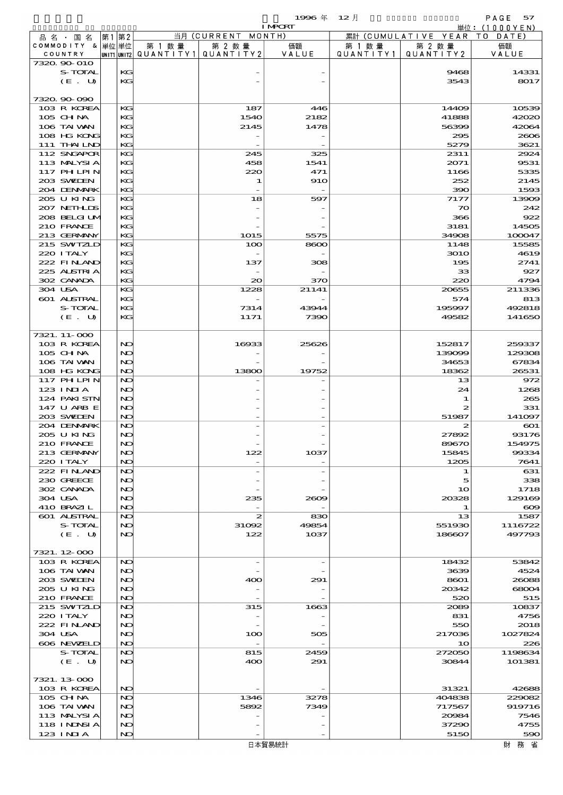品別国別表 輸 入 1996 12 確定 (Fixed Annual) 57

|                            |          |        |                                          | <b>I MPCRT</b> |           |                              | 単位: (1000 Y E N ) |
|----------------------------|----------|--------|------------------------------------------|----------------|-----------|------------------------------|-------------------|
| 品名・国名                      | 第1 第2    |        | 当月 (CURRENT MONTH)                       |                |           | 累計 (CUMULATIVE YEAR TO DATE) |                   |
| COMMODITY & 単位単位           |          | 第 1 数量 | 第 2 数量                                   | 価額             | 第 1 数量    | 第 2 数量                       | 価額                |
| COUNTRY                    |          |        | UNIT1  UNIT2   QUANT I TY1   QUANT I TY2 | VALUE          | QUANTITY1 | QUANTITY 2                   | VALUE             |
| 7320.90-010<br>S-TOTAL     | KG       |        |                                          |                |           | 9468                         | 14331             |
| (E. U)                     | KG       |        |                                          |                |           | 3543                         | 8017              |
|                            |          |        |                                          |                |           |                              |                   |
| 7320.90-090                |          |        |                                          |                |           |                              |                   |
| 103 R KOREA                | KG       |        | 187                                      | 446            |           | 14409                        | 10539             |
| 105 CHNA                   | КC       |        | 1540                                     | 2182           |           | 41888                        | 42020             |
| 106 TAI VAN                | KG       |        | 2145                                     | 1478           |           | 56399                        | 42064             |
| 108 HG KONG<br>111 THAILND | KG<br>KG |        |                                          |                |           | 295<br>5279                  | 2606<br>3621      |
| 112 SNGAPOR                | KG       |        | 245                                      | 325            |           | 2311                         | 2924              |
| 113 MALYSIA                | KG       |        | 458                                      | 1541           |           | 2071                         | 9531              |
| 117 PHLPIN                 | KG       |        | 220                                      | 471            |           | 1166                         | 5335              |
| 203 SWIDEN                 | KG       |        | 1                                        | <b>910</b>     |           | 252                          | 2145              |
| 204 DENMARK                | KG       |        |                                          |                |           | 390                          | 1593              |
| 205 U KING                 | KG       |        | 18                                       | 597            |           | 7177                         | 13909             |
| 207 NETHLIS                | KG       |        |                                          |                |           | 70                           | 242               |
| 208 BELGI UM<br>210 FRANCE | KG<br>KG |        |                                          |                |           | 366<br>3181                  | 922<br>14505      |
| 213 GERMANY                | KG       |        | <b>1015</b>                              | 5575           |           | 34908                        | 100047            |
| 215 SWIZLD                 | KG       |        | 100                                      | 8600           |           | 1148                         | 15585             |
| 220 I TALY                 | KG       |        |                                          |                |           | <b>3010</b>                  | 4619              |
| 222 FINAND                 | KG       |        | 137                                      | 308            |           | 195                          | 2741              |
| 225 ALSTRIA                | KG       |        |                                          |                |           | 33                           | 927               |
| 302 CANADA                 | KG       |        | $\infty$                                 | 370            |           | 220                          | 4794              |
| 304 USA                    | KG       |        | 1228                                     | 21141          |           | 20655                        | 211336            |
| 601 ALSTRAL                | KG       |        |                                          |                |           | 574                          | 813               |
| S-TOTAL<br>(E. U)          | KG<br>KG |        | 7314<br>1171                             | 43944<br>7390  |           | 195997<br>49582              | 492818<br>141650  |
|                            |          |        |                                          |                |           |                              |                   |
| 7321. 11-000               |          |        |                                          |                |           |                              |                   |
| 103 R KOREA                | NO       |        | 16933                                    | 25626          |           | 152817                       | 259337            |
| 105 CHNA                   | NO       |        |                                          |                |           | 139099                       | 129308            |
| 106 TAI VAN                | NO       |        |                                          |                |           | 34653                        | 67834             |
| 108 HG KONG                | NO       |        | 13800                                    | 19752          |           | 18362                        | 26531             |
| 117 PHLPIN                 | NO       |        |                                          |                |           | 13                           | 972               |
| 123 INIA<br>124 PAKI STN   | NO<br>NO |        |                                          |                |           | 24                           | 1268              |
| 147 U ARB E                | NO       |        |                                          |                |           | 1<br>2                       | 265<br>331        |
| 203 SWIDEN                 | NO       |        |                                          |                |           | 51987                        | 141097            |
| 204 DENMARK                | NO       |        |                                          |                |           | 2                            | $\infty$          |
| 205 U KING                 | NO       |        |                                          |                |           | 27892                        | 93176             |
| 210 FRANCE                 | NO       |        |                                          |                |           | 89670                        | 154975            |
| 213 GERMANY                | NO       |        | 122                                      | 1037           |           | 15845                        | 99334             |
| 220 I TALY                 | NO       |        |                                          |                |           | 1205                         | 7641              |
| 222 FINAND<br>230 GREECE   | NO<br>NO |        |                                          |                |           | 1<br>5                       | 631<br>338        |
| 302 CANADA                 | NO       |        |                                          |                |           | 1 <sub>O</sub>               | 1718              |
| 304 USA                    | NO       |        | 235                                      | 2609           |           | 20328                        | 129169            |
| 410 BRAZIL                 | NO       |        |                                          |                |           | 1                            | $\infty$          |
| 601 ALSTRAL                | NO       |        | $\boldsymbol{z}$                         | 830            |           | 13                           | 1587              |
| S-TOTAL                    | NO       |        | 31092                                    | 49854          |           | 551930                       | 1116722           |
| (E. U)                     | NO       |        | 122                                      | 1037           |           | 186607                       | 497793            |
| 7321.12-000                |          |        |                                          |                |           |                              |                   |
| 103 R KOREA                | NO       |        | $\overline{\phantom{a}}$                 |                |           | 18432                        | 53842             |
| 106 TAI VAN                | NO       |        |                                          |                |           | 3639                         | 4524              |
| 203 SWIDEN                 | NO       |        | 400                                      | 291            |           | 8601                         | 26088             |
| 205 U KING                 | NO       |        |                                          |                |           | 20342                        | 68004             |
| 210 FRANCE                 | NO       |        | $\overline{\phantom{a}}$                 |                |           | 520                          | 515               |
| 215 SWIZLD                 | NO       |        | 315                                      | 1663           |           | 2089                         | 10837             |
| 220 I TALY                 | NO       |        |                                          |                |           | 831                          | 4756              |
| 222 FINAND                 | NO       |        |                                          |                |           | 550                          | 2018              |
| 304 USA<br>606 NEWELD      | NO<br>NO |        | 100<br>$\overline{\phantom{a}}$          | 505            |           | 217036<br>10                 | 1027824<br>226    |
| S-TOTAL                    | NO       |        | 815                                      | 2459           |           | 272050                       | 1198634           |
| (E. U)                     | NO       |        | 400                                      | 291            |           | 30844                        | 101381            |
|                            |          |        |                                          |                |           |                              |                   |
| 7321.13-000                |          |        |                                          |                |           |                              |                   |
| 103 R KOREA                | NO       |        |                                          |                |           | 31321                        | 42688             |
| 105 CH NA                  | NO       |        | 1346                                     | 3278           |           | 404838                       | 229082            |
| 106 TAI VAN                | NO       |        | 5892                                     | 7349           |           | 717567                       | 919716            |
| 113 MALYSIA<br>118 INNSI A | NO<br>NO |        |                                          |                |           | 20084<br>37290               | 7546<br>4755      |
| 123 INIA                   | NO       |        |                                          |                |           | 5150                         | 590               |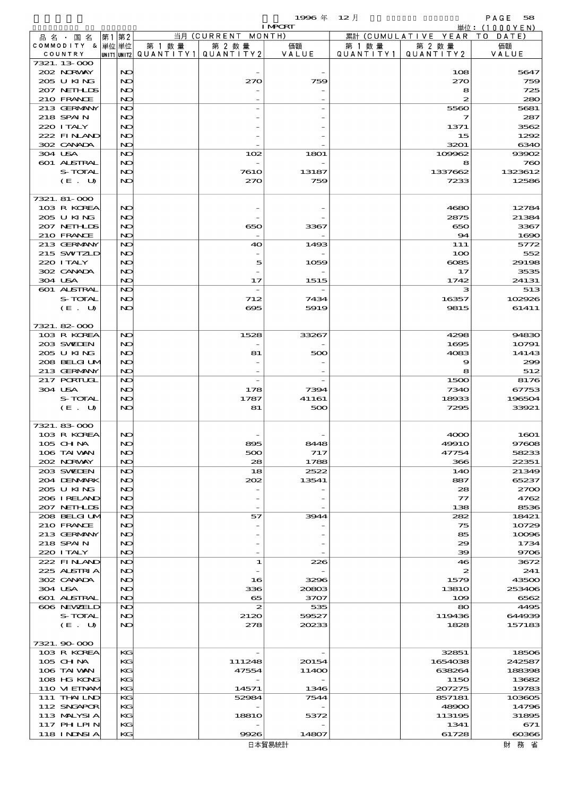$1996 \n& 12 \nparallel$  PAGE 58

| <b>I MPCRT</b>             |  |          |        |                                       |       | 単位: (1000YEN)     |                              |                |
|----------------------------|--|----------|--------|---------------------------------------|-------|-------------------|------------------------------|----------------|
| 品名・国名                      |  | 第1 第2    |        | 当月 (CURRENT MONTH)                    |       |                   | 累計 (CUMULATIVE YEAR TO DATE) |                |
| COMMODITY & 単位単位           |  |          | 第 1 数量 | 第 2 数量                                | 価額    | 第 1 数 量           | 第 2 数量                       | 価額             |
| COUNTRY<br>7321. 13-000    |  |          |        | UNIT1 UNIT2  QUANT   TY1  QUANT   TY2 | VALUE | Q U A N T I T Y 1 | QUANTITY 2                   | VALUE          |
| 202 NORWAY                 |  | NO       |        |                                       |       |                   | 108                          | 5647           |
| 205 U KING                 |  | NO       |        | 270                                   | 759   |                   | 270                          | 759            |
| 207 NETH IDS               |  | NC       |        |                                       |       |                   | 8                            | 725            |
| 210 FRANCE                 |  | NO       |        |                                       |       |                   | $\boldsymbol{z}$             | 280            |
| 213 GERMANY<br>218 SPAIN   |  | NO<br>NO |        |                                       |       |                   | 5560<br>7                    | 5681<br>287    |
| 220 I TALY                 |  | NO       |        |                                       |       |                   | 1371                         | 3562           |
| 222 FINAND                 |  | NC       |        |                                       |       |                   | 15                           | 1292           |
| 302 CANADA                 |  | NO       |        |                                       |       |                   | 3201                         | 6340           |
| 304 USA                    |  | NO       |        | 102                                   | 1801  |                   | 109962                       | 93902          |
| 601 ALSTRAL                |  | NO       |        |                                       |       |                   | 8                            | 760            |
| S-TOTAL                    |  | NO       |        | <b>7610</b>                           | 13187 |                   | 1337662                      | 1323612        |
| (E. U)                     |  | NO       |        | 270                                   | 759   |                   | 7233                         | 12586          |
| 7321. 81-000               |  |          |        |                                       |       |                   |                              |                |
| 103 R KOREA                |  | NO       |        |                                       |       |                   | 4680                         | 12784          |
| 205 U KING                 |  | NO       |        |                                       |       |                   | 2875                         | 21384          |
| 207 NETHLIS                |  | NC       |        | 650                                   | 3367  |                   | 650                          | 3367           |
| 210 FRANCE                 |  | NO       |        |                                       |       |                   | 94                           | 1690           |
| 213 GERMANY                |  | NC       |        | 40                                    | 1493  |                   | 111                          | 5772           |
| 215 SWIZLD                 |  | NO       |        |                                       |       |                   | 100                          | 552            |
| 220 I TALY<br>302 CANADA   |  | NO<br>NC |        | 5                                     | 1059  |                   | 6085<br>17                   | 29198<br>3535  |
| 304 USA                    |  | NO       |        | 17                                    | 1515  |                   | 1742                         | 24131          |
| 601 ALSTRAL                |  | NO       |        |                                       |       |                   | з                            | 513            |
| S-TOTAL                    |  | NO       |        | 712                                   | 7434  |                   | 16357                        | 102926         |
| (E. U)                     |  | NO       |        | 695                                   | 5919  |                   | 9815                         | 61411          |
|                            |  |          |        |                                       |       |                   |                              |                |
| 7321.82-000                |  |          |        |                                       |       |                   |                              |                |
| 103 R KOREA                |  | NO       |        | 1528                                  | 33267 |                   | 4298                         | 94830          |
| 203 SWIEN<br>205 U KING    |  | NO<br>NO |        | 81                                    | 500   |                   | 1695<br>4083                 | 10791<br>14143 |
| 208 BELGI UM               |  | NC       |        |                                       |       |                   | 9                            | 299            |
| 213 GERMANY                |  | NO       |        |                                       |       |                   | 8                            | 512            |
| 217 PORTUGL                |  | NO       |        |                                       |       |                   | 1500                         | 8176           |
| 304 USA                    |  | NO       |        | 178                                   | 7394  |                   | 7340                         | 67753          |
| S-TOTAL                    |  | NO       |        | 1787                                  | 41161 |                   | 18933                        | 196504         |
| (E. U)                     |  | NO       |        | 81                                    | 500   |                   | 7295                         | 33921          |
| 7321.83-000                |  |          |        |                                       |       |                   |                              |                |
| 103 R KOREA                |  | NO       |        |                                       |       |                   | 4000                         | 1601           |
| 105 CH NA                  |  | NO       |        | ææ                                    | 8448  |                   | 49910                        | 97608          |
| 106 TAI VAN                |  | NC       |        | 500                                   | 717   |                   | 47754                        | 58233          |
| 202 NORWAY                 |  | NO       |        | 28                                    | 1788  |                   | 366                          | 22351          |
| 203 SWIDEN                 |  | NO       |        | 18                                    | 2522  |                   | 140                          | 21349          |
| 204 DENMARK<br>205 U KING  |  | NO<br>NO |        | 202                                   | 13541 |                   | 887<br>28                    | 65237<br>2700  |
| 206 IRELAND                |  | NC       |        |                                       |       |                   | $\tau$                       | 4762           |
| 207 NETHLIS                |  | NO       |        |                                       |       |                   | 138                          | 8536           |
| 208 BELGI UM               |  | NO       |        | 57                                    | 3944  |                   | 282                          | 18421          |
| 210 FRANCE                 |  | NO       |        |                                       |       |                   | 75                           | 10729          |
| 213 GERMANY                |  | NO       |        |                                       |       |                   | 85                           | 10096          |
| 218 SPAIN                  |  | NC       |        |                                       |       |                   | 29                           | 1734           |
| 220 I TALY<br>222 FINAND   |  | NO<br>NC |        | 1                                     | 226   |                   | 39<br>46                     | 9706<br>3672   |
| 225 ALSTRIA                |  | NO       |        |                                       |       |                   | 2                            | 241            |
| 302 CANADA                 |  | NO       |        | 16                                    | 3296  |                   | 1579                         | 43500          |
| 304 USA                    |  | NC       |        | 336                                   | 20803 |                   | 1381O                        | 253406         |
| 601 ALSTRAL                |  | NO       |        | 65                                    | 3707  |                   | 109                          | 6562           |
| 606 NEWELD                 |  | NO       |        | 2                                     | 535   |                   | 80                           | 4495           |
| S-TOTAL                    |  | NO       |        | 2120                                  | 59527 |                   | 119436                       | 644939         |
| (E. U)                     |  | NO       |        | 278                                   | 20233 |                   | 1828                         | 157183         |
| 7321.90000                 |  |          |        |                                       |       |                   |                              |                |
| 103 R KOREA                |  | KG       |        |                                       |       |                   | 32851                        | 18506          |
| 105 CHNA                   |  | KG       |        | 111248                                | 20154 |                   | 1654038                      | 242587         |
| 106 TAI VAN                |  | KG       |        | 47554                                 | 11400 |                   | 638264                       | 188398         |
| 108 HG KONG                |  | KG       |        |                                       |       |                   | 1150                         | 13682          |
| 110 VIEINAM                |  | KС       |        | 14571                                 | 1346  |                   | 207275                       | 19783          |
| 111 THAILND                |  | KС       |        | 52984                                 | 7544  |                   | 857181                       | 103605         |
| 112 SNGAPOR<br>113 MALYSIA |  | KG       |        | 1881O                                 |       |                   | 48900<br>113195              | 14796<br>31895 |
| 117 PHLPIN                 |  | KG<br>KG |        |                                       | 5372  |                   | 1341                         | 671            |
| 118 I NDSI A               |  | KG       |        | 9926                                  | 14807 |                   | 61728                        | $\alpha$ 366   |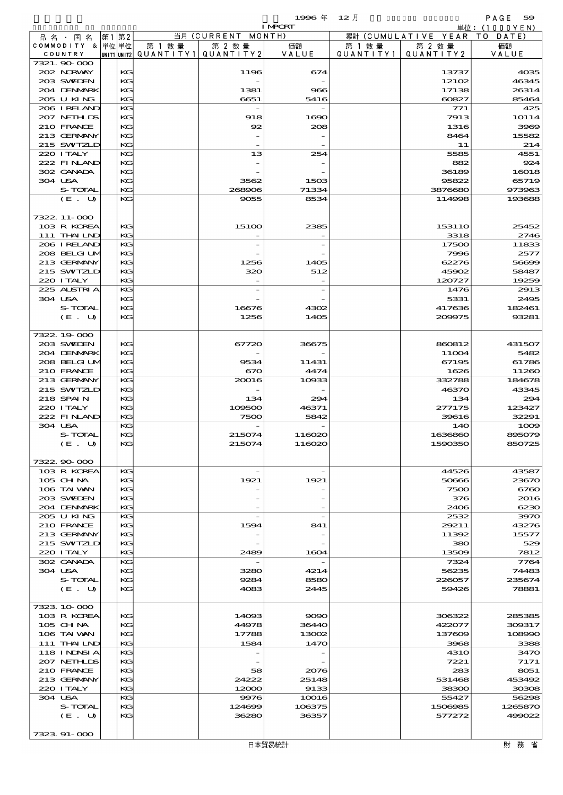$\begin{array}{ccccccccc}\n 1996 & \# & 12 & \end{array}$ 

|                        |                   |    |          |                                       |                    | <b>I MPCRT</b>  |           |                              | 単位: <u>(1000YEN)</u> |
|------------------------|-------------------|----|----------|---------------------------------------|--------------------|-----------------|-----------|------------------------------|----------------------|
| 品名・国名                  |                   | 第1 | 第2       |                                       | 当月 (CURRENT MONTH) |                 |           | 累計 (CUMULATIVE YEAR TO DATE) |                      |
| COMMODITY & 単位単位       |                   |    |          | 第 1 数量                                | 第 2 数量             | 価額<br>VALUE     | 第 1 数 量   | 第 2 数量                       | 価額                   |
| COUNTRY<br>7321.90 000 |                   |    |          | unit1 unit2  Q∪ANT   TY1  Q∪ANT   TY2 |                    |                 | QUANTITY1 | QUANTITY 2                   | VALUE                |
| 202 NORWAY             |                   |    | KG       |                                       | 1196               | 674             |           | 13737                        | 4035                 |
| 203 SWIEN              |                   |    | KG       |                                       |                    |                 |           | 12102                        | 46345                |
|                        | 204 DENMARK       |    | KG       |                                       | 1381               | 966             |           | 17138                        | 26314                |
| 205 U KING             |                   |    | KG       |                                       | 6651               | 5416            |           | 60827                        | 85464                |
|                        | 206 IRELAND       |    | KG       |                                       |                    |                 |           | 771                          | 425                  |
|                        | 207 NETHLIS       |    | KG       |                                       | 918                | 1690            |           | 7913                         | 10114                |
| 210 FRANCE             | 213 GERMANY       |    | KG<br>KG |                                       | 92                 | 208             |           | 1316<br>8464                 | 3969<br>15582        |
|                        | 215 SWIZLD        |    | KG       |                                       |                    |                 |           | 11                           | 214                  |
| 220 I TALY             |                   |    | KG       |                                       | 13                 | 254             |           | 5585                         | 4551                 |
|                        | 222 FINLAND       |    | KG       |                                       |                    |                 |           | 882                          | 924                  |
| 302 CANADA             |                   |    | KG       |                                       |                    |                 |           | 36189                        | 16018                |
| 304 USA                |                   |    | KG       |                                       | 3562               | 1503            |           | 95822                        | 65719                |
|                        | S-TOTAL           |    | KG       |                                       | 268906             | 71334           |           | 3876680                      | 973963               |
|                        | (E. U)            |    | KG       |                                       | 9055               | 8534            |           | 114998                       | 193688               |
| 7322. 11-000           |                   |    |          |                                       |                    |                 |           |                              |                      |
|                        | 103 R KOREA       |    | KG       |                                       | 151 <sub>0</sub>   | 2385            |           | 15311O                       | 25452                |
|                        | 111 THAILND       |    | KG       |                                       |                    |                 |           | 3318                         | 2746                 |
|                        | 206 IRELAND       |    | KG       |                                       |                    |                 |           | 17500                        | 11833                |
|                        | 208 BELGI UM      |    | KG       |                                       |                    |                 |           | 7996                         | 2577                 |
|                        | 213 GERMANY       |    | KG       |                                       | 1256               | 1405            |           | 62276                        | 5669E                |
|                        | 215 SWIZLD        |    | KG       |                                       | 320                | 512             |           | 45902                        | 58487                |
| 220 I TALY             |                   |    | KG       |                                       |                    |                 |           | 120727                       | 19259                |
| 304 USA                | 225 ALSTRIA       |    | KG<br>KG |                                       |                    |                 |           | 1476<br>5331                 | 2913<br>2495         |
|                        | S-TOTAL           |    | KG       |                                       | 16676              | 4302            |           | 417636                       | 182461               |
|                        | (E. U)            |    | KG       |                                       | 1256               | 1405            |           | 209975                       | 93281                |
|                        |                   |    |          |                                       |                    |                 |           |                              |                      |
| 7322.19000             |                   |    |          |                                       |                    |                 |           |                              |                      |
| 203 SWIDEN             |                   |    | KG       |                                       | 67720              | 36675           |           | 860812                       | 431507               |
|                        | 204 DENMARK       |    | KG       |                                       |                    |                 |           | 11004                        | 5482                 |
|                        | 208 BELGI UM      |    | KG       |                                       | 9534               | 11431           |           | 67195                        | 61786                |
| 210 FRANCE             | 213 GERMANY       |    | KG<br>KG |                                       | 670<br>20016       | 4474<br>10933   |           | 1626<br>332788               | 11260<br>184678      |
|                        | 215 SWIZLD        |    | KG       |                                       |                    |                 |           | 46370                        | 43345                |
| 218 SPAIN              |                   |    | KG       |                                       | 134                | 294             |           | 134                          | 294                  |
| 220 I TALY             |                   |    | KG       |                                       | 109500             | 46371           |           | 277175                       | 123427               |
|                        | 222 FINLAND       |    | KG       |                                       | 7500               | 5842            |           | 39616                        | 32291                |
| 304 USA                |                   |    | KG       |                                       |                    |                 |           | 140                          | 1000                 |
|                        | S-TOTAL           |    | KG       |                                       | 215074             | 116020          |           | 1636860                      | 895079               |
|                        | (E. U)            |    | KG       |                                       | 215074             | 116020          |           | 1590350                      | 850725               |
| 7322.90.000            |                   |    |          |                                       |                    |                 |           |                              |                      |
|                        | 103 R KOREA       |    | КG       |                                       |                    |                 |           | 44526                        | 43587                |
| $105$ CHNA             |                   |    | KG       |                                       | 1921               | 1921            |           | 50666                        | 2367C                |
| 106 TAI VAN            |                   |    | KG       |                                       |                    |                 |           | 7500                         | 6760                 |
| 203 SWIDEN             |                   |    | KG       |                                       |                    |                 |           | 376                          | 2016                 |
|                        | 204 DENMARK       |    | KG       |                                       |                    |                 |           | 2406                         | 6230                 |
| 205 U KING             |                   |    | KG       |                                       |                    |                 |           | 2532                         | 397C                 |
| 210 FRANCE             | 213 GERMANY       |    | KG       |                                       | 1594               | 841             |           | 29211                        | 43276<br>15577       |
|                        | 215 SWIZLD        |    | KG<br>KG |                                       |                    |                 |           | 11392<br>380                 | 529                  |
| 220 I TALY             |                   |    | KG       |                                       | 2489               | 1604            |           | 13509                        | 7812                 |
| 302 CANADA             |                   |    | KG       |                                       |                    |                 |           | 7324                         | 7764                 |
| 304 USA                |                   |    | KG       |                                       | 3280               | 4214            |           | 56235                        | 74483                |
|                        | S-TOTAL           |    | KG       |                                       | 9284               | 8580            |           | 226057                       | 235674               |
|                        | (E. U)            |    | KG       |                                       | 4083               | 2445            |           | 59426                        | 78881                |
|                        |                   |    |          |                                       |                    |                 |           |                              |                      |
| 7323 10 000            |                   |    |          |                                       |                    |                 |           |                              |                      |
| $105$ CHNA             | 103 R KOREA       |    | KG<br>KG |                                       | 14093<br>44978     | 9090<br>36440   |           | 306322<br>422077             | 285385<br>309317     |
| 106 TAI VAN            |                   |    | KG       |                                       | 17788              | 13002           |           | 137609                       | 108990               |
|                        | 111 THAILND       |    | KG       |                                       | 1584               | 1470            |           | 3968                         | 3388                 |
|                        | 118 I NDNSI A     |    | KG       |                                       |                    |                 |           | 431O                         | 347C                 |
|                        | 207 NETHLIDS      |    | KG       |                                       |                    |                 |           | 7221                         | 7171                 |
| 210 FRANCE             |                   |    | KG       |                                       | 58                 | 2076            |           | 283                          | 8051                 |
|                        | 213 GERMANY       |    | KG       |                                       | 24222              | 25148           |           | 531468                       | 453492               |
| 220 I TALY             |                   |    | KG       |                                       | 12000              | 9133            |           | 38300                        | 30306                |
| 304 USA                |                   |    | KG       |                                       | 9976               | 10016           |           | 55427                        | 56298                |
|                        | S-TOTAL<br>(E. U) |    | KG<br>KG |                                       | 124609<br>36280    | 106375<br>36357 |           | 1506985<br>577272            | 1265870<br>499022    |
|                        |                   |    |          |                                       |                    |                 |           |                              |                      |

7323.91-000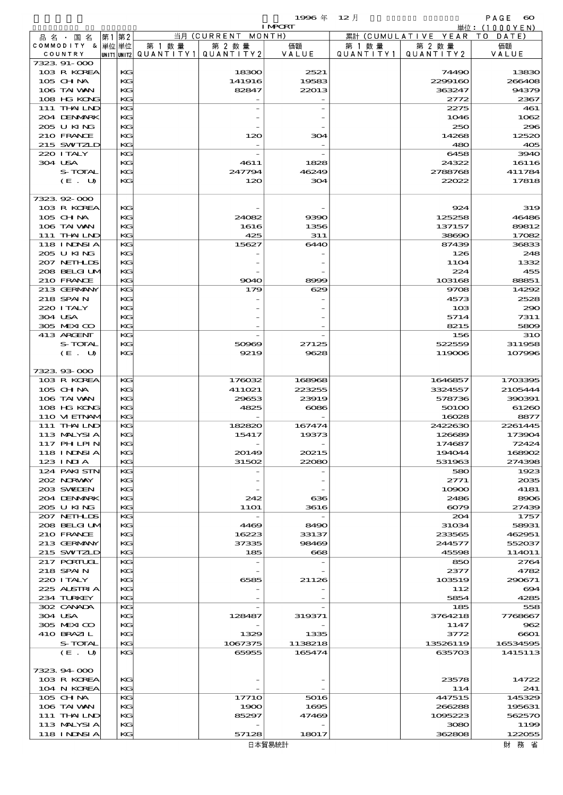$1996 \n& 12 \nparallel$  PAGE  $\infty$ 

|                                  |          |                                       |                                         | <b>I MPCRT</b>                   |           |                              | 単位: (1000 Y E N)     |
|----------------------------------|----------|---------------------------------------|-----------------------------------------|----------------------------------|-----------|------------------------------|----------------------|
| 品 名 ・ 国 名                        | 第1 第2    |                                       | 当月 (CURRENT MONTH)                      |                                  |           | 累計 (CUMULATIVE YEAR TO DATE) |                      |
| COMMODITY & 単位単位                 |          | 第 1 数量                                | 第 2 数量                                  | 価額                               | 第 1 数 量   | 第 2 数量                       | 価額                   |
| COUNTRY<br>7323.91-000           |          | unit1 unit2  QUANT   TY1  QUANT   TY2 |                                         | VALUE                            | QUANTITY1 | QUANTITY 2                   | VALUE                |
| 103 R KOREA                      | KG       |                                       | 18300                                   | 2521                             |           | 74490                        | 13830                |
| 105 CHNA                         | KG       |                                       | 141916                                  | 19583                            |           | 2299160                      | 266408               |
| 106 TAI VAN                      | KG       |                                       | 82847                                   | 22013                            |           | 363247                       | 94379                |
| 108 HG KONG                      | KG       |                                       |                                         |                                  |           | 2772                         | 2367                 |
| 111 THAILND                      | KG       |                                       |                                         |                                  |           | 2275                         | 461                  |
| 204 DENMARK                      | КG       |                                       |                                         |                                  |           | 1046                         | 1062                 |
| 205 U KING                       | KG       |                                       |                                         |                                  |           | 250                          | 296                  |
| 210 FRANCE<br>215 SWIZLD         | KG<br>KG |                                       | 120                                     | 304                              |           | 14268<br>480                 | 12520<br>405         |
| 220 I TALY                       | KG       |                                       |                                         |                                  |           | 6458                         | 3940                 |
| 304 USA                          | KG       |                                       | 4611                                    | 1828                             |           | 24322                        | 16116                |
| S-TOTAL                          | KG       |                                       | 247794                                  | 46249                            |           | 2788768                      | 411784               |
| (E. U)                           | KG       |                                       | 120                                     | 304                              |           | 22022                        | 17818                |
|                                  |          |                                       |                                         |                                  |           |                              |                      |
| 732392000                        |          |                                       |                                         |                                  |           |                              |                      |
| 103 R KOREA                      | КG       |                                       |                                         |                                  |           | 924                          | 319                  |
| 105 CHNA                         | KG       |                                       | 24082                                   | 9390                             |           | 125258                       | 46486                |
| 106 TAI VAN                      | KG       |                                       | 1616                                    | 1356                             |           | 137157                       | 89812                |
| 111 THAILND<br><b>118 INNSIA</b> | KG<br>KG |                                       | 425<br>15627                            | 311<br>6440                      |           | 38690<br>87439               | 17082<br>36833       |
| 205 U KING                       | КG       |                                       |                                         |                                  |           | 126                          | 248                  |
| 207 NETHLIS                      | KG       |                                       |                                         |                                  |           | <b>11O4</b>                  | 1332                 |
| 208 BELGI UM                     | KG       |                                       |                                         |                                  |           | 224                          | 455                  |
| 210 FRANCE                       | KG       |                                       | 9040                                    | 8999                             |           | 103168                       | 88851                |
| 213 GERMANY                      | KG       |                                       | 179                                     | 629                              |           | 9708                         | 14292                |
| 218 SPAIN                        | KG       |                                       |                                         |                                  |           | 4573                         | 2528                 |
| 220 I TALY                       | KG       |                                       |                                         |                                  |           | 103                          | 290                  |
| 304 USA                          | KG       |                                       |                                         |                                  |           | 5714                         | 7311                 |
| 305 MEXICO                       | KG       |                                       |                                         |                                  |           | 8215                         | 5809                 |
| 413 ARGENT<br>S-TOTAL            | KG<br>KG |                                       | 50969                                   | 27125                            |           | 156<br>522559                | <b>310</b><br>311958 |
| (E. U)                           | KG       |                                       | 9219                                    | 9628                             |           | 119006                       | 107996               |
|                                  |          |                                       |                                         |                                  |           |                              |                      |
| 7323.93-000                      |          |                                       |                                         |                                  |           |                              |                      |
| 103 R KOREA                      | KG       |                                       | 176032                                  | 168968                           |           | 1646857                      | 1703395              |
| 105 CH NA                        | KG       |                                       | 411021                                  | 223255                           |           | 3324557                      | 2105444              |
| 106 TAI VAN                      | KG       |                                       | 29653                                   | 23919                            |           | 578736                       | 390391               |
| 108 HG KONG                      | KG       |                                       | 4825                                    | 6086                             |           | 50100                        | 61260                |
| 110 VIEINAM<br>111 THAILND       | KG<br>KG |                                       | 182820                                  | 167474                           |           | 16028                        | 8877                 |
| 113 MALYSIA                      | KG       |                                       | 15417                                   | 19373                            |           | 2422630<br>126689            | 2261445<br>173904    |
| 117 PHLPIN                       | KG       |                                       |                                         |                                  |           | 174687                       | 72424                |
| 118 I NINSI A                    | KG       |                                       | 20149                                   | 20215                            |           | 194044                       | 168902               |
| 123 INIA                         | KG       |                                       | 31502                                   | 22080                            |           | 531963                       | 274398               |
| 124 PAKI STN                     | KG       |                                       |                                         |                                  |           | 580                          | 1923                 |
| 202 NORVAY                       | KG       |                                       |                                         |                                  |           | 2771                         | 2035                 |
| 203 SWIDEN                       | KG       |                                       |                                         |                                  |           | 10900                        | 4181                 |
| 204 DENMARK                      | KG       |                                       | 242                                     | 636                              |           | 2486                         | 8906                 |
| 205 U KING<br>207 NETHLIS        | KG<br>KG |                                       | <b>11O1</b><br>$\overline{\phantom{a}}$ | 3616<br>$\overline{\phantom{a}}$ |           | 6079<br>204                  | 27439<br>1757        |
| 208 BELGI UM                     | KG       |                                       | 4469                                    | 8490                             |           | 31034                        | 58931                |
| 210 FRANCE                       | KG       |                                       | 16223                                   | 33137                            |           | 233565                       | 462951               |
| 213 GERMANY                      | KG       |                                       | 37335                                   | 98469                            |           | 244577                       | 552037               |
| 215 SWIZLD                       | KG       |                                       | 185                                     | $_{668}$                         |           | 45598                        | 114011               |
| <b>217 PORTUGL</b>               | KG       |                                       |                                         |                                  |           | 850                          | 2764                 |
| 218 SPAIN                        | KG       |                                       |                                         |                                  |           | 2377                         | 4782                 |
| 220 I TALY                       | KG       |                                       | 6585                                    | 21126                            |           | 103519                       | 290671               |
| 225 ALSTRIA                      | KG       |                                       |                                         |                                  |           | 112                          | 694                  |
| 234 TURKEY<br>302 CANADA         | KG<br>KG |                                       |                                         |                                  |           | 5854<br>185                  | 4285<br>558          |
| 304 USA                          | KG       |                                       | 128487                                  | 319371                           |           | 3764218                      | 7768667              |
| 305 MEXICO                       | KG       |                                       |                                         |                                  |           | 1147                         | 962                  |
| 410 BRAZIL                       | KG       |                                       | 1329                                    | 1335                             |           | 3772                         | 6601                 |
| S-TOTAL                          | KG       |                                       | 1067375                                 | 1138218                          |           | 13526119                     | 16534595             |
| (E. U)                           | KG       |                                       | 65955                                   | 165474                           |           | 635703                       | 1415113              |
|                                  |          |                                       |                                         |                                  |           |                              |                      |
| 7323.94.000                      |          |                                       |                                         |                                  |           |                              |                      |
| 103 R KOREA<br>104 N KOREA       | KG<br>KG |                                       |                                         |                                  |           | 23578<br>114                 | 14722<br>241         |
| 105 CH NA                        | KG       |                                       | 1771O                                   | 5016                             |           | 447515                       | 145329               |
| 106 TAI VAN                      | KG       |                                       | 1900                                    | 1695                             |           | 266288                       | 195631               |
| 111 THAILND                      | KG       |                                       | 85297                                   | 47469                            |           | 1095223                      | 562570               |
| 113 MALYSIA                      | KG       |                                       |                                         |                                  |           | 3080                         | 1199                 |
| 118 INNSI A                      | KG       |                                       | 57128                                   | 18017                            |           | 362808                       | 122055               |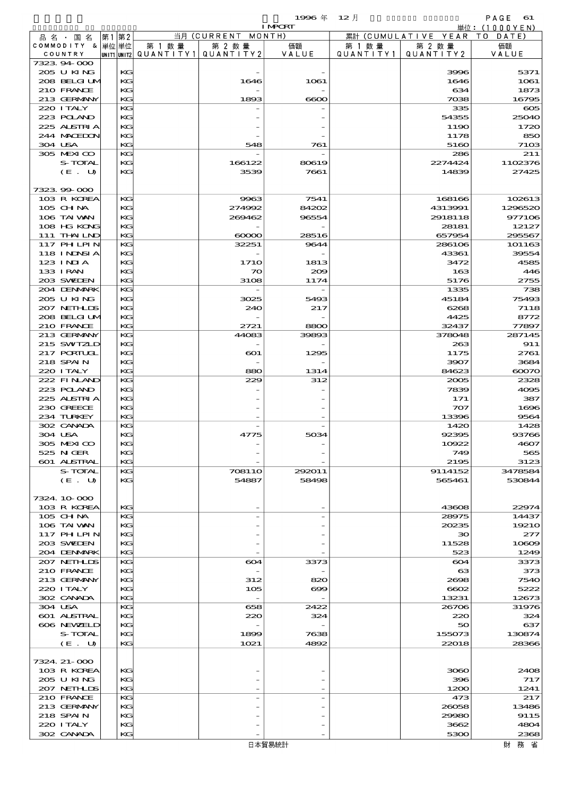$1996 \text{ } \#$   $12 \text{ } \frac{1}{2}$  and  $2 \text{ } \frac{1}{2}$  and  $2 \text{ } \frac{1}{2}$  and  $2 \text{ } \frac{1}{2}$  and  $2 \text{ } \frac{1}{2}$  and  $2 \text{ } \frac{1}{2}$  and  $2 \text{ } \frac{1}{2}$  and  $2 \text{ } \frac{1}{2}$  and  $2 \text{ } \frac{1}{2}$  and  $2 \text{ } \frac{1}{2}$  and  $2 \text{ } \frac{1}{2}$  an

|                            |          |        |                                       | <b>I MPORT</b> |           |                              | 単位: (1000YEN)    |
|----------------------------|----------|--------|---------------------------------------|----------------|-----------|------------------------------|------------------|
| 品名・国名                      | 第1 第2    |        | 当月 (CURRENT MONTH)                    |                |           | 累計 (CUMULATIVE YEAR TO DATE) |                  |
| COMMODITY & 単位単位           |          | 第 1 数量 | 第 2 数量                                | 価額             | 第 1 数量    | 第 2 数量                       | 価額               |
| COUNTRY                    |          |        | UNIT1 UNIT2  QUANT   TY1  QUANT   TY2 | VALUE          | QUANTITY1 | QUANTITY2                    | VALUE            |
| 7323.94-000                |          |        |                                       |                |           |                              |                  |
| 205 U KING                 | KG       |        |                                       |                |           | 3996                         | 5371             |
| 208 BELGI UM               | KG       |        | 1646                                  | 1061           |           | 1646                         | 1061             |
| 210 FRANCE                 | KG       |        |                                       |                |           | 634                          | 1873             |
| 213 GERMANY                | KG       |        | 1893                                  | $\infty$       |           | 7038                         | 16795            |
| 220 I TALY                 | KG       |        |                                       |                |           | 335                          | $\infty$         |
| 223 POLAND                 | KG       |        |                                       |                |           | 54355                        | 25040            |
| 225 ALSTRIA                | KG       |        |                                       |                |           | 1190                         | 1720             |
| 244 MACEDON                | KG       |        |                                       |                |           | 1178                         | 850              |
| 304 USA                    | KG       |        | 548                                   | 761            |           | 5160                         | 71 <sub>OS</sub> |
| 305 MEXICO                 | KG       |        |                                       |                |           | 286                          | 211              |
| S-TOTAL                    | КG       |        | 166122                                | 80619          |           | 2274424                      | 1102376          |
| (E. U)                     | KG       |        | 3539                                  | 7661           |           | 14839                        | 27425            |
|                            |          |        |                                       |                |           |                              |                  |
| 7323.99-000                |          |        |                                       |                |           |                              |                  |
| 103 R KOREA                | KG       |        | 9963                                  | 7541           |           | 168166                       | 102613           |
| 105 CH NA                  | KG       |        | 274992                                | 84202          |           | 4313991                      | 1296520          |
| 106 TAI VAN                | KG       |        | 269462                                | 96554          |           | 2918118                      | 977106           |
| 108 HG KONG<br>111 THAILND | KG       |        |                                       | 28516          |           | 28181                        | 12127            |
|                            | KG<br>KG |        | $\infty$                              |                |           | 657954                       | 295567           |
| <b>117 PHLPIN</b>          | KG       |        | 32251                                 | 9644           |           | 286106                       | 101163           |
| <b>118 INNSIA</b>          |          |        |                                       |                |           | 43361                        | 39554            |
| 123 INIA<br>133 I RAN      | KG       |        | <b>1710</b>                           | 1813           |           | 3472                         | 4585             |
| 203 SWIDEN                 | KG<br>KG |        | $\boldsymbol{\infty}$<br>3108         | 200            |           | 163                          | 446              |
| 204 DENMARK                | KG       |        |                                       | 1174           |           | 5176<br>1335                 | 2755<br>738      |
| 205 U KING                 | KG       |        |                                       |                |           | 45184                        | 75493            |
| 207 NETHLIS                | KG       |        | 3025<br>240                           | 5493<br>217    |           | 6268                         | 7118             |
| 208 BELGI UM               | KG       |        |                                       |                |           | 4425                         | 8772             |
| 210 FRANCE                 | KG       |        | 2721                                  | 8800           |           | 32437                        | 77897            |
| 213 GERMANY                | KG       |        | 44083                                 | 39893          |           | 378048                       | 287145           |
| 215 SWIZLD                 | KG       |        |                                       |                |           | 263                          | 911              |
| 217 PORTUGL                | KG       |        | $\infty$                              | 1295           |           | 1175                         | 2761             |
| 218 SPAIN                  | KG       |        |                                       |                |           | 3907                         | 3684             |
| 220 I TALY                 | KG       |        | 880                                   | 1314           |           | 84623                        | 60070            |
| 222 FINAND                 | KG       |        | 229                                   | 312            |           | 2005                         | 2328             |
| 223 POLAND                 | KG       |        |                                       |                |           | 7839                         | 4095             |
| 225 ALSTRIA                | KG       |        |                                       |                |           | 171                          | 387              |
| 230 GREECE                 | KG       |        |                                       |                |           | 707                          | 1696             |
| 234 TURKEY                 | KG       |        |                                       |                |           | 13396                        | 9564             |
| 302 CANADA                 | KG       |        |                                       |                |           | 1420                         | 1428             |
| 304 USA                    | KG       |        | 4775                                  | 5034           |           | 92395                        | 93766            |
| 305 MEXICO                 | KG       |        |                                       |                |           | 10922                        | 4607             |
| 525 N GER                  | KG       |        |                                       |                |           | 749                          | 565              |
| 601 ALSTRAL                | KG       |        |                                       |                |           | 2195                         | 3123             |
| S-TOTAL                    | KG       |        | <b>708110</b>                         | 292011         |           | 9114152                      | 3478584          |
| (E. U)                     | KG       |        | 54887                                 | 58498          |           | 565461                       | 530844           |
|                            |          |        |                                       |                |           |                              |                  |
| 7324.10.000                |          |        |                                       |                |           |                              |                  |
| 103 R KOREA                | KG       |        |                                       |                |           | 43608                        | 22974            |
| $105$ CHNA                 | КG       |        |                                       |                |           | 28975                        | 14437            |
| 106 TAI VAN                | KG       |        |                                       |                |           | 20235                        | 19210            |
| <b>117 PHLPIN</b>          | KG       |        |                                       |                |           | 30                           | 277              |
| 203 SWIDEN                 | KG       |        |                                       |                |           | 11528                        | 10809            |
| 204 DENMARK                | KG       |        |                                       |                |           | 523                          | 1249             |
| 207 NETHLIS                | КG       |        | 604                                   | 3373           |           | 604                          | 3373             |
| 210 FRANCE                 | KG       |        |                                       |                |           | 63                           | 373              |
| 213 GERMANY                | KG       |        | 312                                   | 820            |           | 2698                         | 7540             |
| 220 I TALY                 | КG       |        | 105                                   | $\infty$       |           | 6602                         | 5222             |
| 302 CANADA                 | KG       |        | $\overline{\phantom{a}}$              |                |           | 13231                        | 12673            |
| 304 USA                    | KG       |        | 658                                   | 2422           |           | 26706                        | 31976            |
| 601 ALSTRAL                | KG       |        | 220                                   | 324            |           | 220                          | 324              |
| 606 NEWELD                 | KG       |        |                                       |                |           | 50                           | 637              |
| S-TOTAL                    | KG       |        | 1899                                  | 7638           |           | 155073                       | 130874           |
| (E. U)                     | KG       |        | 1021                                  | 4892           |           | 22018                        | 28366            |
|                            |          |        |                                       |                |           |                              |                  |
| 7324. 21-000               |          |        |                                       |                |           |                              |                  |
| 103 R KOREA                | KG       |        |                                       |                |           | 3060                         | 2408             |
| 205 U KING                 | KG       |        |                                       |                |           | 396                          | 717              |
| 207 NETHLIS                | KG       |        |                                       |                |           | 1200                         | 1241             |
| 210 FRANCE                 | KG       |        |                                       |                |           | 473                          | 217              |
| 213 GERMANY                | KG       |        |                                       |                |           | 26058                        | 13486            |
| 218 SPAIN                  | KG       |        |                                       |                |           | 29980                        | 9115             |
| 220 I TALY                 | КG       |        |                                       |                |           | 3662                         | 4804             |
| 302 CANADA                 | KG       |        |                                       |                |           | 5300                         | 2368             |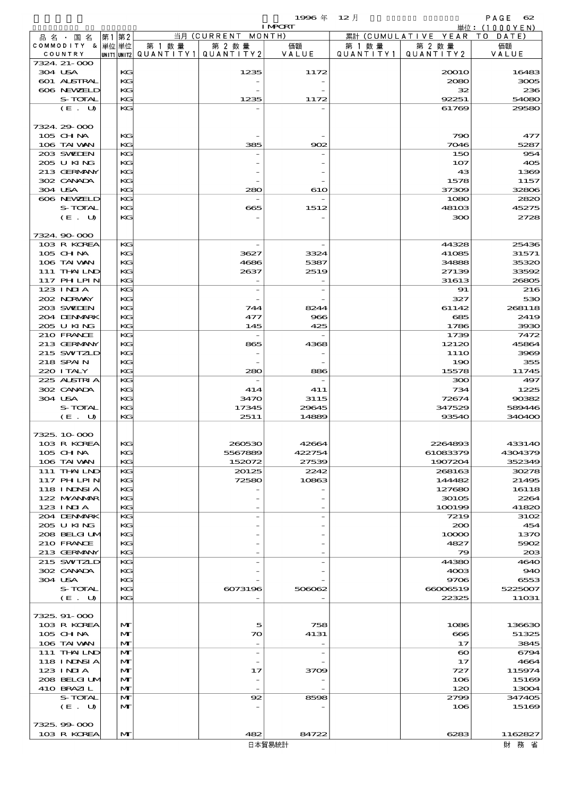|                               |       |              |                                       |                              | 1996 $#$        | $12$ 月    |                                | PAGE $62$         |
|-------------------------------|-------|--------------|---------------------------------------|------------------------------|-----------------|-----------|--------------------------------|-------------------|
|                               |       |              |                                       |                              | <b>I MPORT</b>  |           |                                | 単位:(1000YEN)      |
| 品 名 ・ 国 名<br>COMMODITY & 単位単位 | 第1 第2 |              | 第 1 数量                                | 当月 (CURRENT MONTH)<br>第 2 数量 | 価額              | 第 1 数 量   | 累計 (CUMULATIVE YEAR)<br>第 2 数量 | TO DATE)<br>価額    |
| COUNTRY                       |       |              | unit1 unit2  QUANT   TY1  QUANT   TY2 |                              | VALUE           | QUANTITY1 | QUANTITY 2                     | VALUE             |
| 7324. 21-000                  |       |              |                                       |                              |                 |           |                                |                   |
| 304 USA                       |       | KG           |                                       | 1235                         | 1172            |           | 20010                          | 16483             |
| 601 ALSTRAL                   |       | KG           |                                       |                              |                 |           | 2080                           | 3005              |
| 606 NEWELD<br>S-TOTAL         |       | KG<br>KG     |                                       | 1235                         | 1172            |           | 32<br>92251                    | 236<br>54080      |
| (E. U)                        |       | KG           |                                       |                              |                 |           | 61769                          | 29580             |
|                               |       |              |                                       |                              |                 |           |                                |                   |
| 7324.29-000                   |       |              |                                       |                              |                 |           |                                |                   |
| 105 CH NA                     |       | KG           |                                       |                              |                 |           | 790                            | 477               |
| 106 TAI VAN                   |       | KG           |                                       | 385                          | $\infty$        |           | 7046                           | 5287              |
| 203 SWEDEN                    |       | KG           |                                       |                              |                 |           | 150                            | 954               |
| 205 U KING<br>213 GERMANY     |       | KG<br>KG     |                                       |                              |                 |           | 107<br>43                      | 405<br>1369       |
| 302 CANADA                    |       | KG           |                                       |                              |                 |           | 1578                           | 1157              |
| 304 USA                       |       | KG           |                                       | 280                          | 610             |           | 37309                          | 32806             |
| 606 NEWELD                    |       | KG           |                                       |                              |                 |           | 1080                           | 2820              |
| S-TOTAL                       |       | KG           |                                       | 665                          | 1512            |           | 48103                          | 45275             |
| $(E_U U)$                     |       | KG           |                                       |                              |                 |           | 300                            | 2728              |
|                               |       |              |                                       |                              |                 |           |                                |                   |
| 7324 90 000<br>103 R KOREA    |       | KG           |                                       |                              |                 |           | 44328                          | 25436             |
| 105 CH NA                     |       | KG           |                                       | 3627                         | 3324            |           | 41085                          | 31571             |
| 106 TAI VAN                   |       | KG           |                                       | 4686                         | 5387            |           | 34888                          | 35320             |
| 111 THAILND                   |       | KG           |                                       | 2637                         | 2519            |           | 27139                          | 33592             |
| <b>117 PHLPIN</b>             |       | KG           |                                       | $\overline{\phantom{a}}$     |                 |           | 31613                          | 26805             |
| $123$ INIA                    |       | KG           |                                       | $\overline{\phantom{a}}$     |                 |           | 91                             | 216               |
| 202 NORWAY                    |       | KG           |                                       |                              |                 |           | 327                            | 530               |
| 203 SWIEN<br>204 DENMRK       |       | KG<br>KG     |                                       | 744<br>477                   | 8244<br>966     |           | 61142<br>685                   | 268118<br>2419    |
| 205 U KING                    |       | KG           |                                       | 145                          | 425             |           | 1786                           | 3930              |
| 210 FRANCE                    |       | KG           |                                       |                              |                 |           | 1739                           | 7472              |
| 213 GERMANY                   |       | KG           |                                       | 865                          | 4368            |           | 12120                          | 45864             |
| 215 SWIZLD                    |       | KG           |                                       |                              |                 |           | 111O                           | 3969              |
| 218 SPAIN                     |       | KG           |                                       |                              |                 |           | 190                            | 355               |
| 220 I TALY                    |       | KG           |                                       | 280                          | 886             |           | 15578                          | 11745             |
| 225 ALSTRIA<br>302 CANADA     |       | KG<br>KG     |                                       | 414                          | 411             |           | 300<br>734                     | 497<br>1225       |
| 304 USA                       |       | KG           |                                       | 3470                         | 3115            |           | 72674                          | 90382             |
| S-TOTAL                       |       | KG           |                                       | 17345                        | 29645           |           | 347529                         | 589446            |
| (E. U)                        |       | KG           |                                       | 2511                         | 14889           |           | 93540                          | 340400            |
|                               |       |              |                                       |                              |                 |           |                                |                   |
| 7325, 10, 000                 |       |              |                                       |                              |                 |           |                                |                   |
| 103 R KOREA                   |       | KG           |                                       | 260530<br>5567889            | 42664           |           | 2264893                        | 433140            |
| 105 CH NA<br>106 TAI VAN      |       | KG<br>KG     |                                       | 152072                       | 422754<br>27539 |           | 61083379<br>1907204            | 4304379<br>352349 |
| 111 THAILND                   |       | KG           |                                       | 20125                        | 2242            |           | 268163                         | 30278             |
| 117 PHLPIN                    |       | KG           |                                       | 72580                        | 10863           |           | 144482                         | 21495             |
| 118 I NINSI A                 |       | KG           |                                       |                              |                 |           | 127680                         | 16118             |
| 122 MYANAR                    |       | KG           |                                       |                              |                 |           | 30105                          | 2264              |
| $123$ INIA                    |       | KG           |                                       |                              |                 |           | 100199                         | 41820             |
| 204 DENMARK<br>205 U KING     |       | KG<br>KG     |                                       |                              |                 |           | 7219                           | 3102<br>454       |
| 208 BELGI UM                  |       | KG           |                                       |                              |                 |           | 200<br>10000                   | 1370              |
| 210 FRANCE                    |       | KG           |                                       |                              |                 |           | 4827                           | 5902              |
| 213 GERMANY                   |       | KG           |                                       |                              |                 |           | 79                             | 208               |
| 215 SWIZLD                    |       | KG           |                                       |                              |                 |           | 44380                          | 4640              |
| 302 CANADA                    |       | KG           |                                       |                              |                 |           | 4003                           | 940               |
| 304 USA                       |       | KG           |                                       |                              |                 |           | 9706                           | 6553              |
| S-TOTAL<br>(E. U)             |       | KG<br>KG     |                                       | 6073196                      | 508062          |           | 66006519<br>22325              | 5225007<br>11031  |
|                               |       |              |                                       |                              |                 |           |                                |                   |
| 7325.91-000                   |       |              |                                       |                              |                 |           |                                |                   |
| 103 R KOREA                   |       | M            |                                       | 5                            | 758             |           | 1086                           | 136630            |
| 105 CH NA                     |       | M            |                                       | 70                           | 4131            |           | 666                            | 51325             |
| 106 TAI VAN                   |       | $\mathbf{M}$ |                                       | $\overline{\phantom{a}}$     |                 |           | 17                             | 3845              |
| 111 THAILND<br>118 I NDSI A   |       | M<br>M       |                                       | $\overline{\phantom{a}}$     |                 |           | $\boldsymbol{\infty}$<br>17    | 6794              |
| 123 INIA                      |       | M            |                                       | 17                           | 3709            |           | 727                            | 4664<br>115974    |
| 208 BELGI UM                  |       | M            |                                       |                              |                 |           | 106                            | 15169             |
| 410 BRAZIL                    |       | $\mathbf{M}$ |                                       |                              |                 |           | 120                            | 13004             |
| S-TOTAL                       |       | M            |                                       | 92                           | 8598            |           | 2799                           | 347405            |
| (E. U)                        |       | M            |                                       |                              |                 |           | 106                            | 15169             |
|                               |       |              |                                       |                              |                 |           |                                |                   |
| 7325.99-000<br>103 R KOREA    |       | $\mathbf{M}$ |                                       | 482                          | 84722           |           | 6283                           | 1162827           |
|                               |       |              |                                       |                              |                 |           |                                |                   |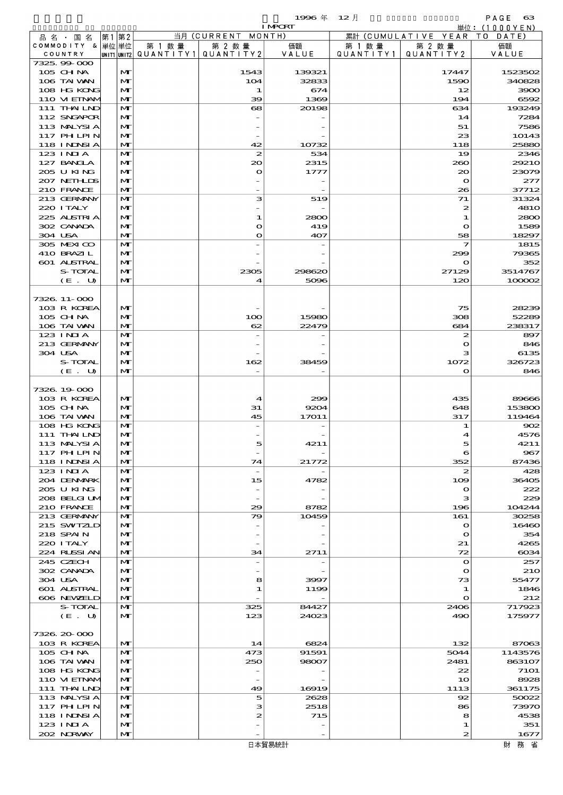|                                         |       |                   |                          |                            | 1996 $#$        | $12$ 月    |                          | PAGE<br>- 63                    |
|-----------------------------------------|-------|-------------------|--------------------------|----------------------------|-----------------|-----------|--------------------------|---------------------------------|
| 品 名 ・ 国 名                               | 第1 第2 |                   |                          | 当月 (CURRENT MONTH)         | <b>I MPORT</b>  |           | 累計 (CUMULATIVE YEAR)     | 単位: $(1000YEN)$<br>T O<br>DATE) |
| COMMODITY & 単位単位                        |       |                   | 第 1 数量                   | 第 2 数量                     | 価額              | 第 1 数 量   | 第 2 数量                   | 価額                              |
| COUNTRY                                 |       |                   | unit1 unit2  Q∪ANT   TY1 | QUANTITY 2                 | VALUE           | QUANTITY1 | QUANTITY 2               | VALUE                           |
| 7325,99000                              |       |                   |                          |                            |                 |           |                          |                                 |
| $105$ CHNA<br>106 TAI VAN               |       | M<br>$\mathbf{M}$ |                          | 1543<br>104                | 139321<br>32833 |           | 17447<br>1590            | 1523502<br>340828               |
| 108 HG KONG                             |       | $\mathbf{M}$      |                          | 1                          | 674             |           | 12                       | 3900                            |
| 110 VIEINAM                             |       | $\mathbf{M}$      |                          | 39                         | 1369            |           | 194                      | 6592                            |
| 111 THAILND                             |       | $\mathbf{M}$      |                          | 68                         | 20198           |           | 634                      | 193249                          |
| 112 SNGAPOR                             |       | M                 |                          |                            |                 |           | 14                       | 7284                            |
| 113 MALYSIA                             |       | $\mathbf{M}$      |                          |                            |                 |           | 51                       | 7586                            |
| <b>117 PHLPIN</b><br><b>118 INNSI A</b> |       | M<br>M            |                          | 42                         | 10732           |           | 23<br>118                | 10143<br>25880                  |
| $123$ INIA                              |       | $\mathbf{M}$      |                          | 2                          | 534             |           | 19                       | 2346                            |
| 127 BANCLA                              |       | M                 |                          | 20                         | 2315            |           | 260                      | 29210                           |
| 205 U KING                              |       | $\mathbf{M}$      |                          | $\mathbf{\Omega}$          | 1777            |           | 20                       | 23079                           |
| 207 NEIHLIS                             |       | M                 |                          |                            |                 |           | $\mathbf{o}$             | 277                             |
| 210 FRANCE                              |       | M                 |                          |                            |                 |           | 26                       | 37712                           |
| 213 GERMANY<br>220 I TALY               |       | M<br>M            |                          | з                          | 519             |           | 71<br>$\boldsymbol{z}$   | 31324<br><b>4810</b>            |
| 225 ALSTRIA                             |       | $\mathbf{M}$      |                          | 1                          | 2800            |           | 1                        | 2800                            |
| 302 CANADA                              |       | M                 |                          | O                          | 419             |           | $\mathbf o$              | 1589                            |
| 304 USA                                 |       | M                 |                          | O                          | 407             |           | 58                       | 18297                           |
| 305 MEXICO                              |       | M                 |                          |                            |                 |           | 7                        | 1815                            |
| 410 BRAZIL                              |       | M                 |                          |                            |                 |           | 299                      | 79365                           |
| 601 ALSTRAL                             |       | $\mathbf{M}$      |                          |                            |                 |           | $\mathbf o$              | 352                             |
| S-TOTAL<br>$(E_U U)$                    |       | M<br>M            |                          | 2305<br>4                  | 298620<br>5096  |           | 27129<br>120             | 3514767<br>100002               |
|                                         |       |                   |                          |                            |                 |           |                          |                                 |
| 7326, 11-000                            |       |                   |                          |                            |                 |           |                          |                                 |
| 103 R KOREA                             |       | M                 |                          |                            |                 |           | 75                       | 28239                           |
| 105 CHNA                                |       | M                 |                          | 100                        | 15980           |           | 308                      | 52289                           |
| 106 TAI VAN                             |       | M                 |                          | 62                         | 22479           |           | 684                      | 238317                          |
| $123$ INJA                              |       | M                 |                          |                            |                 |           | 2                        | 897                             |
| 213 GERMANY<br>304 USA                  |       | M<br>$\mathbf{M}$ |                          |                            |                 |           | $\bullet$                | 846                             |
| S-TOTAL                                 |       | M                 |                          | 162                        | 38459           |           | з<br>1072                | 6135<br>326723                  |
| (E. U)                                  |       | $\mathbf{M}$      |                          |                            |                 |           | $\mathbf o$              | 846                             |
|                                         |       |                   |                          |                            |                 |           |                          |                                 |
| 7326, 19000                             |       |                   |                          |                            |                 |           |                          |                                 |
| 103 R KOREA                             |       | M                 |                          | $\boldsymbol{\mathcal{A}}$ | 299             |           | 435                      | 89666                           |
| 105 CH NA                               |       | M                 |                          | 31                         | 9204            |           | 648                      | 153800                          |
| 106 TAI VAN<br>108 HG KONG              |       | M<br>M            |                          | 45                         | 17011           |           | 317<br>1                 | 119464<br>902                   |
| 111 THAIND                              |       | $\mathbf{M}$      |                          |                            |                 |           |                          | 4576                            |
| 113 MALYSIA                             |       | M                 |                          | 5                          | 4211            |           | 5                        | 4211                            |
| 117 PHLPIN                              |       | M                 |                          |                            |                 |           | 6                        | 967                             |
| <b>118 INNSIA</b>                       |       | $\mathbf{M}$      |                          | 74                         | 21772           |           | 352                      | 87436                           |
| 123 INIA                                |       | M                 |                          |                            |                 |           | 2                        | 428                             |
| 204 DENMARK                             |       | M                 |                          | 15                         | 4782            |           | 109                      | 36405                           |
| 2005 U KING<br>208 BELGI UM             |       | M<br>M            |                          |                            |                 |           | $\mathbf o$<br>з         | 222<br>229                      |
| 210 FRANCE                              |       | $\mathbf{M}$      |                          | 29                         | 8782            |           | 196                      | 104244                          |
| 213 GERMANY                             |       | M                 |                          | 79                         | 10459           |           | 161                      | 30258                           |
| 215 SWIZLD                              |       | M                 |                          |                            |                 |           | $\bullet$                | 16460                           |
| 218 SPAIN                               |       | M                 |                          |                            |                 |           | $\mathbf o$              | 354                             |
| 220 I TALY                              |       | M                 |                          |                            |                 |           | 21                       | 4265                            |
| 224 RUSSI AN                            |       | M                 |                          | 34                         | 2711            |           | 72                       | $\cos\!4$                       |
| 245 CZECH<br>302 CANADA                 |       | M<br>M            |                          |                            |                 |           | $\mathbf o$<br>$\bullet$ | 257<br><b>210</b>               |
| 304 USA                                 |       | M                 |                          | 8                          | 3997            |           | 73                       | 55477                           |
| 601 ALSTRAL                             |       | M                 |                          | 1                          | 1199            |           | 1                        | 1846                            |
| 606 NEWELD                              |       | $\mathbf{M}$      |                          |                            |                 |           | $\mathbf o$              | 212                             |
| S-TOTAL                                 |       | M                 |                          | 325                        | 84427           |           | 2406                     | 717923                          |
| (E. U)                                  |       | M                 |                          | 123                        | 24023           |           | 490                      | 175977                          |
| 7326.20-000                             |       |                   |                          |                            |                 |           |                          |                                 |
| 103 R KOREA                             |       | M                 |                          | 14                         | 6824            |           | 132                      | 87063                           |
| 105 CHNA                                |       | M                 |                          | 473                        | 91591           |           | 5044                     | 1143576                         |
| 106 TAI VAN                             |       | M                 |                          | 250                        | 98007           |           | 2481                     | 863107                          |
| 108 HG KONG                             |       | M                 |                          |                            |                 |           | 22                       | <b>7101</b>                     |
| 110 VI EINAM                            |       | M                 |                          |                            |                 |           | 10                       | 8928                            |
| 111 THAILND                             |       | M                 |                          | 49                         | 16919           |           | 1113                     | 361175                          |
| 113 MALYSIA<br>117 PH LPIN              |       | M<br>M            |                          | 5<br>з                     | 2628<br>2518    |           | 92<br>86                 | 50022<br>73970                  |
| 118 I NDSI A                            |       | M                 |                          | 2                          | 715             |           | 8                        | 4538                            |
| 123 INIA                                |       | M                 |                          |                            |                 |           | 1                        | 351                             |
| 202 N.RVAY                              |       | M                 |                          |                            |                 |           | 2                        | 1677                            |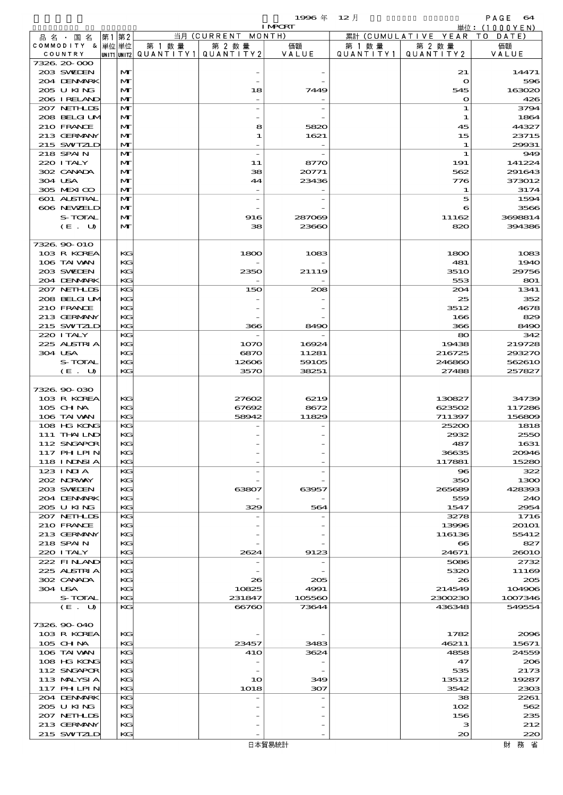$1996 \nexists$   $\begin{matrix} 12 \end{matrix}$   $\begin{matrix} 12 \end{matrix}$   $\begin{matrix} 12 \end{matrix}$   $\begin{matrix} 0 & 0 \end{matrix}$ 

|                            |       |              |                                       |                    | <b>I MPCRT</b> |           |                              | 単位: (1000 Y E N) |
|----------------------------|-------|--------------|---------------------------------------|--------------------|----------------|-----------|------------------------------|------------------|
| 品名・国名                      | 第1 第2 |              |                                       | 当月 (CURRENT MONTH) |                |           | 累計 (CUMULATIVE YEAR TO DATE) |                  |
| COMMODITY & 単位単位           |       |              | 第 1 数量                                | 第 2 数量             | 価額             | 第 1 数量    | 第 2 数量                       | 価額               |
| COUNTRY<br>7326.20-000     |       |              | UNIT1 UNIT2  QUANT I TY1  QUANT I TY2 |                    | VALUE          | QUANTITY1 | QUANTITY 2                   | VALUE            |
| 203 SWIDEN                 |       | M            |                                       |                    |                |           | 21                           | 14471            |
| 204 DENMARK                |       | M            |                                       |                    |                |           | $\mathbf{o}$                 | 596              |
| 205 U KING                 |       | M            |                                       | 18                 | 7449           |           | 545                          | 163020           |
| 206 I RELAND               |       | M            |                                       |                    |                |           | $\mathbf{\Omega}$            | 426              |
| 207 NETHLIS                |       | M            |                                       |                    |                |           | 1                            | 3794             |
| 208 BELGI UM<br>210 FRANCE |       | M            |                                       |                    |                |           | 1                            | 1864             |
| 213 GERMANY                |       | M<br>M       |                                       | 8<br>1             | 5820<br>1621   |           | 45<br>15                     | 44327<br>23715   |
| 215 SWIZLD                 |       | M            |                                       |                    |                |           | 1                            | 29931            |
| 218 SPAIN                  |       | M            |                                       | $\overline{a}$     |                |           | $\mathbf 1$                  | 949              |
| 220 I TALY                 |       | M            |                                       | 11                 | 8770           |           | 191                          | 141224           |
| 302 CANADA                 |       | M            |                                       | 38                 | 20771          |           | 562                          | 291643           |
| 304 USA                    |       | M            |                                       | 44                 | 23436          |           | 776                          | 373012           |
| 305 MEXICO                 |       | M            |                                       |                    |                |           | 1                            | 3174             |
| 601 ALSTRAL<br>606 NEWELD  |       | M<br>M       |                                       |                    |                |           | 5<br>6                       | 1594<br>3566     |
| S-TOTAL                    |       | M            |                                       | 916                | 287069         |           | 11162                        | 3698814          |
| (E. U)                     |       | $\mathbf{M}$ |                                       | 38                 | 23660          |           | 820                          | 394386           |
|                            |       |              |                                       |                    |                |           |                              |                  |
| 7326 90 010                |       |              |                                       |                    |                |           |                              |                  |
| 103 R KOREA                |       | КG           |                                       | 1800               | 1083           |           | 1800                         | 1083             |
| 106 TAI VAN                |       | KG           |                                       |                    |                |           | 481                          | 1940             |
| 203 SVELEN                 |       | KG           |                                       | 2350               | 21119          |           | <b>3510</b>                  | 29756            |
| 204 DENMARK<br>207 NETHLIS |       | KG<br>KG     |                                       | 150                | 208            |           | 553<br>204                   | 801<br>1341      |
| 208 BELGI UM               |       | KG           |                                       |                    |                |           | 25                           | 352              |
| 210 FRANCE                 |       | KG           |                                       |                    |                |           | 3512                         | 4678             |
| 213 GERMANY                |       | KG           |                                       |                    |                |           | 166                          | 829              |
| 215 SWIZLD                 |       | KG           |                                       | 366                | 8490           |           | 366                          | 8490             |
| 220 I TALY                 |       | KG           |                                       |                    |                |           | 80                           | 342              |
| 225 ALSTRIA                |       | KG           |                                       | 1070               | 16924          |           | 19438                        | 219728           |
| 304 USA<br>S-TOTAL         |       | KG<br>KG     |                                       | 6870               | 11281          |           | 216725                       | 293270<br>562610 |
| (E. U)                     |       | KG           |                                       | 12606<br>3570      | 59105<br>38251 |           | 246860<br>27488              | 257827           |
|                            |       |              |                                       |                    |                |           |                              |                  |
| 7326.90-030                |       |              |                                       |                    |                |           |                              |                  |
| 103 R KOREA                |       | KG           |                                       | 27602              | 6219           |           | 130827                       | 34739            |
| 105 CH NA                  |       | KG           |                                       | 67692              | 8672           |           | 623502                       | 117286           |
| 106 TAI VAN                |       | KG           |                                       | 58942              | 11829          |           | 711397                       | 156809           |
| 108 HG KONG                |       | KG           |                                       |                    |                |           | 25200                        | 1818             |
| 111 THAILND<br>112 SNGAPOR |       | KG<br>KG     |                                       |                    |                |           | 2932<br>487                  | 2550<br>1631     |
| 117 PHLPIN                 |       | KG           |                                       |                    |                |           | 36635                        | 20046            |
| 118 I NDSI A               |       | KG           |                                       |                    |                |           | 117881                       | 15280            |
| $123$ INIA                 |       | KG           |                                       |                    |                |           | 96                           | 322              |
| 202 N.RWAY                 |       | KG           |                                       |                    |                |           | 350                          | 1300             |
| 203 SWIDEN                 |       | KG           |                                       | 63807              | 63957          |           | 265689                       | 428393           |
| 204 DENMARK                |       | KС           |                                       |                    |                |           | 559                          | 240              |
| 205 U KING<br>207 NETHLIS  |       | KG<br>KG     |                                       | 329                | 564            |           | 1547<br>3278                 | 2954<br>1716     |
| 210 FRANCE                 |       | KG           |                                       |                    |                |           | 13996                        | 20101            |
| 213 GERMANY                |       | KG           |                                       |                    |                |           | 116136                       | 55412            |
| 218 SPAIN                  |       | КG           |                                       |                    |                |           | $\bullet$                    | 827              |
| 220 I TALY                 |       | KG           |                                       | 2624               | 9123           |           | 24671                        | <b>26010</b>     |
| 222 FINAND                 |       | KG           |                                       |                    |                |           | 5086                         | 2732             |
| 225 ALSTRIA                |       | KG           |                                       |                    |                |           | 5320                         | 11169            |
| 302 CANADA<br>304 USA      |       | KG<br>КG     |                                       | 26<br>10825        | 205<br>4991    |           | 26<br>214549                 | 205<br>104906    |
| <b>S-TOTAL</b>             |       | KG           |                                       | 231847             | 105560         |           | 2300230                      | 1007346          |
| (E. U)                     |       | KG           |                                       | 66760              | 73644          |           | 436348                       | 549554           |
|                            |       |              |                                       |                    |                |           |                              |                  |
| 7326.90-040                |       |              |                                       |                    |                |           |                              |                  |
| 103 R KOREA                |       | КG           |                                       |                    |                |           | 1782                         | 2006             |
| $105$ CHNA                 |       | KG           |                                       | 23457              | 3483           |           | 46211                        | 15671            |
| 106 TAI VAN<br>108 HG KONG |       | KG<br>KG     |                                       | 41O                | 3624           |           | 4858<br>47                   | 24559<br>206     |
| 112 SNGAPOR                |       | KG           |                                       |                    |                |           | 535                          | 2173             |
| 113 MALYSIA                |       | КG           |                                       | 10                 | 349            |           | 13512                        | 19287            |
| 117 PHLPIN                 |       | KG           |                                       | 1018               | 307            |           | 3542                         | 2303             |
| 204 DENMARK                |       | KС           |                                       |                    |                |           | 38                           | 2261             |
| 205 U KING                 |       | KG           |                                       |                    |                |           | 102                          | 562              |
| 207 NETHLIS                |       | KG           |                                       |                    |                |           | 156                          | 235              |
| 213 GERMANY                |       | КG           |                                       |                    |                |           | з                            | 212              |
| 215 SWIZLD                 |       | KG           |                                       |                    |                |           | 20                           | 220              |
|                            |       |              |                                       |                    | 日本貿易統計         |           |                              | 財務省              |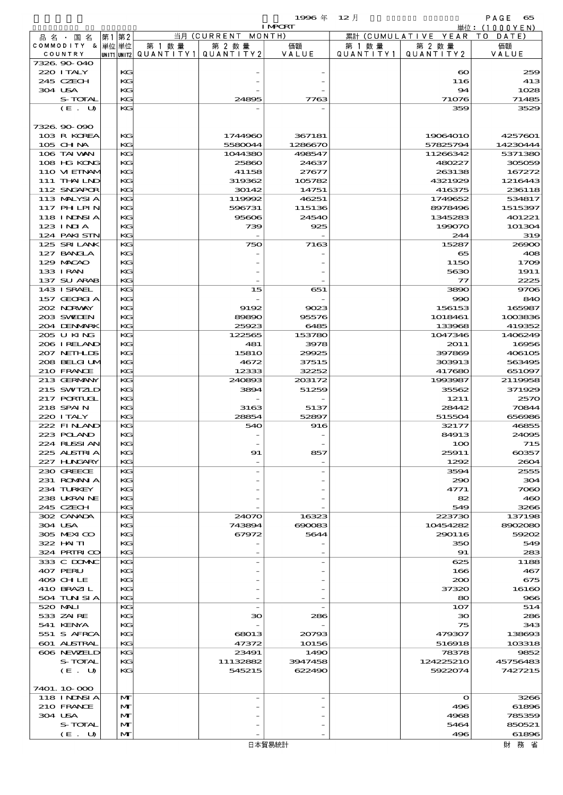$1996 \& 12 \rightarrow$ 

|                            |    |               |                                       | <b>I MPORT</b> | 単位:(1000YEN) |           |                              |                |
|----------------------------|----|---------------|---------------------------------------|----------------|--------------|-----------|------------------------------|----------------|
| 品 名 ・ 国 名                  | 第1 | 第2            |                                       | 当月(CURRENT     | MONTH)       |           | 累計 (CUMULATIVE YEAR TO DATE) |                |
| COMMODITY & 単位単位           |    |               | 第 1 数量                                | 第 2 数量         | 価額           | 第 1 数 量   | 第 2 数量                       | 価額             |
| COUNTRY                    |    |               | UNIT1 UNIT2  QUANT   TY1  QUANT   TY2 |                | VALUE        | QUANTITY1 | QUANTITY 2                   | VALUE          |
| 7326.90-040                |    |               |                                       |                |              |           |                              |                |
| 220 I TALY<br>245 CZECH    |    | KG<br>KG      |                                       |                |              |           | $\boldsymbol{\infty}$<br>116 | 259<br>413     |
| 304 USA                    |    | KG            |                                       |                |              |           | 94                           | 1028           |
| S-TOTAL                    |    | KG            |                                       | 24895          | 7763         |           | 71076                        | 71485          |
| (E. U)                     |    | KG            |                                       |                |              |           | 359                          | 3529           |
|                            |    |               |                                       |                |              |           |                              |                |
| 7326.90-090                |    |               |                                       |                |              |           |                              |                |
| 103 R KOREA                |    | KG            |                                       | 1744960        | 367181       |           | 19064010                     | 4257601        |
| $105$ CHNA                 |    | $K$ $G$       |                                       | 5580044        | 1286670      |           | 57825794                     | 14230444       |
| 106 TAI VAN                |    | KG            |                                       | 1044380        | 498547       |           | 11266342                     | 5371380        |
| 108 HG KONG                |    | KG            |                                       | 25860          | 24637        |           | 480227                       | 305059         |
| 110 VIEINAM                |    | KG            |                                       | 41158          | 27677        |           | 263138                       | 167272         |
| 111 THAILND                |    | KG            |                                       | 319362         | 105782       |           | 4321929                      | 1216443        |
| 112 SNGAPOR                |    | KG.           |                                       | 30142          | 14751        |           | 416375                       | 236118         |
| 113 MALYSIA                |    | KG            |                                       | 119992         | 46251        |           | 1749652                      | 534817         |
| 117 PHLPIN                 |    | КG            |                                       | 596731         | 115136       |           | 8978496                      | 1515397        |
| 118 INNSI A                |    | KG            |                                       | 95606          | 24540        |           | 1345283                      | 401221         |
| $123$ INJA                 |    | KG            |                                       | 739            | 925          |           | 199070                       | 101304         |
| 124 PAKISTN                |    | $K$ $G$       |                                       |                |              |           | 244                          | 319            |
| 125 SRILANK                |    | KG            |                                       | 750            | 7163         |           | 15287                        | 26900          |
| 127 BANCLA                 |    | КG            |                                       |                |              |           | 65                           | 408            |
| 129 MACAO                  |    | KG            |                                       |                |              |           | 1150                         | 1709           |
| 133 I RAN                  |    | KG<br>$K$ $G$ |                                       |                |              |           | 5630<br>$\tau$               | 1911<br>2225   |
| 137 SU ARAB<br>143 I SRAEL |    | KG            |                                       | 15             |              |           | 3890                         | 9706           |
| 157 GEORGIA                |    | KG            |                                       |                | 651          |           | 990                          | 840            |
| 202 NRWAY                  |    | KG            |                                       | 9192           | 9023         |           | 156153                       | 165987         |
| 203 SWIJEN                 |    | KG            |                                       | 89890          | 95576        |           | 1018461                      | 1003836        |
| 204 DENMARK                |    | $K$ $G$       |                                       | 25923          | 6485         |           | 133968                       | 419352         |
| 205 U KING                 |    | KG            |                                       | 122565         | 153780       |           | 1047346                      | 1406249        |
| 206 IRELAND                |    | KG            |                                       | 481            | 3978         |           | 2011                         | 16956          |
| 207 NETHLIS                |    | KG            |                                       | 1581O          | 29925        |           | 397869                       | 406105         |
| 208 BELGI UM               |    | KG            |                                       | 4672           | 37515        |           | 303913                       | 563495         |
| 210 FRANCE                 |    | $K$ $G$       |                                       | 12333          | 32252        |           | 417680                       | 651097         |
| 213 GERMANY                |    | KG            |                                       | 240893         | 203172       |           | 1993987                      | 2119958        |
| 215 SWIZLD                 |    | KG            |                                       | 3894           | 51259        |           | 35562                        | 371929         |
| 217 PORTUGL                |    | KG            |                                       |                |              |           | 1211                         | 2570           |
| 218 SPAIN                  |    | KG            |                                       | 3163           | 5137         |           | 28442                        | 70844          |
| 220 I TALY                 |    | KG            |                                       | 28854          | 52897        |           | 515504                       | 656986         |
| 222 FINAND                 |    | KG            |                                       | 540            | 916          |           | 32177                        | 46855          |
| 223 POLAND                 |    | KG            |                                       |                |              |           | 84913                        | 24095          |
| 224 RUSSI AN               |    | KG            |                                       |                |              |           | 100                          | 715            |
| 225 ALSTRIA                |    | КG            |                                       | 91             | 857          |           | 25911                        | 60357          |
| 227 H.NGARY                |    | KG            |                                       |                |              |           | 1292                         | 2604           |
| 230 GREECE                 |    | KG            |                                       |                |              |           | 3594                         | 2555           |
| 231 ROMANIA<br>234 TURKEY  |    | KG            |                                       |                |              |           | 290                          | 304            |
|                            |    | KG            |                                       |                |              |           | 4771                         | 7060           |
| 238 UKRAINE<br>245 CZECH   |    | KG<br>KG      |                                       |                |              |           | 82<br>549                    | 460            |
| 302 CANADA                 |    | KG            |                                       | 24070          | 16323        |           | 223730                       | 3266<br>137198 |
| 304 USA                    |    | KG            |                                       | 743894         | 690083       |           | 10454282                     | 8902080        |
| 305 MEXICO                 |    | KG            |                                       | 67972          | 5644         |           | 290116                       | 59202          |
| 322 HN TI                  |    | KG            |                                       |                |              |           | 350                          | 549            |
| 324 PRIRICO                |    | KG            |                                       |                |              |           | 91                           | 283            |
| 333 C DOMAC                |    | KG            |                                       |                |              |           | 625                          | 1188           |
| 407 PERU                   |    | KG            |                                       |                |              |           | 166                          | 467            |
| 409 CHLE                   |    | KG            |                                       |                |              |           | 200                          | 675            |
| 410 BRAZIL                 |    | KG            |                                       |                |              |           | 37320                        | 16160          |
| 504 TUN SI A               |    | KG            |                                       |                |              |           | 80                           | 966            |
| 520 MAI I                  |    | KG            |                                       |                |              |           | 107                          | 514            |
| 533 ZAIRE                  |    | KG            |                                       | зо             | 286          |           | 30                           | 286            |
| 541 KENYA                  |    | KG            |                                       |                |              |           | 75                           | 343            |
| 551 S AFRCA                |    | KG            |                                       | 68013          | 20793        |           | 479307                       | 138693         |
| 601 ALSTRAL                |    | KG            |                                       | 47372          | 10156        |           | 516918                       | 103318         |
| 606 NEWELD                 |    | КG            |                                       | 23491          | 1490         |           | 78378                        | 9852           |
| S-TOTAL                    |    | KG            |                                       | 11132882       | 3947458      |           | 124225210                    | 45756483       |
| (E. U)                     |    | KG            |                                       | 545215         | 622490       |           | 5922074                      | 7427215        |
| 7401. 10-000               |    |               |                                       |                |              |           |                              |                |
| <b>118 INNSIA</b>          |    | M             |                                       |                |              |           | $\mathbf o$                  | 3266           |
| 210 FRANCE                 |    | M             |                                       |                |              |           | 496                          | 61896          |
| 304 USA                    |    | $\mathbf{M}$  |                                       |                |              |           | 4968                         | 785359         |
| S-TOTAL                    |    | M             |                                       |                |              |           | 5464                         | 850521         |

 $304$  USA  $\boxed{M}$  -  $\boxed{}$  -  $\boxed{}$  -  $\boxed{}$  4968 785359  $S$ -TOTAL  $\begin{vmatrix} 11 \\ M \end{vmatrix}$   $\begin{vmatrix} 11 \\ M \end{vmatrix}$   $\begin{vmatrix} 11 \\ 11 \end{vmatrix}$   $\begin{vmatrix} 11 \\ 11 \end{vmatrix}$   $\begin{vmatrix} 11 \\ 11 \end{vmatrix}$   $\begin{vmatrix} 11 \\ 11 \end{vmatrix}$   $\begin{vmatrix} 11 \\ 11 \end{vmatrix}$   $\begin{vmatrix} 11 \\ 11 \end{vmatrix}$   $\begin{vmatrix} 11 \\ 11 \end{vmatrix}$   $\begin{vmatrix} 11 \\ 11 \end{$  $(E. U)$   $M$  -  $496$  61896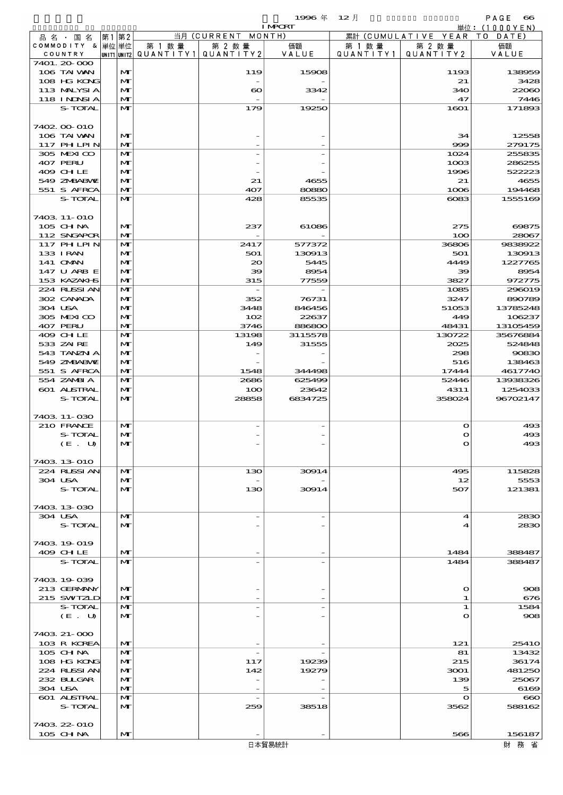|                   |      |              |                 |                    | 1996 年         | 12 月            |                        | PAGE<br>$\alpha$ |
|-------------------|------|--------------|-----------------|--------------------|----------------|-----------------|------------------------|------------------|
|                   |      |              |                 |                    | <b>I MPORT</b> |                 |                        | 単位: (1000YEN)    |
| 品名・<br>国 名        | 第1第2 |              |                 | 当月 (CURRENT MONTH) |                |                 | 累計 (CUMULATIVE YEAR TO | DATE)            |
| COMMODITY & 単位 単位 |      |              | 第<br>数 暈        | 第 2 数量             | 価額             | 教量<br>第         | 第 2 数量                 | 価額               |
| COUNTRY           |      | UNIT1 UNIT2  | ' QUANT I T Y 1 | QUANTITY2          | VALUE          | <b>QUANTITY</b> | QUANTITY 2             | VALUE            |
| 7401. 20-000      |      |              |                 |                    |                |                 |                        |                  |
| 106 TAI WAN       |      | $\mathbf{M}$ |                 | 119                | 15908          |                 | 1193                   | 13895            |

|         | 品名・国名                       | 第1 第2 |                   |                                          | 当月 (CURRENI MONIH)    |                |                      | 累計 (CUMULATIVE YEAR) | T O<br>DATE)      |
|---------|-----------------------------|-------|-------------------|------------------------------------------|-----------------------|----------------|----------------------|----------------------|-------------------|
|         | COMMODITY & 単位単位            |       |                   | 第 1 数 量                                  | 第 2 数量                | 価額             | 第 1 数 量<br>QUANTITY1 | 第 2 数量               | 価額<br>VALUE       |
|         | COUNTRY<br>7401. 20-000     |       |                   | UNIT1 UNIT2  QUANT I TY 1   QUANT I TY 2 |                       | VALUE          |                      | QUANTITY 2           |                   |
|         | 106 TAI VAN                 |       | M                 |                                          | 119                   | 15908          |                      | 1193                 | 138959            |
|         | 108 HG KONG                 |       | M                 |                                          |                       |                |                      | 21                   | 3428              |
|         | 113 MALYSIA                 |       | M                 |                                          | $\boldsymbol{\infty}$ | 3342           |                      | 340                  | 22060             |
|         | 118 INNSI A                 |       | $\mathbf{M}$      |                                          |                       |                |                      | 47                   | 7446              |
|         | S-TOTAL                     |       | M                 |                                          | 179                   | 19250          |                      | 1601                 | 171893            |
|         | 7402 00 010                 |       |                   |                                          |                       |                |                      |                      |                   |
|         | 106 TAI VAN                 |       | M                 |                                          |                       |                |                      | 34                   | 12558             |
|         | <b>117 PHLPIN</b>           |       | M                 |                                          |                       |                |                      | 999                  | 279175            |
|         | 305 MEXICO                  |       | M                 |                                          |                       |                |                      | 1024                 | 255835            |
|         | 407 PERU                    |       | M                 |                                          |                       |                |                      | 1003                 | 286255            |
|         | 409 CHLE                    |       | M                 |                                          |                       |                |                      | 1996                 | 522223            |
|         | 549 ZMBABVE<br>551 S AFRCA  |       | M<br>$\mathbf{M}$ |                                          | 21<br>407             | 4655<br>80880  |                      | 21<br>1006           | 4655<br>194468    |
|         | S-TOTAL                     |       | $\mathbf{M}$      |                                          | 428                   | 85535          |                      | $\cos$               | 1555169           |
|         |                             |       |                   |                                          |                       |                |                      |                      |                   |
|         | 7403 11-010                 |       |                   |                                          |                       |                |                      |                      |                   |
|         | 105 CHNA                    |       | $\mathbf{M}$      |                                          | 237                   | 61086          |                      | 275                  | 69875             |
|         | 112 SNGAPOR                 |       | M                 |                                          |                       |                |                      | 100                  | 28067             |
|         | 117 PH LPIN                 |       | M                 |                                          | 2417                  | 577372         |                      | 36806                | 9838922           |
|         | 133 I RAN<br>141 <b>OMN</b> |       | M<br>M            |                                          | 501<br>$\infty$       | 130913<br>5445 |                      | 501<br>4449          | 130913<br>1227765 |
|         | 147 U ARB E                 |       | M                 |                                          | 39                    | 8954           |                      | 39                   | 8954              |
|         | 153 KAZAKI S                |       | M                 |                                          | 315                   | 77559          |                      | 3827                 | 972775            |
|         | 224 RUSSIAN                 |       | M                 |                                          |                       |                |                      | 1085                 | 296019            |
|         | 302 CANADA                  |       | M                 |                                          | 352                   | 76731          |                      | 3247                 | 890789            |
| 304 USA |                             |       | M                 |                                          | 3448                  | 846456         |                      | 51053                | 13785248          |
|         | 305 MEXICO                  |       | $\mathbf{M}$      |                                          | 102                   | 22637          |                      | 449                  | 106237            |
|         | 407 PERU                    |       | M                 |                                          | 3746                  | 886800         |                      | 48431                | 13105459          |
|         | 409 CHLE                    |       | M                 |                                          | 13198                 | 3115578        |                      | 130722               | 35676884          |
|         | 533 ZAIRE                   |       | M                 |                                          | 149                   | 31555          |                      | 2025                 | 524848            |
|         | 543 TANZN A                 |       | M                 |                                          |                       |                |                      | 298                  | 90830             |
|         | 549 ZNBABVE                 |       | M                 |                                          |                       |                |                      | 516                  | 138463            |
|         | 551 S AFRCA                 |       | M                 |                                          | 1548                  | 344498         |                      | 17444                | 4617740           |
|         | 554 ZAMBIA                  |       | M                 |                                          | 2686                  | 625499         |                      | 52446                | 13938326          |
|         | 601 ALSTRAL                 |       | M                 |                                          | 100                   | 23642          |                      | 4311                 | 1254033           |
|         | S-TOTAL                     |       | $\mathbf{M}$      |                                          | 28858                 | 6834725        |                      | 358024               | 96702147          |
|         | 7403 11-030                 |       |                   |                                          |                       |                |                      |                      |                   |
|         | 210 FRANCE                  |       | M                 |                                          |                       |                |                      | $\mathbf o$          | 493               |
|         | S-TOTAL                     |       | M                 |                                          |                       |                |                      | $\mathbf{o}$         | 493               |
|         | (E. U)                      |       | M                 |                                          |                       |                |                      | $\mathbf{o}$         | 493               |
|         |                             |       |                   |                                          |                       |                |                      |                      |                   |
|         | 7403 13 010                 |       |                   |                                          |                       |                |                      |                      |                   |
|         | 224 RUSSIAN                 |       | M                 |                                          | 130                   | 30914          |                      | 495                  | 115828            |
| 304 USA |                             |       | $\mathbf{M}$      |                                          |                       |                |                      | 12                   | 5553              |
|         | S-TOTAL                     |       | M                 |                                          | 130                   | 30914          |                      | 507                  | 121381            |
|         |                             |       |                   |                                          |                       |                |                      |                      |                   |
|         | 7403 13 030                 |       |                   |                                          |                       |                |                      |                      | 2830              |
| 304 USA | S-TOTAL                     |       | M<br>$\mathbf{M}$ |                                          |                       |                |                      | 4<br>4               | 2830              |
|         |                             |       |                   |                                          |                       |                |                      |                      |                   |
|         | 7403 19 019                 |       |                   |                                          |                       |                |                      |                      |                   |
|         | 409 CHLE                    |       | M                 |                                          |                       |                |                      | 1484                 | 388487            |
|         | S-TOTAL                     |       | $\mathbf{M}$      |                                          |                       |                |                      | 1484                 | 388487            |
|         |                             |       |                   |                                          |                       |                |                      |                      |                   |
|         | 7403 19 039                 |       |                   |                                          |                       |                |                      |                      |                   |
|         | 213 GERMANY                 |       | M                 |                                          |                       |                |                      | $\mathbf o$          | 908               |
|         | 215 SWIZLD                  |       | M                 |                                          |                       |                |                      | 1                    | 676               |
|         | S-TOTAL                     |       | M                 |                                          |                       |                |                      | 1                    | 1584              |
|         | (E U)                       |       | $\mathbf{M}$      |                                          |                       |                |                      | $\Omega$             | 908               |
|         | 7403 21-000                 |       |                   |                                          |                       |                |                      |                      |                   |
|         | 103 R KOREA                 |       | M                 |                                          |                       |                |                      | 121                  | 2541 <sub>O</sub> |
|         | 105 CH NA                   |       | M                 |                                          |                       |                |                      | 81                   | 13432             |
|         | 108 HG KONG                 |       | M                 |                                          | 117                   | 19239          |                      | 215                  | 36174             |
|         | 224 RUSSIAN                 |       | M                 |                                          | 142                   | 19279          |                      | 3001                 | 481250            |
|         | 232 BULGAR                  |       | M                 |                                          |                       |                |                      | 139                  | 25067             |
| 304 USA |                             |       | M                 |                                          |                       |                |                      | 5                    | 6169              |
|         | <b>601 ALSTRAL</b>          |       | M                 |                                          |                       |                |                      | $\mathbf{o}$         | $\bf{660}$        |
|         | S-TOTAL                     |       | $\mathbf{M}$      |                                          | 259                   | 38518          |                      | 3562                 | 588162            |
|         |                             |       |                   |                                          |                       |                |                      |                      |                   |
|         | 7403 22 010                 |       |                   |                                          |                       |                |                      |                      |                   |
|         | 105 CH NA                   |       | $\mathbf{M}$      |                                          |                       |                |                      | 566                  | 156187            |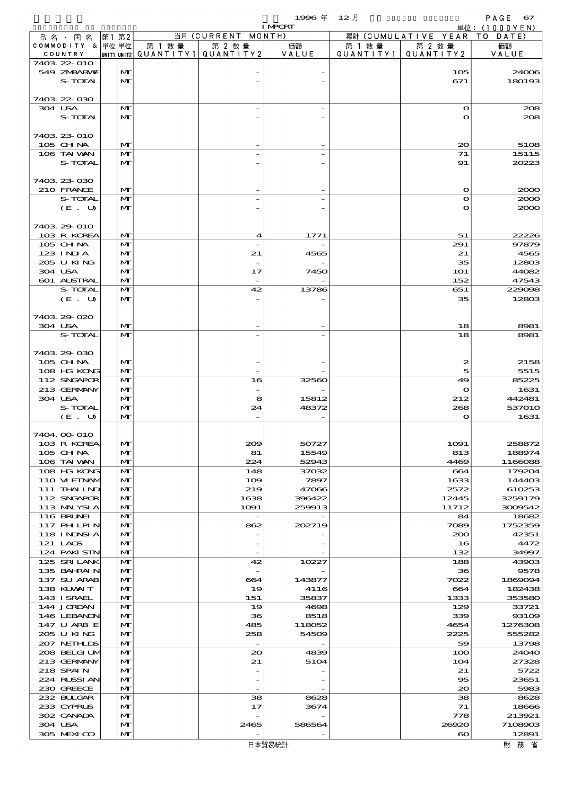$1996 \n& 12 \nparallel$  PAGE 67

|                             |                              |        |                                                  | <b>I MPORT</b> |        |                                 | 単位: (1000YEN)     |
|-----------------------------|------------------------------|--------|--------------------------------------------------|----------------|--------|---------------------------------|-------------------|
| 品名・国名                       | 第1 第2                        |        | 当月 (CURRENT MONTH)                               |                |        | 累計 (CUMULATIVE YEAR TO DATE)    |                   |
| COMMODITY & 単位単位<br>COUNTRY |                              | 第 1 数量 | 第 2 数量<br> UNIT1 UNIT2  QUANT   TY1  QUANT   TY2 | 価額<br>VALUE    | 第 1 数量 | 第 2 数量<br>QUANTITY1   QUANTITY2 | 価額<br>VALUE       |
| 7403 22 010                 |                              |        |                                                  |                |        |                                 |                   |
| 549 ZMBABMU                 | $\mathbf{M}$                 |        |                                                  |                |        | 105                             | 24006             |
| S-TOTAL                     | $\mathbf{M}$                 |        |                                                  |                |        | 671                             | 180193            |
|                             |                              |        |                                                  |                |        |                                 |                   |
| 7403 22 030                 | $\mathbf{M}$                 |        |                                                  |                |        |                                 |                   |
| 304 USA<br>S-TOTAL          | $\mathbf{M}$                 |        |                                                  |                |        | $\bullet$<br>$\mathbf o$        | 208<br>208        |
|                             |                              |        |                                                  |                |        |                                 |                   |
| 7403 23 010                 |                              |        |                                                  |                |        |                                 |                   |
| 105 CHNA                    | $\mathbf{M}$                 |        |                                                  |                |        | $_{\infty}$                     | 5108              |
| 106 TAI VAN                 | $\mathbf{M}$                 |        |                                                  |                |        | 71                              | 15115             |
| S-TOTAL                     | $\mathbf{M}$                 |        |                                                  |                |        | 91                              | 20223             |
|                             |                              |        |                                                  |                |        |                                 |                   |
| 7403 23 030                 |                              |        |                                                  |                |        |                                 |                   |
| 210 FRANCE<br>S-TOTAL       | $\mathbf{M}$<br>$\mathbf{M}$ |        |                                                  |                |        | $\mathbf o$<br>$\bullet$        | 2000<br>2000      |
| (E. U)                      | $\mathbf{M}$                 |        |                                                  |                |        | $\mathbf o$                     | 2000              |
|                             |                              |        |                                                  |                |        |                                 |                   |
| 7403 29 010                 |                              |        |                                                  |                |        |                                 |                   |
| 103 R KOREA                 | $\mathbf{M}$                 |        | 4                                                | 1771           |        | 51                              | 22226             |
| 105 CHNA                    | $\mathbf{M}$                 |        |                                                  |                |        | 291                             | 97879             |
| 123 INIA                    | $\mathbf{M}$                 |        | 21                                               | 4565           |        | 21                              | 4565              |
| 205 U KING                  | $\mathbf{M}$                 |        |                                                  |                |        | 35                              | 12803             |
| 304 USA<br>601 ALSTRAL      | $\mathbf{M}$<br>$\mathbf{M}$ |        | 17                                               | 7450           |        | <b>1O1</b><br>152               | 44082<br>47543    |
| S-TOTAL                     | $\mathbf{M}$                 |        | 42                                               | 13786          |        | 651                             | 229098            |
| (E. U)                      | $\mathbf{M}$                 |        |                                                  |                |        | 35                              | 12803             |
|                             |                              |        |                                                  |                |        |                                 |                   |
| 7403 29 020                 |                              |        |                                                  |                |        |                                 |                   |
| 304 USA                     | $\mathbf{M}$                 |        |                                                  |                |        | 18                              | 8981              |
| S-TOTAL                     | $\mathbf{M}$                 |        |                                                  |                |        | 18                              | 8981              |
|                             |                              |        |                                                  |                |        |                                 |                   |
| 7403 29 030<br>105 CH NA    | $\mathbf{M}$                 |        |                                                  |                |        | $\boldsymbol{z}$                | 2158              |
| 108 HG KONG                 | $\mathbf{M}$                 |        |                                                  |                |        | 5                               | 5515              |
| 112 SNGAPOR                 | $\mathbf{M}$                 |        | 16                                               | 32560          |        | 49                              | 85225             |
| 213 GERMANY                 | $\mathbf{M}$                 |        |                                                  |                |        | $\mathbf o$                     | 1631              |
| 304 USA                     | $\mathbf{M}$                 |        | 8                                                | 15812          |        | 212                             | 442481            |
| S-TOTAL                     | $\mathbf{M}$                 |        | 24                                               | 48372          |        | 268                             | 537010            |
| (E. U)                      | $\mathbf{M}$                 |        |                                                  |                |        | $\mathbf o$                     | 1631              |
|                             |                              |        |                                                  |                |        |                                 |                   |
| 7404.00-010<br>103 R KOREA  | $\mathbf{M}$                 |        | $_{\rm 200}$                                     | 50727          |        | 1091                            | 258872            |
| 105 CH NA                   | M                            |        | 81                                               | 15549          |        | 813                             | 188974            |
| 106 TAI VAN                 | $\mathbf{M}$                 |        | 224                                              | 52943          |        | 4469                            | 1166088           |
| 108 HG KONG                 | $\mathbf{M}$                 |        | 148                                              | 37032          |        | 664                             | 179204            |
| 110 VIEINAM                 | $\mathbf{M}$                 |        | 109                                              | 7897           |        | 1633                            | 144403            |
| 111 THAILND                 | $\mathbf{M}$                 |        | 219                                              | 47066          |        | 2572                            | 610253            |
| 112 SNGAPOR                 | M                            |        | 1638                                             | 396422         |        | 12445                           | 3259179           |
| 113 MALYSIA<br>116 BRUNEI   | M<br>$\mathbf{M}$            |        | 1091<br>$\overline{\phantom{a}}$                 | 259913         |        | 11712<br>84                     | 3009542<br>18682  |
| 117 PHLPIN                  | $\mathbf{M}$                 |        | 862                                              | 202719         |        | 7089                            | 1752359           |
| <b>118 INNSIA</b>           | $\mathbf{M}$                 |        |                                                  |                |        | 200                             | 42351             |
| 121 LAOS                    | M                            |        |                                                  |                |        | 16                              | 4472              |
| 124 PAKI STN                | $\mathbf{M}$                 |        |                                                  |                |        | 132                             | 34997             |
| 125 SRILANK                 | M                            |        | 42                                               | 10227          |        | 188                             | 43903             |
| 135 BAHRAIN                 | $\mathbf{M}$                 |        |                                                  |                |        | 36                              | 9578              |
| 137 SU ARAB<br>138 KUWAIT   | $\mathbf{M}$<br>M            |        | 664<br>19                                        | 143877<br>4116 |        | 7022<br>664                     | 1869094<br>182438 |
| 143 I SRAEL                 | $\mathbf{M}$                 |        | 151                                              | 35837          |        | 1333                            | 353580            |
| 144 JORDAN                  | M                            |        | 19                                               | 4698           |        | 129                             | 33721             |
| 146 LEBANON                 | $\mathbf{M}$                 |        | 36                                               | 8518           |        | 339                             | 93109             |
| 147 U ARB E                 | $\mathbf{M}$                 |        | 485                                              | 118052         |        | 4654                            | 1276308           |
| 205 U KING                  | M                            |        | 258                                              | 54509          |        | 2225                            | 555282            |
| 207 NETHLIS                 | M                            |        |                                                  |                |        | 59                              | 13798             |
| 208 BELGI UM                | M                            |        | $_{\infty}$                                      | 4839           |        | 100                             | 24040             |
| 213 GERMANY<br>218 SPAIN    | M<br>$\mathbf{M}$            |        | 21                                               | 5104           |        | 104<br>21                       | 27328<br>5722     |
| 224 RUSSI AN                | M                            |        |                                                  |                |        | $\bf{85}$                       | 23651             |
| 230 GREECE                  | M                            |        |                                                  |                |        | $\infty$                        | 5983              |
| 232 BULGAR                  | M                            |        | 38                                               | 8628           |        | 38                              | 8628              |
| 233 CYPRUS                  | M                            |        | 17                                               | 3674           |        | 71                              | 18666             |
| 302 CANADA                  | $\mathbf{M}$                 |        |                                                  |                |        | 778                             | 213921            |
| 304 USA                     | M                            |        | 2465                                             | 586564         |        | 26920                           | 7108903           |
| 305 MEXICO                  | $\mathbf{M}$                 |        |                                                  |                |        | $\boldsymbol{\infty}$           | 12891             |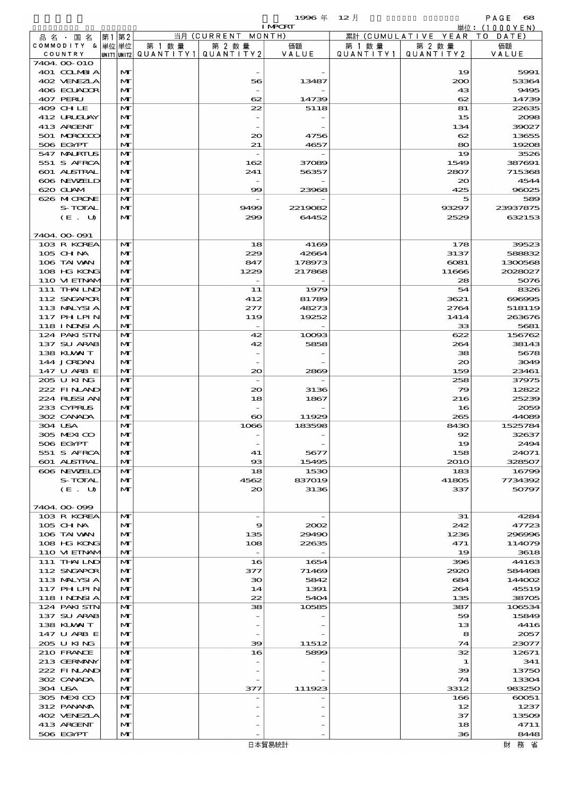|                               |                   |        |                                   | 1996 $#$         | $12$ 月    |                      | PAGE<br>68         |
|-------------------------------|-------------------|--------|-----------------------------------|------------------|-----------|----------------------|--------------------|
|                               |                   |        |                                   | <b>I MPORT</b>   |           |                      | 単位:(1000YEN)       |
| 品 名 ・ 国 名<br>COMMODITY & 単位単位 | 第1 第2             | 第 1 数量 | 当月 (CURRENT MONTH)<br>第 2 数量      | 価額               | 第 1 数 量   | 累計 (CUMULATIVE YEAR  | T O<br>DATE<br>価額  |
| COUNTRY                       |                   |        | UNIT1 UNIT2 QUANTITY 1 QUANTITY 2 | VALUE            | QUANTITY1 | 第 2 数 量<br>QUANTITY2 | VALUE              |
| 7404 00 010                   |                   |        |                                   |                  |           |                      |                    |
| 401 COLMBIA                   | M                 |        |                                   |                  |           | 19                   | 5991               |
| 402 VENEZLA                   | $\mathbf{M}$      |        | 56                                | 13487            |           | 200                  | 53364              |
| 406 ECUADOR<br>407 PERU       | M<br>$\mathbf{M}$ |        | 62                                | 14739            |           | 43<br>62             | 9495<br>14739      |
| 409 CHLE                      | M                 |        | 22                                | 5118             |           | 81                   | 22635              |
| 412 URUCLAY                   | M                 |        |                                   |                  |           | 15                   | 2008               |
| 413 ARCENT                    | M                 |        |                                   |                  |           | 134                  | 39027              |
| 501 MROCCO                    | M                 |        | $\infty$                          | 4756             |           | 62                   | 13655              |
| 506 EGYPT                     | $\mathbf{M}$      |        | 21                                | 4657             |           | 80                   | 19208              |
| 547 MALRIUS<br>551 S AFRCA    | M<br>M            |        | 162                               | 37089            |           | 19<br>1549           | 3526<br>387691     |
| 601 ALSTRAL                   | M                 |        | 241                               | 56357            |           | 2807                 | 715368             |
| 606 NEWELD                    | M                 |        |                                   |                  |           | $\infty$             | 4544               |
| 620 GLAM                      | M                 |        | $\infty$                          | 23968            |           | 425                  | 96025              |
| 626 MICRONE                   | M                 |        |                                   |                  |           | 5                    | 589                |
| S-TOTAL                       | M<br>$\mathbf{M}$ |        | 9499                              | 2219082<br>64452 |           | 93297                | 23937875<br>632153 |
| (E. U)                        |                   |        | 299                               |                  |           | 2529                 |                    |
| 7404.00-091                   |                   |        |                                   |                  |           |                      |                    |
| 103 R KOREA                   | $\mathbf{M}$      |        | 18                                | 4169             |           | 178                  | 39523              |
| 105 CH NA                     | M                 |        | 229                               | 42664            |           | 3137                 | 588832             |
| 106 TAI VAN                   | M                 |        | 847                               | 178973           |           | $\cos 1$             | 1300568            |
| 108 HG KONG<br>110 VIEINAM    | M<br>M            |        | 1229<br>$\overline{\phantom{0}}$  | 217868           |           | 11666<br>28          | 2028027<br>5076    |
| 111 THAILND                   | M                 |        | 11                                | 1979             |           | 54                   | 8326               |
| 112 SNGAPOR                   | M                 |        | 412                               | 81789            |           | 3621                 | 696995             |
| 113 MALYSIA                   | M                 |        | 277                               | 48273            |           | 2764                 | 518119             |
| 117 PHLPIN                    | M                 |        | 119                               | 19252            |           | 1414                 | 263676             |
| 118 I NJNSI A                 | $\mathbf{M}$      |        | $\overline{\phantom{a}}$          |                  |           | 33                   | 5681               |
| 124 PAKISTN                   | M                 |        | 42                                | 10093<br>5858    |           | 622                  | 156762             |
| 137 SU ARAB<br>138 KLVXIT     | $\mathbf{M}$<br>M |        | 42                                |                  |           | 264<br>38            | 38143<br>5678      |
| 144 JORDAN                    | M                 |        |                                   |                  |           | $\infty$             | 3049               |
| 147 U ARB E                   | $\mathbf{M}$      |        | $\infty$                          | 2869             |           | 159                  | 23461              |
| 205 U KING                    | M                 |        |                                   |                  |           | 258                  | 37975              |
| 222 FINAND                    | M                 |        | $\infty$                          | 3136             |           | 79                   | 12822              |
| 224 RLSSIAN<br>233 CYPRUS     | $\mathbf{M}$<br>M |        | 18                                | 1867             |           | 216<br>16            | 25239<br>2059      |
| 302 CANADA                    | M                 |        | $\boldsymbol{\infty}$             | 11929            |           | 265                  | 44089              |
| 304 USA                       | M                 |        | 1066                              | 183598           |           | 8430                 | 1525784            |
| 305 MEXICO                    | $\mathbf{M}$      |        |                                   |                  |           | $\mathbf{R}$         | 32637              |
| 506 EGYPT                     | $\mathbf{M}$      |        |                                   |                  |           | 19                   | 2494               |
| 551 S AFRCA<br>601 ALSTRAL    | M<br>M            |        | 41<br>93                          | 5677<br>15495    |           | 158<br><b>2010</b>   | 24071<br>328507    |
| 606 NEWELD                    | M                 |        | 18                                | 1530             |           | 183                  | 16799              |
| S-TOTAL                       | M                 |        | 4562                              | 837019           |           | 41805                | 7734392            |
| (E. U)                        | $\mathbf{M}$      |        | $\infty$                          | 3136             |           | 337                  | 50797              |
|                               |                   |        |                                   |                  |           |                      |                    |
| 7404.00-099<br>103 R KOREA    | M                 |        |                                   |                  |           | 31                   | 4284               |
| $105$ CHNA                    | M                 |        | 9                                 | 2002             |           | 242                  | 47723              |
| 106 TAI VAN                   | M                 |        | 135                               | 29490            |           | 1236                 | 296996             |
| 108 HG KONG                   | M                 |        | 108                               | 22635            |           | 471                  | 114079             |
| 110 VIEINAM                   | M                 |        | $\overline{\phantom{a}}$          |                  |           | 19                   | 3618               |
| 111 THAILND                   | M                 |        | 16                                | 1654             |           | 396                  | 44163              |
| 112 SNGAPOR<br>113 MALYSIA    | M<br>M            |        | 377<br>30                         | 71469<br>5842    |           | 2920<br>684          | 584498<br>144002   |
| 117 PHLPIN                    | M                 |        | 14                                | 1391             |           | 264                  | 45519              |
| 118 I NJNSI A                 | M                 |        | 22                                | 5404             |           | 135                  | 38705              |
| 124 PAKISTN                   | M                 |        | 38                                | 10585            |           | 387                  | 106534             |
| 137 SU ARAB                   | M                 |        |                                   |                  |           | 59                   | 15849              |
| 138 KUWAIT<br>147 U ARB E     | M<br>M            |        |                                   |                  |           | 13<br>8              | 4416<br>2057       |
| 205 U KING                    | M                 |        | 39                                | 11512            |           | 74                   | 23077              |
| 210 FRANCE                    | M                 |        | 16                                | 5899             |           | 32                   | 12671              |
| 213 GERMANY                   | M                 |        |                                   |                  |           | 1                    | 341                |
| 222 FINAND                    | M                 |        |                                   |                  |           | 39                   | 13750              |
| 302 CANADA<br>304 USA         | M                 |        | 377                               |                  |           | 74                   | 13304              |
| 305 MEXICO                    | M<br>M            |        |                                   | 111923           |           | 3312<br>166          | 983250<br>$\cos 1$ |
| 312 PANAMA                    | M                 |        |                                   |                  |           | 12                   | 1237               |
| 402 VENEZIA                   | M                 |        |                                   |                  |           | 37                   | 13509              |
| 413 ARGENT                    | M                 |        |                                   |                  |           | 18                   | 4711               |
| 506 EGYPT                     | $\mathbf{M}$      |        |                                   |                  |           | 36                   | 8448               |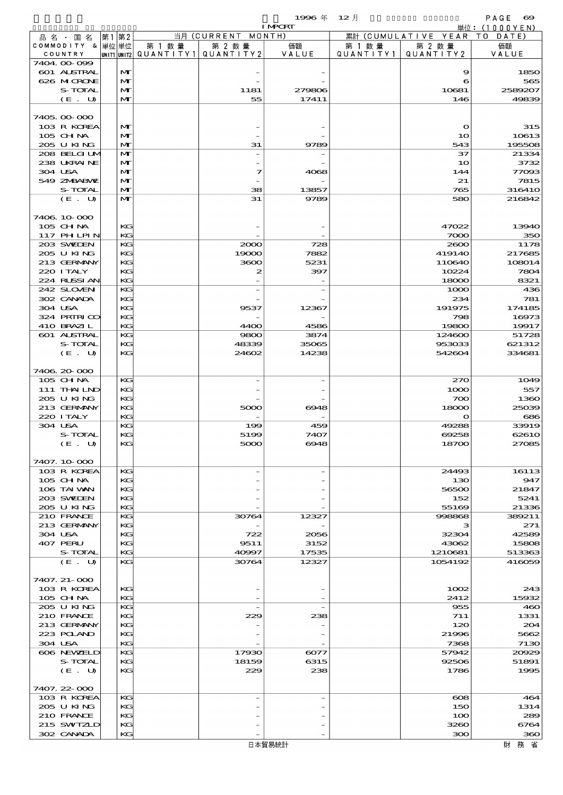- 1999年 12月 - PAGE <del>OO</del><br>Training - Hotel Annual 単位:(1000YEN)

|                  |    |              |         |                                       | <b>I MPORT</b> |           |                        | 単位: (1000 Y E N) |
|------------------|----|--------------|---------|---------------------------------------|----------------|-----------|------------------------|------------------|
| 品名・国名            | 第1 | 第2           |         | 当月 (CURRENT                           | MONTH)         |           | 累計 (CUMULATIVE YEAR TO | DATE)            |
| COMMODITY & 単位単位 |    |              | 第 1 数 量 | 第 2 数量                                | 価額             | 第 1 数 量   | 第 2 数量                 | 価額               |
| COUNTRY          |    |              |         | UNIT1 UNIT2  QUANT   TY1  QUANT   TY2 | VALUE          | QUANTITY1 | QUANTITY 2             | VALUE            |
| 7404.00-099      |    |              |         |                                       |                |           |                        |                  |
| 601 ALSTRAL      |    | M            |         |                                       |                |           | 9                      | 1850             |
| 626 MCRONE       |    | $\mathbf{M}$ |         |                                       |                |           | 6                      | 565              |
| S-TOTAL          |    | M            |         | 1181                                  | 279806         |           | 10681                  | 2589207          |
| (E. U)           |    | $\mathbf{M}$ |         | 55                                    | 17411          |           | 146                    | 49839            |
|                  |    |              |         |                                       |                |           |                        |                  |
| 7405.00-000      |    |              |         |                                       |                |           |                        |                  |
| 103 R KOREA      |    | M            |         |                                       |                |           | $\mathbf o$            | 315              |
| 105 CH NA        |    | $\mathbf{M}$ |         |                                       |                |           | 10                     | 10613            |
| 205 U KING       |    | $\mathbf{M}$ |         | 31                                    | 9789           |           | 543                    | 195508           |
| 208 BELGI UM     |    | M            |         |                                       |                |           | 37                     | 21334            |
| 238 UKRAINE      |    | M            |         |                                       |                |           | 10                     | 3732             |
| 304 USA          |    | M            |         | 7                                     | 4068           |           | 144                    | 77093            |
| 549 ZNBABVE      |    | M            |         |                                       |                |           | 21                     | 7815             |
| S-TOTAL          |    | $\mathbf{M}$ |         | 38                                    | 13857          |           | 765                    | 31641O           |
| (E. U)           |    | $\mathbf{M}$ |         | 31                                    | 9789           |           | 580                    | 216842           |
|                  |    |              |         |                                       |                |           |                        |                  |
| 7406 10 000      |    |              |         |                                       |                |           |                        |                  |
| 105 CHNA         |    | KG           |         |                                       |                |           | 47022                  | 13940            |
| 117 PHLPIN       |    | KG           |         |                                       |                |           | 7000                   | 350              |
| 203 SWIEN        |    | KG           |         | 2000                                  | 728            |           | 2600                   | 1178             |
| 205 U KING       |    | KG           |         | 19000                                 | 7882           |           | 419140                 | 217685           |
| 213 GERMANY      |    | KG           |         | 3600                                  | 5231           |           | 110640                 | 108014           |
| 220 I TALY       |    | KG           |         | 2                                     | 397            |           | 10224                  | 7804             |
| 224 RUSSI AN     |    | KG           |         |                                       |                |           | 18000                  | 8321             |
| 242 SLOVEN       |    | KG           |         |                                       |                |           | 1000                   | 436              |
| 302 CANADA       |    | KG           |         |                                       |                |           | 234                    | 781              |
| 304 USA          |    | KG           |         | 9537                                  | 12367          |           | 191975                 | 174185           |
| 324 PRIRICO      |    | KG           |         |                                       |                |           | 798                    | 16973            |
| 410 BRAZIL       |    | KG           |         | 4400                                  | 4586           |           | 19800                  | 19917            |
| 601 ALSTRAL      |    | KG           |         | 9800                                  | 3874           |           | 124600                 | 51728            |
| S-TOTAL          |    | KG           |         | 48339                                 | 35065          |           | 953033                 | 621312           |
| (E. U)           |    | KG           |         | 24602                                 | 14238          |           | 542604                 | 334681           |
|                  |    |              |         |                                       |                |           |                        |                  |
| 7406.20-000      |    |              |         |                                       |                |           |                        |                  |
| 105 CHNA         |    | KG           |         |                                       |                |           | 270                    | 1049             |
| 111 THAILND      |    | KG           |         |                                       |                |           | 1000                   | 557              |
| 205 U KING       |    | KG           |         |                                       |                |           | 700                    | 1360             |
| 213 GERMANY      |    | KG           |         | 5000                                  | 6948           |           | 18000                  | 25039            |
| 220 I TALY       |    | KG           |         |                                       |                |           | $\mathbf{\Omega}$      | 686              |
| 304 USA          |    | KG           |         | 199                                   | 459            |           | 49288                  | 33919            |
| <b>S-TOTAL</b>   |    | KG           |         | 5199                                  | 7407           |           | 69258                  | 62610            |
| (E. U)           |    | K            |         | 5000                                  | 6948           |           | 18700                  | 27085            |
|                  |    |              |         |                                       |                |           |                        |                  |
| 7407.10-000      |    |              |         |                                       |                |           |                        |                  |
| 103 R KOREA      |    | KG           |         |                                       |                |           | 24493                  | 16113            |
| $105$ CHNA       |    | KG           |         |                                       |                |           | 130                    | 947              |
| 106 TAI VAN      |    | KG           |         |                                       |                |           | 56500                  | 21847            |
| 203 SWIDEN       |    | KG           |         |                                       |                |           | 152                    | 5241             |
| 205 U KING       |    | KG           |         |                                       |                |           | 55169                  | 21336            |
| 210 FRANCE       |    | KG           |         | 30764                                 | 12327          |           | 998868                 | 389211           |
| 213 GERMANY      |    | КG           |         |                                       |                |           | з                      | 271              |
| 304 USA          |    | KG           |         | 722                                   | 2056           |           | 32304                  | 42589            |
|                  |    | KG           |         |                                       |                |           |                        |                  |
| 407 PERU         |    | KG           |         | 9511<br>40997                         | 3152           |           | 43062                  | 15808<br>513363  |
| S-TOTAL          |    | KG           |         |                                       | 17535          |           | 1210681                |                  |
| (E. U)           |    |              |         | 30764                                 | 12327          |           | 1054192                | 416059           |
|                  |    |              |         |                                       |                |           |                        |                  |
| 7407. 21-000     |    |              |         |                                       |                |           |                        |                  |
| 103 R KOREA      |    | KG           |         |                                       |                |           | 1002                   | 243              |
| $105$ CHNA       |    | KG           |         |                                       |                |           | 2412                   | 15932            |
| 205 U KING       |    | KG           |         |                                       |                |           | 955                    | 460              |
| 210 FRANCE       |    | КG           |         | 229                                   | 238            |           | 711                    | 1331             |
| 213 GERMANY      |    | KG           |         |                                       |                |           | 120                    | 204              |
| 223 POLAND       |    | KG           |         |                                       |                |           | 21996                  | 5662             |
| 304 USA          |    | KG           |         |                                       |                |           | 7368                   | 7130             |
| 606 NEWELD       |    | KG           |         | 17930                                 | 6077           |           | 57942                  | 20029            |
| S-TOTAL          |    | КG           |         | 18159                                 | 6315           |           | 92506                  | 51891            |
| (E. U)           |    | KG           |         | 229                                   | 238            |           | 1786                   | 1995             |
|                  |    |              |         |                                       |                |           |                        |                  |
| 7407.22-000      |    |              |         |                                       |                |           |                        |                  |
| 103 R KOREA      |    | KG           |         |                                       |                |           | $\boldsymbol{\alpha}$  | 464              |
| 205 U KING       |    | KG           |         |                                       |                |           | 150                    | 1314             |
| 210 FRANCE       |    | KG           |         |                                       |                |           | 100                    | 289              |
| 215 SWIZLD       |    | KG           |         |                                       |                |           | 3260                   | 6764             |
| 302 CANADA       |    | KG           |         |                                       |                |           | 300                    | 360              |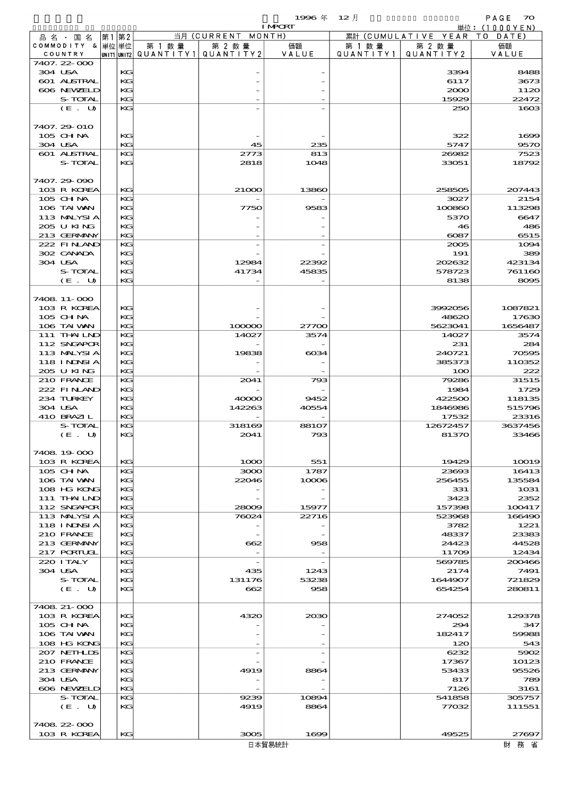$1$ 996 年  $12 \text{ }\overline{)}$  PAGE  $\alpha$ 

|                             |          |                                       |                          | <b>I MPORT</b> |           |                              | 単位:(1000YEN) |
|-----------------------------|----------|---------------------------------------|--------------------------|----------------|-----------|------------------------------|--------------|
| 品名・国名                       | 第1第2     |                                       | 当月 (CURRENT MONTH)       |                |           | 累計 (CUMULATIVE YEAR TO DATE) |              |
| COMMODITY & 単位単位            |          | 第 1 数量                                | 第 2 数量                   | 価額             | 第 1 数量    | 第 2 数量                       | 価額           |
| COUNTRY                     |          | UNIT1 UNIT2  QUANT I TY1  QUANT I TY2 |                          | VALUE          | QUANTITY1 | QUANTITY 2                   | VALUE        |
| 7407.22-000                 |          |                                       |                          |                |           |                              |              |
| 304 USA                     | KG       |                                       |                          |                |           | 3394                         | 8485         |
| 601 ALSTRAL                 | KG       |                                       |                          |                |           | 6117                         | 3673         |
| 606 NEWELD                  | KG       |                                       |                          |                |           | 2000                         | 1120         |
| S-TOTAL                     | KG       |                                       |                          |                |           | 15929                        | 22472        |
| (E. U)                      | KG       |                                       |                          |                |           | 250                          | 1600         |
| 7407. 29-010                |          |                                       |                          |                |           |                              |              |
| 105 CH NA                   | KG       |                                       |                          |                |           | 322                          | 1600         |
| 304 USA                     | KG       |                                       | 45                       | 235            |           | 5747                         | 957C         |
| 601 ALSTRAL                 | KG       |                                       | 2773                     | 813            |           | 26082                        | 7523         |
| S-TOTAL                     | KG       |                                       | 2818                     | 1048           |           | 33051                        | 18792        |
|                             |          |                                       |                          |                |           |                              |              |
| 7407.29-090                 |          |                                       |                          |                |           |                              |              |
| 103 R KOREA                 | KG       |                                       | 21000                    | 13860          |           | 258505                       | 207443       |
| 105 CH NA                   | KG       |                                       |                          |                |           | 3027                         | 2154         |
| 106 TAI VAN                 | KG       |                                       | 7750                     | 9583           |           | 100860                       | 113296       |
| 113 MALYSIA                 | KG       |                                       |                          |                |           | 5370                         | 6647         |
| 205 U KING                  | KG       |                                       |                          |                |           | 46                           | 480          |
| 213 GERMANY                 | KG       |                                       |                          |                |           | $\cos$                       | 6515         |
| 222 FINAND                  | KG       |                                       |                          |                |           | 2005                         | 1094         |
| 302 CANADA                  | KG       |                                       |                          |                |           | 191                          | 389          |
| 304 USA                     | KG       |                                       | 12984                    | 22392          |           | 202632                       | 423134       |
| S-TOTAL                     | KG       |                                       | 41734                    | 45835          |           | 578723                       | 761160       |
| (E. U)                      | KG       |                                       |                          |                |           | 8138                         | 8005         |
|                             |          |                                       |                          |                |           |                              |              |
| 7408 11-000                 |          |                                       |                          |                |           |                              |              |
| 103 R KOREA                 | KG       |                                       |                          |                |           | 3992056                      | 1087821      |
| 105 CHNA                    | KG       |                                       |                          |                |           | 48620                        | 17630        |
| 106 TAI VAN                 | KG       |                                       | 100000                   | 27700          |           | 5623041                      | 1656487      |
| 111 THAILND                 | KG       |                                       | 14027                    | 3574           |           | 14027                        | 3574         |
| 112 SNGAPOR                 | KG       |                                       |                          |                |           | 231                          | 284          |
| 113 MALYSIA                 | KG       |                                       | 19838                    | $\cos\!4$      |           | 240721                       | <b>70595</b> |
| 118 I NDSI A                | KG       |                                       |                          |                |           | 385373                       | 110352       |
| 205 U KING                  | KG       |                                       |                          |                |           | 100                          | 222          |
| 210 FRANCE                  | KG       |                                       | 2041                     | 793            |           | 79286                        | 31515        |
| 222 FINAND                  | KG       |                                       |                          |                |           | 1984                         | 1725         |
| 234 TURKEY                  | KG       |                                       | 40000                    | 9452           |           | 422500                       | 118135       |
| 304 USA                     | KG       |                                       | 142263                   | 40554          |           | 1846986                      | 515796       |
| 410 BRAZIL                  | KG       |                                       |                          |                |           | 17532                        | 23316        |
| S-TOTAL                     | KG       |                                       | 318169                   | 88107          |           | 12672457                     | 3637456      |
| (E. U)                      | KG       |                                       | 2041                     | 793            |           | 81370                        | 33466        |
|                             |          |                                       |                          |                |           |                              |              |
| 7408.19.000                 |          |                                       |                          |                |           |                              |              |
| 103 R KOREA                 | KG       |                                       | 1000                     | 551            |           | 19429                        | 10019        |
| 105 CH NA                   | KG       |                                       | 3000                     | 1787           |           | 23693                        | 16413        |
| 106 TAI VAN                 | KG       |                                       | 22046                    | 10006          |           | 256455                       | 135584       |
| 108 HG KONG                 | KG       |                                       |                          |                |           | 331                          | 1031         |
| 111 THAILND                 | KG       |                                       |                          |                |           | 3423                         | 2352         |
| 112 SNGAPOR                 | KG       |                                       | 28009                    | 15977          |           | 157398                       | 100417       |
| 113 MALYSIA                 | KG       |                                       | 76024                    | 22716          |           | 523968                       | 166490       |
| <b>118 INNSIA</b>           | KG       |                                       |                          |                |           | 3782                         | 1221         |
| 210 FRANCE                  | KG       |                                       |                          |                |           | 48337                        | 23383        |
| 213 GERMANY                 | KG       |                                       | 662                      | 958            |           | 24423                        | 44528        |
| 217 PORTUGL                 | KG       |                                       |                          |                |           | 11709                        | 12434        |
| 220 I TALY                  | KG       |                                       | $\overline{\phantom{a}}$ |                |           | 569785                       | 200466       |
| 304 USA                     | KG       |                                       | 435                      | 1243           |           | 2174                         | 7491         |
| S-TOTAL                     | KG       |                                       | 131176                   | 53238          |           | 1644907                      | 721829       |
| (E. U)                      | KG       |                                       | 662                      | 958            |           | 654254                       | 280811       |
|                             |          |                                       |                          |                |           |                              |              |
| 7408 21-000                 |          |                                       |                          |                |           |                              |              |
| 103 R KOREA                 | KG       |                                       | 4320                     | 2030           |           | 274052                       | 129378       |
| $105$ CHNA                  | KG<br>KG |                                       |                          |                |           | 294                          | 347<br>59988 |
| 106 TAI VAN                 | KG       |                                       |                          |                |           | 182417                       |              |
| 108 HG KONG<br>207 NETHLIDS | KG       |                                       |                          |                |           | 120<br>6232                  | 543<br>5902  |
| 210 FRANCE                  | KG       |                                       |                          |                |           | 17367                        | 10123        |
| 213 GERMANY                 | KG       |                                       | 4919                     | 8864           |           | 53433                        | 95526        |
| 304 USA                     | KG       |                                       |                          |                |           | 817                          | 780          |
| 606 NEWELD                  | KG       |                                       |                          |                |           | 7126                         | 3161         |
| S-TOTAL                     | KG       |                                       | 9239                     | 10894          |           | 541858                       | 305757       |
| (E. U)                      | KG       |                                       | 4919                     | 8864           |           | 77032                        | 111551       |

7408.22-000

 $103 \text{ R KOREA}$   $| \text{KG} |$   $| \text{KG} |$   $| \text{GOS} |$   $| \text{GOS} |$   $| \text{GOS} |$   $| \text{GOS} |$   $| \text{GOS} |$   $| \text{GOS} |$   $| \text{GOS} |$   $| \text{GOS} |$   $| \text{GOS} |$   $| \text{GOS} |$   $| \text{GOS} |$   $| \text{GOS} |$   $| \text{GOS} |$   $| \text{GOS} |$   $| \text{GOS} |$   $| \text{GOS} |$   $| \text{GOS} |$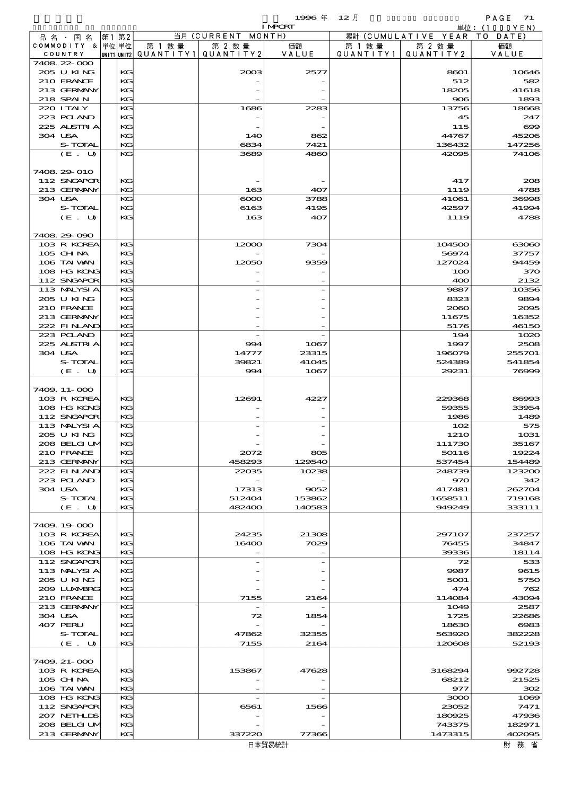|                               |      |          |                                       |                              | 1996年           | $12$ 月    |                                | PAGE 71                         |
|-------------------------------|------|----------|---------------------------------------|------------------------------|-----------------|-----------|--------------------------------|---------------------------------|
|                               |      |          |                                       |                              | <b>I MPORT</b>  |           |                                | $\dot{\mathbb{H}}$ 位: (1000YEN) |
| 品 名 ・ 国 名<br>COMMODITY & 単位単位 | 第1第2 |          | 第 1 数量                                | 当月 (CURRENT MONTH)<br>第 2 数量 | 価額              | 第 1 数 量   | 累計 (CUMULATIVE YEAR<br>第 2 数 量 | T O<br>DATE<br>価額               |
| COUNTRY                       |      |          | unit1 unit2  QUANT   TY1  QUANT   TY2 |                              | VALUE           | QUANTITY1 | QUANTITY2                      | VALUE                           |
| 7408 22 000                   |      |          |                                       |                              |                 |           |                                |                                 |
| 205 U KING                    |      | KG       |                                       | 2003                         | 2577            |           | 8601                           | 10646                           |
| 210 FRANCE                    |      | KG       |                                       |                              |                 |           | 512                            | 582                             |
| 213 GERMANY<br>218 SPAIN      |      | KG<br>KG |                                       |                              |                 |           | 18205<br>906                   | 41618<br>1893                   |
| 220 I TALY                    |      | KG       |                                       | 1686                         | 2283            |           | 13756                          | 18668                           |
| 223 POLAND                    |      | KG       |                                       |                              |                 |           | 45                             | 247                             |
| 225 ALSTRIA                   |      | KG       |                                       |                              |                 |           | 115                            | $\infty$                        |
| 304 USA                       |      | KG       |                                       | <b>14O</b>                   | 862             |           | 44767                          | 45206                           |
| S-TOTAL                       |      | KG       |                                       | 6834                         | 7421            |           | 136432                         | 147256                          |
| (E. U)                        |      | KG       |                                       | 3689                         | 4860            |           | 42095                          | 74106                           |
| 7408 29 010                   |      |          |                                       |                              |                 |           |                                |                                 |
| 112 SNGAPOR                   |      | KG       |                                       |                              |                 |           | 417                            | 208                             |
| 213 GERMANY                   |      | KG       |                                       | 163                          | 407             |           | 1119                           | 4788                            |
| 304 USA                       |      | KG       |                                       | $\infty$                     | 3788            |           | 41061                          | 36998                           |
| S-TOTAL                       |      | KG       |                                       | 6163                         | 4195            |           | 42597                          | 41994                           |
| (E. U)                        |      | KG       |                                       | 163                          | 407             |           | 1119                           | 4788                            |
|                               |      |          |                                       |                              |                 |           |                                |                                 |
| 7408 29 090                   |      |          |                                       |                              |                 |           |                                |                                 |
| 103 R KOREA<br>105 CHNA       |      | KG<br>KG |                                       | 12000                        | 7304            |           | 104500<br>56974                | 63060<br>37757                  |
| 106 TAI VAN                   |      | KG       |                                       | 12050                        | 9359            |           | 127024                         | 94459                           |
| 108 HG KONG                   |      | KG       |                                       |                              |                 |           | 100                            | 370                             |
| 112 SNGAPOR                   |      | KG       |                                       |                              |                 |           | 400                            | 2132                            |
| 113 MALYSIA                   |      | KG       |                                       |                              |                 |           | 9887                           | 10356                           |
| 205 U KING                    |      | KG       |                                       |                              |                 |           | 8323                           | 9894                            |
| 210 FRANCE                    |      | KG       |                                       |                              |                 |           | 2060                           | 2005                            |
| 213 GERMANY<br>222 FINAND     |      | KG<br>KG |                                       |                              |                 |           | 11675                          | 16352<br>46150                  |
| 223 POLAND                    |      | KG       |                                       |                              |                 |           | 5176<br>194                    | 1020                            |
| 225 ALSTRIA                   |      | KG       |                                       | 994                          | 1067            |           | 1997                           | 2508                            |
| 304 USA                       |      | KG       |                                       | 14777                        | 23315           |           | 196079                         | 255701                          |
| S-TOTAL                       |      | KG       |                                       | 39821                        | 41045           |           | 524389                         | 541854                          |
| (E. U)                        |      | KG       |                                       | 994                          | 1067            |           | 29231                          | 76999                           |
|                               |      |          |                                       |                              |                 |           |                                |                                 |
| 7409. 11-000                  |      |          |                                       |                              |                 |           |                                |                                 |
| 103 R KOREA<br>108 HG KONG    |      | KG<br>KG |                                       | 12691                        | 4227            |           | 229368<br>59355                | 86993<br>33954                  |
| 112 SNGAPOR                   |      | KG       |                                       |                              |                 |           | 1986                           | 1489                            |
| 113 MALYSIA                   |      | KG       |                                       |                              |                 |           | 102                            | 575                             |
| 205 U KING                    |      | KG       |                                       |                              |                 |           | 121O                           | 1031                            |
| 208 BELGI UM                  |      | KG       |                                       |                              |                 |           | 111730                         | 35167                           |
| 210 FRANCE                    |      | KG       |                                       | 2072                         | 805             |           | 50116                          | 19224                           |
| 213 GERMANY<br>222 FINAND     |      | KG<br>KG |                                       | 458293<br>22035              | 129540<br>10238 |           | 537454<br>248739               | 154489<br>123200                |
| 223 POLAND                    |      | KG       |                                       |                              |                 |           | 970                            | 342                             |
| 304 USA                       |      | KG       |                                       | 17313                        | 9052            |           | 417481                         | 262704                          |
| S-TOTAL                       |      | KG       |                                       | 512404                       | 153862          |           | 1658511                        | 719168                          |
| (E. U)                        |      | KG       |                                       | 482400                       | 140583          |           | 949249                         | 333111                          |
|                               |      |          |                                       |                              |                 |           |                                |                                 |
| 7409.19000                    |      |          |                                       |                              |                 |           |                                |                                 |
| 103 R KOREA<br>106 TAI VAN    |      | KG       |                                       | 24235                        | 21308           |           | 297107                         | 237257                          |
| 108 HG KONG                   |      | KG<br>KG |                                       | 16400                        | 7029            |           | 76455<br>39336                 | 34847<br>18114                  |
| 112 SNGAPOR                   |      | KG       |                                       |                              |                 |           | 72                             | 533                             |
| 113 MALYSIA                   |      | KG       |                                       |                              |                 |           | 9987                           | 9615                            |
| 205 U KING                    |      | KG       |                                       |                              |                 |           | 5001                           | 5750                            |
| 2009 LUNABRG                  |      | KG       |                                       |                              |                 |           | 474                            | 762                             |
| 210 FRANCE                    |      | KG       |                                       | 7155                         | 2164            |           | 114084                         | 43094                           |
| 213 GERMANY                   |      | KG       |                                       |                              |                 |           | 1049                           | 2587                            |
| 304 USA<br>407 PERU           |      | KG<br>KG |                                       | 72                           | 1854            |           | 1725<br>18630                  | 22686<br>6083                   |
| S-TOTAL                       |      | KG       |                                       | 47862                        | 32355           |           | 563920                         | 382228                          |
| (E. U)                        |      | KG       |                                       | 7155                         | 2164            |           | 120608                         | 52193                           |
|                               |      |          |                                       |                              |                 |           |                                |                                 |
| 7409. 21-000                  |      |          |                                       |                              |                 |           |                                |                                 |
| 103 R KOREA                   |      | КG       |                                       | 153867                       | 47628           |           | 3168294                        | 992728                          |
| $105$ CHNA                    |      | KG       |                                       |                              |                 |           | 68212                          | 21525                           |
| 106 TAI VAN<br>108 HG KONG    |      | KG<br>KG |                                       |                              |                 |           | 977<br>3000                    | 302<br>1069                     |
| 112 SNGAPOR                   |      | KG       |                                       | 6561                         | 1566            |           | 23052                          | 7471                            |
| 207 NETHLIS                   |      | KG       |                                       |                              |                 |           | 180925                         | 47936                           |
| 208 BELGI UM                  |      | KG       |                                       |                              |                 |           | 743375                         | 182971                          |
| 213 GERMANY                   |      | KG       |                                       | 337220                       | 77366           |           | 1473315                        | 402095                          |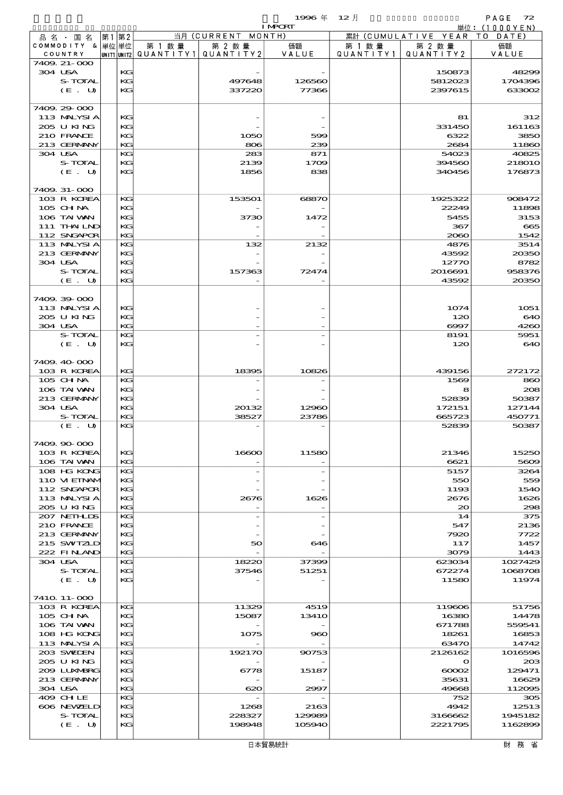|                            |    |          |        |                                       | <b>I MPORT</b> |           |                              | 単位: (1000YEN)    |
|----------------------------|----|----------|--------|---------------------------------------|----------------|-----------|------------------------------|------------------|
| 品名・国名                      | 第1 | 第2       |        | 当月 (CURRENT MONTH)                    |                |           | 累計 (CUMULATIVE YEAR TO DATE) |                  |
| COMMODITY & 単位単位           |    |          | 第 1 数量 | 第 2 数量                                | 価額             | 第 1 数 量   | 第 2 数量                       | 価額               |
| COUNTRY                    |    |          |        | unit1 unit2  QUANT   TY1  QUANT   TY2 | VALUE          | QUANTITY1 | QUANTITY2                    | VALUE            |
| 7409. 21-000<br>304 USA    |    | KG       |        |                                       |                |           | 150873                       | 48299            |
| S-TOTAL                    |    | KG       |        | 497648                                | 126560         |           | 5812023                      | 1704396          |
| (E. U)                     |    | KG       |        | 337220                                | 77366          |           | 2397615                      | 633002           |
|                            |    |          |        |                                       |                |           |                              |                  |
| 7409 29 000                |    |          |        |                                       |                |           |                              |                  |
| 113 MALYSIA                |    | KG       |        |                                       |                |           | 81                           | 312              |
| 205 U KING                 |    | KG       |        |                                       |                |           | 331450                       | 161163           |
| 210 FRANCE                 |    | KG       |        | 1050                                  | 599            |           | 6322                         | 3850             |
| 213 GERMANY                |    | KG       |        | 806                                   | 239            |           | 2684                         | 11860            |
| 304 USA<br>S-TOTAL         |    | KG<br>KG |        | 283                                   | 871            |           | 54023                        | 40825            |
| (E. U)                     |    | KG       |        | 2139<br>1856                          | 1709<br>838    |           | 394560<br>340456             | 218010<br>176873 |
|                            |    |          |        |                                       |                |           |                              |                  |
| 7409. 31-000               |    |          |        |                                       |                |           |                              |                  |
| 103 R KOREA                |    | KG       |        | 153501                                | 68870          |           | 1925322                      | 908472           |
| $105$ CHNA                 |    | KG       |        |                                       |                |           | 22249                        | 11898            |
| 106 TAI VAN                |    | KG       |        | 3730                                  | 1472           |           | 5455                         | 3153             |
| 111 THAILND                |    | KG       |        |                                       |                |           | 367                          | 665              |
| 112 SNGAPOR                |    | KG       |        |                                       |                |           | 2060                         | 1542             |
| 113 MALYSIA<br>213 GERMANY |    | KG<br>KG |        | 132                                   | 2132           |           | 4876<br>43592                | 3514<br>20350    |
| 304 USA                    |    | KG       |        |                                       |                |           | 12770                        | 8782             |
| S-TOTAL                    |    | KG       |        | 157363                                | 72474          |           | 2016691                      | 958376           |
| (E. U)                     |    | KG       |        |                                       |                |           | 43592                        | 20350            |
|                            |    |          |        |                                       |                |           |                              |                  |
| 7409.39-000                |    |          |        |                                       |                |           |                              |                  |
| 113 MALYSIA                |    | KG       |        |                                       |                |           | 1074                         | 1051             |
| 205 U KING                 |    | KG       |        |                                       |                |           | 120                          | 640              |
| 304 USA                    |    | KG       |        |                                       |                |           | $\Theta$ $\Theta$ 7          | 4260             |
| S-TOTAL                    |    | KG<br>KG |        |                                       |                |           | 8191                         | 5951             |
| (E. U)                     |    |          |        |                                       |                |           | 120                          | 640              |
| 7409.40-000                |    |          |        |                                       |                |           |                              |                  |
| 103 R KOREA                |    | KG       |        | 18395                                 | 10826          |           | 439156                       | 272172           |
| 105 CHNA                   |    | KG       |        |                                       |                |           | 1569                         | 860              |
| 106 TAI VAN                |    | KG       |        |                                       |                |           | 8                            | 208              |
| 213 GERMANY                |    | KG       |        |                                       |                |           | 52839                        | 50387            |
| 304 USA                    |    | KG       |        | 20132                                 | 12960          |           | 172151                       | 127144           |
| S-TOTAL                    |    | KG<br>KG |        | 38527                                 | 23786          |           | 665723<br>52839              | 450771           |
| (E. U)                     |    |          |        |                                       |                |           |                              | 50387            |
| 7409.90.000                |    |          |        |                                       |                |           |                              |                  |
| 103 R KOREA                |    | КG       |        | 16600                                 | 11580          |           | 21346                        | 15250            |
| 106 TAI VAN                |    | KG       |        |                                       |                |           | 6621                         | 5609             |
| 108 HG KONG                |    | KG       |        |                                       |                |           | 5157                         | 3264             |
| 110 VI EINAM               |    | KG       |        |                                       |                |           | 550                          | 559              |
| 112 SNGAPOR                |    | KG       |        |                                       |                |           | 1193                         | 1540             |
| 113 MALYSIA                |    | KG       |        | 2676                                  | 1626           |           | 2676                         | 1626             |
| 205 U KING<br>207 NETHLIS  |    | KG<br>KG |        |                                       |                |           | $\infty$                     | 298<br>375       |
| 210 FRANCE                 |    | KG       |        |                                       |                |           | 14<br>547                    | 2136             |
| 213 GERMANY                |    | KG       |        |                                       |                |           | 7920                         | 7722             |
| 215 SWIZLD                 |    | KG       |        | 50                                    | 646            |           | 117                          | 1457             |
| 222 FINAND                 |    | KG       |        |                                       |                |           | 3079                         | 1443             |
| 304 USA                    |    | KG       |        | 18220                                 | 37399          |           | 623034                       | 1027429          |
| S-TOTAL                    |    | KG       |        | 37546                                 | 51251          |           | 672274                       | 1068708          |
| (E. U)                     |    | KG       |        |                                       |                |           | 11580                        | 11974            |
|                            |    |          |        |                                       |                |           |                              |                  |
| 7410 11-000<br>103 R KOREA |    | KG       |        | 11329                                 | 4519           |           | 119606                       | 51756            |
| $105$ CHNA                 |    | KG       |        | 15087                                 | <b>13410</b>   |           | 16380                        | 14478            |
| 106 TAI VAN                |    | KG       |        |                                       |                |           | 671788                       | 559541           |
| 108 HG KONG                |    | KG       |        | 1075                                  | 960            |           | 18261                        | 16853            |
| 113 MALYSIA                |    | KG       |        |                                       |                |           | 63470                        | 14742            |
| 203 SWIDEN                 |    | KG       |        | 192170                                | 90753          |           | 2126162                      | 1016596          |
| 205 U KING                 |    | KG       |        |                                       |                |           | $\mathbf o$                  | 20B              |
| 2009 LUNABRG               |    | KG       |        | 6778                                  | 15187          |           | $\infty$                     | 129471           |
| 213 GERMANY<br>304 USA     |    | KG<br>KG |        |                                       |                |           | 35631<br>49668               | 16629            |
| 409 CHLE                   |    | KG       |        | 620                                   | 2997           |           | 752                          | 112095<br>305    |
| 606 NEWELD                 |    | KG       |        | 1268                                  | 2163           |           | 4942                         | 12513            |
| S-TOTAL                    |    | KG       |        | 228327                                | 129989         |           | 3166662                      | 1945182          |
| (E. U)                     |    | KG       |        | 198948                                | 105940         |           | 2221795                      | 1162899          |
|                            |    |          |        |                                       |                |           |                              |                  |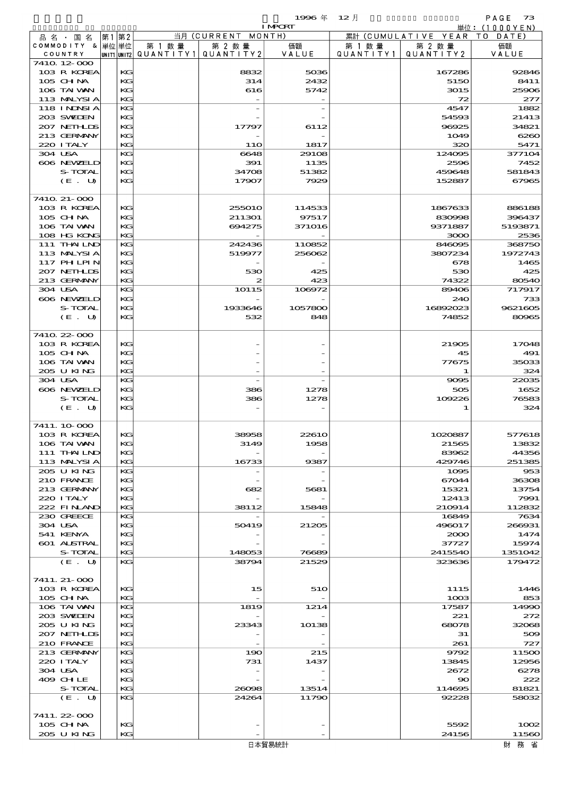| <b>I MPORT</b><br>当月 (CURRENT MONTH)<br>累計 (CUMULATIVE YEAR TO DATE)<br> 第1 第2 <br>品名・国名<br>COMMODITY & 単位単位<br>第 1 数量<br>第 2 数量<br>価額<br>第 1 数 量<br> unit1 unit2  QUANT   TY1  QUANT   TY2<br>VALUE<br>QUANTITY1<br>COUNTRY<br>7410 12 000<br>103 R KOREA<br>KG<br>8832<br>5036<br>105 CHNA<br>KG<br>314<br>2432<br>106 TAI VAN<br>KG<br>616<br>5742<br>KG<br>113 MALYSIA<br><b>118 INDSIA</b><br>KG<br>203 SWIDEN<br>KG<br>207 NETHLIS<br>KG<br>17797<br>6112<br>KG<br>213 GERMANY<br>220 I TALY<br>KG<br><b>11O</b><br>1817<br>304 USA<br>KG<br>6648<br>29108<br>606 NEWELD<br>KG<br>391<br>1135<br>S-TOTAL<br>KG<br>34708<br>51382<br>KG<br>$(E_U U)$<br>17907<br>7929<br>7410 21-000<br>103 R KOREA<br>KG<br>255010<br>114533<br>105 CHNA<br>KG<br>211301<br>97517<br>KG<br>106 TAI WAN<br>694275<br>371016<br>108 HG KONG<br>KG<br>111 THAILND<br>KG<br>242436<br>110852<br>113 MALYSIA<br>KG<br>519977<br>256062<br>117 PH LPIN<br>KG<br>207 NETHLIS<br>KG<br>530<br>425<br>213 GERMANY<br>KG<br>423<br>2<br>304 USA<br>KG<br>10115<br>106972<br>606 NEWELD<br>KG<br>S-TOTAL<br>KG<br>1933646<br>1057800<br>KG<br>$(E_U U)$<br>532<br>848<br>7410 22 000<br>103 R KOREA<br>KG<br>105 CHNA<br>KG<br>KG<br>106 TAI WAN<br>205 U KING<br>KG<br>304 USA<br>KG<br>606 NEWELD<br>KG<br>386<br>1278<br>S-TOTAL<br>KG<br>386<br>1278<br>KG<br>(E. U)<br>7411.10.000<br>103 R KOREA<br>KG<br>38958<br>22610<br>106 TAI VAN<br>KG<br>3149<br>1958<br>111 THAILND<br>KG<br>113 MALYSIA<br>KG<br>16733<br>9387<br>205 U KING<br>KG<br>210 FRANCE<br>KG<br>KG<br>213 GERMANY<br>682<br>5681<br>220 I TALY<br>KG<br>222 FINAND<br>KG<br>38112<br>15848<br>230 GREECE<br>KG | 第 2 数量<br>QUANTITY 2<br>167286<br>5150<br>3015<br>72<br>4547<br>54593<br>96925<br>1049<br>320<br>124005<br>2596<br>459648<br>152887 | 単位:(1000YEN)<br>価額<br>VALUE<br>92846<br>8411<br>25906<br>277<br>1882<br>21413<br>34821<br>626C<br>5471 |
|---------------------------------------------------------------------------------------------------------------------------------------------------------------------------------------------------------------------------------------------------------------------------------------------------------------------------------------------------------------------------------------------------------------------------------------------------------------------------------------------------------------------------------------------------------------------------------------------------------------------------------------------------------------------------------------------------------------------------------------------------------------------------------------------------------------------------------------------------------------------------------------------------------------------------------------------------------------------------------------------------------------------------------------------------------------------------------------------------------------------------------------------------------------------------------------------------------------------------------------------------------------------------------------------------------------------------------------------------------------------------------------------------------------------------------------------------------------------------------------------------------------------------------------------------------------------------------------------------------------------------------------------------------------------|-------------------------------------------------------------------------------------------------------------------------------------|--------------------------------------------------------------------------------------------------------|
|                                                                                                                                                                                                                                                                                                                                                                                                                                                                                                                                                                                                                                                                                                                                                                                                                                                                                                                                                                                                                                                                                                                                                                                                                                                                                                                                                                                                                                                                                                                                                                                                                                                                     |                                                                                                                                     |                                                                                                        |
|                                                                                                                                                                                                                                                                                                                                                                                                                                                                                                                                                                                                                                                                                                                                                                                                                                                                                                                                                                                                                                                                                                                                                                                                                                                                                                                                                                                                                                                                                                                                                                                                                                                                     |                                                                                                                                     |                                                                                                        |
|                                                                                                                                                                                                                                                                                                                                                                                                                                                                                                                                                                                                                                                                                                                                                                                                                                                                                                                                                                                                                                                                                                                                                                                                                                                                                                                                                                                                                                                                                                                                                                                                                                                                     |                                                                                                                                     |                                                                                                        |
|                                                                                                                                                                                                                                                                                                                                                                                                                                                                                                                                                                                                                                                                                                                                                                                                                                                                                                                                                                                                                                                                                                                                                                                                                                                                                                                                                                                                                                                                                                                                                                                                                                                                     |                                                                                                                                     |                                                                                                        |
|                                                                                                                                                                                                                                                                                                                                                                                                                                                                                                                                                                                                                                                                                                                                                                                                                                                                                                                                                                                                                                                                                                                                                                                                                                                                                                                                                                                                                                                                                                                                                                                                                                                                     |                                                                                                                                     |                                                                                                        |
|                                                                                                                                                                                                                                                                                                                                                                                                                                                                                                                                                                                                                                                                                                                                                                                                                                                                                                                                                                                                                                                                                                                                                                                                                                                                                                                                                                                                                                                                                                                                                                                                                                                                     |                                                                                                                                     |                                                                                                        |
|                                                                                                                                                                                                                                                                                                                                                                                                                                                                                                                                                                                                                                                                                                                                                                                                                                                                                                                                                                                                                                                                                                                                                                                                                                                                                                                                                                                                                                                                                                                                                                                                                                                                     |                                                                                                                                     |                                                                                                        |
|                                                                                                                                                                                                                                                                                                                                                                                                                                                                                                                                                                                                                                                                                                                                                                                                                                                                                                                                                                                                                                                                                                                                                                                                                                                                                                                                                                                                                                                                                                                                                                                                                                                                     |                                                                                                                                     |                                                                                                        |
|                                                                                                                                                                                                                                                                                                                                                                                                                                                                                                                                                                                                                                                                                                                                                                                                                                                                                                                                                                                                                                                                                                                                                                                                                                                                                                                                                                                                                                                                                                                                                                                                                                                                     |                                                                                                                                     |                                                                                                        |
|                                                                                                                                                                                                                                                                                                                                                                                                                                                                                                                                                                                                                                                                                                                                                                                                                                                                                                                                                                                                                                                                                                                                                                                                                                                                                                                                                                                                                                                                                                                                                                                                                                                                     |                                                                                                                                     |                                                                                                        |
|                                                                                                                                                                                                                                                                                                                                                                                                                                                                                                                                                                                                                                                                                                                                                                                                                                                                                                                                                                                                                                                                                                                                                                                                                                                                                                                                                                                                                                                                                                                                                                                                                                                                     |                                                                                                                                     |                                                                                                        |
|                                                                                                                                                                                                                                                                                                                                                                                                                                                                                                                                                                                                                                                                                                                                                                                                                                                                                                                                                                                                                                                                                                                                                                                                                                                                                                                                                                                                                                                                                                                                                                                                                                                                     |                                                                                                                                     |                                                                                                        |
|                                                                                                                                                                                                                                                                                                                                                                                                                                                                                                                                                                                                                                                                                                                                                                                                                                                                                                                                                                                                                                                                                                                                                                                                                                                                                                                                                                                                                                                                                                                                                                                                                                                                     |                                                                                                                                     |                                                                                                        |
|                                                                                                                                                                                                                                                                                                                                                                                                                                                                                                                                                                                                                                                                                                                                                                                                                                                                                                                                                                                                                                                                                                                                                                                                                                                                                                                                                                                                                                                                                                                                                                                                                                                                     |                                                                                                                                     | 377104<br>7452                                                                                         |
|                                                                                                                                                                                                                                                                                                                                                                                                                                                                                                                                                                                                                                                                                                                                                                                                                                                                                                                                                                                                                                                                                                                                                                                                                                                                                                                                                                                                                                                                                                                                                                                                                                                                     |                                                                                                                                     | 581843                                                                                                 |
|                                                                                                                                                                                                                                                                                                                                                                                                                                                                                                                                                                                                                                                                                                                                                                                                                                                                                                                                                                                                                                                                                                                                                                                                                                                                                                                                                                                                                                                                                                                                                                                                                                                                     |                                                                                                                                     | 67965                                                                                                  |
|                                                                                                                                                                                                                                                                                                                                                                                                                                                                                                                                                                                                                                                                                                                                                                                                                                                                                                                                                                                                                                                                                                                                                                                                                                                                                                                                                                                                                                                                                                                                                                                                                                                                     |                                                                                                                                     |                                                                                                        |
|                                                                                                                                                                                                                                                                                                                                                                                                                                                                                                                                                                                                                                                                                                                                                                                                                                                                                                                                                                                                                                                                                                                                                                                                                                                                                                                                                                                                                                                                                                                                                                                                                                                                     |                                                                                                                                     |                                                                                                        |
|                                                                                                                                                                                                                                                                                                                                                                                                                                                                                                                                                                                                                                                                                                                                                                                                                                                                                                                                                                                                                                                                                                                                                                                                                                                                                                                                                                                                                                                                                                                                                                                                                                                                     | 1867633                                                                                                                             | 886188                                                                                                 |
|                                                                                                                                                                                                                                                                                                                                                                                                                                                                                                                                                                                                                                                                                                                                                                                                                                                                                                                                                                                                                                                                                                                                                                                                                                                                                                                                                                                                                                                                                                                                                                                                                                                                     | 830998                                                                                                                              | 396437                                                                                                 |
|                                                                                                                                                                                                                                                                                                                                                                                                                                                                                                                                                                                                                                                                                                                                                                                                                                                                                                                                                                                                                                                                                                                                                                                                                                                                                                                                                                                                                                                                                                                                                                                                                                                                     | 9371887                                                                                                                             | 5193871                                                                                                |
|                                                                                                                                                                                                                                                                                                                                                                                                                                                                                                                                                                                                                                                                                                                                                                                                                                                                                                                                                                                                                                                                                                                                                                                                                                                                                                                                                                                                                                                                                                                                                                                                                                                                     | 3000                                                                                                                                | 2536                                                                                                   |
|                                                                                                                                                                                                                                                                                                                                                                                                                                                                                                                                                                                                                                                                                                                                                                                                                                                                                                                                                                                                                                                                                                                                                                                                                                                                                                                                                                                                                                                                                                                                                                                                                                                                     | 846095                                                                                                                              | 36875C                                                                                                 |
|                                                                                                                                                                                                                                                                                                                                                                                                                                                                                                                                                                                                                                                                                                                                                                                                                                                                                                                                                                                                                                                                                                                                                                                                                                                                                                                                                                                                                                                                                                                                                                                                                                                                     | 3807234                                                                                                                             | 1972743                                                                                                |
|                                                                                                                                                                                                                                                                                                                                                                                                                                                                                                                                                                                                                                                                                                                                                                                                                                                                                                                                                                                                                                                                                                                                                                                                                                                                                                                                                                                                                                                                                                                                                                                                                                                                     | 678                                                                                                                                 | 1465                                                                                                   |
|                                                                                                                                                                                                                                                                                                                                                                                                                                                                                                                                                                                                                                                                                                                                                                                                                                                                                                                                                                                                                                                                                                                                                                                                                                                                                                                                                                                                                                                                                                                                                                                                                                                                     | 530                                                                                                                                 | 425                                                                                                    |
|                                                                                                                                                                                                                                                                                                                                                                                                                                                                                                                                                                                                                                                                                                                                                                                                                                                                                                                                                                                                                                                                                                                                                                                                                                                                                                                                                                                                                                                                                                                                                                                                                                                                     | 74322                                                                                                                               | 8054C                                                                                                  |
|                                                                                                                                                                                                                                                                                                                                                                                                                                                                                                                                                                                                                                                                                                                                                                                                                                                                                                                                                                                                                                                                                                                                                                                                                                                                                                                                                                                                                                                                                                                                                                                                                                                                     | 89406                                                                                                                               | 717917                                                                                                 |
|                                                                                                                                                                                                                                                                                                                                                                                                                                                                                                                                                                                                                                                                                                                                                                                                                                                                                                                                                                                                                                                                                                                                                                                                                                                                                                                                                                                                                                                                                                                                                                                                                                                                     | 240                                                                                                                                 | 733                                                                                                    |
|                                                                                                                                                                                                                                                                                                                                                                                                                                                                                                                                                                                                                                                                                                                                                                                                                                                                                                                                                                                                                                                                                                                                                                                                                                                                                                                                                                                                                                                                                                                                                                                                                                                                     | 16892023                                                                                                                            | 9621605                                                                                                |
|                                                                                                                                                                                                                                                                                                                                                                                                                                                                                                                                                                                                                                                                                                                                                                                                                                                                                                                                                                                                                                                                                                                                                                                                                                                                                                                                                                                                                                                                                                                                                                                                                                                                     | 74852                                                                                                                               | 80965                                                                                                  |
|                                                                                                                                                                                                                                                                                                                                                                                                                                                                                                                                                                                                                                                                                                                                                                                                                                                                                                                                                                                                                                                                                                                                                                                                                                                                                                                                                                                                                                                                                                                                                                                                                                                                     |                                                                                                                                     |                                                                                                        |
|                                                                                                                                                                                                                                                                                                                                                                                                                                                                                                                                                                                                                                                                                                                                                                                                                                                                                                                                                                                                                                                                                                                                                                                                                                                                                                                                                                                                                                                                                                                                                                                                                                                                     |                                                                                                                                     |                                                                                                        |
|                                                                                                                                                                                                                                                                                                                                                                                                                                                                                                                                                                                                                                                                                                                                                                                                                                                                                                                                                                                                                                                                                                                                                                                                                                                                                                                                                                                                                                                                                                                                                                                                                                                                     | 21905<br>45                                                                                                                         | 17048<br>491                                                                                           |
|                                                                                                                                                                                                                                                                                                                                                                                                                                                                                                                                                                                                                                                                                                                                                                                                                                                                                                                                                                                                                                                                                                                                                                                                                                                                                                                                                                                                                                                                                                                                                                                                                                                                     | 77675                                                                                                                               | 35033                                                                                                  |
|                                                                                                                                                                                                                                                                                                                                                                                                                                                                                                                                                                                                                                                                                                                                                                                                                                                                                                                                                                                                                                                                                                                                                                                                                                                                                                                                                                                                                                                                                                                                                                                                                                                                     | 1                                                                                                                                   | 324                                                                                                    |
|                                                                                                                                                                                                                                                                                                                                                                                                                                                                                                                                                                                                                                                                                                                                                                                                                                                                                                                                                                                                                                                                                                                                                                                                                                                                                                                                                                                                                                                                                                                                                                                                                                                                     | 9095                                                                                                                                | 22035                                                                                                  |
|                                                                                                                                                                                                                                                                                                                                                                                                                                                                                                                                                                                                                                                                                                                                                                                                                                                                                                                                                                                                                                                                                                                                                                                                                                                                                                                                                                                                                                                                                                                                                                                                                                                                     | 505                                                                                                                                 | 1652                                                                                                   |
|                                                                                                                                                                                                                                                                                                                                                                                                                                                                                                                                                                                                                                                                                                                                                                                                                                                                                                                                                                                                                                                                                                                                                                                                                                                                                                                                                                                                                                                                                                                                                                                                                                                                     | 109226                                                                                                                              | 76583                                                                                                  |
|                                                                                                                                                                                                                                                                                                                                                                                                                                                                                                                                                                                                                                                                                                                                                                                                                                                                                                                                                                                                                                                                                                                                                                                                                                                                                                                                                                                                                                                                                                                                                                                                                                                                     | 1                                                                                                                                   | 324                                                                                                    |
|                                                                                                                                                                                                                                                                                                                                                                                                                                                                                                                                                                                                                                                                                                                                                                                                                                                                                                                                                                                                                                                                                                                                                                                                                                                                                                                                                                                                                                                                                                                                                                                                                                                                     |                                                                                                                                     |                                                                                                        |
|                                                                                                                                                                                                                                                                                                                                                                                                                                                                                                                                                                                                                                                                                                                                                                                                                                                                                                                                                                                                                                                                                                                                                                                                                                                                                                                                                                                                                                                                                                                                                                                                                                                                     |                                                                                                                                     |                                                                                                        |
|                                                                                                                                                                                                                                                                                                                                                                                                                                                                                                                                                                                                                                                                                                                                                                                                                                                                                                                                                                                                                                                                                                                                                                                                                                                                                                                                                                                                                                                                                                                                                                                                                                                                     | 1020887                                                                                                                             | 577618                                                                                                 |
|                                                                                                                                                                                                                                                                                                                                                                                                                                                                                                                                                                                                                                                                                                                                                                                                                                                                                                                                                                                                                                                                                                                                                                                                                                                                                                                                                                                                                                                                                                                                                                                                                                                                     | 21565                                                                                                                               | 13832                                                                                                  |
|                                                                                                                                                                                                                                                                                                                                                                                                                                                                                                                                                                                                                                                                                                                                                                                                                                                                                                                                                                                                                                                                                                                                                                                                                                                                                                                                                                                                                                                                                                                                                                                                                                                                     | 83962                                                                                                                               | 44356                                                                                                  |
|                                                                                                                                                                                                                                                                                                                                                                                                                                                                                                                                                                                                                                                                                                                                                                                                                                                                                                                                                                                                                                                                                                                                                                                                                                                                                                                                                                                                                                                                                                                                                                                                                                                                     | 429746                                                                                                                              | 251385                                                                                                 |
|                                                                                                                                                                                                                                                                                                                                                                                                                                                                                                                                                                                                                                                                                                                                                                                                                                                                                                                                                                                                                                                                                                                                                                                                                                                                                                                                                                                                                                                                                                                                                                                                                                                                     | 1095                                                                                                                                | 953                                                                                                    |
|                                                                                                                                                                                                                                                                                                                                                                                                                                                                                                                                                                                                                                                                                                                                                                                                                                                                                                                                                                                                                                                                                                                                                                                                                                                                                                                                                                                                                                                                                                                                                                                                                                                                     | 67044                                                                                                                               | 36308                                                                                                  |
|                                                                                                                                                                                                                                                                                                                                                                                                                                                                                                                                                                                                                                                                                                                                                                                                                                                                                                                                                                                                                                                                                                                                                                                                                                                                                                                                                                                                                                                                                                                                                                                                                                                                     | 15321                                                                                                                               | 13754                                                                                                  |
|                                                                                                                                                                                                                                                                                                                                                                                                                                                                                                                                                                                                                                                                                                                                                                                                                                                                                                                                                                                                                                                                                                                                                                                                                                                                                                                                                                                                                                                                                                                                                                                                                                                                     | 12413                                                                                                                               | 7991                                                                                                   |
|                                                                                                                                                                                                                                                                                                                                                                                                                                                                                                                                                                                                                                                                                                                                                                                                                                                                                                                                                                                                                                                                                                                                                                                                                                                                                                                                                                                                                                                                                                                                                                                                                                                                     | 210914                                                                                                                              | 112832                                                                                                 |
|                                                                                                                                                                                                                                                                                                                                                                                                                                                                                                                                                                                                                                                                                                                                                                                                                                                                                                                                                                                                                                                                                                                                                                                                                                                                                                                                                                                                                                                                                                                                                                                                                                                                     | 16849                                                                                                                               | 7634                                                                                                   |
| 304 USA<br>KG<br>50419<br>21205                                                                                                                                                                                                                                                                                                                                                                                                                                                                                                                                                                                                                                                                                                                                                                                                                                                                                                                                                                                                                                                                                                                                                                                                                                                                                                                                                                                                                                                                                                                                                                                                                                     | 496017                                                                                                                              | 266931                                                                                                 |
| 541 KENYA<br>KG                                                                                                                                                                                                                                                                                                                                                                                                                                                                                                                                                                                                                                                                                                                                                                                                                                                                                                                                                                                                                                                                                                                                                                                                                                                                                                                                                                                                                                                                                                                                                                                                                                                     | 2000                                                                                                                                | 1474                                                                                                   |
| 601 ALSTRAL<br>KG<br>S-TOTAL<br>KG<br>148053<br>76689                                                                                                                                                                                                                                                                                                                                                                                                                                                                                                                                                                                                                                                                                                                                                                                                                                                                                                                                                                                                                                                                                                                                                                                                                                                                                                                                                                                                                                                                                                                                                                                                               | 37727<br>2415540                                                                                                                    | 15974<br>1351042                                                                                       |
| (E. U)<br>KG<br>38794<br>21529                                                                                                                                                                                                                                                                                                                                                                                                                                                                                                                                                                                                                                                                                                                                                                                                                                                                                                                                                                                                                                                                                                                                                                                                                                                                                                                                                                                                                                                                                                                                                                                                                                      | 323636                                                                                                                              | 179472                                                                                                 |
|                                                                                                                                                                                                                                                                                                                                                                                                                                                                                                                                                                                                                                                                                                                                                                                                                                                                                                                                                                                                                                                                                                                                                                                                                                                                                                                                                                                                                                                                                                                                                                                                                                                                     |                                                                                                                                     |                                                                                                        |
| 7411. 21-000                                                                                                                                                                                                                                                                                                                                                                                                                                                                                                                                                                                                                                                                                                                                                                                                                                                                                                                                                                                                                                                                                                                                                                                                                                                                                                                                                                                                                                                                                                                                                                                                                                                        |                                                                                                                                     |                                                                                                        |
| 103 R KOREA<br>KC<br>510<br>15 <sup>2</sup>                                                                                                                                                                                                                                                                                                                                                                                                                                                                                                                                                                                                                                                                                                                                                                                                                                                                                                                                                                                                                                                                                                                                                                                                                                                                                                                                                                                                                                                                                                                                                                                                                         | 1115                                                                                                                                | 1446                                                                                                   |
| 105 CH NA<br>KG                                                                                                                                                                                                                                                                                                                                                                                                                                                                                                                                                                                                                                                                                                                                                                                                                                                                                                                                                                                                                                                                                                                                                                                                                                                                                                                                                                                                                                                                                                                                                                                                                                                     | 1003                                                                                                                                | 853                                                                                                    |
| 106 TAI WAN<br>KG<br>1819<br>1214                                                                                                                                                                                                                                                                                                                                                                                                                                                                                                                                                                                                                                                                                                                                                                                                                                                                                                                                                                                                                                                                                                                                                                                                                                                                                                                                                                                                                                                                                                                                                                                                                                   | 17587                                                                                                                               | 1499C                                                                                                  |
| 203 SWIDEN<br>KG                                                                                                                                                                                                                                                                                                                                                                                                                                                                                                                                                                                                                                                                                                                                                                                                                                                                                                                                                                                                                                                                                                                                                                                                                                                                                                                                                                                                                                                                                                                                                                                                                                                    | 221                                                                                                                                 | 272                                                                                                    |
| 205 U KING<br>KG<br>23343<br>10138                                                                                                                                                                                                                                                                                                                                                                                                                                                                                                                                                                                                                                                                                                                                                                                                                                                                                                                                                                                                                                                                                                                                                                                                                                                                                                                                                                                                                                                                                                                                                                                                                                  | 68078                                                                                                                               | 32068                                                                                                  |
| 207 NETHLIS<br>KG                                                                                                                                                                                                                                                                                                                                                                                                                                                                                                                                                                                                                                                                                                                                                                                                                                                                                                                                                                                                                                                                                                                                                                                                                                                                                                                                                                                                                                                                                                                                                                                                                                                   | 31                                                                                                                                  | 500                                                                                                    |
| 210 FRANCE<br>KG                                                                                                                                                                                                                                                                                                                                                                                                                                                                                                                                                                                                                                                                                                                                                                                                                                                                                                                                                                                                                                                                                                                                                                                                                                                                                                                                                                                                                                                                                                                                                                                                                                                    | 261                                                                                                                                 | 727                                                                                                    |
| KG<br>213 GERMANY<br>190<br>215                                                                                                                                                                                                                                                                                                                                                                                                                                                                                                                                                                                                                                                                                                                                                                                                                                                                                                                                                                                                                                                                                                                                                                                                                                                                                                                                                                                                                                                                                                                                                                                                                                     | 9792                                                                                                                                | 115OC                                                                                                  |
| 220 I TALY<br>KG<br>731<br>1437                                                                                                                                                                                                                                                                                                                                                                                                                                                                                                                                                                                                                                                                                                                                                                                                                                                                                                                                                                                                                                                                                                                                                                                                                                                                                                                                                                                                                                                                                                                                                                                                                                     | 13845                                                                                                                               | 12956                                                                                                  |
| 304 USA<br>KG                                                                                                                                                                                                                                                                                                                                                                                                                                                                                                                                                                                                                                                                                                                                                                                                                                                                                                                                                                                                                                                                                                                                                                                                                                                                                                                                                                                                                                                                                                                                                                                                                                                       | 2672                                                                                                                                | 6278                                                                                                   |
| 409 CHLE<br>KG                                                                                                                                                                                                                                                                                                                                                                                                                                                                                                                                                                                                                                                                                                                                                                                                                                                                                                                                                                                                                                                                                                                                                                                                                                                                                                                                                                                                                                                                                                                                                                                                                                                      | $\infty$                                                                                                                            | 222                                                                                                    |
| S-TOTAL<br>KG<br>26098<br>13514                                                                                                                                                                                                                                                                                                                                                                                                                                                                                                                                                                                                                                                                                                                                                                                                                                                                                                                                                                                                                                                                                                                                                                                                                                                                                                                                                                                                                                                                                                                                                                                                                                     | 114695                                                                                                                              | 81821                                                                                                  |
| (E. U)<br>KG<br>24264<br>11790                                                                                                                                                                                                                                                                                                                                                                                                                                                                                                                                                                                                                                                                                                                                                                                                                                                                                                                                                                                                                                                                                                                                                                                                                                                                                                                                                                                                                                                                                                                                                                                                                                      |                                                                                                                                     | 58032                                                                                                  |
|                                                                                                                                                                                                                                                                                                                                                                                                                                                                                                                                                                                                                                                                                                                                                                                                                                                                                                                                                                                                                                                                                                                                                                                                                                                                                                                                                                                                                                                                                                                                                                                                                                                                     | 92228                                                                                                                               |                                                                                                        |
| 7411.22-000<br>105 CH NA<br>KC                                                                                                                                                                                                                                                                                                                                                                                                                                                                                                                                                                                                                                                                                                                                                                                                                                                                                                                                                                                                                                                                                                                                                                                                                                                                                                                                                                                                                                                                                                                                                                                                                                      |                                                                                                                                     |                                                                                                        |
| 205 U KING<br>KC                                                                                                                                                                                                                                                                                                                                                                                                                                                                                                                                                                                                                                                                                                                                                                                                                                                                                                                                                                                                                                                                                                                                                                                                                                                                                                                                                                                                                                                                                                                                                                                                                                                    | 5592                                                                                                                                | 1002                                                                                                   |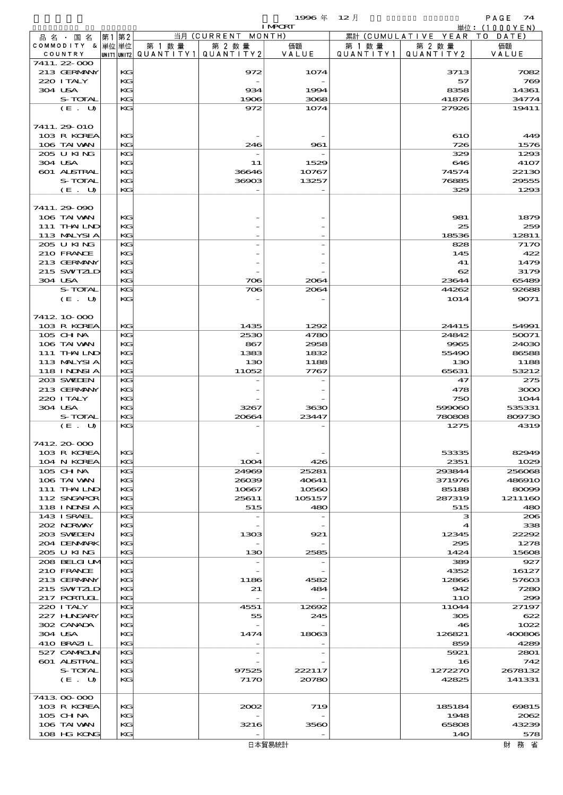|                            |    |          |                        |                          | 1996年          | $12$ 月    |                     | PAGE<br>74                     |
|----------------------------|----|----------|------------------------|--------------------------|----------------|-----------|---------------------|--------------------------------|
| 品 名 ・ 国 名                  | 第1 | 第2       |                        | 当月 (CURRENT MONTH)       | <b>I MPCRT</b> |           | 累計 (CUMULATIVE YEAR | 単位: $(1000YEN)$<br>T O<br>DATE |
| COMMODITY & 単位単位           |    |          | 第 1 数 量                | 第 2 数 量                  | 価額             | 第 1 数 量   | 第 2 数量              | 価額                             |
| COUNTRY                    |    |          | UNIT1 UNIT2 QUANTITY 1 | QUANTITY2                | VALUE          | QUANTITY1 | QUANTITY2           | VALUE                          |
| 7411.22-000                |    |          |                        |                          |                |           |                     |                                |
| 213 GERMANY<br>220 I TALY  |    | KG<br>KG |                        | 972                      | 1074           |           | 3713<br>57          | 7082<br>769                    |
| 304 USA                    |    | KG       |                        | 934                      | 1994           |           | 8358                | 14361                          |
| S-TOTAL                    |    | KG       |                        | 1906                     | 3068           |           | 41876               | 34774                          |
| (E. U)                     |    | KG       |                        | 972                      | 1074           |           | 27926               | 19411                          |
|                            |    |          |                        |                          |                |           |                     |                                |
| 7411.29 010<br>103 R KOREA |    | КG       |                        |                          |                |           | 610                 | 449                            |
| 106 TAI VAN                |    | KG       |                        | 246                      | 961            |           | 726                 | 1576                           |
| 205 U KING                 |    | KG       |                        |                          |                |           | 329                 | 1293                           |
| 304 USA                    |    | KG       |                        | 11                       | 1529           |           | 646                 | 4107                           |
| <b>601 ALSTRAL</b>         |    | KG       |                        | 36646                    | 10767          |           | 74574               | 22130                          |
| S-TOTAL<br>(E. U)          |    | KG<br>KG |                        | 36903                    | 13257          |           | 76885<br>329        | 29555<br>1293                  |
|                            |    |          |                        |                          |                |           |                     |                                |
| 7411.29-090                |    |          |                        |                          |                |           |                     |                                |
| 106 TAI WAN                |    | KG       |                        |                          |                |           | 981                 | 1879                           |
| 111 THAILND                |    | КG       |                        |                          |                |           | 25                  | 259                            |
| 113 MALYSIA<br>205 U KING  |    | KG<br>KG |                        |                          |                |           | 18536<br>828        | 12811<br>7170                  |
| 210 FRANCE                 |    | KG       |                        |                          |                |           | 145                 | 422                            |
| 213 GERMANY                |    | KG       |                        |                          |                |           | 41                  | 1479                           |
| 215 SWIZLD                 |    | KG       |                        |                          |                |           | 62                  | 3179                           |
| 304 USA                    |    | KG       |                        | 706                      | 2064           |           | 23644               | 65489                          |
| S-TOTAL                    |    | KG       |                        | 706                      | 2064           |           | 44262               | 92688                          |
| (E. U)                     |    | KG       |                        |                          |                |           | 1014                | 9071                           |
| 7412 10 000                |    |          |                        |                          |                |           |                     |                                |
| 103 R KOREA                |    | KG       |                        | 1435                     | 1292           |           | 24415               | 54991                          |
| 105 CHNA                   |    | KG       |                        | 2530                     | 4780           |           | 24842               | 50071                          |
| 106 TAI VAN                |    | KG       |                        | 867                      | 2958           |           | 9965                | 24030                          |
| 111 THAILND<br>113 MALYSIA |    | KG<br>КG |                        | 1383<br>130              | 1832<br>1188   |           | 55490<br>130        | 86588<br>1188                  |
| 118 I NJNSI A              |    | KG       |                        | 11052                    | 7767           |           | 65631               | 53212                          |
| 203 SWIEN                  |    | KG       |                        |                          |                |           | 47                  | 275                            |
| 213 GERMANY                |    | KG       |                        |                          |                |           | 478                 | 3000                           |
| 220 I TALY                 |    | KG       |                        |                          |                |           | 750                 | 1044                           |
| 304 USA<br>S-TOTAL         |    | KG<br>KG |                        | 3267<br>20664            | 3630<br>23447  |           | 599060<br>780808    | 535331<br>809730               |
| (E. U)                     |    | KG       |                        |                          |                |           | 1275                | 4319                           |
|                            |    |          |                        |                          |                |           |                     |                                |
| 7412 20 000                |    |          |                        |                          |                |           |                     |                                |
| 103 R KOREA                |    | KG       |                        |                          |                |           | 53335               | 82949                          |
| 104 N KOREA<br>105 CH NA   |    | KG<br>KG |                        | 1004<br>24969            | 426<br>25281   |           | 2351<br>293844      | 1029<br>256068                 |
| 106 TAI VAN                |    | KG       |                        | 26039                    | 40641          |           | 371976              | 486910                         |
| 111 THAILND                |    | KG       |                        | 10667                    | 10560          |           | 85188               | 80099                          |
| 112 SNGAPOR                |    | KG       |                        | 25611                    | 105157         |           | 287319              | 1211160                        |
| <b>118 INNSIA</b>          |    | KG       |                        | 515                      | 480            |           | 515                 | 480                            |
| 143 ISRAEL                 |    | KG       |                        | $\overline{\phantom{a}}$ |                |           | з                   | 206                            |
| 202 NORWAY<br>203 SWIDEN   |    | KG<br>KG |                        | 1303                     | 921            |           | 4<br>12345          | 338<br>22292                   |
| 204 DENMARK                |    | KG       |                        |                          |                |           | 295                 | 1278                           |
| 205 U KING                 |    | KG       |                        | 130                      | 2585           |           | 1424                | 15608                          |
| 208 BELGI UM               |    | KG       |                        |                          |                |           | 389                 | 927                            |
| 210 FRANCE                 |    | KG       |                        |                          |                |           | 4352                | 16127                          |
| 213 GERMANY<br>215 SWIZLD  |    | KG<br>KG |                        | 1186<br>21               | 4582<br>484    |           | 12866<br>942        | 57603<br>7280                  |
| 217 PORTUGL                |    | KG       |                        | $\sim$                   |                |           | 11O                 | 299                            |
| 220 I TALY                 |    | KG       |                        | 4551                     | 12692          |           | 11044               | 27197                          |
| 227 HNGARY                 |    | KG       |                        | 55                       | 245            |           | 305                 | 622                            |
| 302 CANADA                 |    | KG       |                        |                          |                |           | 46                  | 1022                           |
| 304 USA<br>410 BRAZIL      |    | KG<br>KG |                        | 1474                     | 18063          |           | 126821<br>859       | 400806<br>4289                 |
| 527 CAMROLN                |    | KG       |                        | $\overline{\phantom{a}}$ |                |           | 5921                | 2801                           |
| <b>601 ALSTRAL</b>         |    | KG       |                        |                          |                |           | 16                  | 742                            |
| S-TOTAL                    |    | KG       |                        | 97525                    | 222117         |           | 1272270             | 2678132                        |
| (E. U)                     |    | КG       |                        | 7170                     | 20780          |           | 42825               | 141331                         |
| 7413 00 000                |    |          |                        |                          |                |           |                     |                                |
| 103 R KOREA                |    | КG       |                        | 2002                     | 719            |           | 185184              | 69815                          |
| 105 CHNA                   |    | KG       |                        |                          |                |           | 1948                | 2062                           |
| 106 TAI VAN                |    | KG       |                        | 3216                     | 3560           |           | 65808               | 43239                          |
| 108 HG KONG                |    | KG       |                        |                          |                |           | 140                 | 578                            |

財務省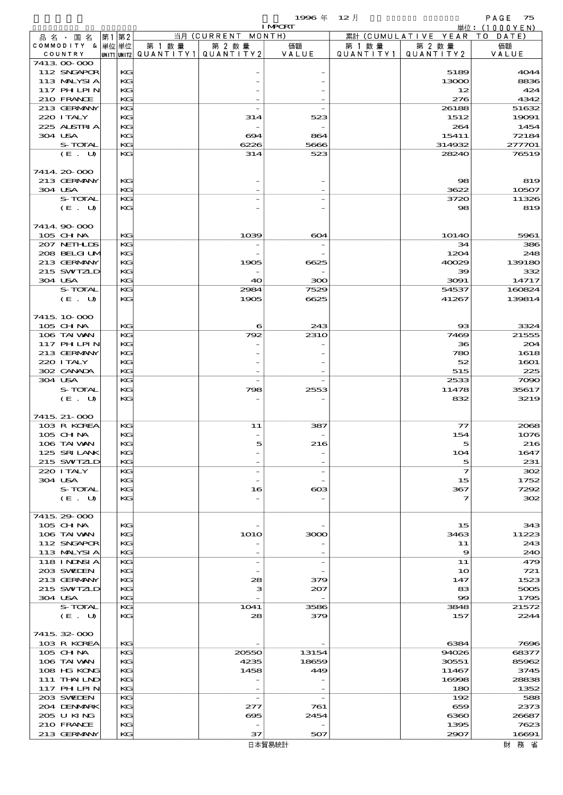$1996 \& 12 \cancel{1}$ 

|                             |      |          |        |                                                  | <b>I MPORT</b> |                     |                              | 単位: (1000YEN)  |
|-----------------------------|------|----------|--------|--------------------------------------------------|----------------|---------------------|------------------------------|----------------|
| 品名・国名                       | 第1第2 |          |        | 当月 (CURRENT MONTH)                               |                |                     | 累計 (CUMULATIVE YEAR TO DATE) |                |
| COMMODITY & 単位単位<br>COUNTRY |      |          | 第 1 数量 | 第 2 数量<br> UNIT1 UNIT2  QUANT   TY1  QUANT   TY2 | 価額<br>VALUE    | 第 1 数量<br>QUANTITY1 | 第 2 数量<br>QUANTITY 2         | 価額<br>VALUE    |
| 7413 00 000                 |      |          |        |                                                  |                |                     |                              |                |
| 112 SNGAPOR                 |      | KG       |        |                                                  |                |                     | 5189                         | 4044           |
| 113 MALYSIA                 |      | KG       |        |                                                  |                |                     | 13000                        | 8836           |
| 117 PH LPIN                 |      | KG       |        |                                                  |                |                     | 12                           | 424            |
| 210 FRANCE                  |      | KG       |        |                                                  |                |                     | 276                          | 4342           |
| 213 GERMANY<br>220 I TALY   |      | KG<br>KG |        | 314                                              | 523            |                     | 26188<br>1512                | 51632<br>19091 |
| 225 ALSTRIA                 |      | KG       |        |                                                  |                |                     | 264                          | 1454           |
| 304 USA                     |      | KG       |        | 694                                              | 864            |                     | 15411                        | 72184          |
| S-TOTAL                     |      | KG       |        | 6226                                             | 5666           |                     | 314932                       | 277701         |
| (E. U)                      |      | KG       |        | 314                                              | 523            |                     | 28240                        | 76519          |
|                             |      |          |        |                                                  |                |                     |                              |                |
| 7414 20 000                 |      |          |        |                                                  |                |                     |                              |                |
| 213 GERMANY<br>304 USA      |      | KG<br>KG |        |                                                  |                |                     | 98<br>3622                   | 819<br>10507   |
| S-TOTAL                     |      | KG       |        |                                                  |                |                     | 3720                         | 11326          |
| (E. U)                      |      | KG       |        |                                                  |                |                     | 98                           | 819            |
|                             |      |          |        |                                                  |                |                     |                              |                |
| 7414 90 000                 |      |          |        |                                                  |                |                     |                              |                |
| 105 CH NA                   |      | KG       |        | 1039                                             | 604            |                     | 1014O                        | 5961           |
| 207 NETHLIS                 |      | KG       |        |                                                  |                |                     | 34                           | 386            |
| 208 BELGI UM                |      | KG       |        |                                                  |                |                     | 1204                         | 248            |
| 213 GERMANY                 |      | KG       |        | 1905                                             | 6625           |                     | 40029                        | 139180         |
| 215 SWIZLD<br>304 USA       |      | KG<br>KG |        | 40                                               | 300            |                     | 39<br>3091                   | 332<br>14717   |
| S-TOTAL                     |      | KG       |        | 2984                                             | 7529           |                     | 54537                        | 160824         |
| (E. U)                      |      | KG       |        | 1905                                             | 6625           |                     | 41267                        | 139814         |
|                             |      |          |        |                                                  |                |                     |                              |                |
| 7415 10 000                 |      |          |        |                                                  |                |                     |                              |                |
| 105 CH NA                   |      | KG       |        | 6                                                | 243            |                     | $_{\rm ss}$                  | 3324           |
| 106 TAI VAN                 |      | KG       |        | 792                                              | <b>2310</b>    |                     | 7469                         | 21555          |
| 117 PH LPIN                 |      | KG       |        |                                                  |                |                     | 36                           | 204            |
| 213 GERMANY<br>220 I TALY   |      | KG<br>KG |        |                                                  |                |                     | 780<br>52                    | 1618<br>1601   |
| 302 CANADA                  |      | KG       |        |                                                  |                |                     | 515                          | 225            |
| 304 USA                     |      | KG       |        |                                                  |                |                     | 2533                         | 7090           |
| S-TOTAL                     |      | KG       |        | 798                                              | 2553           |                     | 11478                        | 35617          |
| (E. U)                      |      | KG       |        |                                                  |                |                     | 832                          | 3219           |
|                             |      |          |        |                                                  |                |                     |                              |                |
| 7415, 21-000                |      |          |        |                                                  |                |                     |                              |                |
| 103 R KOREA                 |      | KG       |        | 11                                               | 387            |                     | $\mathcal{T}$                | 2068           |
| 105 CHNA<br>106 TAI VAN     |      | KG<br>KG |        |                                                  | 216            |                     | 154<br>5                     | 1076<br>216    |
| 125 SRILANK                 |      | KG       |        |                                                  |                |                     | 104                          | 1647           |
| 215 SWIZLD                  |      | KG       |        |                                                  |                |                     | 5                            | 231            |
| 220 I TALY                  |      | KG       |        |                                                  |                |                     | $\mathcal I$                 | 302            |
| 304 USA                     |      | KG       |        |                                                  |                |                     | 15                           | 1752           |
| S-TOTAL                     |      | KG       |        | 16                                               | ങ              |                     | 367                          | 7292           |
| (E. U)                      |      | KG       |        |                                                  |                |                     | 7                            | 302            |
| 7415 29 000                 |      |          |        |                                                  |                |                     |                              |                |
| $105$ CHNA                  |      | KG       |        |                                                  |                |                     | 15                           | 343            |
| 106 TAI VAN                 |      | KG       |        | <b>1O1O</b>                                      | 3000           |                     | 3463                         | 11223          |
| 112 SNGAPOR                 |      | KG       |        |                                                  |                |                     | 11                           | 243            |
| 113 MALYSIA                 |      | KG       |        |                                                  |                |                     | 9                            | 240            |
| <b>118 INNSIA</b>           |      | KG       |        | $\overline{a}$                                   |                |                     | 11                           | 479            |
| 203 SWIDEN                  |      | KG       |        |                                                  |                |                     | 10                           | 721            |
| 213 GERMANY                 |      | KG       |        | 28                                               | 379            |                     | 147                          | 1523           |
| 215 SWIZLD<br>304 USA       |      | KG<br>KG |        | з                                                | 207            |                     | 83<br>$\infty$               | 5005<br>1795   |
| S-TOTAL                     |      | KG       |        | 1041                                             | 3586           |                     | 3848                         | 21572          |
| (E. U)                      |      | KG       |        | 28                                               | 379            |                     | 157                          | 2244           |
|                             |      |          |        |                                                  |                |                     |                              |                |
| 7415 32 000                 |      |          |        |                                                  |                |                     |                              |                |
| 103 R KOREA                 |      | KG       |        |                                                  |                |                     | 6384                         | 7696           |
| 105 CH NA                   |      | KG       |        | 20550                                            | 13154          |                     | 94026                        | 68377          |
| 106 TAI VAN<br>108 HG KONG  |      | KG<br>KG |        | 4235<br>1458                                     | 18659<br>449   |                     | 30551<br>11467               | 85962<br>3745  |
| 111 THAILND                 |      | KG       |        |                                                  |                |                     | 16998                        | 28838          |
| <b>117 PHLPIN</b>           |      | KG       |        |                                                  |                |                     | 180                          | 1352           |
| 203 SWIDEN                  |      | KG       |        | $\overline{\phantom{a}}$                         |                |                     | 192                          | 588            |
| 204 DENMARK                 |      | KG       |        | 277                                              | 761            |                     | 659                          | 2373           |
| 205 U KING                  |      | KG       |        | ങ്ക                                              | 2454           |                     | 6360                         | 26687          |
| 210 FRANCE                  |      | KG       |        |                                                  |                |                     | 1395                         | 7623           |
| 213 GERMANY                 |      | KG       |        | 37                                               | 507            |                     | 2907                         | 16691          |

財務省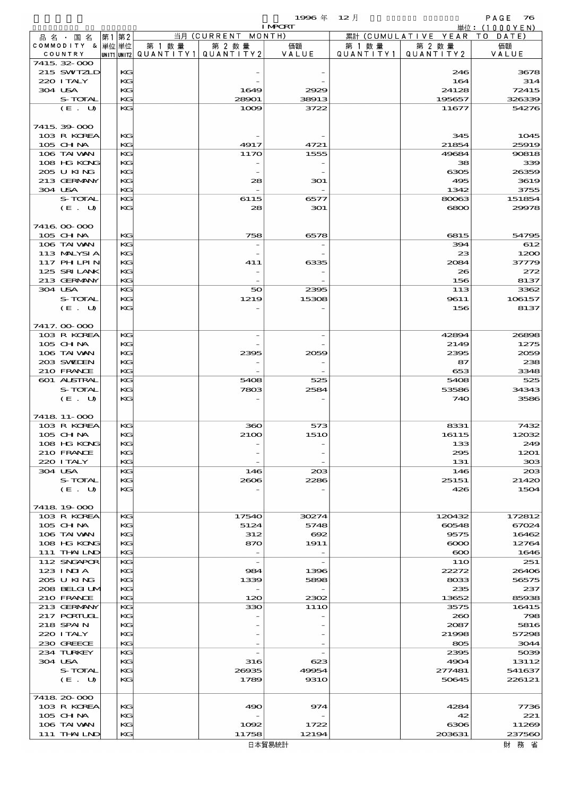|                             |                   |             |          |                     |                                 | 1996年            | $12$ 月               |                      | PAGE<br>76      |
|-----------------------------|-------------------|-------------|----------|---------------------|---------------------------------|------------------|----------------------|----------------------|-----------------|
|                             |                   |             |          |                     |                                 | <b>I MPCRT</b>   |                      |                      | 単位: (1000YEN)   |
| 品名・国名                       |                   | 第1          | 第2       |                     | 当月 (CURRENT MONTH)              |                  |                      | 累計 (CUMULATIVE YEAR) | T O<br>DATE     |
| COMMODITY & 単位単位<br>COUNTRY |                   | UNIT1 UNIT2 |          | 第 1 数量<br>QUANTITY1 | 第 2 数量<br>QUANTITY 2            | 価額<br>VALUE      | 第 1 数 量<br>QUANTITY1 | 第 2 数量<br>QUANTITY2  | 価額<br>VALUE     |
| 7415, 32, 000               |                   |             |          |                     |                                 |                  |                      |                      |                 |
| 215 SWIZLD                  |                   |             | KG       |                     |                                 |                  |                      | 246                  | 3678            |
| 220 I TALY                  |                   |             | KG       |                     |                                 |                  |                      | 164                  | 314             |
| 304 USA                     |                   |             | KG       |                     | 1649                            | 2929             |                      | 24128                | 72415           |
|                             | S-TOTAL<br>(E. U) |             | KG<br>KG |                     | 28901<br>1009                   | 38913<br>3722    |                      | 195657<br>11677      | 326339<br>54276 |
|                             |                   |             |          |                     |                                 |                  |                      |                      |                 |
| 7415 39 000                 |                   |             |          |                     |                                 |                  |                      |                      |                 |
| 103 R KOREA                 |                   |             | KG       |                     |                                 |                  |                      | 345                  | 1045            |
| 105 CHNA                    |                   |             | KG       |                     | 4917                            | 4721             |                      | 21854                | 25919           |
| 106 TAI VAN                 |                   |             | KG       |                     | 1170                            | 1555             |                      | 49684                | 90818           |
| 108 HG KONG                 |                   |             | KG       |                     |                                 |                  |                      | 38                   | 339             |
| 205 U KING<br>213 GERMANY   |                   |             | KG<br>KG |                     | 28                              | 301              |                      | 6305<br>495          | 26359<br>3619   |
| 304 USA                     |                   |             | KG       |                     |                                 |                  |                      | 1342                 | 3755            |
|                             | S-TOTAL           |             | KG       |                     | 6115                            | 6577             |                      | 80063                | 151854          |
|                             | (E. U)            |             | KG       |                     | 28                              | 301              |                      | 6800                 | 29978           |
|                             |                   |             |          |                     |                                 |                  |                      |                      |                 |
| 7416 00 000                 |                   |             |          |                     |                                 |                  |                      |                      |                 |
| 105 CHNA                    |                   |             | KG       |                     | 758                             | 6578             |                      | 6815                 | 54795           |
| 106 TAI WAN<br>113 MALYSIA  |                   |             | KG<br>KG |                     |                                 |                  |                      | 394<br>23            | 612<br>1200     |
| 117 PH LPIN                 |                   |             | KG       |                     | 411                             | 6335             |                      | 2084                 | 37779           |
| 125 SRILANK                 |                   |             | KG       |                     |                                 |                  |                      | 26                   | 272             |
| 213 GERMANY                 |                   |             | KG       |                     | $\overline{\phantom{a}}$        |                  |                      | 156                  | 8137            |
| 304 USA                     |                   |             | KG       |                     | 50                              | 2395             |                      | 113                  | 3362            |
|                             | S-TOTAL           |             | KG       |                     | 1219                            | 15308            |                      | 9611                 | 106157          |
|                             | (E. U)            |             | KG       |                     |                                 |                  |                      | 156                  | 8137            |
|                             |                   |             |          |                     |                                 |                  |                      |                      |                 |
| 7417.00-000<br>103 R KOREA  |                   |             | KG       |                     |                                 |                  |                      | 42894                | 26898           |
| 105 CH NA                   |                   |             | KG       |                     |                                 |                  |                      | 2149                 | 1275            |
| 106 TAI VAN                 |                   |             | KG       |                     | 2395                            | 2059             |                      | 2395                 | 2059            |
| 203 SWIDEN                  |                   |             | KG       |                     |                                 |                  |                      | 87                   | 238             |
| 210 FRANCE                  |                   |             | KG       |                     |                                 |                  |                      | 653                  | 3348            |
| 601 ALSTRAL                 |                   |             | KG       |                     | 5408                            | 525              |                      | 5408                 | 525             |
|                             | S-TOTAL           |             | KG       |                     | 7803                            | 2584             |                      | 53586                | 34343           |
|                             | (E. U)            |             | KG       |                     |                                 |                  |                      | 740                  | 3586            |
| 7418 11-000                 |                   |             |          |                     |                                 |                  |                      |                      |                 |
| 103 R KOREA                 |                   |             | KG       |                     | 360                             | 573              |                      | 8331                 | 7432            |
| 105 CH NA                   |                   |             | KG       |                     | 2100                            | 151O             |                      | 16115                | 12032           |
| 108 HG KONG                 |                   |             | KG       |                     |                                 |                  |                      | 133                  | 249             |
| 210 FRANCE                  |                   |             | KC       |                     |                                 |                  |                      | 295                  | 1201            |
| 220 I TALY                  |                   |             | KG       |                     |                                 |                  |                      | 131                  | 308             |
| 304 USA                     | S-TOTAL           |             | KG<br>KG |                     | 146<br>2606                     | $_{203}$<br>2286 |                      | 146<br>25151         | 20B<br>21420    |
|                             | (E. U)            |             | KG       |                     |                                 |                  |                      | 426                  | 1504            |
|                             |                   |             |          |                     |                                 |                  |                      |                      |                 |
| 7418 19 000                 |                   |             |          |                     |                                 |                  |                      |                      |                 |
| 103 R KOREA                 |                   |             | KG       |                     | 17540                           | 30274            |                      | 120432               | 172812          |
| 105 CHNA                    |                   |             | KG       |                     | 5124                            | 5748             |                      | 60548                | 67024           |
| 106 TAI VAN                 |                   |             | KG       |                     | 312                             | $\infty$         |                      | 9575                 | 16462<br>12764  |
| 108 HG KONG<br>111 THAILND  |                   |             | KC<br>KG |                     | 870<br>$\overline{\phantom{a}}$ | 1911             |                      | $\infty$<br>$\infty$ | 1646            |
| 112 SNGAPOR                 |                   |             | KG       |                     |                                 |                  |                      | 11O                  | 251             |
| 123 INIA                    |                   |             | KG       |                     | 984                             | 1396             |                      | 22272                | 26406           |
| 205 U KING                  |                   |             | KG       |                     | 1339                            | 5898             |                      | 8033                 | 56575           |
| 208 BELGI UM                |                   |             | KG       |                     |                                 |                  |                      | 235                  | 237             |
| 210 FRANCE                  |                   |             | KG       |                     | 120                             | 2302             |                      | 13652                | 85938           |
| 213 GERMANY                 |                   |             | KG       |                     | 330                             | 11 <sub>10</sub> |                      | 3575                 | 16415           |
| 217 PORTUGL<br>218 SPAIN    |                   |             | KC<br>KG |                     |                                 |                  |                      | 200<br>2087          | 798<br>5816     |
| 220 I TALY                  |                   |             | KG       |                     |                                 |                  |                      | 21998                | 57298           |
| 230 GREECE                  |                   |             | KG       |                     |                                 |                  |                      | 805                  | 3044            |
| 234 TURKEY                  |                   |             | KG       |                     |                                 |                  |                      | 2395                 | 5039            |
| 304 USA                     |                   |             | KG       |                     | 316                             | 623              |                      | 4904                 | 13112           |
|                             | S-TOTAL           |             | KG       |                     | 26935                           | 49954            |                      | 277481               | 541637          |
|                             | (E. U)            |             | KG       |                     | 1789                            | <b>9310</b>      |                      | 50645                | 226121          |
| 7418 20 000                 |                   |             |          |                     |                                 |                  |                      |                      |                 |
| 103 R KOREA                 |                   |             | KC       |                     | 490                             | 974              |                      | 4284                 | 7736            |
| $105$ CHNA                  |                   |             | KG       |                     |                                 |                  |                      | 42                   | 221             |
| 106 TAI VAN                 |                   |             | KG       |                     | 1002                            | 1722             |                      | 6306                 | 11269           |
| 111 THAILND                 |                   |             | KG       |                     | 11758                           | 12194            |                      | 203631               | 237560          |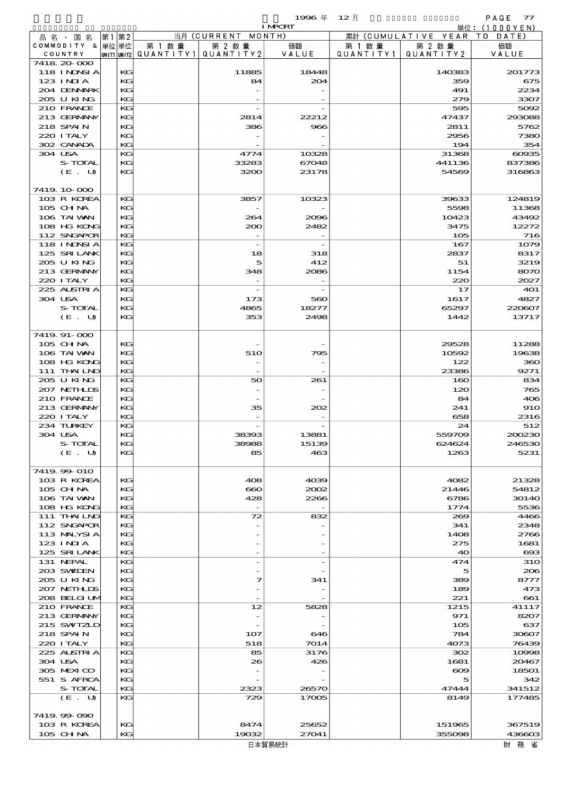$1996 \nrightarrow \quad 12 \nrightarrow$  PAGE 77

|                               |          |                                       |                                 | <b>I MPORT</b> |           |                              | 単位: (1000YEN)         |
|-------------------------------|----------|---------------------------------------|---------------------------------|----------------|-----------|------------------------------|-----------------------|
| 品名・国名                         | 第1 第2    |                                       | 当月 (CURRENT MONTH)              |                |           | 累計 (CUMULATIVE YEAR TO DATE) |                       |
| COMMODITY & 単位単位              |          | 第 1 数量                                | 第 2 数量                          | 価額             | 第 1 数 量   | 第 2 数量                       | 価額                    |
| COUNTRY                       |          | UNIT1 UNIT2  QUANT   TY1  QUANT   TY2 |                                 | VALUE          | QUANTITY1 | QUANTITY 2                   | VALUE                 |
| 7418 20 000                   |          |                                       |                                 |                |           |                              |                       |
| <b>118 INNSIA</b><br>123 INIA | KG<br>KG |                                       | 11885<br>84                     | 18448<br>204   |           | 140383<br>359                | 201773<br>675         |
| 204 DENMARK                   | KG       |                                       |                                 |                |           | 491                          | 2234                  |
| 205 U KING                    | KG       |                                       |                                 |                |           | 279                          | 3307                  |
| 210 FRANCE                    | KG       |                                       |                                 |                |           | 595                          | 5092                  |
| 213 GERMANY                   | KG       |                                       | 2814                            | 22212          |           | 47437                        | 293088                |
| 218 SPAIN                     | KG       |                                       | 386                             | 966            |           | 2811                         | 5762                  |
| 220 I TALY                    | KG       |                                       |                                 |                |           | 2956                         | 7380                  |
| 302 CANADA                    | KG       |                                       |                                 |                |           | 194                          | 354                   |
| 304 USA<br>S-TOTAL            | KG<br>KG |                                       | 4774<br>33283                   | 10328<br>67048 |           | 31368<br>441136              | $\cos 35$<br>837386   |
| (E. U)                        | KG       |                                       | 3200                            | 23178          |           | 54569                        | 316863                |
|                               |          |                                       |                                 |                |           |                              |                       |
| 7419 10 000                   |          |                                       |                                 |                |           |                              |                       |
| 103 R KOREA                   | KG       |                                       | 3857                            | 10323          |           | 39633                        | 124819                |
| 105 CHNA                      | KG       |                                       |                                 |                |           | 5598                         | 11368                 |
| 106 TAI VAN                   | KG       |                                       | 264                             | 2096           |           | 10423                        | 43492                 |
| 108 HG KONG                   | KG       |                                       | 200                             | 2482           |           | 3475                         | 12272                 |
| 112 SNGAPOR                   | KG       |                                       |                                 |                |           | 105                          | 716                   |
| 118 I NJNSI A<br>125 SRILANK  | KG<br>KG |                                       | 18                              | 318            |           | 167<br>2837                  | 1079<br>8317          |
| 205 U KING                    | KG       |                                       | 5                               | 412            |           | 51                           | 3219                  |
| 213 GERMANY                   | KG       |                                       | 348                             | 2086           |           | 1154                         | 8070                  |
| 220 I TALY                    | KG       |                                       |                                 |                |           | 220                          | 2027                  |
| 225 ALSTRIA                   | KG       |                                       | $\overline{\phantom{a}}$        |                |           | 17                           | <b>401</b>            |
| 304 USA                       | KG       |                                       | 173                             | 560            |           | 1617                         | 4827                  |
| S-TOTAL                       | KG       |                                       | 4865                            | 18277          |           | 65297                        | 220607                |
| (E. U)                        | KG       |                                       | 353                             | 2498           |           | 1442                         | 13717                 |
|                               |          |                                       |                                 |                |           |                              |                       |
| 7419. 91-000<br>105 CH NA     | KG       |                                       |                                 |                |           | 29528                        | 11288                 |
| 106 TAI VAN                   | KG       |                                       | 510                             | 795            |           | 10592                        | 19638                 |
| 108 HG KONG                   | KG       |                                       |                                 |                |           | 122                          | 360                   |
| 111 THAILND                   | KG       |                                       |                                 |                |           | 23386                        | 9271                  |
| 205 U KING                    | KG       |                                       | 50                              | 261            |           | 160                          | 834                   |
| 207 NETHLIS                   | KG       |                                       |                                 |                |           | 120                          | 765                   |
| 210 FRANCE                    | KG       |                                       |                                 |                |           | 84                           | 406                   |
| 213 GERMANY                   | KG       |                                       | 35                              | 202            |           | 241                          | 910                   |
| 220 I TALY<br>234 TURKEY      | KG<br>KG |                                       |                                 |                |           | 658<br>24                    | 2316<br>512           |
| 304 USA                       | KG       |                                       | 38393                           | 13881          |           | 559709                       | 200230                |
| S-TOTAL                       | KG       |                                       | 38988                           | 15139          |           | 624624                       | 246530                |
| $(E_U U)$                     | KG       |                                       | 85                              | 463            |           | 1263                         | 5231                  |
|                               |          |                                       |                                 |                |           |                              |                       |
| 7419.99-010                   |          |                                       |                                 |                |           |                              |                       |
| 103 R KOREA                   | KG       |                                       | 408                             | 4039           |           | 4082                         | 21328                 |
| 105 CH NA                     | KG       |                                       | $\bf{60}$                       | 2002           |           | 21446                        | 54812                 |
| 106 TAI VAN<br>108 HG KONG    | KG<br>KG |                                       | 428<br>$\overline{\phantom{a}}$ | 2266           |           | 6786<br>1774                 | <b>30140</b><br>5536  |
| $111$ THAILND                 | KG       |                                       | 72                              | 832            |           | 269                          | 4466                  |
| 112 SNGAPOR                   | KG       |                                       |                                 |                |           | 341                          | 2348                  |
| 113 MALYSIA                   | KG       |                                       |                                 |                |           | 1408                         | 2766                  |
| $123$ INIA                    | KG       |                                       |                                 |                |           | 275                          | 1681                  |
| 125 SRILANK                   | KG       |                                       |                                 |                |           | 40                           | $\boldsymbol{\alpha}$ |
| 131 NEPAL                     | KG       |                                       |                                 |                |           | 474                          | <b>31O</b>            |
| 203 SWIDEN<br>205 U KING      | KG<br>KG |                                       | 7                               | 341            |           | 5<br>389                     | 206<br>8777           |
| 207 NETHLIS                   | KG       |                                       |                                 |                |           | 189                          | 473                   |
| 208 BELGI UM                  | KG       |                                       |                                 |                |           | 221                          | 661                   |
| 210 FRANCE                    | KG       |                                       | 12                              | 5828           |           | 1215                         | 41117                 |
| 213 GERMANY                   | KG       |                                       |                                 |                |           | 971                          | 8207                  |
| 215 SWIZLD                    | KG       |                                       |                                 |                |           | 105                          | 637                   |
| 218 SPAIN                     | KG       |                                       | 107                             | 646            |           | 784                          | 30607                 |
| 220 I TALY                    | KG       |                                       | 518                             | 7014           |           | 4073                         | 76439                 |
| 225 ALSTRIA<br>304 USA        | KG<br>KG |                                       | 85<br>26                        | 3176<br>426    |           | 302<br>1681                  | 10998<br>20467        |
| 305 MEXICO                    | KG       |                                       |                                 |                |           | $\infty$                     | 18501                 |
| 551 S AFRCA                   | КG       |                                       |                                 |                |           | 5                            | 342                   |
| S-TOTAL                       | KG       |                                       | 2323                            | 26570          |           | 47444                        | 341512                |
| (E. U)                        | KG       |                                       | 729                             | 17005          |           | 8149                         | 177485                |
|                               |          |                                       |                                 |                |           |                              |                       |
| 7419.99-090                   |          |                                       |                                 |                |           |                              |                       |
| 103 R KOREA                   | KG       |                                       | 8474                            | 25652          |           | 151965                       | 367519                |

 $105 \text{ GHM}$   $| \text{KG} |$   $| \text{FG} |$   $| 19032 |$   $| 27041 |$   $| 355098 |$   $| 436603 |$ 

財務省